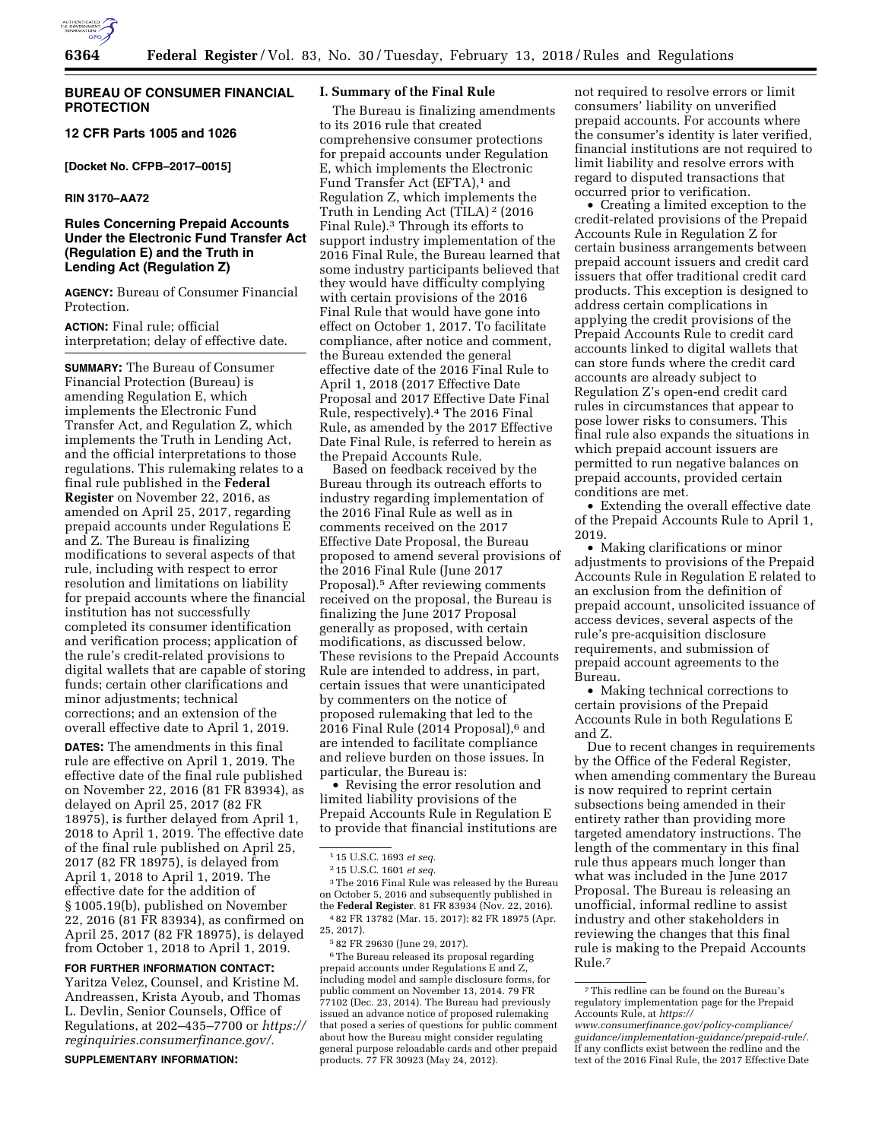

## **BUREAU OF CONSUMER FINANCIAL PROTECTION**

# **12 CFR Parts 1005 and 1026**

**[Docket No. CFPB–2017–0015]** 

# **RIN 3170–AA72**

# **Rules Concerning Prepaid Accounts Under the Electronic Fund Transfer Act (Regulation E) and the Truth in Lending Act (Regulation Z)**

**AGENCY:** Bureau of Consumer Financial **Protection** 

**ACTION:** Final rule; official interpretation; delay of effective date.

**SUMMARY:** The Bureau of Consumer Financial Protection (Bureau) is amending Regulation E, which implements the Electronic Fund Transfer Act, and Regulation Z, which implements the Truth in Lending Act, and the official interpretations to those regulations. This rulemaking relates to a final rule published in the **Federal Register** on November 22, 2016, as amended on April 25, 2017, regarding prepaid accounts under Regulations E and Z. The Bureau is finalizing modifications to several aspects of that rule, including with respect to error resolution and limitations on liability for prepaid accounts where the financial institution has not successfully completed its consumer identification and verification process; application of the rule's credit-related provisions to digital wallets that are capable of storing funds; certain other clarifications and minor adjustments; technical corrections; and an extension of the overall effective date to April 1, 2019.

**DATES:** The amendments in this final rule are effective on April 1, 2019. The effective date of the final rule published on November 22, 2016 (81 FR 83934), as delayed on April 25, 2017 (82 FR 18975), is further delayed from April 1, 2018 to April 1, 2019. The effective date of the final rule published on April 25, 2017 (82 FR 18975), is delayed from April 1, 2018 to April 1, 2019. The effective date for the addition of § 1005.19(b), published on November 22, 2016 (81 FR 83934), as confirmed on April 25, 2017 (82 FR 18975), is delayed from October 1, 2018 to April 1, 2019.

#### **FOR FURTHER INFORMATION CONTACT:**

Yaritza Velez, Counsel, and Kristine M. Andreassen, Krista Ayoub, and Thomas L. Devlin, Senior Counsels, Office of Regulations, at 202–435–7700 or *[https://](https://reginquiries.consumerfinance.gov/) [reginquiries.consumerfinance.gov/.](https://reginquiries.consumerfinance.gov/)* 

**SUPPLEMENTARY INFORMATION:** 

## **I. Summary of the Final Rule**

The Bureau is finalizing amendments to its 2016 rule that created comprehensive consumer protections for prepaid accounts under Regulation E, which implements the Electronic Fund Transfer Act (EFTA),<sup>1</sup> and Regulation Z, which implements the Truth in Lending Act (TILA) 2 (2016 Final Rule).3 Through its efforts to support industry implementation of the 2016 Final Rule, the Bureau learned that some industry participants believed that they would have difficulty complying with certain provisions of the 2016 Final Rule that would have gone into effect on October 1, 2017. To facilitate compliance, after notice and comment, the Bureau extended the general effective date of the 2016 Final Rule to April 1, 2018 (2017 Effective Date Proposal and 2017 Effective Date Final Rule, respectively).4 The 2016 Final Rule, as amended by the 2017 Effective Date Final Rule, is referred to herein as the Prepaid Accounts Rule.

Based on feedback received by the Bureau through its outreach efforts to industry regarding implementation of the 2016 Final Rule as well as in comments received on the 2017 Effective Date Proposal, the Bureau proposed to amend several provisions of the 2016 Final Rule (June 2017 Proposal).5 After reviewing comments received on the proposal, the Bureau is finalizing the June 2017 Proposal generally as proposed, with certain modifications, as discussed below. These revisions to the Prepaid Accounts Rule are intended to address, in part, certain issues that were unanticipated by commenters on the notice of proposed rulemaking that led to the 2016 Final Rule (2014 Proposal),<sup>6</sup> and are intended to facilitate compliance and relieve burden on those issues. In particular, the Bureau is:

• Revising the error resolution and limited liability provisions of the Prepaid Accounts Rule in Regulation E to provide that financial institutions are

3The 2016 Final Rule was released by the Bureau on October 5, 2016 and subsequently published in the **Federal Register**. 81 FR 83934 (Nov. 22, 2016). 4 82 FR 13782 (Mar. 15, 2017); 82 FR 18975 (Apr.

6The Bureau released its proposal regarding prepaid accounts under Regulations E and Z, including model and sample disclosure forms, for public comment on November 13, 2014. 79 FR 77102 (Dec. 23, 2014). The Bureau had previously issued an advance notice of proposed rulemaking that posed a series of questions for public comment about how the Bureau might consider regulating general purpose reloadable cards and other prepaid products. 77 FR 30923 (May 24, 2012).

not required to resolve errors or limit consumers' liability on unverified prepaid accounts. For accounts where the consumer's identity is later verified, financial institutions are not required to limit liability and resolve errors with regard to disputed transactions that occurred prior to verification.

• Creating a limited exception to the credit-related provisions of the Prepaid Accounts Rule in Regulation Z for certain business arrangements between prepaid account issuers and credit card issuers that offer traditional credit card products. This exception is designed to address certain complications in applying the credit provisions of the Prepaid Accounts Rule to credit card accounts linked to digital wallets that can store funds where the credit card accounts are already subject to Regulation Z's open-end credit card rules in circumstances that appear to pose lower risks to consumers. This final rule also expands the situations in which prepaid account issuers are permitted to run negative balances on prepaid accounts, provided certain conditions are met.

• Extending the overall effective date of the Prepaid Accounts Rule to April 1, 2019.

• Making clarifications or minor adjustments to provisions of the Prepaid Accounts Rule in Regulation E related to an exclusion from the definition of prepaid account, unsolicited issuance of access devices, several aspects of the rule's pre-acquisition disclosure requirements, and submission of prepaid account agreements to the Bureau.

• Making technical corrections to certain provisions of the Prepaid Accounts Rule in both Regulations E and Z.

Due to recent changes in requirements by the Office of the Federal Register, when amending commentary the Bureau is now required to reprint certain subsections being amended in their entirety rather than providing more targeted amendatory instructions. The length of the commentary in this final rule thus appears much longer than what was included in the June 2017 Proposal. The Bureau is releasing an unofficial, informal redline to assist industry and other stakeholders in reviewing the changes that this final rule is making to the Prepaid Accounts Rule.7

<sup>1</sup> 15 U.S.C. 1693 *et seq.* 

<sup>2</sup> 15 U.S.C. 1601 *et seq.* 

<sup>25, 2017).</sup> 

<sup>5</sup> 82 FR 29630 (June 29, 2017).

<sup>7</sup>This redline can be found on the Bureau's regulatory implementation page for the Prepaid Accounts Rule, at *[https://](https://www.consumerfinance.gov/policy-compliance/guidance/implementation-guidance/prepaid-rule/)*

*[www.consumerfinance.gov/policy-compliance/](https://www.consumerfinance.gov/policy-compliance/guidance/implementation-guidance/prepaid-rule/) [guidance/implementation-guidance/prepaid-rule/.](https://www.consumerfinance.gov/policy-compliance/guidance/implementation-guidance/prepaid-rule/)*  If any conflicts exist between the redline and the text of the 2016 Final Rule, the 2017 Effective Date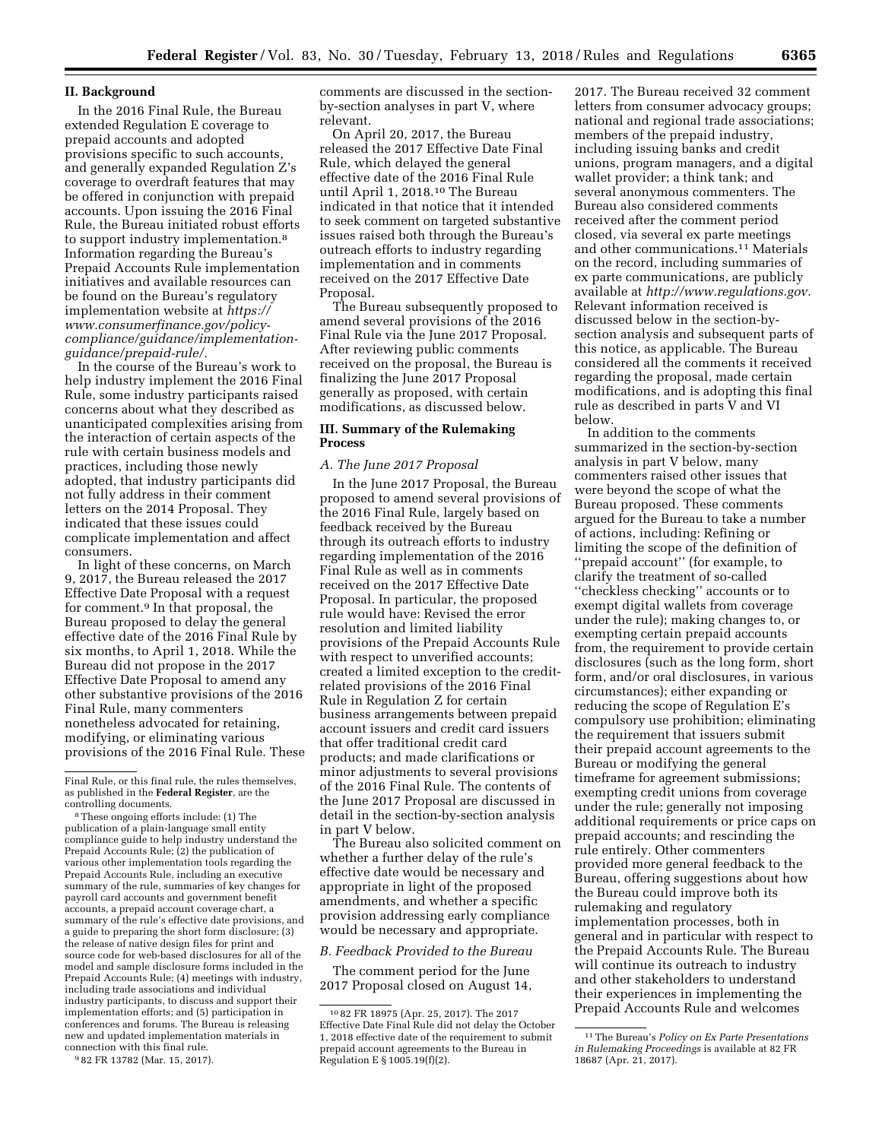### **II. Background**

In the 2016 Final Rule, the Bureau extended Regulation E coverage to prepaid accounts and adopted provisions specific to such accounts, and generally expanded Regulation Z's coverage to overdraft features that may be offered in conjunction with prepaid accounts. Upon issuing the 2016 Final Rule, the Bureau initiated robust efforts to support industry implementation.8 Information regarding the Bureau's Prepaid Accounts Rule implementation initiatives and available resources can be found on the Bureau's regulatory implementation website at *[https://](https://www.consumerfinance.gov/policy-compliance/guidance/implementation-guidance/prepaid-rule/) [www.consumerfinance.gov/policy](https://www.consumerfinance.gov/policy-compliance/guidance/implementation-guidance/prepaid-rule/)[compliance/guidance/implementation](https://www.consumerfinance.gov/policy-compliance/guidance/implementation-guidance/prepaid-rule/)[guidance/prepaid-rule/.](https://www.consumerfinance.gov/policy-compliance/guidance/implementation-guidance/prepaid-rule/)* 

In the course of the Bureau's work to help industry implement the 2016 Final Rule, some industry participants raised concerns about what they described as unanticipated complexities arising from the interaction of certain aspects of the rule with certain business models and practices, including those newly adopted, that industry participants did not fully address in their comment letters on the 2014 Proposal. They indicated that these issues could complicate implementation and affect consumers.

In light of these concerns, on March 9, 2017, the Bureau released the 2017 Effective Date Proposal with a request for comment.9 In that proposal, the Bureau proposed to delay the general effective date of the 2016 Final Rule by six months, to April 1, 2018. While the Bureau did not propose in the 2017 Effective Date Proposal to amend any other substantive provisions of the 2016 Final Rule, many commenters nonetheless advocated for retaining, modifying, or eliminating various provisions of the 2016 Final Rule. These

8These ongoing efforts include: (1) The publication of a plain-language small entity compliance guide to help industry understand the Prepaid Accounts Rule; (2) the publication of various other implementation tools regarding the Prepaid Accounts Rule, including an executive summary of the rule, summaries of key changes for payroll card accounts and government benefit accounts, a prepaid account coverage chart, a summary of the rule's effective date provisions, and a guide to preparing the short form disclosure; (3) the release of native design files for print and source code for web-based disclosures for all of the model and sample disclosure forms included in the Prepaid Accounts Rule; (4) meetings with industry, including trade associations and individual industry participants, to discuss and support their implementation efforts; and (5) participation in conferences and forums. The Bureau is releasing new and updated implementation materials in connection with this final rule.

9 82 FR 13782 (Mar. 15, 2017).

comments are discussed in the sectionby-section analyses in part V, where relevant.

On April 20, 2017, the Bureau released the 2017 Effective Date Final Rule, which delayed the general effective date of the 2016 Final Rule until April 1, 2018.10 The Bureau indicated in that notice that it intended to seek comment on targeted substantive issues raised both through the Bureau's outreach efforts to industry regarding implementation and in comments received on the 2017 Effective Date Proposal.

The Bureau subsequently proposed to amend several provisions of the 2016 Final Rule via the June 2017 Proposal. After reviewing public comments received on the proposal, the Bureau is finalizing the June 2017 Proposal generally as proposed, with certain modifications, as discussed below.

## **III. Summary of the Rulemaking Process**

### *A. The June 2017 Proposal*

In the June 2017 Proposal, the Bureau proposed to amend several provisions of the 2016 Final Rule, largely based on feedback received by the Bureau through its outreach efforts to industry regarding implementation of the 2016 Final Rule as well as in comments received on the 2017 Effective Date Proposal. In particular, the proposed rule would have: Revised the error resolution and limited liability provisions of the Prepaid Accounts Rule with respect to unverified accounts; created a limited exception to the creditrelated provisions of the 2016 Final Rule in Regulation Z for certain business arrangements between prepaid account issuers and credit card issuers that offer traditional credit card products; and made clarifications or minor adjustments to several provisions of the 2016 Final Rule. The contents of the June 2017 Proposal are discussed in detail in the section-by-section analysis in part V below.

The Bureau also solicited comment on whether a further delay of the rule's effective date would be necessary and appropriate in light of the proposed amendments, and whether a specific provision addressing early compliance would be necessary and appropriate.

*B. Feedback Provided to the Bureau* 

The comment period for the June 2017 Proposal closed on August 14,

2017. The Bureau received 32 comment letters from consumer advocacy groups; national and regional trade associations; members of the prepaid industry, including issuing banks and credit unions, program managers, and a digital wallet provider; a think tank; and several anonymous commenters. The Bureau also considered comments received after the comment period closed, via several ex parte meetings and other communications.11 Materials on the record, including summaries of ex parte communications, are publicly available at *[http://www.regulations.gov.](http://www.regulations.gov)*  Relevant information received is discussed below in the section-bysection analysis and subsequent parts of this notice, as applicable. The Bureau considered all the comments it received regarding the proposal, made certain modifications, and is adopting this final rule as described in parts V and VI below.

In addition to the comments summarized in the section-by-section analysis in part V below, many commenters raised other issues that were beyond the scope of what the Bureau proposed. These comments argued for the Bureau to take a number of actions, including: Refining or limiting the scope of the definition of ''prepaid account'' (for example, to clarify the treatment of so-called ''checkless checking'' accounts or to exempt digital wallets from coverage under the rule); making changes to, or exempting certain prepaid accounts from, the requirement to provide certain disclosures (such as the long form, short form, and/or oral disclosures, in various circumstances); either expanding or reducing the scope of Regulation E's compulsory use prohibition; eliminating the requirement that issuers submit their prepaid account agreements to the Bureau or modifying the general timeframe for agreement submissions; exempting credit unions from coverage under the rule; generally not imposing additional requirements or price caps on prepaid accounts; and rescinding the rule entirely. Other commenters provided more general feedback to the Bureau, offering suggestions about how the Bureau could improve both its rulemaking and regulatory implementation processes, both in general and in particular with respect to the Prepaid Accounts Rule. The Bureau will continue its outreach to industry and other stakeholders to understand their experiences in implementing the Prepaid Accounts Rule and welcomes

Final Rule, or this final rule, the rules themselves, as published in the **Federal Register**, are the controlling documents.

<sup>10</sup> 82 FR 18975 (Apr. 25, 2017). The 2017 Effective Date Final Rule did not delay the October 1, 2018 effective date of the requirement to submit prepaid account agreements to the Bureau in Regulation E § 1005.19(f)(2).

<sup>11</sup>The Bureau's *Policy on Ex Parte Presentations in Rulemaking Proceedings* is available at 82 FR 18687 (Apr. 21, 2017).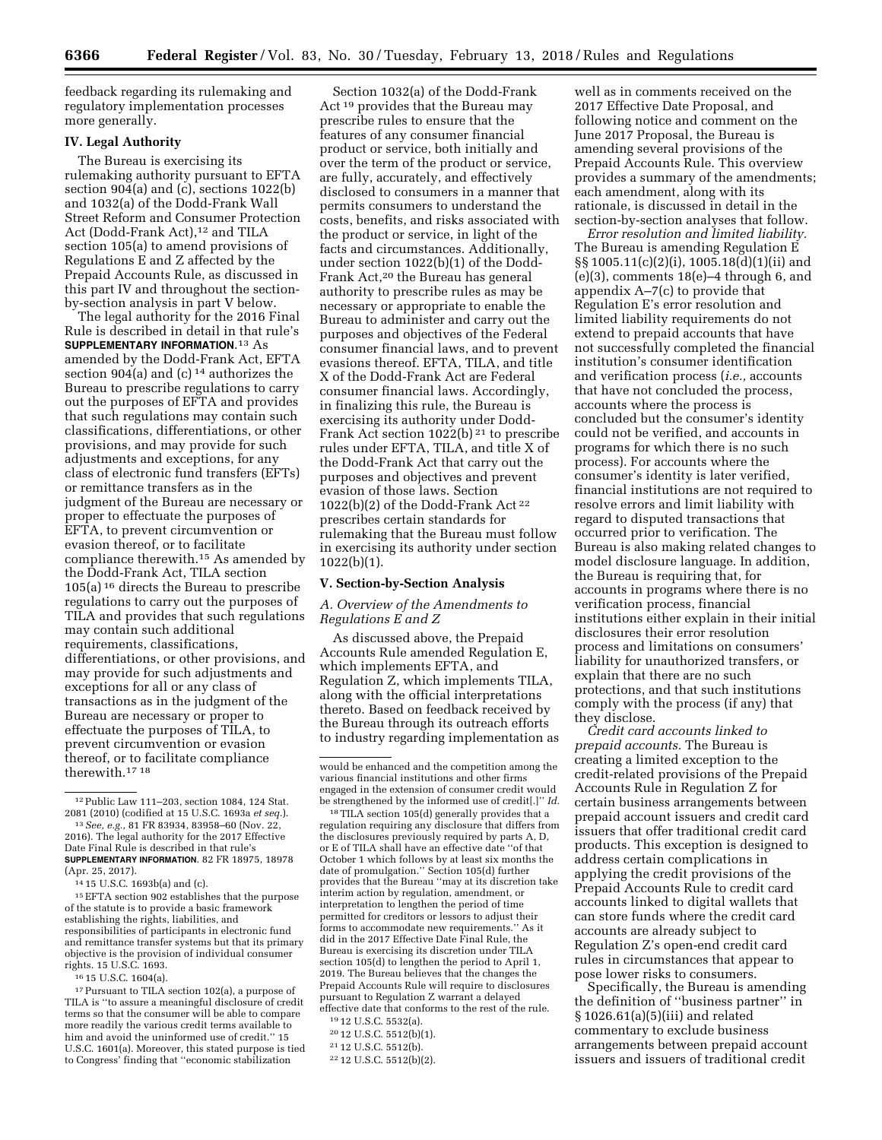feedback regarding its rulemaking and regulatory implementation processes more generally.

# **IV. Legal Authority**

The Bureau is exercising its rulemaking authority pursuant to EFTA section 904(a) and (c), sections 1022(b) and 1032(a) of the Dodd-Frank Wall Street Reform and Consumer Protection Act (Dodd-Frank Act),<sup>12</sup> and TILA section 105(a) to amend provisions of Regulations E and Z affected by the Prepaid Accounts Rule, as discussed in this part IV and throughout the sectionby-section analysis in part V below.

The legal authority for the 2016 Final Rule is described in detail in that rule's **SUPPLEMENTARY INFORMATION**.13 As amended by the Dodd-Frank Act, EFTA section 904(a) and (c)  $^{14}$  authorizes the Bureau to prescribe regulations to carry out the purposes of EFTA and provides that such regulations may contain such classifications, differentiations, or other provisions, and may provide for such adjustments and exceptions, for any class of electronic fund transfers (EFTs) or remittance transfers as in the judgment of the Bureau are necessary or proper to effectuate the purposes of EFTA, to prevent circumvention or evasion thereof, or to facilitate compliance therewith.15 As amended by the Dodd-Frank Act, TILA section 105(a) 16 directs the Bureau to prescribe regulations to carry out the purposes of TILA and provides that such regulations may contain such additional requirements, classifications, differentiations, or other provisions, and may provide for such adjustments and exceptions for all or any class of transactions as in the judgment of the Bureau are necessary or proper to effectuate the purposes of TILA, to prevent circumvention or evasion thereof, or to facilitate compliance therewith.17 18

14 15 U.S.C. 1693b(a) and (c).

15EFTA section 902 establishes that the purpose of the statute is to provide a basic framework establishing the rights, liabilities, and responsibilities of participants in electronic fund and remittance transfer systems but that its primary objective is the provision of individual consumer rights. 15 U.S.C. 1693.

16 15 U.S.C. 1604(a).

17Pursuant to TILA section 102(a), a purpose of TILA is ''to assure a meaningful disclosure of credit terms so that the consumer will be able to compare more readily the various credit terms available to him and avoid the uninformed use of credit.'' 15 U.S.C. 1601(a). Moreover, this stated purpose is tied to Congress' finding that ''economic stabilization

Section 1032(a) of the Dodd-Frank Act 19 provides that the Bureau may prescribe rules to ensure that the features of any consumer financial product or service, both initially and over the term of the product or service, are fully, accurately, and effectively disclosed to consumers in a manner that permits consumers to understand the costs, benefits, and risks associated with the product or service, in light of the facts and circumstances. Additionally, under section 1022(b)(1) of the Dodd-Frank Act,20 the Bureau has general authority to prescribe rules as may be necessary or appropriate to enable the Bureau to administer and carry out the purposes and objectives of the Federal consumer financial laws, and to prevent evasions thereof. EFTA, TILA, and title X of the Dodd-Frank Act are Federal consumer financial laws. Accordingly, in finalizing this rule, the Bureau is exercising its authority under Dodd-Frank Act section  $1022(b)$ <sup>21</sup> to prescribe rules under EFTA, TILA, and title X of the Dodd-Frank Act that carry out the purposes and objectives and prevent evasion of those laws. Section  $1022(b)(2)$  of the Dodd-Frank Act<sup>22</sup> prescribes certain standards for rulemaking that the Bureau must follow in exercising its authority under section 1022(b)(1).

### **V. Section-by-Section Analysis**

## *A. Overview of the Amendments to Regulations E and Z*

As discussed above, the Prepaid Accounts Rule amended Regulation E, which implements EFTA, and Regulation Z, which implements TILA, along with the official interpretations thereto. Based on feedback received by the Bureau through its outreach efforts to industry regarding implementation as

18TILA section 105(d) generally provides that a regulation requiring any disclosure that differs from the disclosures previously required by parts A, D, or E of TILA shall have an effective date ''of that October 1 which follows by at least six months the date of promulgation.'' Section 105(d) further provides that the Bureau ''may at its discretion take interim action by regulation, amendment, or interpretation to lengthen the period of time permitted for creditors or lessors to adjust their forms to accommodate new requirements.'' As it did in the 2017 Effective Date Final Rule, the Bureau is exercising its discretion under TILA section 105(d) to lengthen the period to April 1, 2019. The Bureau believes that the changes the Prepaid Accounts Rule will require to disclosures pursuant to Regulation Z warrant a delayed effective date that conforms to the rest of the rule.

- 19 12 U.S.C. 5532(a).
- 20 12 U.S.C. 5512(b)(1). 21 12 U.S.C. 5512(b).

22 12 U.S.C. 5512(b)(2).

well as in comments received on the 2017 Effective Date Proposal, and following notice and comment on the June 2017 Proposal, the Bureau is amending several provisions of the Prepaid Accounts Rule. This overview provides a summary of the amendments; each amendment, along with its rationale, is discussed in detail in the section-by-section analyses that follow.

*Error resolution and limited liability.*  The Bureau is amending Regulation E §§ 1005.11(c)(2)(i), 1005.18(d)(1)(ii) and  $(e)(3)$ , comments  $18(e)-4$  through 6, and appendix A–7(c) to provide that Regulation E's error resolution and limited liability requirements do not extend to prepaid accounts that have not successfully completed the financial institution's consumer identification and verification process (*i.e.,* accounts that have not concluded the process, accounts where the process is concluded but the consumer's identity could not be verified, and accounts in programs for which there is no such process). For accounts where the consumer's identity is later verified, financial institutions are not required to resolve errors and limit liability with regard to disputed transactions that occurred prior to verification. The Bureau is also making related changes to model disclosure language. In addition, the Bureau is requiring that, for accounts in programs where there is no verification process, financial institutions either explain in their initial disclosures their error resolution process and limitations on consumers' liability for unauthorized transfers, or explain that there are no such protections, and that such institutions comply with the process (if any) that they disclose.

*Credit card accounts linked to prepaid accounts.* The Bureau is creating a limited exception to the credit-related provisions of the Prepaid Accounts Rule in Regulation Z for certain business arrangements between prepaid account issuers and credit card issuers that offer traditional credit card products. This exception is designed to address certain complications in applying the credit provisions of the Prepaid Accounts Rule to credit card accounts linked to digital wallets that can store funds where the credit card accounts are already subject to Regulation Z's open-end credit card rules in circumstances that appear to pose lower risks to consumers.

Specifically, the Bureau is amending the definition of ''business partner'' in § 1026.61(a)(5)(iii) and related commentary to exclude business arrangements between prepaid account issuers and issuers of traditional credit

<sup>12</sup>Public Law 111–203, section 1084, 124 Stat. 2081 (2010) (codified at 15 U.S.C. 1693a *et seq.*).

<sup>13</sup>*See, e.g.,* 81 FR 83934, 83958–60 (Nov. 22, 2016). The legal authority for the 2017 Effective Date Final Rule is described in that rule's **SUPPLEMENTARY INFORMATION**. 82 FR 18975, 18978 (Apr. 25, 2017).

would be enhanced and the competition among the various financial institutions and other firms engaged in the extension of consumer credit would be strengthened by the informed use of credit[.]'' *Id.*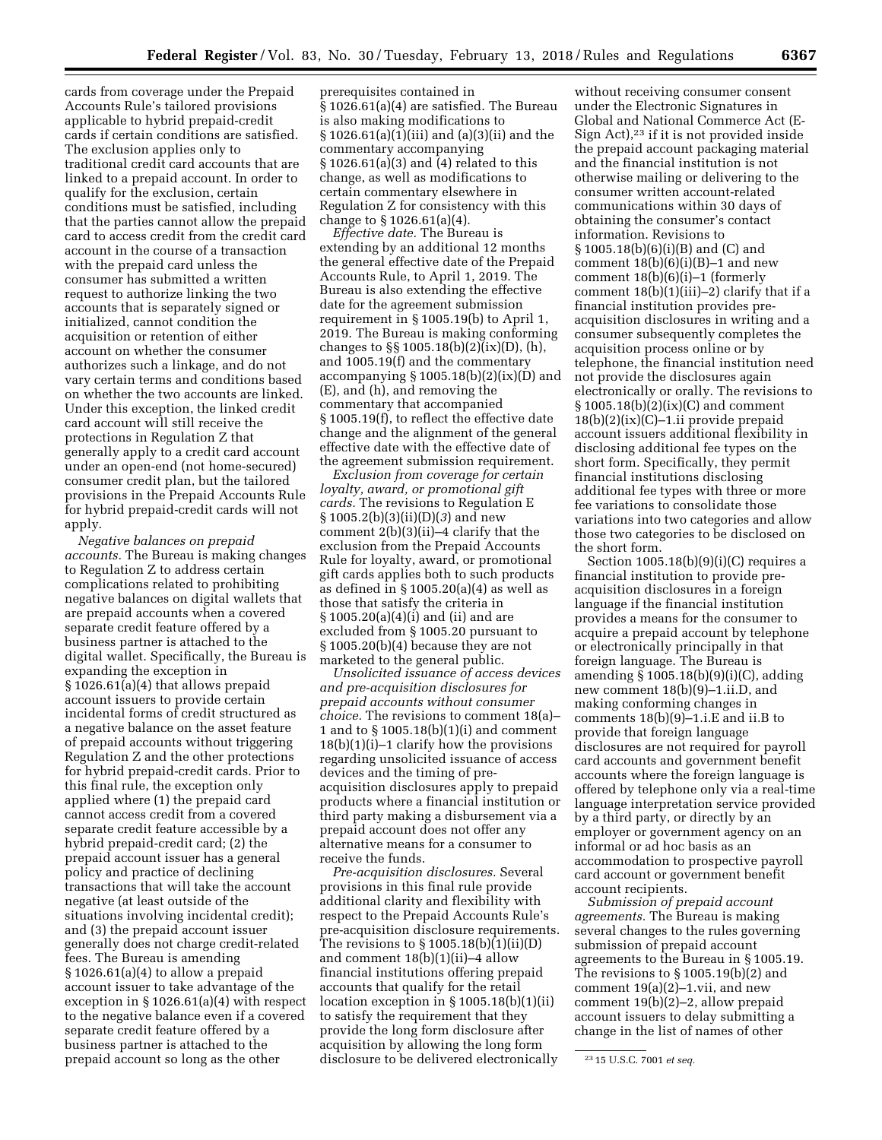cards from coverage under the Prepaid Accounts Rule's tailored provisions applicable to hybrid prepaid-credit cards if certain conditions are satisfied. The exclusion applies only to traditional credit card accounts that are linked to a prepaid account. In order to qualify for the exclusion, certain conditions must be satisfied, including that the parties cannot allow the prepaid card to access credit from the credit card account in the course of a transaction with the prepaid card unless the consumer has submitted a written request to authorize linking the two accounts that is separately signed or initialized, cannot condition the acquisition or retention of either account on whether the consumer authorizes such a linkage, and do not vary certain terms and conditions based on whether the two accounts are linked. Under this exception, the linked credit card account will still receive the protections in Regulation Z that generally apply to a credit card account under an open-end (not home-secured) consumer credit plan, but the tailored provisions in the Prepaid Accounts Rule for hybrid prepaid-credit cards will not apply.

*Negative balances on prepaid accounts.* The Bureau is making changes to Regulation Z to address certain complications related to prohibiting negative balances on digital wallets that are prepaid accounts when a covered separate credit feature offered by a business partner is attached to the digital wallet. Specifically, the Bureau is expanding the exception in § 1026.61(a)(4) that allows prepaid account issuers to provide certain incidental forms of credit structured as a negative balance on the asset feature of prepaid accounts without triggering Regulation Z and the other protections for hybrid prepaid-credit cards. Prior to this final rule, the exception only applied where (1) the prepaid card cannot access credit from a covered separate credit feature accessible by a hybrid prepaid-credit card; (2) the prepaid account issuer has a general policy and practice of declining transactions that will take the account negative (at least outside of the situations involving incidental credit); and (3) the prepaid account issuer generally does not charge credit-related fees. The Bureau is amending § 1026.61(a)(4) to allow a prepaid account issuer to take advantage of the exception in § 1026.61(a)(4) with respect to the negative balance even if a covered separate credit feature offered by a business partner is attached to the prepaid account so long as the other

prerequisites contained in § 1026.61(a)(4) are satisfied. The Bureau is also making modifications to § 1026.61(a)(1)(iii) and (a)(3)(ii) and the commentary accompanying § 1026.61(a)(3) and (4) related to this change, as well as modifications to certain commentary elsewhere in Regulation Z for consistency with this change to § 1026.61(a)(4).

*Effective date.* The Bureau is extending by an additional 12 months the general effective date of the Prepaid Accounts Rule, to April 1, 2019. The Bureau is also extending the effective date for the agreement submission requirement in § 1005.19(b) to April 1, 2019. The Bureau is making conforming changes to §§ 1005.18(b)(2)(ix)(D), (h), and 1005.19(f) and the commentary accompanying  $\S 1005.18(b)(2)(ix)(D)$  and (E), and (h), and removing the commentary that accompanied § 1005.19(f), to reflect the effective date change and the alignment of the general effective date with the effective date of the agreement submission requirement.

*Exclusion from coverage for certain loyalty, award, or promotional gift cards.* The revisions to Regulation E § 1005.2(b)(3)(ii)(D)(*3*) and new comment 2(b)(3)(ii)–4 clarify that the exclusion from the Prepaid Accounts Rule for loyalty, award, or promotional gift cards applies both to such products as defined in § 1005.20(a)(4) as well as those that satisfy the criteria in § 1005.20(a)(4)(i) and (ii) and are excluded from § 1005.20 pursuant to § 1005.20(b)(4) because they are not marketed to the general public.

*Unsolicited issuance of access devices and pre-acquisition disclosures for prepaid accounts without consumer choice.* The revisions to comment 18(a)– 1 and to § 1005.18(b)(1)(i) and comment  $18(b)(1)(i)-1$  clarify how the provisions regarding unsolicited issuance of access devices and the timing of preacquisition disclosures apply to prepaid products where a financial institution or third party making a disbursement via a prepaid account does not offer any alternative means for a consumer to receive the funds.

*Pre-acquisition disclosures.* Several provisions in this final rule provide additional clarity and flexibility with respect to the Prepaid Accounts Rule's pre-acquisition disclosure requirements. The revisions to  $\S 1005.18(b)(1)(ii)(D)$ and comment 18(b)(1)(ii)–4 allow financial institutions offering prepaid accounts that qualify for the retail location exception in § 1005.18(b)(1)(ii) to satisfy the requirement that they provide the long form disclosure after acquisition by allowing the long form disclosure to be delivered electronically

without receiving consumer consent under the Electronic Signatures in Global and National Commerce Act (E-Sign Act),23 if it is not provided inside the prepaid account packaging material and the financial institution is not otherwise mailing or delivering to the consumer written account-related communications within 30 days of obtaining the consumer's contact information. Revisions to § 1005.18(b)(6)(i)(B) and (C) and comment  $18(b)(6)(i)(B)-1$  and new comment  $18(b)(6)(i)-1$  (formerly comment 18(b)(1)(iii)–2) clarify that if a financial institution provides preacquisition disclosures in writing and a consumer subsequently completes the acquisition process online or by telephone, the financial institution need not provide the disclosures again electronically or orally. The revisions to § 1005.18(b)(2)(ix)(C) and comment 18(b)(2)(ix)(C)–1.ii provide prepaid account issuers additional flexibility in disclosing additional fee types on the short form. Specifically, they permit financial institutions disclosing additional fee types with three or more fee variations to consolidate those variations into two categories and allow those two categories to be disclosed on the short form.

Section  $1005.18(b)(9)(i)(C)$  requires a financial institution to provide preacquisition disclosures in a foreign language if the financial institution provides a means for the consumer to acquire a prepaid account by telephone or electronically principally in that foreign language. The Bureau is amending § 1005.18(b)(9)(i)(C), adding new comment 18(b)(9)–1.ii.D, and making conforming changes in comments  $18(b)(9)-1.i.E$  and ii.B to provide that foreign language disclosures are not required for payroll card accounts and government benefit accounts where the foreign language is offered by telephone only via a real-time language interpretation service provided by a third party, or directly by an employer or government agency on an informal or ad hoc basis as an accommodation to prospective payroll card account or government benefit account recipients.

*Submission of prepaid account agreements.* The Bureau is making several changes to the rules governing submission of prepaid account agreements to the Bureau in § 1005.19. The revisions to  $\S 1005.19(b)(2)$  and comment 19(a)(2)–1.vii, and new comment 19(b)(2)–2, allow prepaid account issuers to delay submitting a change in the list of names of other

<sup>23</sup> 15 U.S.C. 7001 *et seq.*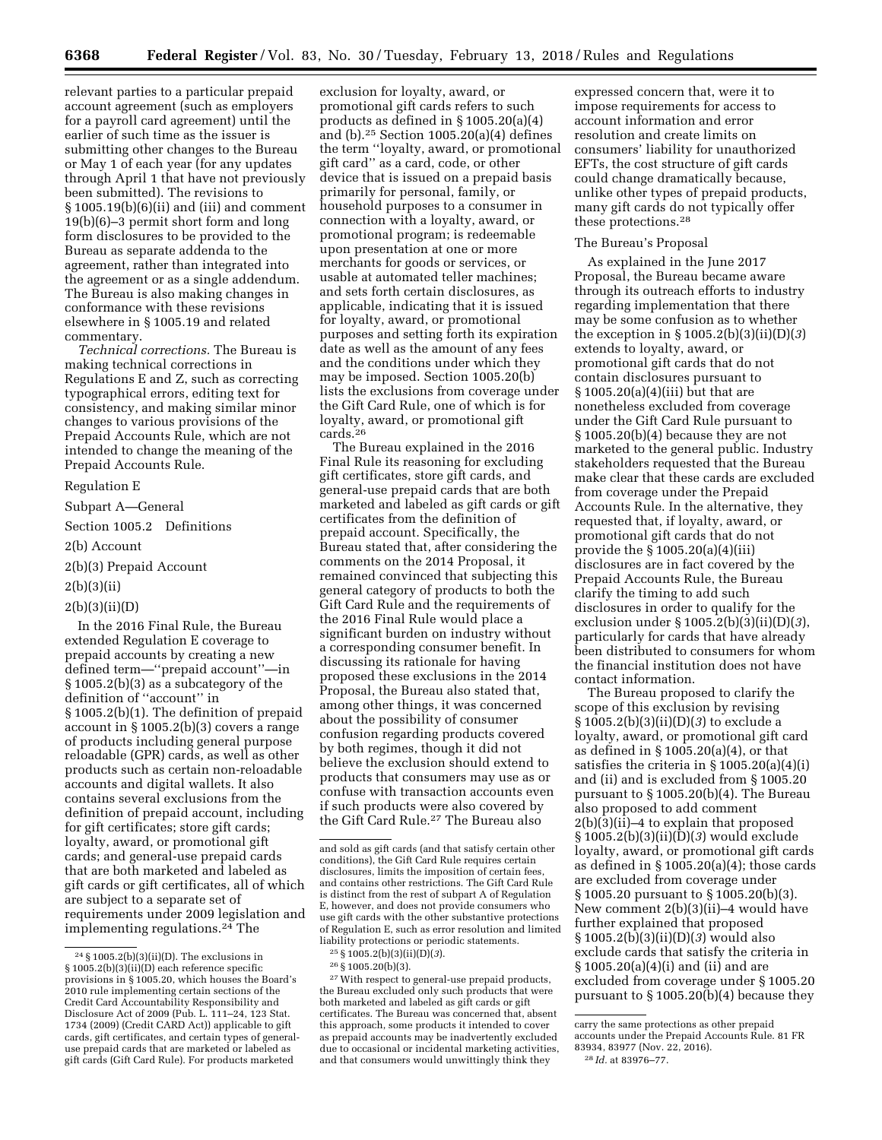relevant parties to a particular prepaid account agreement (such as employers for a payroll card agreement) until the earlier of such time as the issuer is submitting other changes to the Bureau or May 1 of each year (for any updates through April 1 that have not previously been submitted). The revisions to § 1005.19(b)(6)(ii) and (iii) and comment 19(b)(6)–3 permit short form and long form disclosures to be provided to the Bureau as separate addenda to the agreement, rather than integrated into the agreement or as a single addendum. The Bureau is also making changes in conformance with these revisions elsewhere in § 1005.19 and related commentary.

*Technical corrections.* The Bureau is making technical corrections in Regulations E and Z, such as correcting typographical errors, editing text for consistency, and making similar minor changes to various provisions of the Prepaid Accounts Rule, which are not intended to change the meaning of the Prepaid Accounts Rule.

## Regulation E

Subpart A—General

Section 1005.2 Definitions

2(b) Account

2(b)(3) Prepaid Account

### 2(b)(3)(ii)

## 2(b)(3)(ii)(D)

In the 2016 Final Rule, the Bureau extended Regulation E coverage to prepaid accounts by creating a new defined term—''prepaid account''—in § 1005.2(b)(3) as a subcategory of the definition of ''account'' in § 1005.2(b)(1). The definition of prepaid account in § 1005.2(b)(3) covers a range of products including general purpose reloadable (GPR) cards, as well as other products such as certain non-reloadable accounts and digital wallets. It also contains several exclusions from the definition of prepaid account, including for gift certificates; store gift cards; loyalty, award, or promotional gift cards; and general-use prepaid cards that are both marketed and labeled as gift cards or gift certificates, all of which are subject to a separate set of requirements under 2009 legislation and implementing regulations.24 The

exclusion for loyalty, award, or promotional gift cards refers to such products as defined in § 1005.20(a)(4) and (b).25 Section 1005.20(a)(4) defines the term ''loyalty, award, or promotional gift card'' as a card, code, or other device that is issued on a prepaid basis primarily for personal, family, or household purposes to a consumer in connection with a loyalty, award, or promotional program; is redeemable upon presentation at one or more merchants for goods or services, or usable at automated teller machines; and sets forth certain disclosures, as applicable, indicating that it is issued for loyalty, award, or promotional purposes and setting forth its expiration date as well as the amount of any fees and the conditions under which they may be imposed. Section 1005.20(b) lists the exclusions from coverage under the Gift Card Rule, one of which is for loyalty, award, or promotional gift cards.26

The Bureau explained in the 2016 Final Rule its reasoning for excluding gift certificates, store gift cards, and general-use prepaid cards that are both marketed and labeled as gift cards or gift certificates from the definition of prepaid account. Specifically, the Bureau stated that, after considering the comments on the 2014 Proposal, it remained convinced that subjecting this general category of products to both the Gift Card Rule and the requirements of the 2016 Final Rule would place a significant burden on industry without a corresponding consumer benefit. In discussing its rationale for having proposed these exclusions in the 2014 Proposal, the Bureau also stated that, among other things, it was concerned about the possibility of consumer confusion regarding products covered by both regimes, though it did not believe the exclusion should extend to products that consumers may use as or confuse with transaction accounts even if such products were also covered by the Gift Card Rule.27 The Bureau also

25 § 1005.2(b)(3)(ii)(D)(*3*).

27With respect to general-use prepaid products, the Bureau excluded only such products that were both marketed and labeled as gift cards or gift certificates. The Bureau was concerned that, absent this approach, some products it intended to cover as prepaid accounts may be inadvertently excluded due to occasional or incidental marketing activities, and that consumers would unwittingly think they

expressed concern that, were it to impose requirements for access to account information and error resolution and create limits on consumers' liability for unauthorized EFTs, the cost structure of gift cards could change dramatically because, unlike other types of prepaid products, many gift cards do not typically offer these protections.28

### The Bureau's Proposal

As explained in the June 2017 Proposal, the Bureau became aware through its outreach efforts to industry regarding implementation that there may be some confusion as to whether the exception in § 1005.2(b)(3)(ii)(D)(*3*) extends to loyalty, award, or promotional gift cards that do not contain disclosures pursuant to  $\S 1005.20(a)(4)(iii)$  but that are nonetheless excluded from coverage under the Gift Card Rule pursuant to § 1005.20(b)(4) because they are not marketed to the general public. Industry stakeholders requested that the Bureau make clear that these cards are excluded from coverage under the Prepaid Accounts Rule. In the alternative, they requested that, if loyalty, award, or promotional gift cards that do not provide the § 1005.20(a)(4)(iii) disclosures are in fact covered by the Prepaid Accounts Rule, the Bureau clarify the timing to add such disclosures in order to qualify for the exclusion under § 1005.2(b)(3)(ii)(D)(*3*), particularly for cards that have already been distributed to consumers for whom the financial institution does not have contact information.

The Bureau proposed to clarify the scope of this exclusion by revising § 1005.2(b)(3)(ii)(D)(*3*) to exclude a loyalty, award, or promotional gift card as defined in § 1005.20(a)(4), or that satisfies the criteria in § 1005.20(a)(4)(i) and (ii) and is excluded from § 1005.20 pursuant to § 1005.20(b)(4). The Bureau also proposed to add comment 2(b)(3)(ii)–4 to explain that proposed § 1005.2(b)(3)(ii)(D)(*3*) would exclude loyalty, award, or promotional gift cards as defined in  $\S 1005.20(a)(4)$ ; those cards are excluded from coverage under § 1005.20 pursuant to § 1005.20(b)(3). New comment 2(b)(3)(ii)–4 would have further explained that proposed § 1005.2(b)(3)(ii)(D)(*3*) would also exclude cards that satisfy the criteria in § 1005.20(a)(4)(i) and (ii) and are excluded from coverage under § 1005.20 pursuant to  $\S 1005.20(b)(4)$  because they

<sup>24</sup> § 1005.2(b)(3)(ii)(D). The exclusions in § 1005.2(b)(3)(ii)(D) each reference specific provisions in § 1005.20, which houses the Board's 2010 rule implementing certain sections of the Credit Card Accountability Responsibility and Disclosure Act of 2009 (Pub. L. 111–24, 123 Stat. 1734 (2009) (Credit CARD Act)) applicable to gift cards, gift certificates, and certain types of generaluse prepaid cards that are marketed or labeled as gift cards (Gift Card Rule). For products marketed

and sold as gift cards (and that satisfy certain other conditions), the Gift Card Rule requires certain disclosures, limits the imposition of certain fees, and contains other restrictions. The Gift Card Rule is distinct from the rest of subpart A of Regulation E, however, and does not provide consumers who use gift cards with the other substantive protections of Regulation E, such as error resolution and limited liability protections or periodic statements.

<sup>26</sup> § 1005.20(b)(3).

carry the same protections as other prepaid accounts under the Prepaid Accounts Rule. 81 FR

<sup>83934, 83977 (</sup>Nov. 22, 2016).

<sup>28</sup> *Id.* at 83976–77.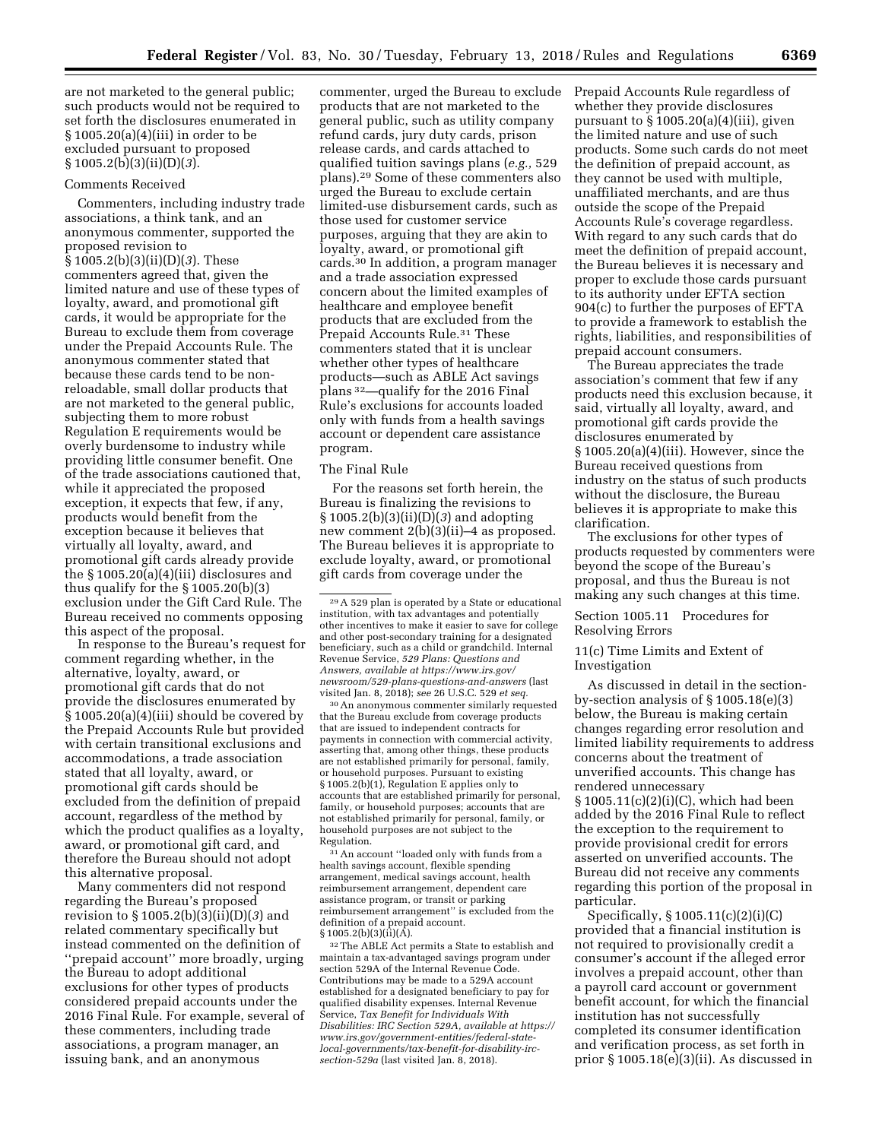are not marketed to the general public; such products would not be required to set forth the disclosures enumerated in § 1005.20(a)(4)(iii) in order to be excluded pursuant to proposed § 1005.2(b)(3)(ii)(D)(*3*).

#### Comments Received

Commenters, including industry trade associations, a think tank, and an anonymous commenter, supported the proposed revision to § 1005.2(b)(3)(ii)(D)(*3*). These commenters agreed that, given the limited nature and use of these types of loyalty, award, and promotional gift cards, it would be appropriate for the Bureau to exclude them from coverage under the Prepaid Accounts Rule. The anonymous commenter stated that because these cards tend to be nonreloadable, small dollar products that are not marketed to the general public, subjecting them to more robust Regulation E requirements would be overly burdensome to industry while providing little consumer benefit. One of the trade associations cautioned that, while it appreciated the proposed exception, it expects that few, if any, products would benefit from the exception because it believes that virtually all loyalty, award, and promotional gift cards already provide the § 1005.20(a)(4)(iii) disclosures and thus qualify for the  $\S 1005.20(b)(3)$ exclusion under the Gift Card Rule. The Bureau received no comments opposing this aspect of the proposal.

In response to the Bureau's request for comment regarding whether, in the alternative, loyalty, award, or promotional gift cards that do not provide the disclosures enumerated by § 1005.20(a)(4)(iii) should be covered by the Prepaid Accounts Rule but provided with certain transitional exclusions and accommodations, a trade association stated that all loyalty, award, or promotional gift cards should be excluded from the definition of prepaid account, regardless of the method by which the product qualifies as a loyalty, award, or promotional gift card, and therefore the Bureau should not adopt this alternative proposal.

Many commenters did not respond regarding the Bureau's proposed revision to § 1005.2(b)(3)(ii)(D)(*3*) and related commentary specifically but instead commented on the definition of ''prepaid account'' more broadly, urging the Bureau to adopt additional exclusions for other types of products considered prepaid accounts under the 2016 Final Rule. For example, several of these commenters, including trade associations, a program manager, an issuing bank, and an anonymous

commenter, urged the Bureau to exclude products that are not marketed to the general public, such as utility company refund cards, jury duty cards, prison release cards, and cards attached to qualified tuition savings plans (*e.g.,* 529 plans).29 Some of these commenters also urged the Bureau to exclude certain limited-use disbursement cards, such as those used for customer service purposes, arguing that they are akin to loyalty, award, or promotional gift cards.30 In addition, a program manager and a trade association expressed concern about the limited examples of healthcare and employee benefit products that are excluded from the Prepaid Accounts Rule.<sup>31</sup> These commenters stated that it is unclear whether other types of healthcare products—such as ABLE Act savings plans 32—qualify for the 2016 Final Rule's exclusions for accounts loaded only with funds from a health savings account or dependent care assistance program.

#### The Final Rule

For the reasons set forth herein, the Bureau is finalizing the revisions to § 1005.2(b)(3)(ii)(D)(*3*) and adopting new comment 2(b)(3)(ii)–4 as proposed. The Bureau believes it is appropriate to exclude loyalty, award, or promotional gift cards from coverage under the

30An anonymous commenter similarly requested that the Bureau exclude from coverage products that are issued to independent contracts for payments in connection with commercial activity, asserting that, among other things, these products are not established primarily for personal, family, or household purposes. Pursuant to existing § 1005.2(b)(1), Regulation E applies only to accounts that are established primarily for personal, family, or household purposes; accounts that are not established primarily for personal, family, or household purposes are not subject to the Regulation.

31An account ''loaded only with funds from a health savings account, flexible spending arrangement, medical savings account, health reimbursement arrangement, dependent care assistance program, or transit or parking reimbursement arrangement'' is excluded from the definition of a prepaid account.  $§ 1005.2(b)(3)(\hat{ii})(\hat{A}).$ 

32The ABLE Act permits a State to establish and maintain a tax-advantaged savings program under section 529A of the Internal Revenue Code. Contributions may be made to a 529A account established for a designated beneficiary to pay for qualified disability expenses. Internal Revenue Service, *Tax Benefit for Individuals With Disabilities: IRC Section 529A, available at [https://](https://www.irs.gov/government-entities/federal-state-local-governments/tax-benefit-for-disability-irc-section-529a)  [www.irs.gov/government-entities/federal-state](https://www.irs.gov/government-entities/federal-state-local-governments/tax-benefit-for-disability-irc-section-529a)[local-governments/tax-benefit-for-disability-irc](https://www.irs.gov/government-entities/federal-state-local-governments/tax-benefit-for-disability-irc-section-529a)[section-529a](https://www.irs.gov/government-entities/federal-state-local-governments/tax-benefit-for-disability-irc-section-529a)* (last visited Jan. 8, 2018).

Prepaid Accounts Rule regardless of whether they provide disclosures pursuant to  $\S 1005.20(a)(4)(iii)$ , given the limited nature and use of such products. Some such cards do not meet the definition of prepaid account, as they cannot be used with multiple, unaffiliated merchants, and are thus outside the scope of the Prepaid Accounts Rule's coverage regardless. With regard to any such cards that do meet the definition of prepaid account, the Bureau believes it is necessary and proper to exclude those cards pursuant to its authority under EFTA section 904(c) to further the purposes of EFTA to provide a framework to establish the rights, liabilities, and responsibilities of prepaid account consumers.

The Bureau appreciates the trade association's comment that few if any products need this exclusion because, it said, virtually all loyalty, award, and promotional gift cards provide the disclosures enumerated by § 1005.20(a)(4)(iii). However, since the Bureau received questions from industry on the status of such products without the disclosure, the Bureau believes it is appropriate to make this clarification.

The exclusions for other types of products requested by commenters were beyond the scope of the Bureau's proposal, and thus the Bureau is not making any such changes at this time.

## Section 1005.11 Procedures for Resolving Errors

## 11(c) Time Limits and Extent of Investigation

As discussed in detail in the sectionby-section analysis of § 1005.18(e)(3) below, the Bureau is making certain changes regarding error resolution and limited liability requirements to address concerns about the treatment of unverified accounts. This change has rendered unnecessary § 1005.11(c)(2)(i)(C), which had been

added by the 2016 Final Rule to reflect the exception to the requirement to provide provisional credit for errors asserted on unverified accounts. The Bureau did not receive any comments regarding this portion of the proposal in particular.

Specifically, § 1005.11(c)(2)(i)(C) provided that a financial institution is not required to provisionally credit a consumer's account if the alleged error involves a prepaid account, other than a payroll card account or government benefit account, for which the financial institution has not successfully completed its consumer identification and verification process, as set forth in prior § 1005.18(e)(3)(ii). As discussed in

<sup>29</sup>A 529 plan is operated by a State or educational institution, with tax advantages and potentially other incentives to make it easier to save for college and other post-secondary training for a designated beneficiary, such as a child or grandchild. Internal Revenue Service, *529 Plans: Questions and Answers, available at [https://www.irs.gov/](https://www.irs.gov/newsroom/529-plans-questions-and-answers)  [newsroom/529-plans-questions-and-answers](https://www.irs.gov/newsroom/529-plans-questions-and-answers)* (last visited Jan. 8, 2018); *see* 26 U.S.C. 529 *et seq.*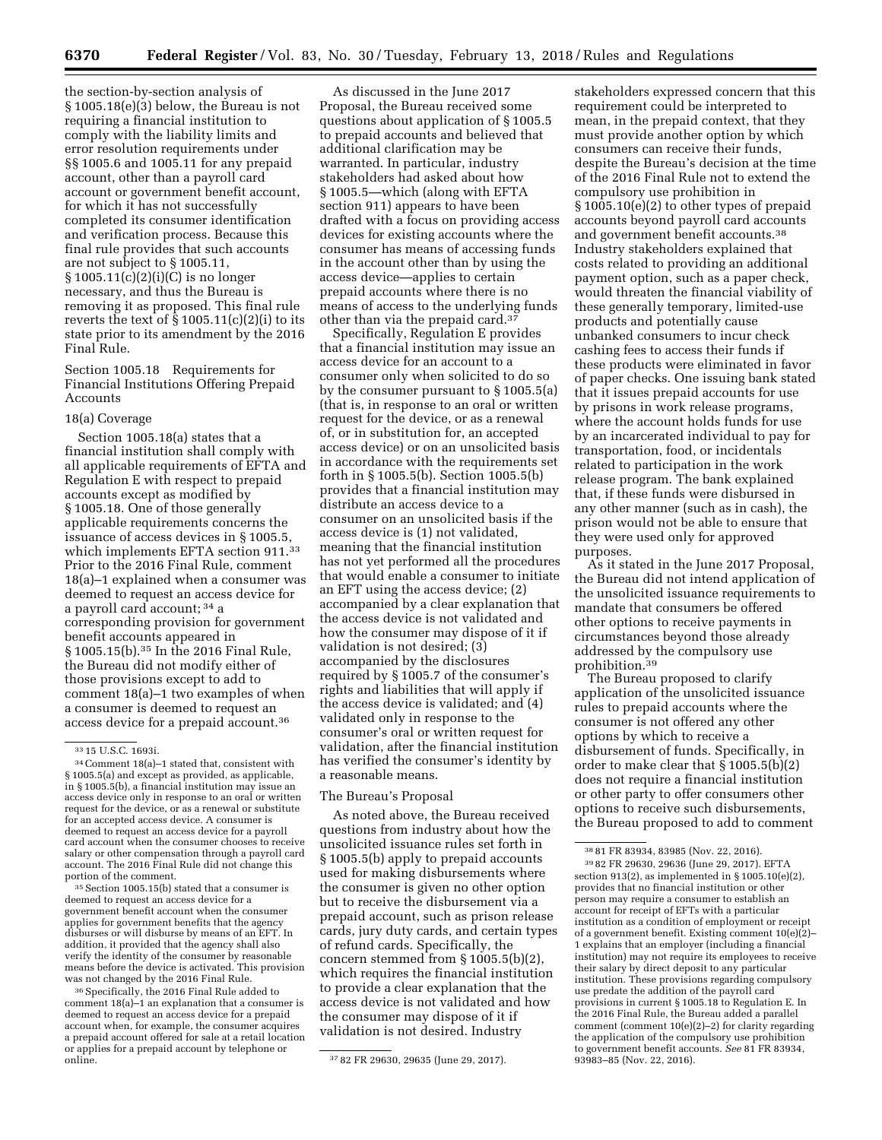the section-by-section analysis of § 1005.18(e)(3) below, the Bureau is not requiring a financial institution to comply with the liability limits and error resolution requirements under §§ 1005.6 and 1005.11 for any prepaid account, other than a payroll card account or government benefit account, for which it has not successfully completed its consumer identification and verification process. Because this final rule provides that such accounts are not subject to § 1005.11, § 1005.11(c)(2)(i)(C) is no longer necessary, and thus the Bureau is removing it as proposed. This final rule reverts the text of  $\S 1005.11(c)(2)(i)$  to its state prior to its amendment by the 2016 Final Rule.

Section 1005.18 Requirements for Financial Institutions Offering Prepaid Accounts

### 18(a) Coverage

Section 1005.18(a) states that a financial institution shall comply with all applicable requirements of EFTA and Regulation E with respect to prepaid accounts except as modified by § 1005.18. One of those generally applicable requirements concerns the issuance of access devices in § 1005.5, which implements EFTA section 911.<sup>33</sup> Prior to the 2016 Final Rule, comment 18(a)–1 explained when a consumer was deemed to request an access device for a payroll card account; 34 a corresponding provision for government benefit accounts appeared in § 1005.15(b).35 In the 2016 Final Rule, the Bureau did not modify either of those provisions except to add to comment 18(a)–1 two examples of when a consumer is deemed to request an access device for a prepaid account.36

35Section 1005.15(b) stated that a consumer is deemed to request an access device for a government benefit account when the consumer applies for government benefits that the agency disburses or will disburse by means of an EFT. In addition, it provided that the agency shall also verify the identity of the consumer by reasonable means before the device is activated. This provision was not changed by the 2016 Final Rule.

36Specifically, the 2016 Final Rule added to comment 18(a)–1 an explanation that a consumer is deemed to request an access device for a prepaid account when, for example, the consumer acquires a prepaid account offered for sale at a retail location or applies for a prepaid account by telephone or

As discussed in the June 2017 Proposal, the Bureau received some questions about application of § 1005.5 to prepaid accounts and believed that additional clarification may be warranted. In particular, industry stakeholders had asked about how § 1005.5—which (along with EFTA section 911) appears to have been drafted with a focus on providing access devices for existing accounts where the consumer has means of accessing funds in the account other than by using the access device—applies to certain prepaid accounts where there is no means of access to the underlying funds other than via the prepaid card.37

Specifically, Regulation E provides that a financial institution may issue an access device for an account to a consumer only when solicited to do so by the consumer pursuant to § 1005.5(a) (that is, in response to an oral or written request for the device, or as a renewal of, or in substitution for, an accepted access device) or on an unsolicited basis in accordance with the requirements set forth in § 1005.5(b). Section 1005.5(b) provides that a financial institution may distribute an access device to a consumer on an unsolicited basis if the access device is (1) not validated, meaning that the financial institution has not yet performed all the procedures that would enable a consumer to initiate an EFT using the access device; (2) accompanied by a clear explanation that the access device is not validated and how the consumer may dispose of it if validation is not desired; (3) accompanied by the disclosures required by § 1005.7 of the consumer's rights and liabilities that will apply if the access device is validated; and (4) validated only in response to the consumer's oral or written request for validation, after the financial institution has verified the consumer's identity by a reasonable means.

### The Bureau's Proposal

As noted above, the Bureau received questions from industry about how the unsolicited issuance rules set forth in § 1005.5(b) apply to prepaid accounts used for making disbursements where the consumer is given no other option but to receive the disbursement via a prepaid account, such as prison release cards, jury duty cards, and certain types of refund cards. Specifically, the concern stemmed from § 1005.5(b)(2), which requires the financial institution to provide a clear explanation that the access device is not validated and how the consumer may dispose of it if validation is not desired. Industry

stakeholders expressed concern that this requirement could be interpreted to mean, in the prepaid context, that they must provide another option by which consumers can receive their funds, despite the Bureau's decision at the time of the 2016 Final Rule not to extend the compulsory use prohibition in § 1005.10(e)(2) to other types of prepaid accounts beyond payroll card accounts and government benefit accounts.38 Industry stakeholders explained that costs related to providing an additional payment option, such as a paper check, would threaten the financial viability of these generally temporary, limited-use products and potentially cause unbanked consumers to incur check cashing fees to access their funds if these products were eliminated in favor of paper checks. One issuing bank stated that it issues prepaid accounts for use by prisons in work release programs, where the account holds funds for use by an incarcerated individual to pay for transportation, food, or incidentals related to participation in the work release program. The bank explained that, if these funds were disbursed in any other manner (such as in cash), the prison would not be able to ensure that they were used only for approved purposes.

As it stated in the June 2017 Proposal, the Bureau did not intend application of the unsolicited issuance requirements to mandate that consumers be offered other options to receive payments in circumstances beyond those already addressed by the compulsory use prohibition.39

The Bureau proposed to clarify application of the unsolicited issuance rules to prepaid accounts where the consumer is not offered any other options by which to receive a disbursement of funds. Specifically, in order to make clear that § 1005.5(b)(2) does not require a financial institution or other party to offer consumers other options to receive such disbursements, the Bureau proposed to add to comment

 $^{33}$  15 U.S.C. 1693i. 34 Comment 18(a)–1 stated that, consistent with § 1005.5(a) and except as provided, as applicable, in § 1005.5(b), a financial institution may issue an access device only in response to an oral or written request for the device, or as a renewal or substitute for an accepted access device. A consumer is deemed to request an access device for a payroll card account when the consumer chooses to receive salary or other compensation through a payroll card account. The 2016 Final Rule did not change this portion of the comment.

<sup>37 82</sup> FR 29630, 29635 (June 29, 2017).

<sup>38</sup> 81 FR 83934, 83985 (Nov. 22, 2016). 39 82 FR 29630, 29636 (June 29, 2017). EFTA section 913(2), as implemented in § 1005.10(e)(2), provides that no financial institution or other person may require a consumer to establish an account for receipt of EFTs with a particular institution as a condition of employment or receipt of a government benefit. Existing comment 10(e)(2)– 1 explains that an employer (including a financial institution) may not require its employees to receive their salary by direct deposit to any particular institution. These provisions regarding compulsory use predate the addition of the payroll card provisions in current § 1005.18 to Regulation E. In the 2016 Final Rule, the Bureau added a parallel comment (comment 10(e)(2)–2) for clarity regarding the application of the compulsory use prohibition to government benefit accounts. *See* 81 FR 83934, 93983–85 (Nov. 22, 2016).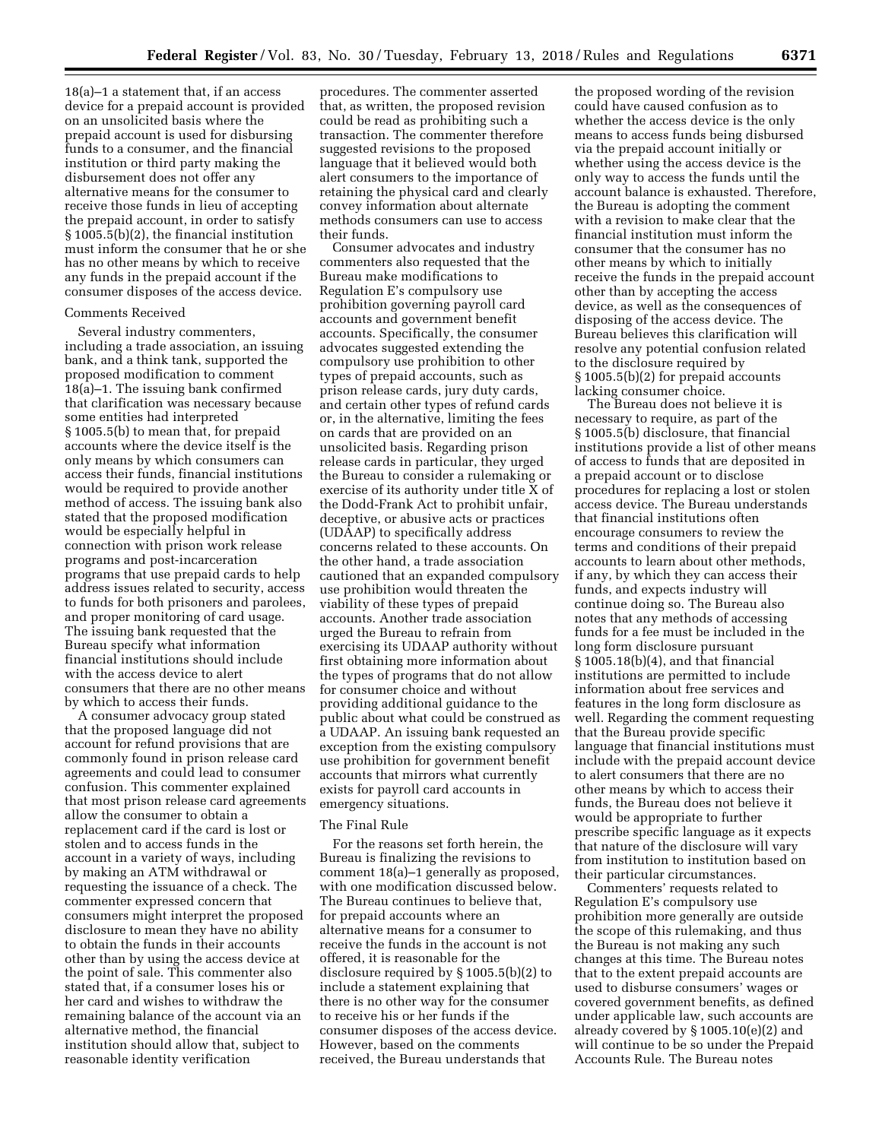18(a)–1 a statement that, if an access device for a prepaid account is provided on an unsolicited basis where the prepaid account is used for disbursing funds to a consumer, and the financial institution or third party making the disbursement does not offer any alternative means for the consumer to receive those funds in lieu of accepting the prepaid account, in order to satisfy § 1005.5(b)(2), the financial institution must inform the consumer that he or she has no other means by which to receive any funds in the prepaid account if the consumer disposes of the access device.

#### Comments Received

Several industry commenters, including a trade association, an issuing bank, and a think tank, supported the proposed modification to comment 18(a)–1. The issuing bank confirmed that clarification was necessary because some entities had interpreted § 1005.5(b) to mean that, for prepaid accounts where the device itself is the only means by which consumers can access their funds, financial institutions would be required to provide another method of access. The issuing bank also stated that the proposed modification would be especially helpful in connection with prison work release programs and post-incarceration programs that use prepaid cards to help address issues related to security, access to funds for both prisoners and parolees, and proper monitoring of card usage. The issuing bank requested that the Bureau specify what information financial institutions should include with the access device to alert consumers that there are no other means by which to access their funds.

A consumer advocacy group stated that the proposed language did not account for refund provisions that are commonly found in prison release card agreements and could lead to consumer confusion. This commenter explained that most prison release card agreements allow the consumer to obtain a replacement card if the card is lost or stolen and to access funds in the account in a variety of ways, including by making an ATM withdrawal or requesting the issuance of a check. The commenter expressed concern that consumers might interpret the proposed disclosure to mean they have no ability to obtain the funds in their accounts other than by using the access device at the point of sale. This commenter also stated that, if a consumer loses his or her card and wishes to withdraw the remaining balance of the account via an alternative method, the financial institution should allow that, subject to reasonable identity verification

procedures. The commenter asserted that, as written, the proposed revision could be read as prohibiting such a transaction. The commenter therefore suggested revisions to the proposed language that it believed would both alert consumers to the importance of retaining the physical card and clearly convey information about alternate methods consumers can use to access their funds.

Consumer advocates and industry commenters also requested that the Bureau make modifications to Regulation E's compulsory use prohibition governing payroll card accounts and government benefit accounts. Specifically, the consumer advocates suggested extending the compulsory use prohibition to other types of prepaid accounts, such as prison release cards, jury duty cards, and certain other types of refund cards or, in the alternative, limiting the fees on cards that are provided on an unsolicited basis. Regarding prison release cards in particular, they urged the Bureau to consider a rulemaking or exercise of its authority under title X of the Dodd-Frank Act to prohibit unfair, deceptive, or abusive acts or practices (UDAAP) to specifically address concerns related to these accounts. On the other hand, a trade association cautioned that an expanded compulsory use prohibition would threaten the viability of these types of prepaid accounts. Another trade association urged the Bureau to refrain from exercising its UDAAP authority without first obtaining more information about the types of programs that do not allow for consumer choice and without providing additional guidance to the public about what could be construed as a UDAAP. An issuing bank requested an exception from the existing compulsory use prohibition for government benefit accounts that mirrors what currently exists for payroll card accounts in emergency situations.

## The Final Rule

For the reasons set forth herein, the Bureau is finalizing the revisions to comment 18(a)–1 generally as proposed, with one modification discussed below. The Bureau continues to believe that, for prepaid accounts where an alternative means for a consumer to receive the funds in the account is not offered, it is reasonable for the disclosure required by § 1005.5(b)(2) to include a statement explaining that there is no other way for the consumer to receive his or her funds if the consumer disposes of the access device. However, based on the comments received, the Bureau understands that

the proposed wording of the revision could have caused confusion as to whether the access device is the only means to access funds being disbursed via the prepaid account initially or whether using the access device is the only way to access the funds until the account balance is exhausted. Therefore, the Bureau is adopting the comment with a revision to make clear that the financial institution must inform the consumer that the consumer has no other means by which to initially receive the funds in the prepaid account other than by accepting the access device, as well as the consequences of disposing of the access device. The Bureau believes this clarification will resolve any potential confusion related to the disclosure required by § 1005.5(b)(2) for prepaid accounts lacking consumer choice.

The Bureau does not believe it is necessary to require, as part of the § 1005.5(b) disclosure, that financial institutions provide a list of other means of access to funds that are deposited in a prepaid account or to disclose procedures for replacing a lost or stolen access device. The Bureau understands that financial institutions often encourage consumers to review the terms and conditions of their prepaid accounts to learn about other methods, if any, by which they can access their funds, and expects industry will continue doing so. The Bureau also notes that any methods of accessing funds for a fee must be included in the long form disclosure pursuant § 1005.18(b)(4), and that financial institutions are permitted to include information about free services and features in the long form disclosure as well. Regarding the comment requesting that the Bureau provide specific language that financial institutions must include with the prepaid account device to alert consumers that there are no other means by which to access their funds, the Bureau does not believe it would be appropriate to further prescribe specific language as it expects that nature of the disclosure will vary from institution to institution based on their particular circumstances.

Commenters' requests related to Regulation E's compulsory use prohibition more generally are outside the scope of this rulemaking, and thus the Bureau is not making any such changes at this time. The Bureau notes that to the extent prepaid accounts are used to disburse consumers' wages or covered government benefits, as defined under applicable law, such accounts are already covered by § 1005.10(e)(2) and will continue to be so under the Prepaid Accounts Rule. The Bureau notes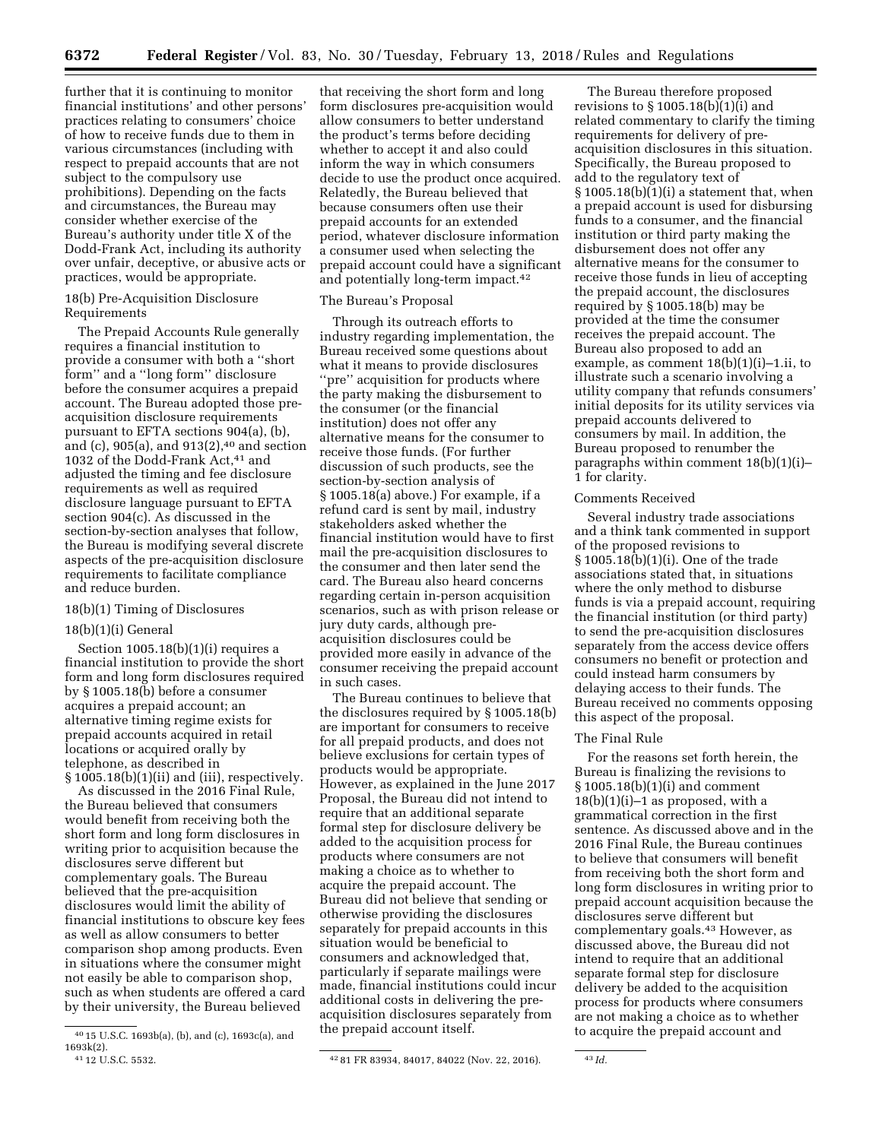further that it is continuing to monitor financial institutions' and other persons' practices relating to consumers' choice of how to receive funds due to them in various circumstances (including with respect to prepaid accounts that are not subject to the compulsory use prohibitions). Depending on the facts and circumstances, the Bureau may consider whether exercise of the Bureau's authority under title X of the Dodd-Frank Act, including its authority over unfair, deceptive, or abusive acts or practices, would be appropriate.

## 18(b) Pre-Acquisition Disclosure Requirements

The Prepaid Accounts Rule generally requires a financial institution to provide a consumer with both a ''short form'' and a ''long form'' disclosure before the consumer acquires a prepaid account. The Bureau adopted those preacquisition disclosure requirements pursuant to EFTA sections 904(a), (b), and (c),  $905(a)$ , and  $913(2)$ , <sup>40</sup> and section 1032 of the Dodd-Frank Act,<sup>41</sup> and adjusted the timing and fee disclosure requirements as well as required disclosure language pursuant to EFTA section 904(c). As discussed in the section-by-section analyses that follow, the Bureau is modifying several discrete aspects of the pre-acquisition disclosure requirements to facilitate compliance and reduce burden.

## 18(b)(1) Timing of Disclosures

# 18(b)(1)(i) General

Section  $1005.18(b)(1)(i)$  requires a financial institution to provide the short form and long form disclosures required by § 1005.18(b) before a consumer acquires a prepaid account; an alternative timing regime exists for prepaid accounts acquired in retail locations or acquired orally by telephone, as described in  $§ 1005.18(b)(1)(ii)$  and (iii), respectively.

As discussed in the 2016 Final Rule, the Bureau believed that consumers would benefit from receiving both the short form and long form disclosures in writing prior to acquisition because the disclosures serve different but complementary goals. The Bureau believed that the pre-acquisition disclosures would limit the ability of financial institutions to obscure key fees as well as allow consumers to better comparison shop among products. Even in situations where the consumer might not easily be able to comparison shop, such as when students are offered a card by their university, the Bureau believed

that receiving the short form and long form disclosures pre-acquisition would allow consumers to better understand the product's terms before deciding whether to accept it and also could inform the way in which consumers decide to use the product once acquired. Relatedly, the Bureau believed that because consumers often use their prepaid accounts for an extended period, whatever disclosure information a consumer used when selecting the prepaid account could have a significant and potentially long-term impact.42

## The Bureau's Proposal

Through its outreach efforts to industry regarding implementation, the Bureau received some questions about what it means to provide disclosures ''pre'' acquisition for products where the party making the disbursement to the consumer (or the financial institution) does not offer any alternative means for the consumer to receive those funds. (For further discussion of such products, see the section-by-section analysis of § 1005.18(a) above.) For example, if a refund card is sent by mail, industry stakeholders asked whether the financial institution would have to first mail the pre-acquisition disclosures to the consumer and then later send the card. The Bureau also heard concerns regarding certain in-person acquisition scenarios, such as with prison release or jury duty cards, although preacquisition disclosures could be provided more easily in advance of the consumer receiving the prepaid account in such cases.

The Bureau continues to believe that the disclosures required by § 1005.18(b) are important for consumers to receive for all prepaid products, and does not believe exclusions for certain types of products would be appropriate. However, as explained in the June 2017 Proposal, the Bureau did not intend to require that an additional separate formal step for disclosure delivery be added to the acquisition process for products where consumers are not making a choice as to whether to acquire the prepaid account. The Bureau did not believe that sending or otherwise providing the disclosures separately for prepaid accounts in this situation would be beneficial to consumers and acknowledged that, particularly if separate mailings were made, financial institutions could incur additional costs in delivering the preacquisition disclosures separately from the prepaid account itself.

The Bureau therefore proposed revisions to  $\S 1005.18(b)[1](i)$  and related commentary to clarify the timing requirements for delivery of preacquisition disclosures in this situation. Specifically, the Bureau proposed to add to the regulatory text of  $\S 1005.18(b)(1)(i)$  a statement that, when a prepaid account is used for disbursing funds to a consumer, and the financial institution or third party making the disbursement does not offer any alternative means for the consumer to receive those funds in lieu of accepting the prepaid account, the disclosures required by § 1005.18(b) may be provided at the time the consumer receives the prepaid account. The Bureau also proposed to add an example, as comment 18(b)(1)(i)–1.ii, to illustrate such a scenario involving a utility company that refunds consumers' initial deposits for its utility services via prepaid accounts delivered to consumers by mail. In addition, the Bureau proposed to renumber the paragraphs within comment  $18(b)(1)(i)$ – 1 for clarity.

## Comments Received

Several industry trade associations and a think tank commented in support of the proposed revisions to § 1005.18(b)(1)(i). One of the trade associations stated that, in situations where the only method to disburse funds is via a prepaid account, requiring the financial institution (or third party) to send the pre-acquisition disclosures separately from the access device offers consumers no benefit or protection and could instead harm consumers by delaying access to their funds. The Bureau received no comments opposing this aspect of the proposal.

## The Final Rule

For the reasons set forth herein, the Bureau is finalizing the revisions to § 1005.18(b)(1)(i) and comment  $18(b)(1)(i)-1$  as proposed, with a grammatical correction in the first sentence. As discussed above and in the 2016 Final Rule, the Bureau continues to believe that consumers will benefit from receiving both the short form and long form disclosures in writing prior to prepaid account acquisition because the disclosures serve different but complementary goals.43 However, as discussed above, the Bureau did not intend to require that an additional separate formal step for disclosure delivery be added to the acquisition process for products where consumers are not making a choice as to whether to acquire the prepaid account and

<sup>40</sup> 15 U.S.C. 1693b(a), (b), and (c), 1693c(a), and 1693k(2).<br><sup>41</sup> 12 U.S.C. 5532.

<sup>42 81</sup> FR 83934, 84017, 84022 (Nov. 22, 2016). 43 *Id.*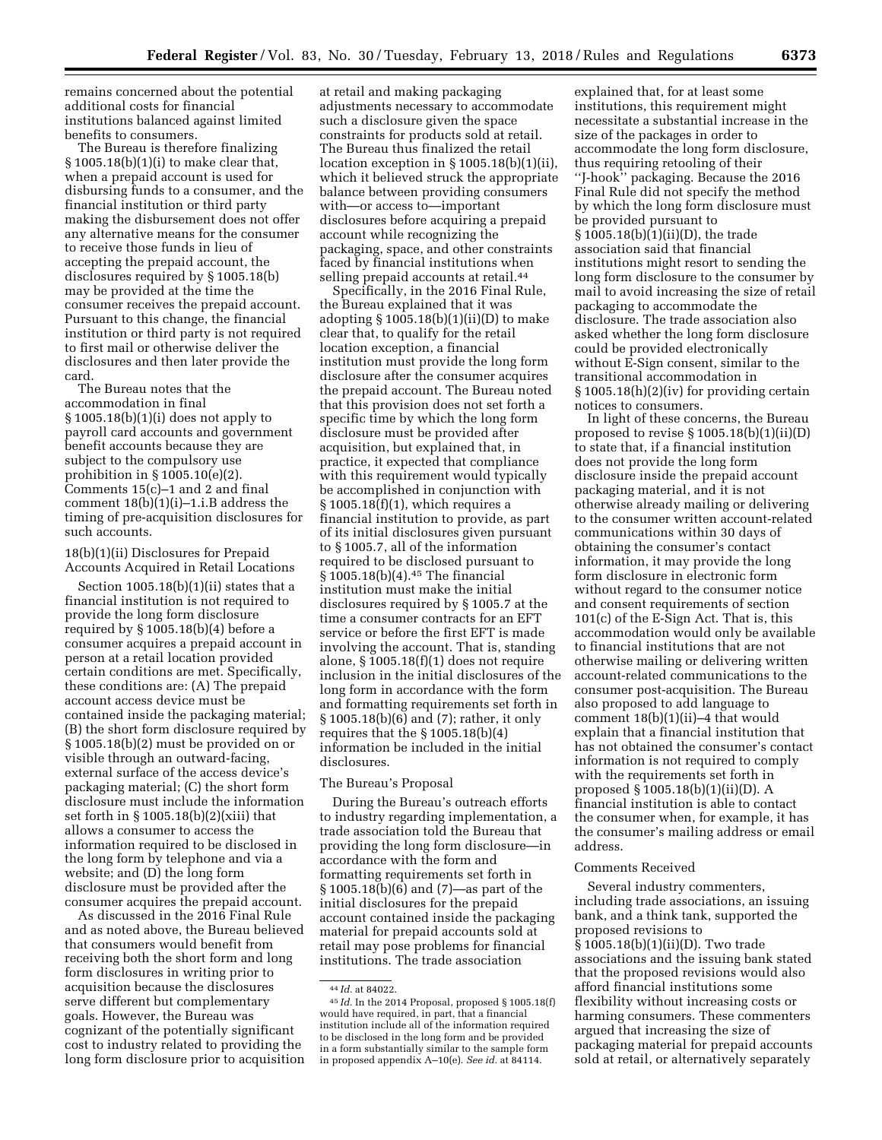remains concerned about the potential additional costs for financial institutions balanced against limited benefits to consumers.

The Bureau is therefore finalizing § 1005.18(b)(1)(i) to make clear that, when a prepaid account is used for disbursing funds to a consumer, and the financial institution or third party making the disbursement does not offer any alternative means for the consumer to receive those funds in lieu of accepting the prepaid account, the disclosures required by § 1005.18(b) may be provided at the time the consumer receives the prepaid account. Pursuant to this change, the financial institution or third party is not required to first mail or otherwise deliver the disclosures and then later provide the card.

The Bureau notes that the accommodation in final § 1005.18(b)(1)(i) does not apply to payroll card accounts and government benefit accounts because they are subject to the compulsory use prohibition in § 1005.10(e)(2). Comments 15(c)–1 and 2 and final comment  $18(b)(1)(i)-1.i.B$  address the timing of pre-acquisition disclosures for such accounts.

18(b)(1)(ii) Disclosures for Prepaid Accounts Acquired in Retail Locations

Section 1005.18(b)(1)(ii) states that a financial institution is not required to provide the long form disclosure required by § 1005.18(b)(4) before a consumer acquires a prepaid account in person at a retail location provided certain conditions are met. Specifically, these conditions are: (A) The prepaid account access device must be contained inside the packaging material; (B) the short form disclosure required by § 1005.18(b)(2) must be provided on or visible through an outward-facing, external surface of the access device's packaging material; (C) the short form disclosure must include the information set forth in § 1005.18(b)(2)(xiii) that allows a consumer to access the information required to be disclosed in the long form by telephone and via a website; and (D) the long form disclosure must be provided after the consumer acquires the prepaid account.

As discussed in the 2016 Final Rule and as noted above, the Bureau believed that consumers would benefit from receiving both the short form and long form disclosures in writing prior to acquisition because the disclosures serve different but complementary goals. However, the Bureau was cognizant of the potentially significant cost to industry related to providing the long form disclosure prior to acquisition

at retail and making packaging adjustments necessary to accommodate such a disclosure given the space constraints for products sold at retail. The Bureau thus finalized the retail location exception in § 1005.18(b)(1)(ii), which it believed struck the appropriate balance between providing consumers with—or access to—important disclosures before acquiring a prepaid account while recognizing the packaging, space, and other constraints faced by financial institutions when selling prepaid accounts at retail.<sup>44</sup>

Specifically, in the 2016 Final Rule, the Bureau explained that it was adopting  $\S 1005.18(b)(1)(ii)(D)$  to make clear that, to qualify for the retail location exception, a financial institution must provide the long form disclosure after the consumer acquires the prepaid account. The Bureau noted that this provision does not set forth a specific time by which the long form disclosure must be provided after acquisition, but explained that, in practice, it expected that compliance with this requirement would typically be accomplished in conjunction with  $§ 1005.18(f)(1)$ , which requires a financial institution to provide, as part of its initial disclosures given pursuant to § 1005.7, all of the information required to be disclosed pursuant to § 1005.18(b)(4).45 The financial institution must make the initial disclosures required by § 1005.7 at the time a consumer contracts for an EFT service or before the first EFT is made involving the account. That is, standing alone, § 1005.18(f)(1) does not require inclusion in the initial disclosures of the long form in accordance with the form and formatting requirements set forth in § 1005.18(b)(6) and (7); rather, it only requires that the § 1005.18(b)(4) information be included in the initial disclosures.

### The Bureau's Proposal

During the Bureau's outreach efforts to industry regarding implementation, a trade association told the Bureau that providing the long form disclosure—in accordance with the form and formatting requirements set forth in § 1005.18(b)(6) and (7)—as part of the initial disclosures for the prepaid account contained inside the packaging material for prepaid accounts sold at retail may pose problems for financial institutions. The trade association

explained that, for at least some institutions, this requirement might necessitate a substantial increase in the size of the packages in order to accommodate the long form disclosure, thus requiring retooling of their ''J-hook'' packaging. Because the 2016 Final Rule did not specify the method by which the long form disclosure must be provided pursuant to § 1005.18(b)(1)(ii)(D), the trade association said that financial institutions might resort to sending the long form disclosure to the consumer by mail to avoid increasing the size of retail packaging to accommodate the disclosure. The trade association also asked whether the long form disclosure could be provided electronically without E-Sign consent, similar to the transitional accommodation in § 1005.18(h)(2)(iv) for providing certain notices to consumers.

In light of these concerns, the Bureau proposed to revise  $\S 1005.18(b)(1)(ii)(D)$ to state that, if a financial institution does not provide the long form disclosure inside the prepaid account packaging material, and it is not otherwise already mailing or delivering to the consumer written account-related communications within 30 days of obtaining the consumer's contact information, it may provide the long form disclosure in electronic form without regard to the consumer notice and consent requirements of section 101(c) of the E-Sign Act. That is, this accommodation would only be available to financial institutions that are not otherwise mailing or delivering written account-related communications to the consumer post-acquisition. The Bureau also proposed to add language to comment 18(b)(1)(ii)–4 that would explain that a financial institution that has not obtained the consumer's contact information is not required to comply with the requirements set forth in proposed § 1005.18(b)(1)(ii)(D). A financial institution is able to contact the consumer when, for example, it has the consumer's mailing address or email address.

### Comments Received

Several industry commenters, including trade associations, an issuing bank, and a think tank, supported the proposed revisions to § 1005.18(b)(1)(ii)(D). Two trade associations and the issuing bank stated that the proposed revisions would also afford financial institutions some flexibility without increasing costs or harming consumers. These commenters argued that increasing the size of packaging material for prepaid accounts sold at retail, or alternatively separately

<sup>44</sup> *Id.* at 84022.

<sup>45</sup> *Id.* In the 2014 Proposal, proposed § 1005.18(f) would have required, in part, that a financial institution include all of the information required to be disclosed in the long form and be provided in a form substantially similar to the sample form in proposed appendix A–10(e). *See id.* at 84114.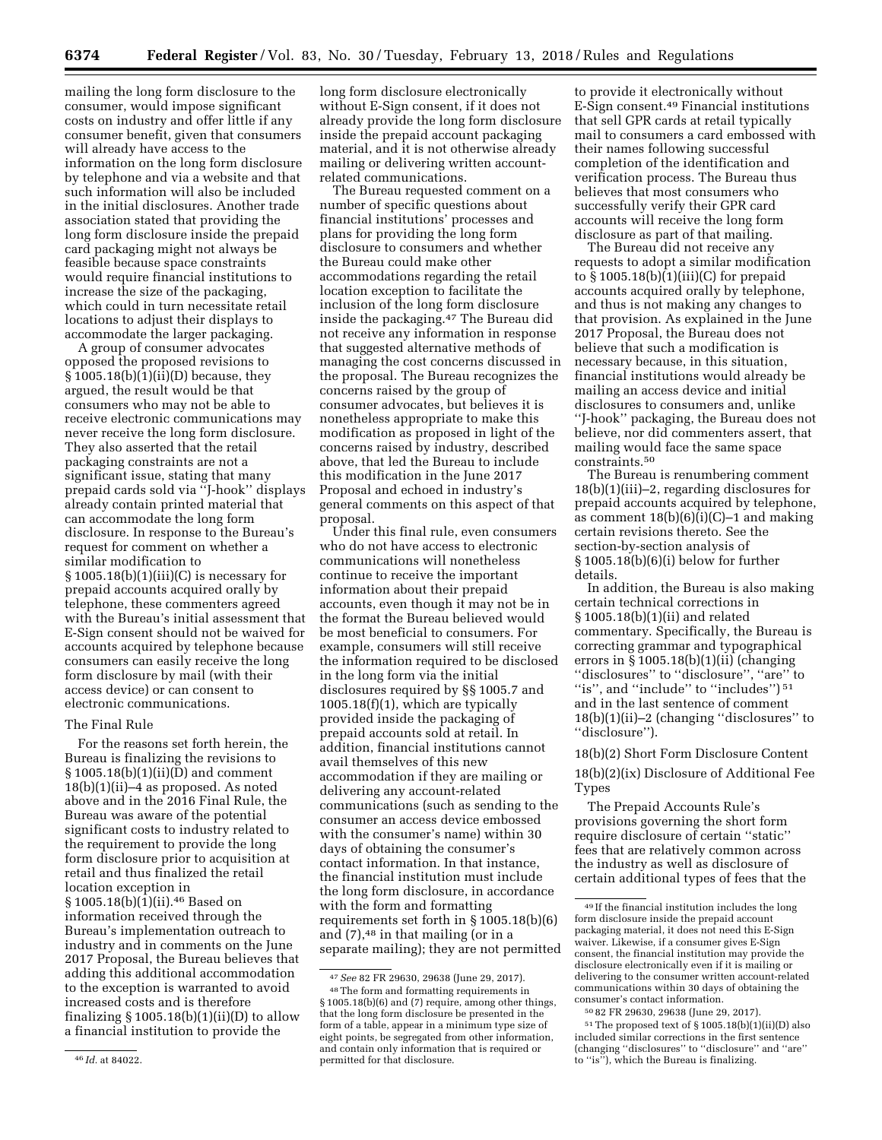mailing the long form disclosure to the consumer, would impose significant costs on industry and offer little if any consumer benefit, given that consumers will already have access to the information on the long form disclosure by telephone and via a website and that such information will also be included in the initial disclosures. Another trade association stated that providing the long form disclosure inside the prepaid card packaging might not always be feasible because space constraints would require financial institutions to increase the size of the packaging, which could in turn necessitate retail locations to adjust their displays to accommodate the larger packaging.

A group of consumer advocates opposed the proposed revisions to  $§ 1005.18(b)(1)(ii)(D)$  because, they argued, the result would be that consumers who may not be able to receive electronic communications may never receive the long form disclosure. They also asserted that the retail packaging constraints are not a significant issue, stating that many prepaid cards sold via ''J-hook'' displays already contain printed material that can accommodate the long form disclosure. In response to the Bureau's request for comment on whether a similar modification to  $§ 1005.18(b)(1)(iii)(C)$  is necessary for prepaid accounts acquired orally by telephone, these commenters agreed with the Bureau's initial assessment that E-Sign consent should not be waived for accounts acquired by telephone because consumers can easily receive the long form disclosure by mail (with their access device) or can consent to electronic communications.

### The Final Rule

For the reasons set forth herein, the Bureau is finalizing the revisions to § 1005.18(b)(1)(ii)(D) and comment 18(b)(1)(ii)–4 as proposed. As noted above and in the 2016 Final Rule, the Bureau was aware of the potential significant costs to industry related to the requirement to provide the long form disclosure prior to acquisition at retail and thus finalized the retail location exception in § 1005.18(b)(1)(ii).<sup>46</sup> Based on information received through the Bureau's implementation outreach to industry and in comments on the June 2017 Proposal, the Bureau believes that adding this additional accommodation to the exception is warranted to avoid increased costs and is therefore finalizing  $\S 1005.18(b)(1)(ii)(D)$  to allow a financial institution to provide the

long form disclosure electronically without E-Sign consent, if it does not already provide the long form disclosure inside the prepaid account packaging material, and it is not otherwise already mailing or delivering written accountrelated communications.

The Bureau requested comment on a number of specific questions about financial institutions' processes and plans for providing the long form disclosure to consumers and whether the Bureau could make other accommodations regarding the retail location exception to facilitate the inclusion of the long form disclosure inside the packaging.47 The Bureau did not receive any information in response that suggested alternative methods of managing the cost concerns discussed in the proposal. The Bureau recognizes the concerns raised by the group of consumer advocates, but believes it is nonetheless appropriate to make this modification as proposed in light of the concerns raised by industry, described above, that led the Bureau to include this modification in the June 2017 Proposal and echoed in industry's general comments on this aspect of that proposal.

Under this final rule, even consumers who do not have access to electronic communications will nonetheless continue to receive the important information about their prepaid accounts, even though it may not be in the format the Bureau believed would be most beneficial to consumers. For example, consumers will still receive the information required to be disclosed in the long form via the initial disclosures required by §§ 1005.7 and 1005.18(f)(1), which are typically provided inside the packaging of prepaid accounts sold at retail. In addition, financial institutions cannot avail themselves of this new accommodation if they are mailing or delivering any account-related communications (such as sending to the consumer an access device embossed with the consumer's name) within 30 days of obtaining the consumer's contact information. In that instance, the financial institution must include the long form disclosure, in accordance with the form and formatting requirements set forth in § 1005.18(b)(6) and  $(7)$ ,  $48$  in that mailing (or in a separate mailing); they are not permitted

to provide it electronically without E-Sign consent.49 Financial institutions that sell GPR cards at retail typically mail to consumers a card embossed with their names following successful completion of the identification and verification process. The Bureau thus believes that most consumers who successfully verify their GPR card accounts will receive the long form disclosure as part of that mailing.

The Bureau did not receive any requests to adopt a similar modification to  $\S 1005.18(b)(1)(iii)(C)$  for prepaid accounts acquired orally by telephone, and thus is not making any changes to that provision. As explained in the June 2017 Proposal, the Bureau does not believe that such a modification is necessary because, in this situation, financial institutions would already be mailing an access device and initial disclosures to consumers and, unlike ''J-hook'' packaging, the Bureau does not believe, nor did commenters assert, that mailing would face the same space constraints.50

The Bureau is renumbering comment 18(b)(1)(iii)–2, regarding disclosures for prepaid accounts acquired by telephone, as comment  $18(b)(6)(i)(C)-1$  and making certain revisions thereto. See the section-by-section analysis of § 1005.18(b)(6)(i) below for further details.

In addition, the Bureau is also making certain technical corrections in § 1005.18(b)(1)(ii) and related commentary. Specifically, the Bureau is correcting grammar and typographical errors in  $\S 1005.18(b)(1)(ii)$  (changing ''disclosures'' to ''disclosure'', ''are'' to "is", and "include" to "includes")  $51$ and in the last sentence of comment 18(b)(1)(ii)–2 (changing ''disclosures'' to ''disclosure'').

18(b)(2) Short Form Disclosure Content 18(b)(2)(ix) Disclosure of Additional Fee Types

The Prepaid Accounts Rule's provisions governing the short form require disclosure of certain ''static'' fees that are relatively common across the industry as well as disclosure of certain additional types of fees that the

50 82 FR 29630, 29638 (June 29, 2017).  $51$ The proposed text of § 1005.18(b)(1)(ii)(D) also included similar corrections in the first sentence (changing ''disclosures'' to ''disclosure'' and ''are'' to ''is''), which the Bureau is finalizing.

<sup>46</sup> *Id.* at 84022.

<sup>47</sup>*See* 82 FR 29630, 29638 (June 29, 2017).

<sup>48</sup>The form and formatting requirements in § 1005.18(b)(6) and (7) require, among other things, that the long form disclosure be presented in the form of a table, appear in a minimum type size of eight points, be segregated from other information, and contain only information that is required or permitted for that disclosure.

<sup>49</sup> If the financial institution includes the long form disclosure inside the prepaid account packaging material, it does not need this E-Sign waiver. Likewise, if a consumer gives E-Sign consent, the financial institution may provide the disclosure electronically even if it is mailing or delivering to the consumer written account-related communications within 30 days of obtaining the consumer's contact information.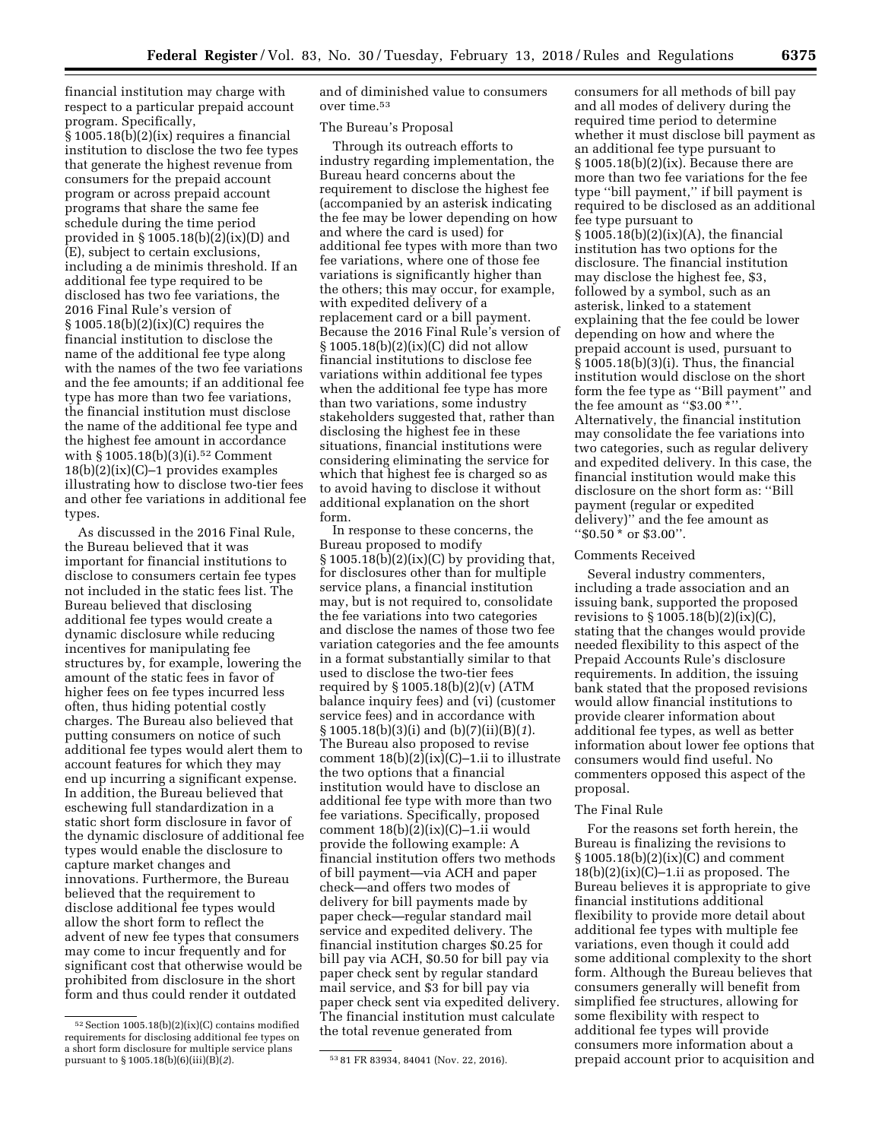financial institution may charge with respect to a particular prepaid account program. Specifically,

§ 1005.18(b)(2)(ix) requires a financial institution to disclose the two fee types that generate the highest revenue from consumers for the prepaid account program or across prepaid account programs that share the same fee schedule during the time period provided in § 1005.18(b)(2)(ix)(D) and (E), subject to certain exclusions, including a de minimis threshold. If an additional fee type required to be disclosed has two fee variations, the 2016 Final Rule's version of § 1005.18(b)(2)(ix)(C) requires the financial institution to disclose the name of the additional fee type along with the names of the two fee variations and the fee amounts; if an additional fee type has more than two fee variations, the financial institution must disclose the name of the additional fee type and the highest fee amount in accordance with § 1005.18(b)(3)(i).<sup>52</sup> Comment  $18(b)(2)(ix)(C)-1$  provides examples illustrating how to disclose two-tier fees and other fee variations in additional fee types.

As discussed in the 2016 Final Rule, the Bureau believed that it was important for financial institutions to disclose to consumers certain fee types not included in the static fees list. The Bureau believed that disclosing additional fee types would create a dynamic disclosure while reducing incentives for manipulating fee structures by, for example, lowering the amount of the static fees in favor of higher fees on fee types incurred less often, thus hiding potential costly charges. The Bureau also believed that putting consumers on notice of such additional fee types would alert them to account features for which they may end up incurring a significant expense. In addition, the Bureau believed that eschewing full standardization in a static short form disclosure in favor of the dynamic disclosure of additional fee types would enable the disclosure to capture market changes and innovations. Furthermore, the Bureau believed that the requirement to disclose additional fee types would allow the short form to reflect the advent of new fee types that consumers may come to incur frequently and for significant cost that otherwise would be prohibited from disclosure in the short form and thus could render it outdated

and of diminished value to consumers over time.53

### The Bureau's Proposal

Through its outreach efforts to industry regarding implementation, the Bureau heard concerns about the requirement to disclose the highest fee (accompanied by an asterisk indicating the fee may be lower depending on how and where the card is used) for additional fee types with more than two fee variations, where one of those fee variations is significantly higher than the others; this may occur, for example, with expedited delivery of a replacement card or a bill payment. Because the 2016 Final Rule's version of § 1005.18(b)(2)(ix)(C) did not allow financial institutions to disclose fee variations within additional fee types when the additional fee type has more than two variations, some industry stakeholders suggested that, rather than disclosing the highest fee in these situations, financial institutions were considering eliminating the service for which that highest fee is charged so as to avoid having to disclose it without additional explanation on the short form.

In response to these concerns, the Bureau proposed to modify  $\S 1005.18(b)(2)(ix)(C)$  by providing that, for disclosures other than for multiple service plans, a financial institution may, but is not required to, consolidate the fee variations into two categories and disclose the names of those two fee variation categories and the fee amounts in a format substantially similar to that used to disclose the two-tier fees required by § 1005.18(b)(2)(v) (ATM balance inquiry fees) and (vi) (customer service fees) and in accordance with § 1005.18(b)(3)(i) and (b)(7)(ii)(B)(*1*). The Bureau also proposed to revise comment 18(b)(2)(ix)(C)–1.ii to illustrate the two options that a financial institution would have to disclose an additional fee type with more than two fee variations. Specifically, proposed comment  $18(b)(2)(ix)(C)-1.ii$  would provide the following example: A financial institution offers two methods of bill payment—via ACH and paper check—and offers two modes of delivery for bill payments made by paper check—regular standard mail service and expedited delivery. The financial institution charges \$0.25 for bill pay via ACH, \$0.50 for bill pay via paper check sent by regular standard mail service, and \$3 for bill pay via paper check sent via expedited delivery. The financial institution must calculate the total revenue generated from

consumers for all methods of bill pay and all modes of delivery during the required time period to determine whether it must disclose bill payment as an additional fee type pursuant to  $§ 1005.18(b)(2)(ix)$ . Because there are more than two fee variations for the fee type ''bill payment,'' if bill payment is required to be disclosed as an additional fee type pursuant to § 1005.18(b)(2)(ix)(A), the financial institution has two options for the disclosure. The financial institution may disclose the highest fee, \$3, followed by a symbol, such as an asterisk, linked to a statement explaining that the fee could be lower depending on how and where the prepaid account is used, pursuant to § 1005.18(b)(3)(i). Thus, the financial institution would disclose on the short form the fee type as ''Bill payment'' and the fee amount as "\$3.00 \*" Alternatively, the financial institution may consolidate the fee variations into two categories, such as regular delivery and expedited delivery. In this case, the financial institution would make this disclosure on the short form as: ''Bill payment (regular or expedited delivery)'' and the fee amount as ''\$0.50 \* or \$3.00''.

#### Comments Received

Several industry commenters, including a trade association and an issuing bank, supported the proposed revisions to § 1005.18(b)(2)(ix)(C), stating that the changes would provide needed flexibility to this aspect of the Prepaid Accounts Rule's disclosure requirements. In addition, the issuing bank stated that the proposed revisions would allow financial institutions to provide clearer information about additional fee types, as well as better information about lower fee options that consumers would find useful. No commenters opposed this aspect of the proposal.

### The Final Rule

For the reasons set forth herein, the Bureau is finalizing the revisions to § 1005.18(b)(2)(ix)(C) and comment  $18(b)(2)(ix)(C)-1.$ ii as proposed. The Bureau believes it is appropriate to give financial institutions additional flexibility to provide more detail about additional fee types with multiple fee variations, even though it could add some additional complexity to the short form. Although the Bureau believes that consumers generally will benefit from simplified fee structures, allowing for some flexibility with respect to additional fee types will provide consumers more information about a prepaid account prior to acquisition and

<sup>52</sup>Section 1005.18(b)(2)(ix)(C) contains modified requirements for disclosing additional fee types on a short form disclosure for multiple service plans<br>pursuant to  $\S 1005.18(b)(6)(iii)(B)(2)$ .

<sup>53 81</sup> FR 83934, 84041 (Nov. 22, 2016).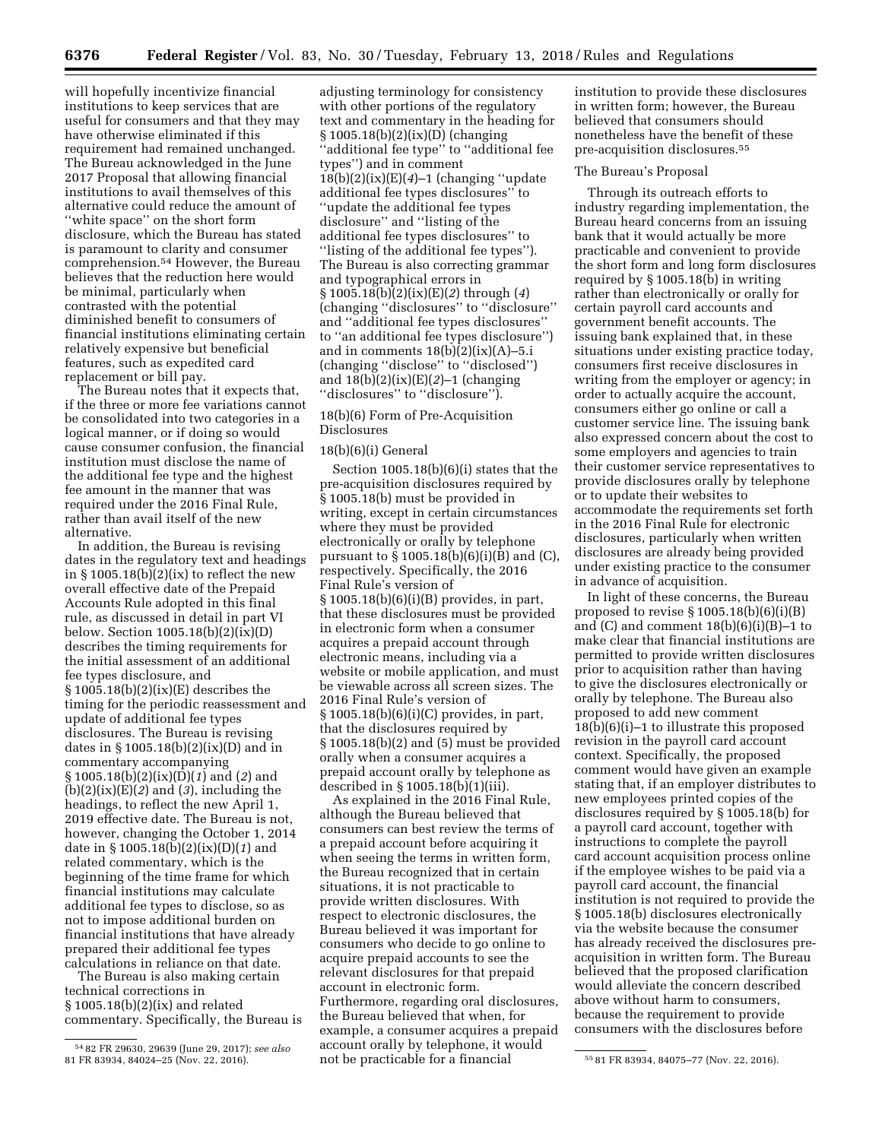will hopefully incentivize financial institutions to keep services that are useful for consumers and that they may have otherwise eliminated if this requirement had remained unchanged. The Bureau acknowledged in the June 2017 Proposal that allowing financial institutions to avail themselves of this alternative could reduce the amount of ''white space'' on the short form disclosure, which the Bureau has stated is paramount to clarity and consumer comprehension.54 However, the Bureau believes that the reduction here would be minimal, particularly when contrasted with the potential diminished benefit to consumers of financial institutions eliminating certain relatively expensive but beneficial features, such as expedited card replacement or bill pay.

The Bureau notes that it expects that, if the three or more fee variations cannot be consolidated into two categories in a logical manner, or if doing so would cause consumer confusion, the financial institution must disclose the name of the additional fee type and the highest fee amount in the manner that was required under the 2016 Final Rule, rather than avail itself of the new alternative.

In addition, the Bureau is revising dates in the regulatory text and headings in  $\S 1005.18(b)(2)(ix)$  to reflect the new overall effective date of the Prepaid Accounts Rule adopted in this final rule, as discussed in detail in part VI below. Section 1005.18(b)(2)(ix)(D) describes the timing requirements for the initial assessment of an additional fee types disclosure, and  $§ 1005.18(b)(2)(ix)(E)$  describes the timing for the periodic reassessment and update of additional fee types disclosures. The Bureau is revising dates in § 1005.18(b)(2)(ix)(D) and in commentary accompanying § 1005.18(b)(2)(ix)(D)(*1*) and (*2*) and (b)(2)(ix)(E)(*2*) and (*3*), including the headings, to reflect the new April 1, 2019 effective date. The Bureau is not, however, changing the October 1, 2014 date in § 1005.18(b)(2)(ix)(D)(*1*) and related commentary, which is the beginning of the time frame for which financial institutions may calculate additional fee types to disclose, so as not to impose additional burden on financial institutions that have already prepared their additional fee types calculations in reliance on that date.

The Bureau is also making certain technical corrections in § 1005.18(b)(2)(ix) and related commentary. Specifically, the Bureau is

adjusting terminology for consistency with other portions of the regulatory text and commentary in the heading for § 1005.18(b)(2)(ix)(D) (changing ''additional fee type'' to ''additional fee types'') and in comment 18(b)(2)(ix)(E)(*4*)–1 (changing ''update additional fee types disclosures'' to ''update the additional fee types disclosure'' and ''listing of the additional fee types disclosures'' to ''listing of the additional fee types''). The Bureau is also correcting grammar and typographical errors in § 1005.18(b)(2)(ix)(E)(*2*) through (*4*) (changing ''disclosures'' to ''disclosure'' and ''additional fee types disclosures'' to ''an additional fee types disclosure'') and in comments  $18(b)(2)(ix)(A)-5.i$ (changing ''disclose'' to ''disclosed'') and  $18(b)(2)(ix)(E)(2)-1$  (changing ''disclosures'' to ''disclosure'').

## 18(b)(6) Form of Pre-Acquisition Disclosures

## 18(b)(6)(i) General

Section 1005.18(b)(6)(i) states that the pre-acquisition disclosures required by § 1005.18(b) must be provided in writing, except in certain circumstances where they must be provided electronically or orally by telephone pursuant to  $\S 1005.18(b)(6)(i)(B)$  and (C), respectively. Specifically, the 2016 Final Rule's version of § 1005.18(b)(6)(i)(B) provides, in part, that these disclosures must be provided in electronic form when a consumer acquires a prepaid account through electronic means, including via a website or mobile application, and must be viewable across all screen sizes. The 2016 Final Rule's version of § 1005.18(b)(6)(i)(C) provides, in part, that the disclosures required by § 1005.18(b)(2) and (5) must be provided orally when a consumer acquires a prepaid account orally by telephone as described in § 1005.18(b)(1)(iii).

81 FR 83934, 84024–25 (Nov. 22, 2016). 55 81 FR 83934, 84075–77 (Nov. 22, 2016). not be practicable for a financial As explained in the 2016 Final Rule, although the Bureau believed that consumers can best review the terms of a prepaid account before acquiring it when seeing the terms in written form, the Bureau recognized that in certain situations, it is not practicable to provide written disclosures. With respect to electronic disclosures, the Bureau believed it was important for consumers who decide to go online to acquire prepaid accounts to see the relevant disclosures for that prepaid account in electronic form. Furthermore, regarding oral disclosures, the Bureau believed that when, for example, a consumer acquires a prepaid account orally by telephone, it would

institution to provide these disclosures in written form; however, the Bureau believed that consumers should nonetheless have the benefit of these pre-acquisition disclosures.55

### The Bureau's Proposal

Through its outreach efforts to industry regarding implementation, the Bureau heard concerns from an issuing bank that it would actually be more practicable and convenient to provide the short form and long form disclosures required by § 1005.18(b) in writing rather than electronically or orally for certain payroll card accounts and government benefit accounts. The issuing bank explained that, in these situations under existing practice today, consumers first receive disclosures in writing from the employer or agency; in order to actually acquire the account, consumers either go online or call a customer service line. The issuing bank also expressed concern about the cost to some employers and agencies to train their customer service representatives to provide disclosures orally by telephone or to update their websites to accommodate the requirements set forth in the 2016 Final Rule for electronic disclosures, particularly when written disclosures are already being provided under existing practice to the consumer in advance of acquisition.

In light of these concerns, the Bureau proposed to revise  $\S 1005.18(b)(6)(i)(B)$ and  $(C)$  and comment  $18(b)(6)(i)(B)-1$  to make clear that financial institutions are permitted to provide written disclosures prior to acquisition rather than having to give the disclosures electronically or orally by telephone. The Bureau also proposed to add new comment  $18(b)(6)(i)-1$  to illustrate this proposed revision in the payroll card account context. Specifically, the proposed comment would have given an example stating that, if an employer distributes to new employees printed copies of the disclosures required by § 1005.18(b) for a payroll card account, together with instructions to complete the payroll card account acquisition process online if the employee wishes to be paid via a payroll card account, the financial institution is not required to provide the § 1005.18(b) disclosures electronically via the website because the consumer has already received the disclosures preacquisition in written form. The Bureau believed that the proposed clarification would alleviate the concern described above without harm to consumers, because the requirement to provide consumers with the disclosures before

<sup>54</sup> 82 FR 29630, 29639 (June 29, 2017); *see also*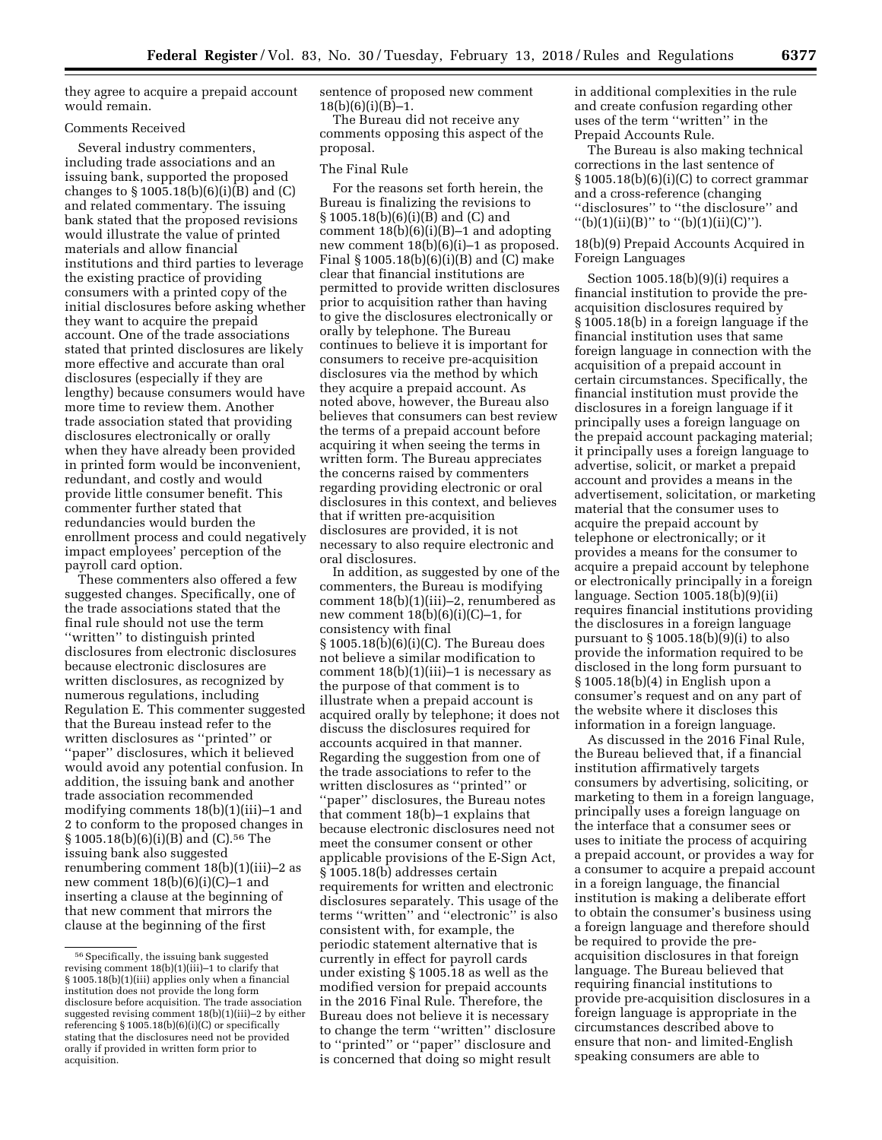they agree to acquire a prepaid account would remain.

## Comments Received

Several industry commenters, including trade associations and an issuing bank, supported the proposed changes to  $\S 1005.18(b)(6)(i)(B)$  and  $(C)$ and related commentary. The issuing bank stated that the proposed revisions would illustrate the value of printed materials and allow financial institutions and third parties to leverage the existing practice of providing consumers with a printed copy of the initial disclosures before asking whether they want to acquire the prepaid account. One of the trade associations stated that printed disclosures are likely more effective and accurate than oral disclosures (especially if they are lengthy) because consumers would have more time to review them. Another trade association stated that providing disclosures electronically or orally when they have already been provided in printed form would be inconvenient, redundant, and costly and would provide little consumer benefit. This commenter further stated that redundancies would burden the enrollment process and could negatively impact employees' perception of the payroll card option.

These commenters also offered a few suggested changes. Specifically, one of the trade associations stated that the final rule should not use the term ''written'' to distinguish printed disclosures from electronic disclosures because electronic disclosures are written disclosures, as recognized by numerous regulations, including Regulation E. This commenter suggested that the Bureau instead refer to the written disclosures as ''printed'' or ''paper'' disclosures, which it believed would avoid any potential confusion. In addition, the issuing bank and another trade association recommended modifying comments 18(b)(1)(iii)–1 and 2 to conform to the proposed changes in § 1005.18(b)(6)(i)(B) and (C).56 The issuing bank also suggested renumbering comment 18(b)(1)(iii)–2 as new comment 18(b)(6)(i)(C)–1 and inserting a clause at the beginning of that new comment that mirrors the clause at the beginning of the first

sentence of proposed new comment 18(b)(6)(i)(B)–1.

The Bureau did not receive any comments opposing this aspect of the proposal.

#### The Final Rule

For the reasons set forth herein, the Bureau is finalizing the revisions to § 1005.18(b)(6)(i)(B) and (C) and comment  $18(b)(6)(i)(B)-1$  and adopting new comment 18(b)(6)(i)–1 as proposed. Final § 1005.18(b)(6)(i)(B) and (C) make clear that financial institutions are permitted to provide written disclosures prior to acquisition rather than having to give the disclosures electronically or orally by telephone. The Bureau continues to believe it is important for consumers to receive pre-acquisition disclosures via the method by which they acquire a prepaid account. As noted above, however, the Bureau also believes that consumers can best review the terms of a prepaid account before acquiring it when seeing the terms in written form. The Bureau appreciates the concerns raised by commenters regarding providing electronic or oral disclosures in this context, and believes that if written pre-acquisition disclosures are provided, it is not necessary to also require electronic and oral disclosures.

In addition, as suggested by one of the commenters, the Bureau is modifying comment 18(b)(1)(iii)–2, renumbered as new comment 18(b)(6)(i)(C)–1, for consistency with final § 1005.18(b)(6)(i)(C). The Bureau does not believe a similar modification to comment  $18(b)(1)(iii)-1$  is necessary as the purpose of that comment is to illustrate when a prepaid account is acquired orally by telephone; it does not discuss the disclosures required for accounts acquired in that manner. Regarding the suggestion from one of the trade associations to refer to the written disclosures as ''printed'' or ''paper'' disclosures, the Bureau notes that comment 18(b)–1 explains that because electronic disclosures need not meet the consumer consent or other applicable provisions of the E-Sign Act, § 1005.18(b) addresses certain requirements for written and electronic disclosures separately. This usage of the terms ''written'' and ''electronic'' is also consistent with, for example, the periodic statement alternative that is currently in effect for payroll cards under existing § 1005.18 as well as the modified version for prepaid accounts in the 2016 Final Rule. Therefore, the Bureau does not believe it is necessary to change the term ''written'' disclosure to ''printed'' or ''paper'' disclosure and is concerned that doing so might result

in additional complexities in the rule and create confusion regarding other uses of the term ''written'' in the Prepaid Accounts Rule.

The Bureau is also making technical corrections in the last sentence of  $\S 1005.18(b)(6)(i)(C)$  to correct grammar and a cross-reference (changing ''disclosures'' to ''the disclosure'' and "(b)(1)(ii)(B)" to "(b)(1)(ii)(C)").

18(b)(9) Prepaid Accounts Acquired in Foreign Languages

Section 1005.18(b)(9)(i) requires a financial institution to provide the preacquisition disclosures required by § 1005.18(b) in a foreign language if the financial institution uses that same foreign language in connection with the acquisition of a prepaid account in certain circumstances. Specifically, the financial institution must provide the disclosures in a foreign language if it principally uses a foreign language on the prepaid account packaging material; it principally uses a foreign language to advertise, solicit, or market a prepaid account and provides a means in the advertisement, solicitation, or marketing material that the consumer uses to acquire the prepaid account by telephone or electronically; or it provides a means for the consumer to acquire a prepaid account by telephone or electronically principally in a foreign language. Section 1005.18(b)(9)(ii) requires financial institutions providing the disclosures in a foreign language pursuant to  $\S 1005.18(b)(9)(i)$  to also provide the information required to be disclosed in the long form pursuant to § 1005.18(b)(4) in English upon a consumer's request and on any part of the website where it discloses this information in a foreign language.

As discussed in the 2016 Final Rule, the Bureau believed that, if a financial institution affirmatively targets consumers by advertising, soliciting, or marketing to them in a foreign language, principally uses a foreign language on the interface that a consumer sees or uses to initiate the process of acquiring a prepaid account, or provides a way for a consumer to acquire a prepaid account in a foreign language, the financial institution is making a deliberate effort to obtain the consumer's business using a foreign language and therefore should be required to provide the preacquisition disclosures in that foreign language. The Bureau believed that requiring financial institutions to provide pre-acquisition disclosures in a foreign language is appropriate in the circumstances described above to ensure that non- and limited-English speaking consumers are able to

<sup>56</sup>Specifically, the issuing bank suggested revising comment 18(b)(1)(iii)–1 to clarify that § 1005.18(b)(1)(iii) applies only when a financial institution does not provide the long form disclosure before acquisition. The trade association suggested revising comment 18(b)(1)(iii)–2 by either referencing § 1005.18(b)(6)(i)(C) or specifically stating that the disclosures need not be provided orally if provided in written form prior to acquisition.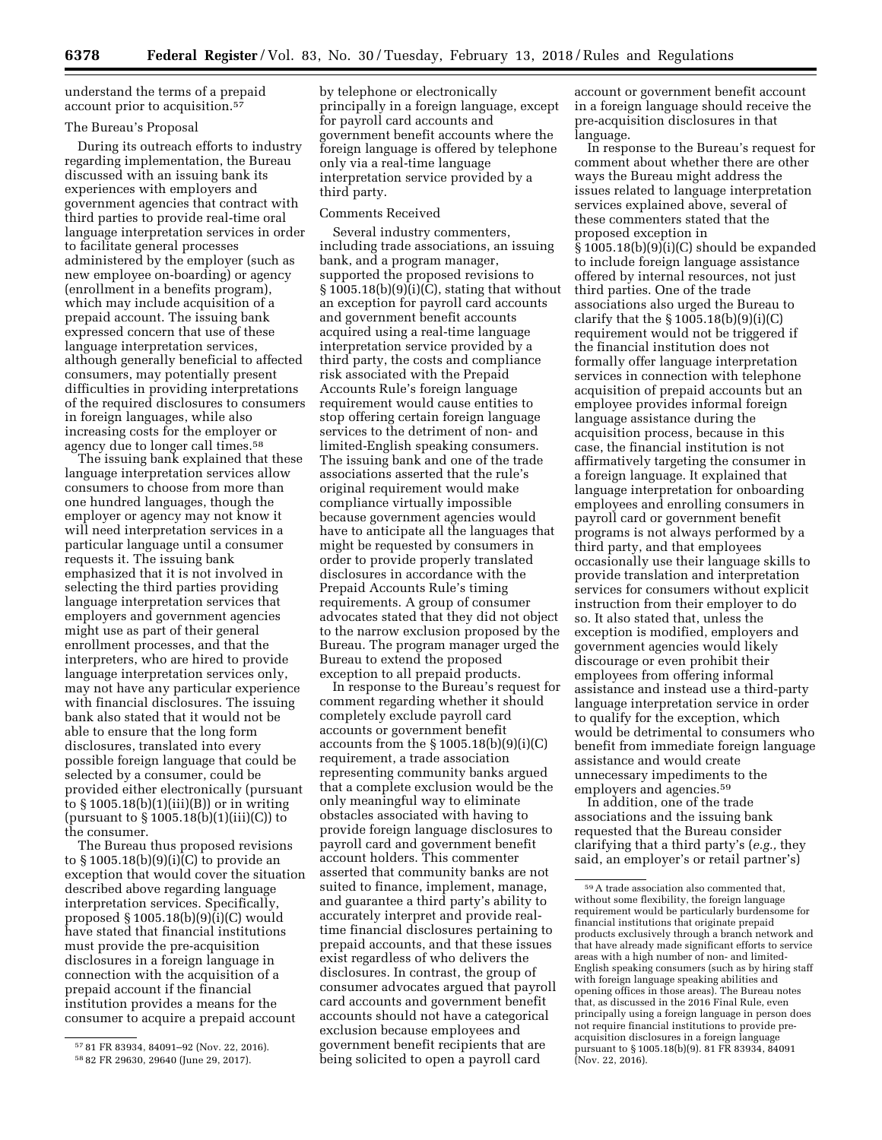understand the terms of a prepaid account prior to acquisition.57

### The Bureau's Proposal

During its outreach efforts to industry regarding implementation, the Bureau discussed with an issuing bank its experiences with employers and government agencies that contract with third parties to provide real-time oral language interpretation services in order to facilitate general processes administered by the employer (such as new employee on-boarding) or agency (enrollment in a benefits program), which may include acquisition of a prepaid account. The issuing bank expressed concern that use of these language interpretation services, although generally beneficial to affected consumers, may potentially present difficulties in providing interpretations of the required disclosures to consumers in foreign languages, while also increasing costs for the employer or agency due to longer call times.58

The issuing bank explained that these language interpretation services allow consumers to choose from more than one hundred languages, though the employer or agency may not know it will need interpretation services in a particular language until a consumer requests it. The issuing bank emphasized that it is not involved in selecting the third parties providing language interpretation services that employers and government agencies might use as part of their general enrollment processes, and that the interpreters, who are hired to provide language interpretation services only, may not have any particular experience with financial disclosures. The issuing bank also stated that it would not be able to ensure that the long form disclosures, translated into every possible foreign language that could be selected by a consumer, could be provided either electronically (pursuant to  $\S 1005.18(b)(1)(iii)(B)$  or in writing (pursuant to  $\S 1005.18(b)(1)(iii)(C)$ ) to the consumer.

The Bureau thus proposed revisions to § 1005.18(b)(9)(i)(C) to provide an exception that would cover the situation described above regarding language interpretation services. Specifically, proposed § 1005.18(b)(9)(i)(C) would have stated that financial institutions must provide the pre-acquisition disclosures in a foreign language in connection with the acquisition of a prepaid account if the financial institution provides a means for the consumer to acquire a prepaid account

by telephone or electronically principally in a foreign language, except for payroll card accounts and government benefit accounts where the foreign language is offered by telephone only via a real-time language interpretation service provided by a third party.

#### Comments Received

Several industry commenters, including trade associations, an issuing bank, and a program manager, supported the proposed revisions to  $\S 1005.18(b)(9)(i)(C)$ , stating that without an exception for payroll card accounts and government benefit accounts acquired using a real-time language interpretation service provided by a third party, the costs and compliance risk associated with the Prepaid Accounts Rule's foreign language requirement would cause entities to stop offering certain foreign language services to the detriment of non- and limited-English speaking consumers. The issuing bank and one of the trade associations asserted that the rule's original requirement would make compliance virtually impossible because government agencies would have to anticipate all the languages that might be requested by consumers in order to provide properly translated disclosures in accordance with the Prepaid Accounts Rule's timing requirements. A group of consumer advocates stated that they did not object to the narrow exclusion proposed by the Bureau. The program manager urged the Bureau to extend the proposed exception to all prepaid products.

In response to the Bureau's request for comment regarding whether it should completely exclude payroll card accounts or government benefit accounts from the  $\S 1005.18(b)(9)(i)(C)$ requirement, a trade association representing community banks argued that a complete exclusion would be the only meaningful way to eliminate obstacles associated with having to provide foreign language disclosures to payroll card and government benefit account holders. This commenter asserted that community banks are not suited to finance, implement, manage, and guarantee a third party's ability to accurately interpret and provide realtime financial disclosures pertaining to prepaid accounts, and that these issues exist regardless of who delivers the disclosures. In contrast, the group of consumer advocates argued that payroll card accounts and government benefit accounts should not have a categorical exclusion because employees and government benefit recipients that are being solicited to open a payroll card

account or government benefit account in a foreign language should receive the pre-acquisition disclosures in that language.

In response to the Bureau's request for comment about whether there are other ways the Bureau might address the issues related to language interpretation services explained above, several of these commenters stated that the proposed exception in § 1005.18(b)(9)(i)(C) should be expanded to include foreign language assistance offered by internal resources, not just third parties. One of the trade associations also urged the Bureau to clarify that the  $\S 1005.18(b)(9)(i)(C)$ requirement would not be triggered if the financial institution does not formally offer language interpretation services in connection with telephone acquisition of prepaid accounts but an employee provides informal foreign language assistance during the acquisition process, because in this case, the financial institution is not affirmatively targeting the consumer in a foreign language. It explained that language interpretation for onboarding employees and enrolling consumers in payroll card or government benefit programs is not always performed by a third party, and that employees occasionally use their language skills to provide translation and interpretation services for consumers without explicit instruction from their employer to do so. It also stated that, unless the exception is modified, employers and government agencies would likely discourage or even prohibit their employees from offering informal assistance and instead use a third-party language interpretation service in order to qualify for the exception, which would be detrimental to consumers who benefit from immediate foreign language assistance and would create unnecessary impediments to the employers and agencies.<sup>59</sup>

In addition, one of the trade associations and the issuing bank requested that the Bureau consider clarifying that a third party's (*e.g.,* they said, an employer's or retail partner's)

<sup>57</sup> 81 FR 83934, 84091–92 (Nov. 22, 2016).

<sup>58</sup> 82 FR 29630, 29640 (June 29, 2017).

<sup>59</sup>A trade association also commented that, without some flexibility, the foreign language requirement would be particularly burdensome for financial institutions that originate prepaid products exclusively through a branch network and that have already made significant efforts to service areas with a high number of non- and limited-English speaking consumers (such as by hiring staff with foreign language speaking abilities and opening offices in those areas). The Bureau notes that, as discussed in the 2016 Final Rule, even principally using a foreign language in person does not require financial institutions to provide preacquisition disclosures in a foreign language pursuant to § 1005.18(b)(9). 81 FR 83934, 84091 (Nov. 22, 2016).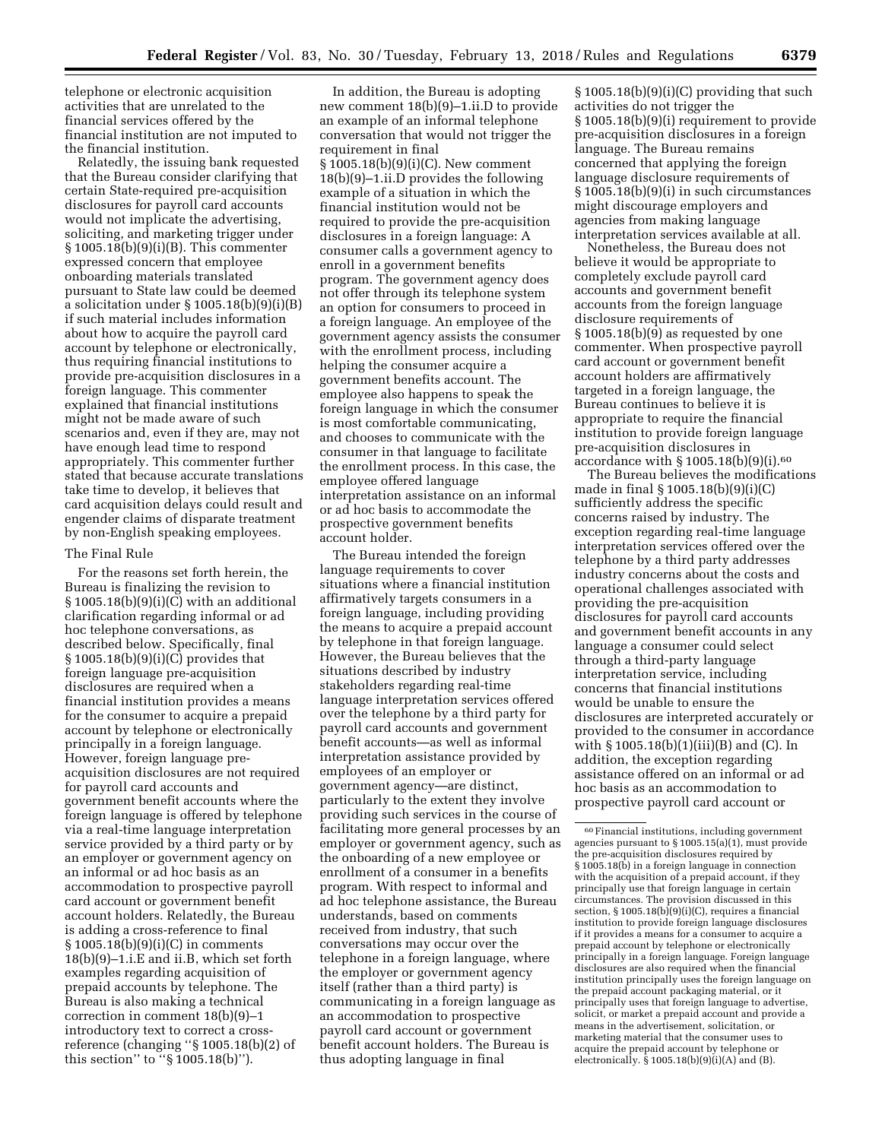telephone or electronic acquisition activities that are unrelated to the financial services offered by the financial institution are not imputed to the financial institution.

Relatedly, the issuing bank requested that the Bureau consider clarifying that certain State-required pre-acquisition disclosures for payroll card accounts would not implicate the advertising, soliciting, and marketing trigger under § 1005.18(b)(9)(i)(B). This commenter expressed concern that employee onboarding materials translated pursuant to State law could be deemed a solicitation under § 1005.18(b)(9)(i)(B) if such material includes information about how to acquire the payroll card account by telephone or electronically, thus requiring financial institutions to provide pre-acquisition disclosures in a foreign language. This commenter explained that financial institutions might not be made aware of such scenarios and, even if they are, may not have enough lead time to respond appropriately. This commenter further stated that because accurate translations take time to develop, it believes that card acquisition delays could result and engender claims of disparate treatment by non-English speaking employees.

### The Final Rule

For the reasons set forth herein, the Bureau is finalizing the revision to § 1005.18(b)(9)(i)(C) with an additional clarification regarding informal or ad hoc telephone conversations, as described below. Specifically, final § 1005.18(b)(9)(i)(C) provides that foreign language pre-acquisition disclosures are required when a financial institution provides a means for the consumer to acquire a prepaid account by telephone or electronically principally in a foreign language. However, foreign language preacquisition disclosures are not required for payroll card accounts and government benefit accounts where the foreign language is offered by telephone via a real-time language interpretation service provided by a third party or by an employer or government agency on an informal or ad hoc basis as an accommodation to prospective payroll card account or government benefit account holders. Relatedly, the Bureau is adding a cross-reference to final § 1005.18(b)(9)(i)(C) in comments 18(b)(9)–1.i.E and ii.B, which set forth examples regarding acquisition of prepaid accounts by telephone. The Bureau is also making a technical correction in comment 18(b)(9)–1 introductory text to correct a crossreference (changing ''§ 1005.18(b)(2) of this section'' to ''§ 1005.18(b)'').

In addition, the Bureau is adopting new comment 18(b)(9)–1.ii.D to provide an example of an informal telephone conversation that would not trigger the requirement in final § 1005.18(b)(9)(i)(C). New comment 18(b)(9)–1.ii.D provides the following example of a situation in which the financial institution would not be required to provide the pre-acquisition disclosures in a foreign language: A consumer calls a government agency to enroll in a government benefits program. The government agency does not offer through its telephone system an option for consumers to proceed in a foreign language. An employee of the government agency assists the consumer with the enrollment process, including helping the consumer acquire a government benefits account. The employee also happens to speak the foreign language in which the consumer is most comfortable communicating, and chooses to communicate with the consumer in that language to facilitate the enrollment process. In this case, the employee offered language interpretation assistance on an informal or ad hoc basis to accommodate the prospective government benefits account holder.

The Bureau intended the foreign language requirements to cover situations where a financial institution affirmatively targets consumers in a foreign language, including providing the means to acquire a prepaid account by telephone in that foreign language. However, the Bureau believes that the situations described by industry stakeholders regarding real-time language interpretation services offered over the telephone by a third party for payroll card accounts and government benefit accounts—as well as informal interpretation assistance provided by employees of an employer or government agency—are distinct, particularly to the extent they involve providing such services in the course of facilitating more general processes by an employer or government agency, such as the onboarding of a new employee or enrollment of a consumer in a benefits program. With respect to informal and ad hoc telephone assistance, the Bureau understands, based on comments received from industry, that such conversations may occur over the telephone in a foreign language, where the employer or government agency itself (rather than a third party) is communicating in a foreign language as an accommodation to prospective payroll card account or government benefit account holders. The Bureau is thus adopting language in final

 $§ 1005.18(b)(9)(i)(C)$  providing that such activities do not trigger the § 1005.18(b)(9)(i) requirement to provide pre-acquisition disclosures in a foreign language. The Bureau remains concerned that applying the foreign language disclosure requirements of § 1005.18(b)(9)(i) in such circumstances might discourage employers and agencies from making language interpretation services available at all.

Nonetheless, the Bureau does not believe it would be appropriate to completely exclude payroll card accounts and government benefit accounts from the foreign language disclosure requirements of § 1005.18(b)(9) as requested by one commenter. When prospective payroll card account or government benefit account holders are affirmatively targeted in a foreign language, the Bureau continues to believe it is appropriate to require the financial institution to provide foreign language pre-acquisition disclosures in accordance with § 1005.18(b)(9)(i).60

The Bureau believes the modifications made in final § 1005.18(b)(9)(i)(C) sufficiently address the specific concerns raised by industry. The exception regarding real-time language interpretation services offered over the telephone by a third party addresses industry concerns about the costs and operational challenges associated with providing the pre-acquisition disclosures for payroll card accounts and government benefit accounts in any language a consumer could select through a third-party language interpretation service, including concerns that financial institutions would be unable to ensure the disclosures are interpreted accurately or provided to the consumer in accordance with § 1005.18(b)(1)(iii)(B) and (C). In addition, the exception regarding assistance offered on an informal or ad hoc basis as an accommodation to prospective payroll card account or

<sup>60</sup>Financial institutions, including government agencies pursuant to § 1005.15(a)(1), must provide the pre-acquisition disclosures required by § 1005.18(b) in a foreign language in connection with the acquisition of a prepaid account, if they principally use that foreign language in certain circumstances. The provision discussed in this section, § 1005.18(b)(9)(i)(C), requires a financial institution to provide foreign language disclosures if it provides a means for a consumer to acquire a prepaid account by telephone or electronically principally in a foreign language. Foreign language disclosures are also required when the financial institution principally uses the foreign language on the prepaid account packaging material, or it principally uses that foreign language to advertise, solicit, or market a prepaid account and provide a means in the advertisement, solicitation, or marketing material that the consumer uses to acquire the prepaid account by telephone or electronically.  $\hat{\S}$  1005.18(b)(9)(i)(A) and (B).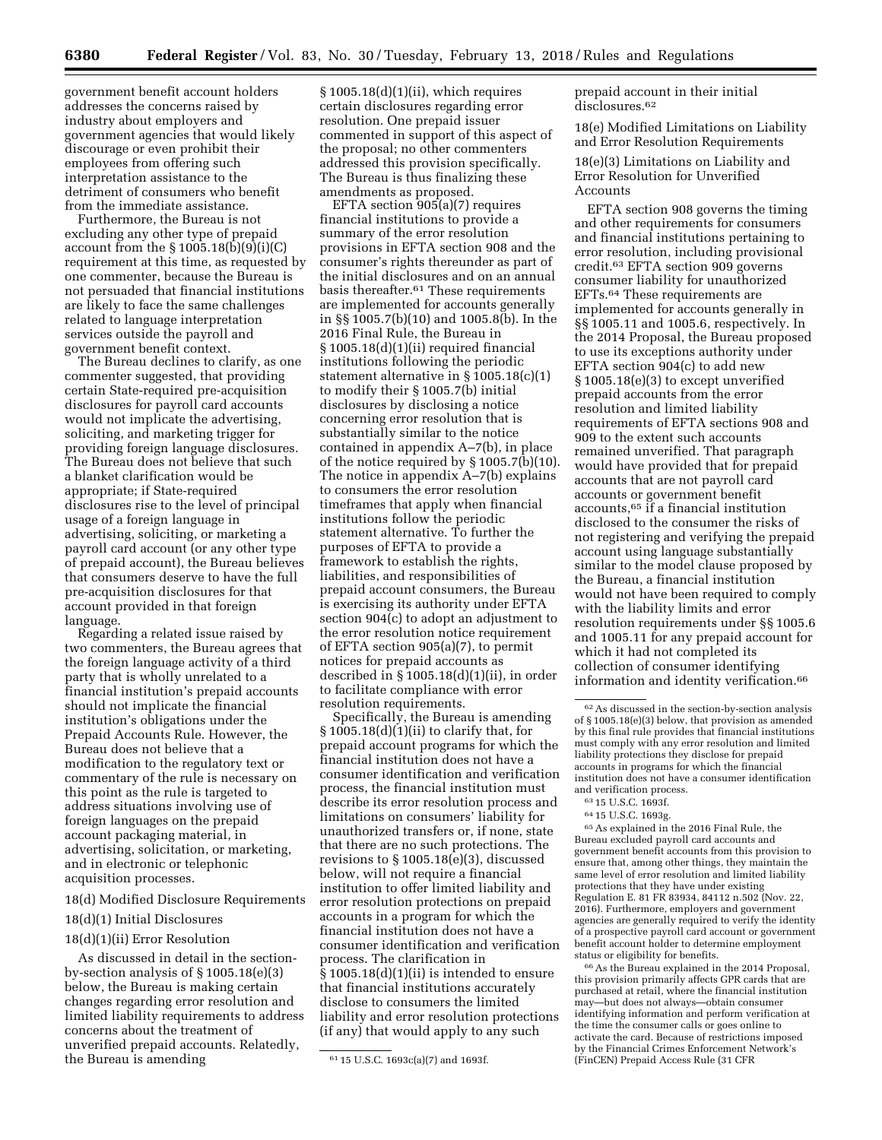government benefit account holders addresses the concerns raised by industry about employers and government agencies that would likely discourage or even prohibit their employees from offering such interpretation assistance to the detriment of consumers who benefit from the immediate assistance.

Furthermore, the Bureau is not excluding any other type of prepaid account from the  $\S 1005.18(b)(9)(i)(C)$ requirement at this time, as requested by one commenter, because the Bureau is not persuaded that financial institutions are likely to face the same challenges related to language interpretation services outside the payroll and government benefit context.

The Bureau declines to clarify, as one commenter suggested, that providing certain State-required pre-acquisition disclosures for payroll card accounts would not implicate the advertising, soliciting, and marketing trigger for providing foreign language disclosures. The Bureau does not believe that such a blanket clarification would be appropriate; if State-required disclosures rise to the level of principal usage of a foreign language in advertising, soliciting, or marketing a payroll card account (or any other type of prepaid account), the Bureau believes that consumers deserve to have the full pre-acquisition disclosures for that account provided in that foreign language.

Regarding a related issue raised by two commenters, the Bureau agrees that the foreign language activity of a third party that is wholly unrelated to a financial institution's prepaid accounts should not implicate the financial institution's obligations under the Prepaid Accounts Rule. However, the Bureau does not believe that a modification to the regulatory text or commentary of the rule is necessary on this point as the rule is targeted to address situations involving use of foreign languages on the prepaid account packaging material, in advertising, solicitation, or marketing, and in electronic or telephonic acquisition processes.

## 18(d) Modified Disclosure Requirements

#### 18(d)(1) Initial Disclosures

#### 18(d)(1)(ii) Error Resolution

As discussed in detail in the sectionby-section analysis of § 1005.18(e)(3) below, the Bureau is making certain changes regarding error resolution and limited liability requirements to address concerns about the treatment of unverified prepaid accounts. Relatedly, the Bureau is amending

§ 1005.18(d)(1)(ii), which requires certain disclosures regarding error resolution. One prepaid issuer commented in support of this aspect of the proposal; no other commenters addressed this provision specifically. The Bureau is thus finalizing these amendments as proposed.

EFTA section 905(a)(7) requires financial institutions to provide a summary of the error resolution provisions in EFTA section 908 and the consumer's rights thereunder as part of the initial disclosures and on an annual basis thereafter.61 These requirements are implemented for accounts generally in §§ 1005.7(b)(10) and 1005.8(b). In the 2016 Final Rule, the Bureau in § 1005.18(d)(1)(ii) required financial institutions following the periodic statement alternative in § 1005.18(c)(1) to modify their § 1005.7(b) initial disclosures by disclosing a notice concerning error resolution that is substantially similar to the notice contained in appendix A–7(b), in place of the notice required by § 1005.7(b)(10). The notice in appendix A–7(b) explains to consumers the error resolution timeframes that apply when financial institutions follow the periodic statement alternative. To further the purposes of EFTA to provide a framework to establish the rights, liabilities, and responsibilities of prepaid account consumers, the Bureau is exercising its authority under EFTA section 904(c) to adopt an adjustment to the error resolution notice requirement of EFTA section 905(a)(7), to permit notices for prepaid accounts as described in § 1005.18(d)(1)(ii), in order to facilitate compliance with error resolution requirements.

Specifically, the Bureau is amending § 1005.18(d)(1)(ii) to clarify that, for prepaid account programs for which the financial institution does not have a consumer identification and verification process, the financial institution must describe its error resolution process and limitations on consumers' liability for unauthorized transfers or, if none, state that there are no such protections. The revisions to § 1005.18(e)(3), discussed below, will not require a financial institution to offer limited liability and error resolution protections on prepaid accounts in a program for which the financial institution does not have a consumer identification and verification process. The clarification in  $§ 1005.18(d)(1)(ii)$  is intended to ensure that financial institutions accurately disclose to consumers the limited liability and error resolution protections (if any) that would apply to any such

prepaid account in their initial disclosures.62

18(e) Modified Limitations on Liability and Error Resolution Requirements

18(e)(3) Limitations on Liability and Error Resolution for Unverified Accounts

EFTA section 908 governs the timing and other requirements for consumers and financial institutions pertaining to error resolution, including provisional credit.63 EFTA section 909 governs consumer liability for unauthorized EFTs.64 These requirements are implemented for accounts generally in §§ 1005.11 and 1005.6, respectively. In the 2014 Proposal, the Bureau proposed to use its exceptions authority under EFTA section 904(c) to add new § 1005.18(e)(3) to except unverified prepaid accounts from the error resolution and limited liability requirements of EFTA sections 908 and 909 to the extent such accounts remained unverified. That paragraph would have provided that for prepaid accounts that are not payroll card accounts or government benefit accounts,65 if a financial institution disclosed to the consumer the risks of not registering and verifying the prepaid account using language substantially similar to the model clause proposed by the Bureau, a financial institution would not have been required to comply with the liability limits and error resolution requirements under §§ 1005.6 and 1005.11 for any prepaid account for which it had not completed its collection of consumer identifying information and identity verification.<sup>66</sup>

65As explained in the 2016 Final Rule, the Bureau excluded payroll card accounts and government benefit accounts from this provision to ensure that, among other things, they maintain the same level of error resolution and limited liability protections that they have under existing Regulation E. 81 FR 83934, 84112 n.502 (Nov. 22, 2016). Furthermore, employers and government agencies are generally required to verify the identity of a prospective payroll card account or government benefit account holder to determine employment status or eligibility for benefits.

66As the Bureau explained in the 2014 Proposal, this provision primarily affects GPR cards that are purchased at retail, where the financial institution may—but does not always—obtain consumer identifying information and perform verification at the time the consumer calls or goes online to activate the card. Because of restrictions imposed by the Financial Crimes Enforcement Network's (FinCEN) Prepaid Access Rule (31 CFR

<sup>61</sup> 15 U.S.C. 1693c(a)(7) and 1693f.

 $^{62}\hspace{0.1em}$  As discussed in the section-by-section analysis of § 1005.18(e)(3) below, that provision as amended by this final rule provides that financial institutions must comply with any error resolution and limited liability protections they disclose for prepaid accounts in programs for which the financial institution does not have a consumer identification and verification process.

<sup>63</sup> 15 U.S.C. 1693f.

<sup>64</sup> 15 U.S.C. 1693g.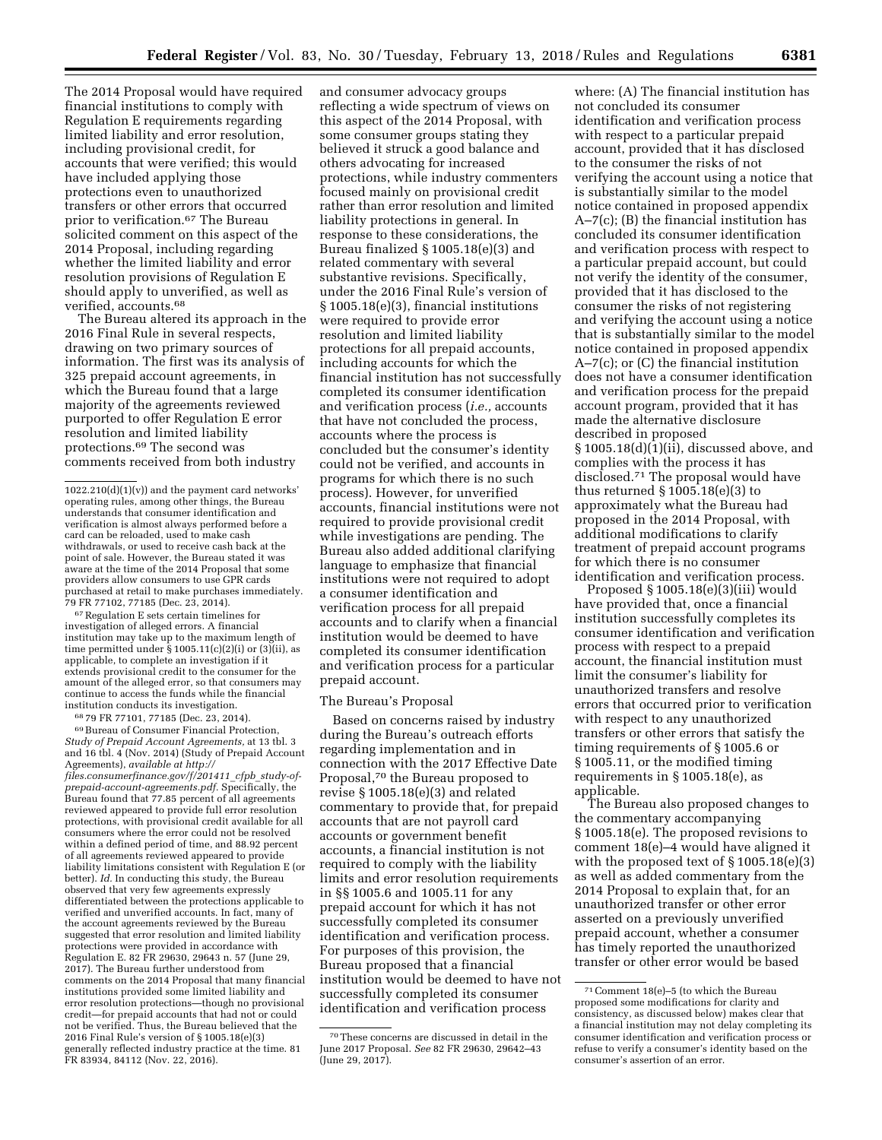The 2014 Proposal would have required financial institutions to comply with Regulation E requirements regarding limited liability and error resolution, including provisional credit, for accounts that were verified; this would have included applying those protections even to unauthorized transfers or other errors that occurred prior to verification.67 The Bureau solicited comment on this aspect of the 2014 Proposal, including regarding whether the limited liability and error resolution provisions of Regulation E should apply to unverified, as well as verified, accounts.68

The Bureau altered its approach in the 2016 Final Rule in several respects, drawing on two primary sources of information. The first was its analysis of 325 prepaid account agreements, in which the Bureau found that a large majority of the agreements reviewed purported to offer Regulation E error resolution and limited liability protections.69 The second was comments received from both industry

67Regulation E sets certain timelines for investigation of alleged errors. A financial institution may take up to the maximum length of time permitted under  $\S 1005.11(c)(2)(i)$  or  $(3)(ii)$ , as applicable, to complete an investigation if it extends provisional credit to the consumer for the amount of the alleged error, so that consumers may continue to access the funds while the financial institution conducts its investigation.

 $6879$  FR 77101, 77185 (Dec. 23, 2014).<br> $69$ Bureau of Consumer Financial Protection, *Study of Prepaid Account Agreements,* at 13 tbl. 3 and 16 tbl. 4 (Nov. 2014) (Study of Prepaid Account Agreements), *available at [http://](http://files.consumerfinance.gov/f/201411_cfpb_study-of-prepaid-account-agreements.pdf) [files.consumerfinance.gov/f/201411](http://files.consumerfinance.gov/f/201411_cfpb_study-of-prepaid-account-agreements.pdf)*\_*cfpb*\_*study-of[prepaid-account-agreements.pdf.](http://files.consumerfinance.gov/f/201411_cfpb_study-of-prepaid-account-agreements.pdf)* Specifically, the Bureau found that 77.85 percent of all agreements reviewed appeared to provide full error resolution protections, with provisional credit available for all consumers where the error could not be resolved within a defined period of time, and 88.92 percent of all agreements reviewed appeared to provide liability limitations consistent with Regulation E (or better). *Id.* In conducting this study, the Bureau observed that very few agreements expressly differentiated between the protections applicable to verified and unverified accounts. In fact, many of the account agreements reviewed by the Bureau suggested that error resolution and limited liability protections were provided in accordance with Regulation E. 82 FR 29630, 29643 n. 57 (June 29, 2017). The Bureau further understood from comments on the 2014 Proposal that many financial institutions provided some limited liability and error resolution protections—though no provisional credit—for prepaid accounts that had not or could not be verified. Thus, the Bureau believed that the 2016 Final Rule's version of § 1005.18(e)(3) generally reflected industry practice at the time. 81 FR 83934, 84112 (Nov. 22, 2016).

and consumer advocacy groups reflecting a wide spectrum of views on this aspect of the 2014 Proposal, with some consumer groups stating they believed it struck a good balance and others advocating for increased protections, while industry commenters focused mainly on provisional credit rather than error resolution and limited liability protections in general. In response to these considerations, the Bureau finalized § 1005.18(e)(3) and related commentary with several substantive revisions. Specifically, under the 2016 Final Rule's version of § 1005.18(e)(3), financial institutions were required to provide error resolution and limited liability protections for all prepaid accounts, including accounts for which the financial institution has not successfully completed its consumer identification and verification process (*i.e.,* accounts that have not concluded the process, accounts where the process is concluded but the consumer's identity could not be verified, and accounts in programs for which there is no such process). However, for unverified accounts, financial institutions were not required to provide provisional credit while investigations are pending. The Bureau also added additional clarifying language to emphasize that financial institutions were not required to adopt a consumer identification and verification process for all prepaid accounts and to clarify when a financial institution would be deemed to have completed its consumer identification and verification process for a particular prepaid account.

### The Bureau's Proposal

Based on concerns raised by industry during the Bureau's outreach efforts regarding implementation and in connection with the 2017 Effective Date Proposal,70 the Bureau proposed to revise § 1005.18(e)(3) and related commentary to provide that, for prepaid accounts that are not payroll card accounts or government benefit accounts, a financial institution is not required to comply with the liability limits and error resolution requirements in §§ 1005.6 and 1005.11 for any prepaid account for which it has not successfully completed its consumer identification and verification process. For purposes of this provision, the Bureau proposed that a financial institution would be deemed to have not successfully completed its consumer identification and verification process

where: (A) The financial institution has not concluded its consumer identification and verification process with respect to a particular prepaid account, provided that it has disclosed to the consumer the risks of not verifying the account using a notice that is substantially similar to the model notice contained in proposed appendix A–7(c); (B) the financial institution has concluded its consumer identification and verification process with respect to a particular prepaid account, but could not verify the identity of the consumer, provided that it has disclosed to the consumer the risks of not registering and verifying the account using a notice that is substantially similar to the model notice contained in proposed appendix A–7(c); or (C) the financial institution does not have a consumer identification and verification process for the prepaid account program, provided that it has made the alternative disclosure described in proposed § 1005.18(d)(1)(ii), discussed above, and complies with the process it has disclosed.71 The proposal would have thus returned § 1005.18(e)(3) to approximately what the Bureau had proposed in the 2014 Proposal, with additional modifications to clarify treatment of prepaid account programs for which there is no consumer identification and verification process.

Proposed § 1005.18(e)(3)(iii) would have provided that, once a financial institution successfully completes its consumer identification and verification process with respect to a prepaid account, the financial institution must limit the consumer's liability for unauthorized transfers and resolve errors that occurred prior to verification with respect to any unauthorized transfers or other errors that satisfy the timing requirements of § 1005.6 or § 1005.11, or the modified timing requirements in § 1005.18(e), as applicable.

The Bureau also proposed changes to the commentary accompanying § 1005.18(e). The proposed revisions to comment 18(e)–4 would have aligned it with the proposed text of  $\S 1005.18(e)(3)$ as well as added commentary from the 2014 Proposal to explain that, for an unauthorized transfer or other error asserted on a previously unverified prepaid account, whether a consumer has timely reported the unauthorized transfer or other error would be based

 $1022.210(d)(1)(v)$  and the payment card networks' operating rules, among other things, the Bureau understands that consumer identification and verification is almost always performed before a card can be reloaded, used to make cash withdrawals, or used to receive cash back at the point of sale. However, the Bureau stated it was aware at the time of the 2014 Proposal that some providers allow consumers to use GPR cards purchased at retail to make purchases immediately. 79 FR 77102, 77185 (Dec. 23, 2014).

<sup>70</sup>These concerns are discussed in detail in the June 2017 Proposal. *See* 82 FR 29630, 29642–43 (June 29, 2017).

<sup>71</sup>Comment 18(e)–5 (to which the Bureau proposed some modifications for clarity and consistency, as discussed below) makes clear that a financial institution may not delay completing its consumer identification and verification process or refuse to verify a consumer's identity based on the consumer's assertion of an error.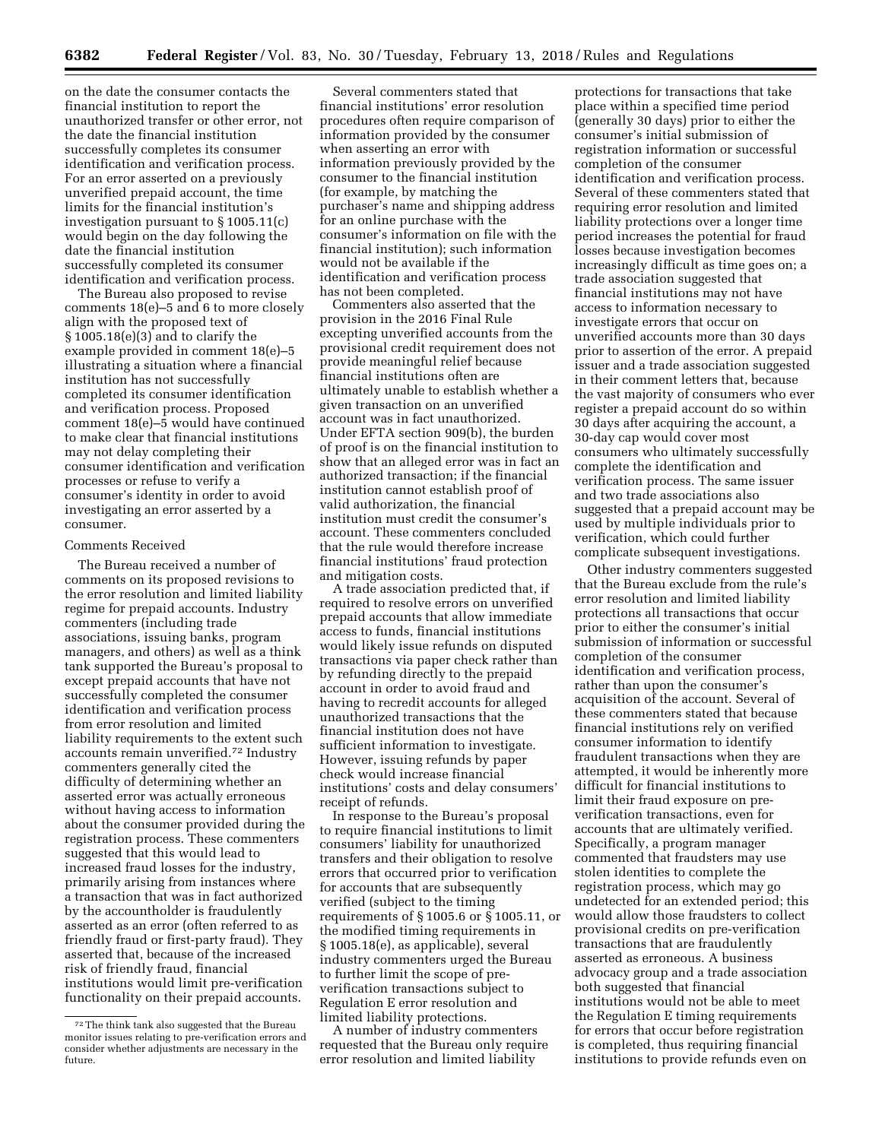on the date the consumer contacts the financial institution to report the unauthorized transfer or other error, not the date the financial institution successfully completes its consumer identification and verification process. For an error asserted on a previously unverified prepaid account, the time limits for the financial institution's investigation pursuant to § 1005.11(c) would begin on the day following the date the financial institution successfully completed its consumer identification and verification process.

The Bureau also proposed to revise comments 18(e)–5 and 6 to more closely align with the proposed text of § 1005.18(e)(3) and to clarify the example provided in comment 18(e)–5 illustrating a situation where a financial institution has not successfully completed its consumer identification and verification process. Proposed comment 18(e)–5 would have continued to make clear that financial institutions may not delay completing their consumer identification and verification processes or refuse to verify a consumer's identity in order to avoid investigating an error asserted by a consumer.

#### Comments Received

The Bureau received a number of comments on its proposed revisions to the error resolution and limited liability regime for prepaid accounts. Industry commenters (including trade associations, issuing banks, program managers, and others) as well as a think tank supported the Bureau's proposal to except prepaid accounts that have not successfully completed the consumer identification and verification process from error resolution and limited liability requirements to the extent such accounts remain unverified.72 Industry commenters generally cited the difficulty of determining whether an asserted error was actually erroneous without having access to information about the consumer provided during the registration process. These commenters suggested that this would lead to increased fraud losses for the industry, primarily arising from instances where a transaction that was in fact authorized by the accountholder is fraudulently asserted as an error (often referred to as friendly fraud or first-party fraud). They asserted that, because of the increased risk of friendly fraud, financial institutions would limit pre-verification functionality on their prepaid accounts.

Several commenters stated that financial institutions' error resolution procedures often require comparison of information provided by the consumer when asserting an error with information previously provided by the consumer to the financial institution (for example, by matching the purchaser's name and shipping address for an online purchase with the consumer's information on file with the financial institution); such information would not be available if the identification and verification process has not been completed.

Commenters also asserted that the provision in the 2016 Final Rule excepting unverified accounts from the provisional credit requirement does not provide meaningful relief because financial institutions often are ultimately unable to establish whether a given transaction on an unverified account was in fact unauthorized. Under EFTA section 909(b), the burden of proof is on the financial institution to show that an alleged error was in fact an authorized transaction; if the financial institution cannot establish proof of valid authorization, the financial institution must credit the consumer's account. These commenters concluded that the rule would therefore increase financial institutions' fraud protection and mitigation costs.

A trade association predicted that, if required to resolve errors on unverified prepaid accounts that allow immediate access to funds, financial institutions would likely issue refunds on disputed transactions via paper check rather than by refunding directly to the prepaid account in order to avoid fraud and having to recredit accounts for alleged unauthorized transactions that the financial institution does not have sufficient information to investigate. However, issuing refunds by paper check would increase financial institutions' costs and delay consumers' receipt of refunds.

In response to the Bureau's proposal to require financial institutions to limit consumers' liability for unauthorized transfers and their obligation to resolve errors that occurred prior to verification for accounts that are subsequently verified (subject to the timing requirements of § 1005.6 or § 1005.11, or the modified timing requirements in § 1005.18(e), as applicable), several industry commenters urged the Bureau to further limit the scope of preverification transactions subject to Regulation E error resolution and limited liability protections.

A number of industry commenters requested that the Bureau only require error resolution and limited liability

protections for transactions that take place within a specified time period (generally 30 days) prior to either the consumer's initial submission of registration information or successful completion of the consumer identification and verification process. Several of these commenters stated that requiring error resolution and limited liability protections over a longer time period increases the potential for fraud losses because investigation becomes increasingly difficult as time goes on; a trade association suggested that financial institutions may not have access to information necessary to investigate errors that occur on unverified accounts more than 30 days prior to assertion of the error. A prepaid issuer and a trade association suggested in their comment letters that, because the vast majority of consumers who ever register a prepaid account do so within 30 days after acquiring the account, a 30-day cap would cover most consumers who ultimately successfully complete the identification and verification process. The same issuer and two trade associations also suggested that a prepaid account may be used by multiple individuals prior to verification, which could further complicate subsequent investigations.

Other industry commenters suggested that the Bureau exclude from the rule's error resolution and limited liability protections all transactions that occur prior to either the consumer's initial submission of information or successful completion of the consumer identification and verification process, rather than upon the consumer's acquisition of the account. Several of these commenters stated that because financial institutions rely on verified consumer information to identify fraudulent transactions when they are attempted, it would be inherently more difficult for financial institutions to limit their fraud exposure on preverification transactions, even for accounts that are ultimately verified. Specifically, a program manager commented that fraudsters may use stolen identities to complete the registration process, which may go undetected for an extended period; this would allow those fraudsters to collect provisional credits on pre-verification transactions that are fraudulently asserted as erroneous. A business advocacy group and a trade association both suggested that financial institutions would not be able to meet the Regulation E timing requirements for errors that occur before registration is completed, thus requiring financial institutions to provide refunds even on

<sup>72</sup>The think tank also suggested that the Bureau monitor issues relating to pre-verification errors and consider whether adjustments are necessary in the future.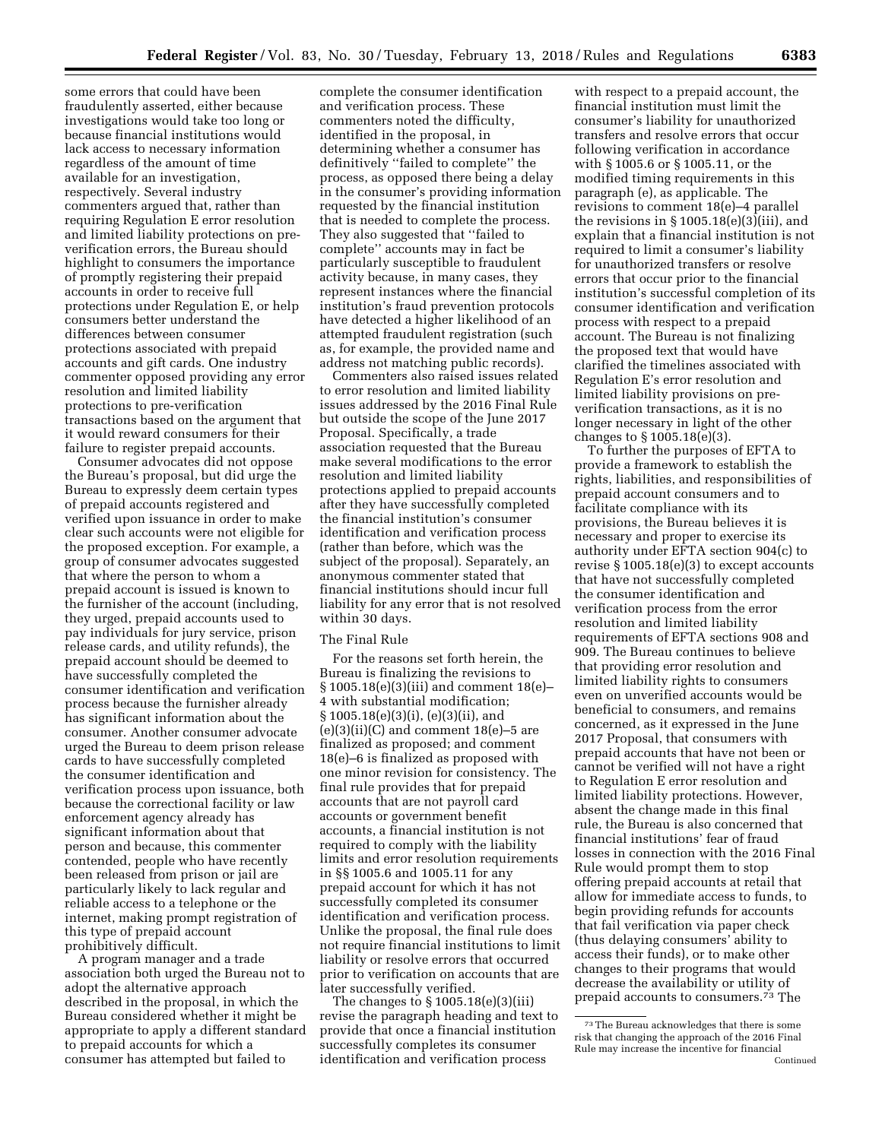some errors that could have been fraudulently asserted, either because investigations would take too long or because financial institutions would lack access to necessary information regardless of the amount of time available for an investigation, respectively. Several industry commenters argued that, rather than requiring Regulation E error resolution and limited liability protections on preverification errors, the Bureau should highlight to consumers the importance of promptly registering their prepaid accounts in order to receive full protections under Regulation E, or help consumers better understand the differences between consumer protections associated with prepaid accounts and gift cards. One industry commenter opposed providing any error resolution and limited liability protections to pre-verification transactions based on the argument that it would reward consumers for their failure to register prepaid accounts.

Consumer advocates did not oppose the Bureau's proposal, but did urge the Bureau to expressly deem certain types of prepaid accounts registered and verified upon issuance in order to make clear such accounts were not eligible for the proposed exception. For example, a group of consumer advocates suggested that where the person to whom a prepaid account is issued is known to the furnisher of the account (including, they urged, prepaid accounts used to pay individuals for jury service, prison release cards, and utility refunds), the prepaid account should be deemed to have successfully completed the consumer identification and verification process because the furnisher already has significant information about the consumer. Another consumer advocate urged the Bureau to deem prison release cards to have successfully completed the consumer identification and verification process upon issuance, both because the correctional facility or law enforcement agency already has significant information about that person and because, this commenter contended, people who have recently been released from prison or jail are particularly likely to lack regular and reliable access to a telephone or the internet, making prompt registration of this type of prepaid account prohibitively difficult.

A program manager and a trade association both urged the Bureau not to adopt the alternative approach described in the proposal, in which the Bureau considered whether it might be appropriate to apply a different standard to prepaid accounts for which a consumer has attempted but failed to

complete the consumer identification and verification process. These commenters noted the difficulty, identified in the proposal, in determining whether a consumer has definitively ''failed to complete'' the process, as opposed there being a delay in the consumer's providing information requested by the financial institution that is needed to complete the process. They also suggested that ''failed to complete'' accounts may in fact be particularly susceptible to fraudulent activity because, in many cases, they represent instances where the financial institution's fraud prevention protocols have detected a higher likelihood of an attempted fraudulent registration (such as, for example, the provided name and address not matching public records).

Commenters also raised issues related to error resolution and limited liability issues addressed by the 2016 Final Rule but outside the scope of the June 2017 Proposal. Specifically, a trade association requested that the Bureau make several modifications to the error resolution and limited liability protections applied to prepaid accounts after they have successfully completed the financial institution's consumer identification and verification process (rather than before, which was the subject of the proposal). Separately, an anonymous commenter stated that financial institutions should incur full liability for any error that is not resolved within 30 days.

### The Final Rule

For the reasons set forth herein, the Bureau is finalizing the revisions to § 1005.18(e)(3)(iii) and comment 18(e)– 4 with substantial modification; § 1005.18(e)(3)(i), (e)(3)(ii), and  $(e)(3)(ii)(C)$  and comment  $18(e)-5$  are finalized as proposed; and comment 18(e)–6 is finalized as proposed with one minor revision for consistency. The final rule provides that for prepaid accounts that are not payroll card accounts or government benefit accounts, a financial institution is not required to comply with the liability limits and error resolution requirements in §§ 1005.6 and 1005.11 for any prepaid account for which it has not successfully completed its consumer identification and verification process. Unlike the proposal, the final rule does not require financial institutions to limit liability or resolve errors that occurred prior to verification on accounts that are later successfully verified.

The changes to § 1005.18(e)(3)(iii) revise the paragraph heading and text to provide that once a financial institution successfully completes its consumer identification and verification process

with respect to a prepaid account, the financial institution must limit the consumer's liability for unauthorized transfers and resolve errors that occur following verification in accordance with § 1005.6 or § 1005.11, or the modified timing requirements in this paragraph (e), as applicable. The revisions to comment 18(e)–4 parallel the revisions in  $\S 1005.18(e)(3)$ (iii), and explain that a financial institution is not required to limit a consumer's liability for unauthorized transfers or resolve errors that occur prior to the financial institution's successful completion of its consumer identification and verification process with respect to a prepaid account. The Bureau is not finalizing the proposed text that would have clarified the timelines associated with Regulation E's error resolution and limited liability provisions on preverification transactions, as it is no longer necessary in light of the other changes to § 1005.18(e)(3).

To further the purposes of EFTA to provide a framework to establish the rights, liabilities, and responsibilities of prepaid account consumers and to facilitate compliance with its provisions, the Bureau believes it is necessary and proper to exercise its authority under EFTA section 904(c) to revise § 1005.18(e)(3) to except accounts that have not successfully completed the consumer identification and verification process from the error resolution and limited liability requirements of EFTA sections 908 and 909. The Bureau continues to believe that providing error resolution and limited liability rights to consumers even on unverified accounts would be beneficial to consumers, and remains concerned, as it expressed in the June 2017 Proposal, that consumers with prepaid accounts that have not been or cannot be verified will not have a right to Regulation E error resolution and limited liability protections. However, absent the change made in this final rule, the Bureau is also concerned that financial institutions' fear of fraud losses in connection with the 2016 Final Rule would prompt them to stop offering prepaid accounts at retail that allow for immediate access to funds, to begin providing refunds for accounts that fail verification via paper check (thus delaying consumers' ability to access their funds), or to make other changes to their programs that would decrease the availability or utility of prepaid accounts to consumers.73 The

<sup>73</sup>The Bureau acknowledges that there is some risk that changing the approach of the 2016 Final Rule may increase the incentive for financial Continued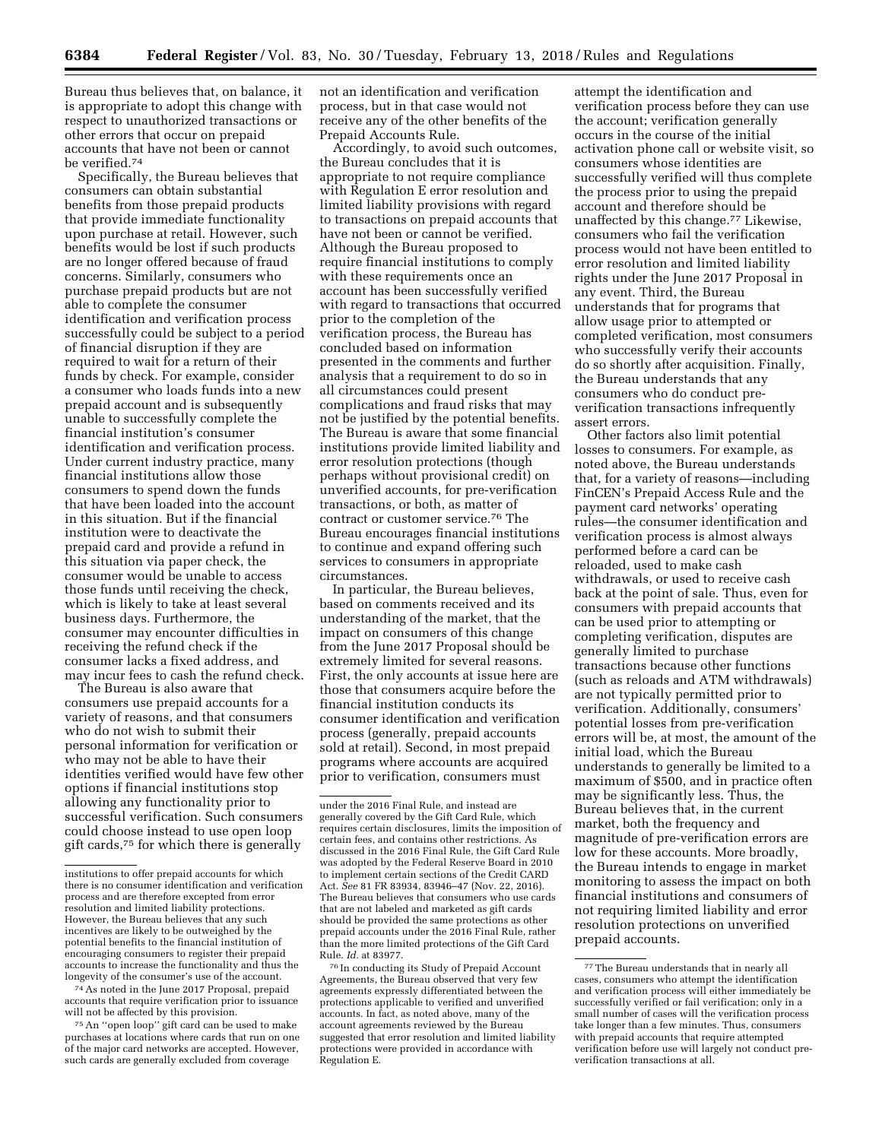Bureau thus believes that, on balance, it is appropriate to adopt this change with respect to unauthorized transactions or other errors that occur on prepaid accounts that have not been or cannot be verified.74

Specifically, the Bureau believes that consumers can obtain substantial benefits from those prepaid products that provide immediate functionality upon purchase at retail. However, such benefits would be lost if such products are no longer offered because of fraud concerns. Similarly, consumers who purchase prepaid products but are not able to complete the consumer identification and verification process successfully could be subject to a period of financial disruption if they are required to wait for a return of their funds by check. For example, consider a consumer who loads funds into a new prepaid account and is subsequently unable to successfully complete the financial institution's consumer identification and verification process. Under current industry practice, many financial institutions allow those consumers to spend down the funds that have been loaded into the account in this situation. But if the financial institution were to deactivate the prepaid card and provide a refund in this situation via paper check, the consumer would be unable to access those funds until receiving the check, which is likely to take at least several business days. Furthermore, the consumer may encounter difficulties in receiving the refund check if the consumer lacks a fixed address, and may incur fees to cash the refund check.

The Bureau is also aware that consumers use prepaid accounts for a variety of reasons, and that consumers who do not wish to submit their personal information for verification or who may not be able to have their identities verified would have few other options if financial institutions stop allowing any functionality prior to successful verification. Such consumers could choose instead to use open loop gift cards,75 for which there is generally

74As noted in the June 2017 Proposal, prepaid accounts that require verification prior to issuance will not be affected by this provision.

75An ''open loop'' gift card can be used to make purchases at locations where cards that run on one of the major card networks are accepted. However, such cards are generally excluded from coverage

not an identification and verification process, but in that case would not receive any of the other benefits of the Prepaid Accounts Rule.

Accordingly, to avoid such outcomes, the Bureau concludes that it is appropriate to not require compliance with Regulation E error resolution and limited liability provisions with regard to transactions on prepaid accounts that have not been or cannot be verified. Although the Bureau proposed to require financial institutions to comply with these requirements once an account has been successfully verified with regard to transactions that occurred prior to the completion of the verification process, the Bureau has concluded based on information presented in the comments and further analysis that a requirement to do so in all circumstances could present complications and fraud risks that may not be justified by the potential benefits. The Bureau is aware that some financial institutions provide limited liability and error resolution protections (though perhaps without provisional credit) on unverified accounts, for pre-verification transactions, or both, as matter of contract or customer service.76 The Bureau encourages financial institutions to continue and expand offering such services to consumers in appropriate circumstances.

In particular, the Bureau believes, based on comments received and its understanding of the market, that the impact on consumers of this change from the June 2017 Proposal should be extremely limited for several reasons. First, the only accounts at issue here are those that consumers acquire before the financial institution conducts its consumer identification and verification process (generally, prepaid accounts sold at retail). Second, in most prepaid programs where accounts are acquired prior to verification, consumers must

76 In conducting its Study of Prepaid Account Agreements, the Bureau observed that very few agreements expressly differentiated between the protections applicable to verified and unverified accounts. In fact, as noted above, many of the account agreements reviewed by the Bureau suggested that error resolution and limited liability protections were provided in accordance with Regulation E.

attempt the identification and verification process before they can use the account; verification generally occurs in the course of the initial activation phone call or website visit, so consumers whose identities are successfully verified will thus complete the process prior to using the prepaid account and therefore should be unaffected by this change.77 Likewise, consumers who fail the verification process would not have been entitled to error resolution and limited liability rights under the June 2017 Proposal in any event. Third, the Bureau understands that for programs that allow usage prior to attempted or completed verification, most consumers who successfully verify their accounts do so shortly after acquisition. Finally, the Bureau understands that any consumers who do conduct preverification transactions infrequently assert errors.

Other factors also limit potential losses to consumers. For example, as noted above, the Bureau understands that, for a variety of reasons—including FinCEN's Prepaid Access Rule and the payment card networks' operating rules—the consumer identification and verification process is almost always performed before a card can be reloaded, used to make cash withdrawals, or used to receive cash back at the point of sale. Thus, even for consumers with prepaid accounts that can be used prior to attempting or completing verification, disputes are generally limited to purchase transactions because other functions (such as reloads and ATM withdrawals) are not typically permitted prior to verification. Additionally, consumers' potential losses from pre-verification errors will be, at most, the amount of the initial load, which the Bureau understands to generally be limited to a maximum of \$500, and in practice often may be significantly less. Thus, the Bureau believes that, in the current market, both the frequency and magnitude of pre-verification errors are low for these accounts. More broadly, the Bureau intends to engage in market monitoring to assess the impact on both financial institutions and consumers of not requiring limited liability and error resolution protections on unverified prepaid accounts.

institutions to offer prepaid accounts for which there is no consumer identification and verification process and are therefore excepted from error resolution and limited liability protections. However, the Bureau believes that any such incentives are likely to be outweighed by the potential benefits to the financial institution of encouraging consumers to register their prepaid accounts to increase the functionality and thus the longevity of the consumer's use of the account.

under the 2016 Final Rule, and instead are generally covered by the Gift Card Rule, which requires certain disclosures, limits the imposition of certain fees, and contains other restrictions. As discussed in the 2016 Final Rule, the Gift Card Rule was adopted by the Federal Reserve Board in 2010 to implement certain sections of the Credit CARD Act. *See* 81 FR 83934, 83946–47 (Nov. 22, 2016). The Bureau believes that consumers who use cards that are not labeled and marketed as gift cards should be provided the same protections as other prepaid accounts under the 2016 Final Rule, rather than the more limited protections of the Gift Card Rule. *Id.* at 83977.

<sup>77</sup>The Bureau understands that in nearly all cases, consumers who attempt the identification and verification process will either immediately be successfully verified or fail verification; only in a small number of cases will the verification process take longer than a few minutes. Thus, consumers with prepaid accounts that require attempted verification before use will largely not conduct preverification transactions at all.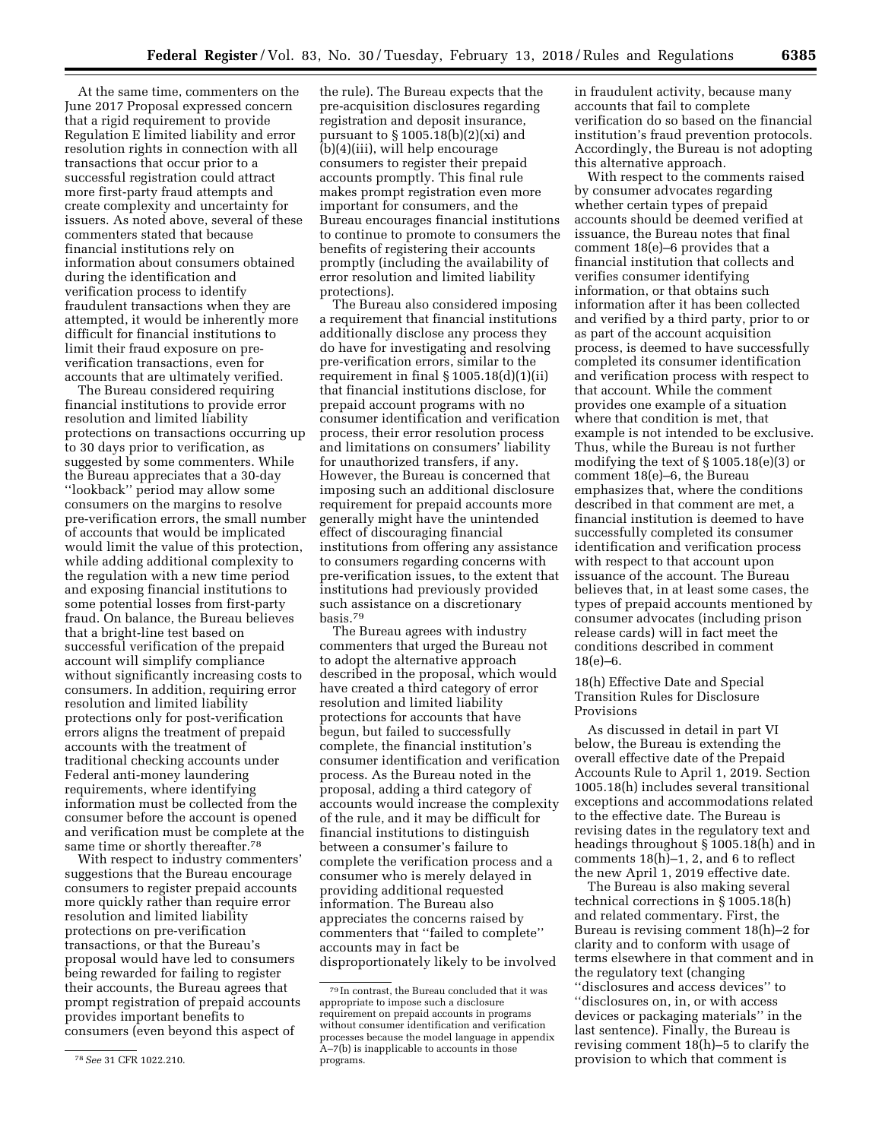At the same time, commenters on the June 2017 Proposal expressed concern that a rigid requirement to provide Regulation E limited liability and error resolution rights in connection with all transactions that occur prior to a successful registration could attract more first-party fraud attempts and create complexity and uncertainty for issuers. As noted above, several of these commenters stated that because financial institutions rely on information about consumers obtained during the identification and verification process to identify fraudulent transactions when they are attempted, it would be inherently more

difficult for financial institutions to limit their fraud exposure on preverification transactions, even for accounts that are ultimately verified. The Bureau considered requiring

financial institutions to provide error resolution and limited liability protections on transactions occurring up to 30 days prior to verification, as suggested by some commenters. While the Bureau appreciates that a 30-day ''lookback'' period may allow some consumers on the margins to resolve pre-verification errors, the small number of accounts that would be implicated would limit the value of this protection, while adding additional complexity to the regulation with a new time period and exposing financial institutions to some potential losses from first-party fraud. On balance, the Bureau believes that a bright-line test based on successful verification of the prepaid account will simplify compliance without significantly increasing costs to consumers. In addition, requiring error resolution and limited liability protections only for post-verification errors aligns the treatment of prepaid accounts with the treatment of traditional checking accounts under Federal anti-money laundering requirements, where identifying information must be collected from the consumer before the account is opened and verification must be complete at the same time or shortly thereafter.<sup>78</sup>

With respect to industry commenters' suggestions that the Bureau encourage consumers to register prepaid accounts more quickly rather than require error resolution and limited liability protections on pre-verification transactions, or that the Bureau's proposal would have led to consumers being rewarded for failing to register their accounts, the Bureau agrees that prompt registration of prepaid accounts provides important benefits to consumers (even beyond this aspect of

the rule). The Bureau expects that the pre-acquisition disclosures regarding registration and deposit insurance, pursuant to § 1005.18(b)(2)(xi) and (b)(4)(iii), will help encourage consumers to register their prepaid accounts promptly. This final rule makes prompt registration even more important for consumers, and the Bureau encourages financial institutions to continue to promote to consumers the benefits of registering their accounts promptly (including the availability of error resolution and limited liability protections).

The Bureau also considered imposing a requirement that financial institutions additionally disclose any process they do have for investigating and resolving pre-verification errors, similar to the requirement in final  $\S 1005.18(d)(1)(ii)$ that financial institutions disclose, for prepaid account programs with no consumer identification and verification process, their error resolution process and limitations on consumers' liability for unauthorized transfers, if any. However, the Bureau is concerned that imposing such an additional disclosure requirement for prepaid accounts more generally might have the unintended effect of discouraging financial institutions from offering any assistance to consumers regarding concerns with pre-verification issues, to the extent that institutions had previously provided such assistance on a discretionary basis.79

The Bureau agrees with industry commenters that urged the Bureau not to adopt the alternative approach described in the proposal, which would have created a third category of error resolution and limited liability protections for accounts that have begun, but failed to successfully complete, the financial institution's consumer identification and verification process. As the Bureau noted in the proposal, adding a third category of accounts would increase the complexity of the rule, and it may be difficult for financial institutions to distinguish between a consumer's failure to complete the verification process and a consumer who is merely delayed in providing additional requested information. The Bureau also appreciates the concerns raised by commenters that ''failed to complete'' accounts may in fact be disproportionately likely to be involved

in fraudulent activity, because many accounts that fail to complete verification do so based on the financial institution's fraud prevention protocols. Accordingly, the Bureau is not adopting this alternative approach.

With respect to the comments raised by consumer advocates regarding whether certain types of prepaid accounts should be deemed verified at issuance, the Bureau notes that final comment 18(e)–6 provides that a financial institution that collects and verifies consumer identifying information, or that obtains such information after it has been collected and verified by a third party, prior to or as part of the account acquisition process, is deemed to have successfully completed its consumer identification and verification process with respect to that account. While the comment provides one example of a situation where that condition is met, that example is not intended to be exclusive. Thus, while the Bureau is not further modifying the text of § 1005.18(e)(3) or comment 18(e)–6, the Bureau emphasizes that, where the conditions described in that comment are met, a financial institution is deemed to have successfully completed its consumer identification and verification process with respect to that account upon issuance of the account. The Bureau believes that, in at least some cases, the types of prepaid accounts mentioned by consumer advocates (including prison release cards) will in fact meet the conditions described in comment 18(e)–6.

18(h) Effective Date and Special Transition Rules for Disclosure Provisions

As discussed in detail in part VI below, the Bureau is extending the overall effective date of the Prepaid Accounts Rule to April 1, 2019. Section 1005.18(h) includes several transitional exceptions and accommodations related to the effective date. The Bureau is revising dates in the regulatory text and headings throughout § 1005.18(h) and in comments 18(h)–1, 2, and 6 to reflect the new April 1, 2019 effective date.

The Bureau is also making several technical corrections in § 1005.18(h) and related commentary. First, the Bureau is revising comment 18(h)–2 for clarity and to conform with usage of terms elsewhere in that comment and in the regulatory text (changing ''disclosures and access devices'' to ''disclosures on, in, or with access devices or packaging materials'' in the last sentence). Finally, the Bureau is revising comment 18(h)–5 to clarify the provision to which that comment is

<sup>78</sup>*See* 31 CFR 1022.210.

<sup>79</sup> In contrast, the Bureau concluded that it was appropriate to impose such a disclosure requirement on prepaid accounts in programs without consumer identification and verification processes because the model language in appendix A–7(b) is inapplicable to accounts in those programs.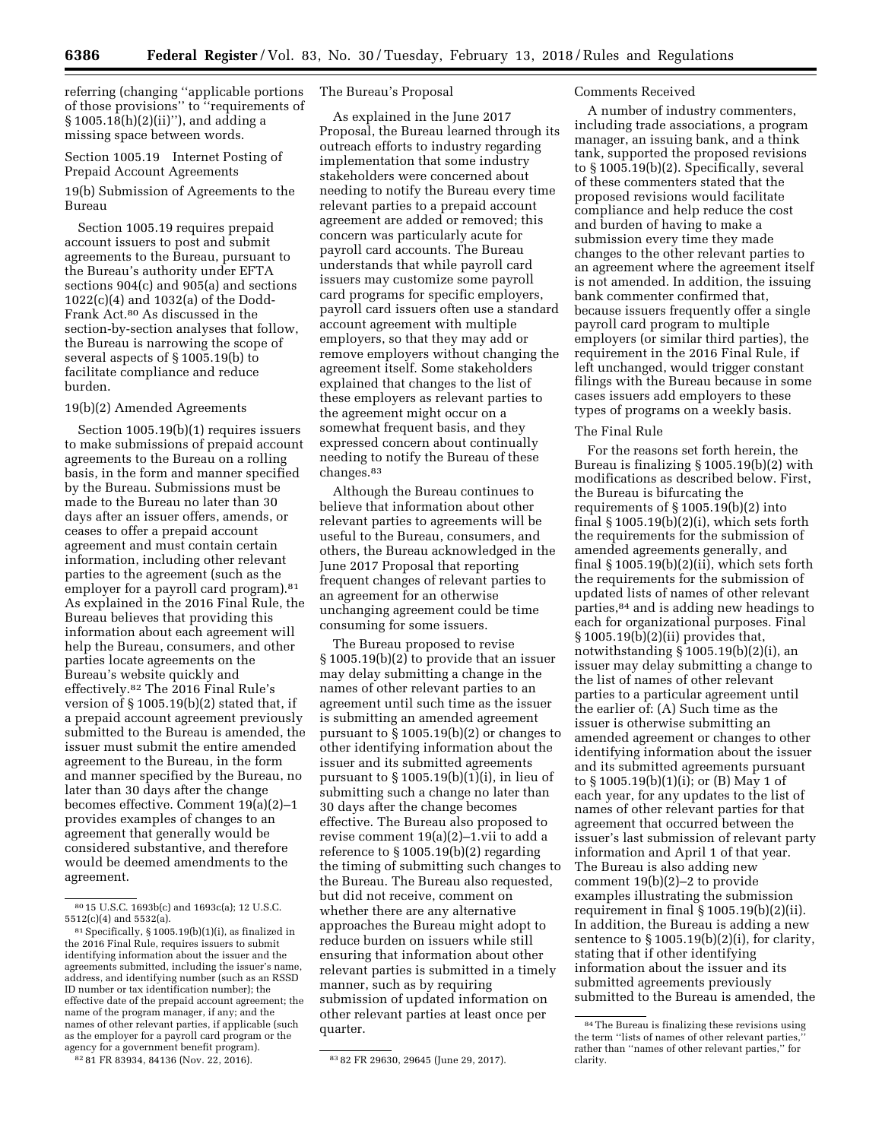referring (changing ''applicable portions of those provisions'' to ''requirements of § 1005.18(h)(2)(ii)''), and adding a missing space between words.

# Section 1005.19 Internet Posting of Prepaid Account Agreements 19(b) Submission of Agreements to the Bureau

Section 1005.19 requires prepaid account issuers to post and submit agreements to the Bureau, pursuant to the Bureau's authority under EFTA sections 904(c) and 905(a) and sections 1022(c)(4) and 1032(a) of the Dodd-Frank Act.80 As discussed in the section-by-section analyses that follow, the Bureau is narrowing the scope of several aspects of § 1005.19(b) to facilitate compliance and reduce burden.

### 19(b)(2) Amended Agreements

Section 1005.19(b)(1) requires issuers to make submissions of prepaid account agreements to the Bureau on a rolling basis, in the form and manner specified by the Bureau. Submissions must be made to the Bureau no later than 30 days after an issuer offers, amends, or ceases to offer a prepaid account agreement and must contain certain information, including other relevant parties to the agreement (such as the employer for a payroll card program).<sup>81</sup> As explained in the 2016 Final Rule, the Bureau believes that providing this information about each agreement will help the Bureau, consumers, and other parties locate agreements on the Bureau's website quickly and effectively.82 The 2016 Final Rule's version of § 1005.19(b)(2) stated that, if a prepaid account agreement previously submitted to the Bureau is amended, the issuer must submit the entire amended agreement to the Bureau, in the form and manner specified by the Bureau, no later than 30 days after the change becomes effective. Comment 19(a)(2)–1 provides examples of changes to an agreement that generally would be considered substantive, and therefore would be deemed amendments to the agreement.

82 81 FR 83934, 84136 (Nov. 22, 2016). 83 82 FR 29630, 29645 (June 29, 2017).

## The Bureau's Proposal

As explained in the June 2017 Proposal, the Bureau learned through its outreach efforts to industry regarding implementation that some industry stakeholders were concerned about needing to notify the Bureau every time relevant parties to a prepaid account agreement are added or removed; this concern was particularly acute for payroll card accounts. The Bureau understands that while payroll card issuers may customize some payroll card programs for specific employers, payroll card issuers often use a standard account agreement with multiple employers, so that they may add or remove employers without changing the agreement itself. Some stakeholders explained that changes to the list of these employers as relevant parties to the agreement might occur on a somewhat frequent basis, and they expressed concern about continually needing to notify the Bureau of these changes.83

Although the Bureau continues to believe that information about other relevant parties to agreements will be useful to the Bureau, consumers, and others, the Bureau acknowledged in the June 2017 Proposal that reporting frequent changes of relevant parties to an agreement for an otherwise unchanging agreement could be time consuming for some issuers.

The Bureau proposed to revise § 1005.19(b)(2) to provide that an issuer may delay submitting a change in the names of other relevant parties to an agreement until such time as the issuer is submitting an amended agreement pursuant to § 1005.19(b)(2) or changes to other identifying information about the issuer and its submitted agreements pursuant to § 1005.19(b)(1)(i), in lieu of submitting such a change no later than 30 days after the change becomes effective. The Bureau also proposed to revise comment 19(a)(2)–1.vii to add a reference to § 1005.19(b)(2) regarding the timing of submitting such changes to the Bureau. The Bureau also requested, but did not receive, comment on whether there are any alternative approaches the Bureau might adopt to reduce burden on issuers while still ensuring that information about other relevant parties is submitted in a timely manner, such as by requiring submission of updated information on other relevant parties at least once per quarter.

### Comments Received

A number of industry commenters, including trade associations, a program manager, an issuing bank, and a think tank, supported the proposed revisions to § 1005.19(b)(2). Specifically, several of these commenters stated that the proposed revisions would facilitate compliance and help reduce the cost and burden of having to make a submission every time they made changes to the other relevant parties to an agreement where the agreement itself is not amended. In addition, the issuing bank commenter confirmed that, because issuers frequently offer a single payroll card program to multiple employers (or similar third parties), the requirement in the 2016 Final Rule, if left unchanged, would trigger constant filings with the Bureau because in some cases issuers add employers to these types of programs on a weekly basis.

#### The Final Rule

For the reasons set forth herein, the Bureau is finalizing § 1005.19(b)(2) with modifications as described below. First, the Bureau is bifurcating the requirements of  $\S 1005.19(b)(2)$  into final  $\S 1005.19(b)(2)(i)$ , which sets forth the requirements for the submission of amended agreements generally, and final  $\S 1005.19(b)(2)(ii)$ , which sets forth the requirements for the submission of updated lists of names of other relevant parties,84 and is adding new headings to each for organizational purposes. Final § 1005.19(b)(2)(ii) provides that, notwithstanding § 1005.19(b)(2)(i), an issuer may delay submitting a change to the list of names of other relevant parties to a particular agreement until the earlier of: (A) Such time as the issuer is otherwise submitting an amended agreement or changes to other identifying information about the issuer and its submitted agreements pursuant to § 1005.19(b)(1)(i); or (B) May 1 of each year, for any updates to the list of names of other relevant parties for that agreement that occurred between the issuer's last submission of relevant party information and April 1 of that year. The Bureau is also adding new comment 19(b)(2)–2 to provide examples illustrating the submission requirement in final § 1005.19(b)(2)(ii). In addition, the Bureau is adding a new sentence to  $\S 1005.19(b)(2)(i)$ , for clarity, stating that if other identifying information about the issuer and its submitted agreements previously submitted to the Bureau is amended, the

<sup>80</sup> 15 U.S.C. 1693b(c) and 1693c(a); 12 U.S.C. 5512(c)(4) and 5532(a).

<sup>81</sup>Specifically, § 1005.19(b)(1)(i), as finalized in the 2016 Final Rule, requires issuers to submit identifying information about the issuer and the agreements submitted, including the issuer's name, address, and identifying number (such as an RSSD ID number or tax identification number); the effective date of the prepaid account agreement; the name of the program manager, if any; and the names of other relevant parties, if applicable (such as the employer for a payroll card program or the agency for a government benefit program).

<sup>84</sup>The Bureau is finalizing these revisions using the term "lists of names of other relevant parties, rather than ''names of other relevant parties,'' for clarity.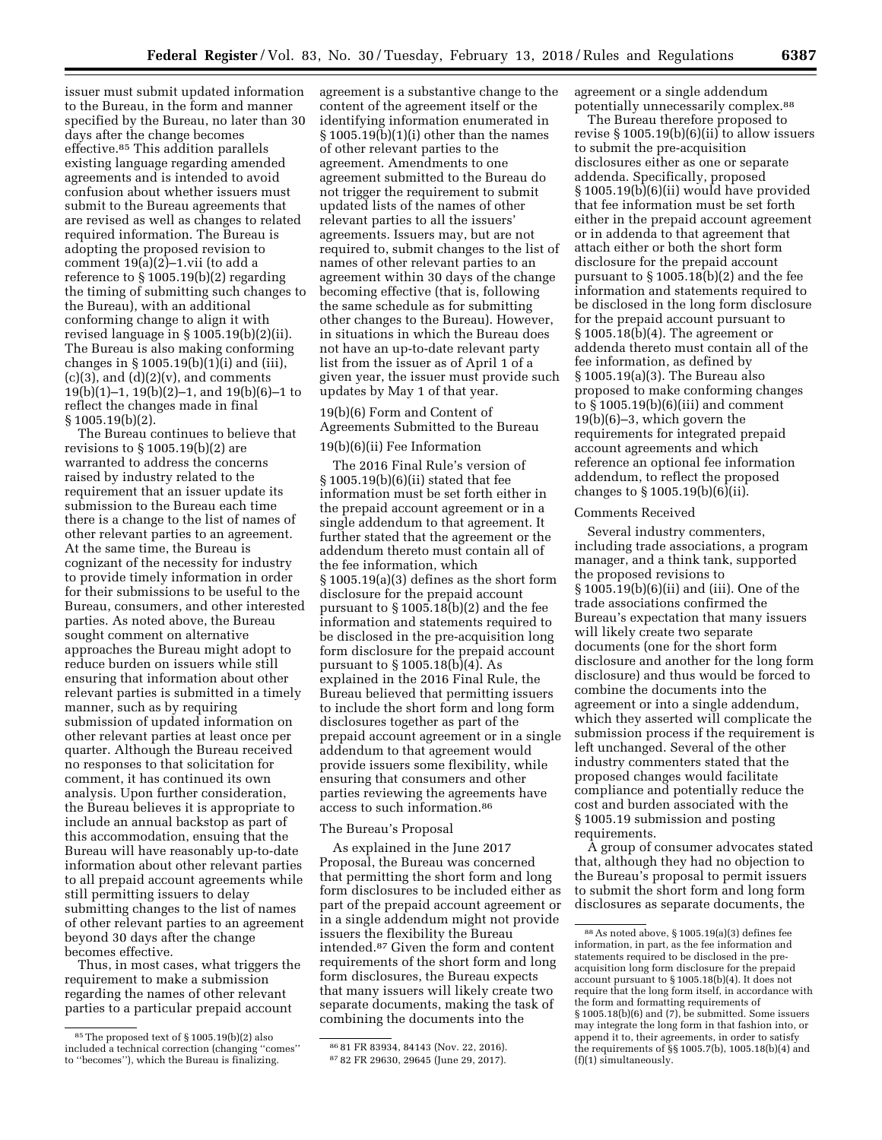issuer must submit updated information to the Bureau, in the form and manner specified by the Bureau, no later than 30 days after the change becomes effective.85 This addition parallels existing language regarding amended agreements and is intended to avoid confusion about whether issuers must submit to the Bureau agreements that are revised as well as changes to related required information. The Bureau is adopting the proposed revision to comment 19(a)(2)–1.vii (to add a reference to § 1005.19(b)(2) regarding the timing of submitting such changes to the Bureau), with an additional conforming change to align it with revised language in § 1005.19(b)(2)(ii). The Bureau is also making conforming changes in  $\S 1005.19(b)(1)(i)$  and (iii),  $(c)(3)$ , and  $(d)(2)(v)$ , and comments 19(b)(1)–1, 19(b)(2)–1, and 19(b)(6)–1 to reflect the changes made in final § 1005.19(b)(2).

The Bureau continues to believe that revisions to § 1005.19(b)(2) are warranted to address the concerns raised by industry related to the requirement that an issuer update its submission to the Bureau each time there is a change to the list of names of other relevant parties to an agreement. At the same time, the Bureau is cognizant of the necessity for industry to provide timely information in order for their submissions to be useful to the Bureau, consumers, and other interested parties. As noted above, the Bureau sought comment on alternative approaches the Bureau might adopt to reduce burden on issuers while still ensuring that information about other relevant parties is submitted in a timely manner, such as by requiring submission of updated information on other relevant parties at least once per quarter. Although the Bureau received no responses to that solicitation for comment, it has continued its own analysis. Upon further consideration, the Bureau believes it is appropriate to include an annual backstop as part of this accommodation, ensuing that the Bureau will have reasonably up-to-date information about other relevant parties to all prepaid account agreements while still permitting issuers to delay submitting changes to the list of names of other relevant parties to an agreement beyond 30 days after the change becomes effective.

Thus, in most cases, what triggers the requirement to make a submission regarding the names of other relevant parties to a particular prepaid account

agreement is a substantive change to the content of the agreement itself or the identifying information enumerated in § 1005.19(b)(1)(i) other than the names of other relevant parties to the agreement. Amendments to one agreement submitted to the Bureau do not trigger the requirement to submit updated lists of the names of other relevant parties to all the issuers' agreements. Issuers may, but are not required to, submit changes to the list of names of other relevant parties to an agreement within 30 days of the change becoming effective (that is, following the same schedule as for submitting other changes to the Bureau). However, in situations in which the Bureau does not have an up-to-date relevant party list from the issuer as of April 1 of a given year, the issuer must provide such updates by May 1 of that year.

# 19(b)(6) Form and Content of Agreements Submitted to the Bureau

## 19(b)(6)(ii) Fee Information

The 2016 Final Rule's version of § 1005.19(b)(6)(ii) stated that fee information must be set forth either in the prepaid account agreement or in a single addendum to that agreement. It further stated that the agreement or the addendum thereto must contain all of the fee information, which § 1005.19(a)(3) defines as the short form disclosure for the prepaid account pursuant to § 1005.18(b)(2) and the fee information and statements required to be disclosed in the pre-acquisition long form disclosure for the prepaid account pursuant to  $\S 1005.18(b)(4)$ . As explained in the 2016 Final Rule, the Bureau believed that permitting issuers to include the short form and long form disclosures together as part of the prepaid account agreement or in a single addendum to that agreement would provide issuers some flexibility, while ensuring that consumers and other parties reviewing the agreements have access to such information.86

### The Bureau's Proposal

As explained in the June 2017 Proposal, the Bureau was concerned that permitting the short form and long form disclosures to be included either as part of the prepaid account agreement or in a single addendum might not provide issuers the flexibility the Bureau intended.87 Given the form and content requirements of the short form and long form disclosures, the Bureau expects that many issuers will likely create two separate documents, making the task of combining the documents into the

agreement or a single addendum potentially unnecessarily complex.88

The Bureau therefore proposed to revise § 1005.19(b)(6)(ii) to allow issuers to submit the pre-acquisition disclosures either as one or separate addenda. Specifically, proposed § 1005.19(b)(6)(ii) would have provided that fee information must be set forth either in the prepaid account agreement or in addenda to that agreement that attach either or both the short form disclosure for the prepaid account pursuant to § 1005.18(b)(2) and the fee information and statements required to be disclosed in the long form disclosure for the prepaid account pursuant to § 1005.18(b)(4). The agreement or addenda thereto must contain all of the fee information, as defined by § 1005.19(a)(3). The Bureau also proposed to make conforming changes to  $\S 1005.19(b)(6)(iii)$  and comment 19(b)(6)–3, which govern the requirements for integrated prepaid account agreements and which reference an optional fee information addendum, to reflect the proposed changes to § 1005.19(b)(6)(ii).

### Comments Received

Several industry commenters, including trade associations, a program manager, and a think tank, supported the proposed revisions to § 1005.19(b)(6)(ii) and (iii). One of the trade associations confirmed the Bureau's expectation that many issuers will likely create two separate documents (one for the short form disclosure and another for the long form disclosure) and thus would be forced to combine the documents into the agreement or into a single addendum, which they asserted will complicate the submission process if the requirement is left unchanged. Several of the other industry commenters stated that the proposed changes would facilitate compliance and potentially reduce the cost and burden associated with the § 1005.19 submission and posting requirements.

A group of consumer advocates stated that, although they had no objection to the Bureau's proposal to permit issuers to submit the short form and long form disclosures as separate documents, the

<sup>85</sup>The proposed text of § 1005.19(b)(2) also included a technical correction (changing ''comes'' to ''becomes''), which the Bureau is finalizing.

<sup>86</sup> 81 FR 83934, 84143 (Nov. 22, 2016). 87 82 FR 29630, 29645 (June 29, 2017).

<sup>88</sup>As noted above, § 1005.19(a)(3) defines fee information, in part, as the fee information and statements required to be disclosed in the preacquisition long form disclosure for the prepaid account pursuant to § 1005.18(b)(4). It does not require that the long form itself, in accordance with the form and formatting requirements of § 1005.18(b)(6) and (7), be submitted. Some issuers may integrate the long form in that fashion into, or append it to, their agreements, in order to satisfy the requirements of §§ 1005.7(b), 1005.18(b)(4) and (f)(1) simultaneously.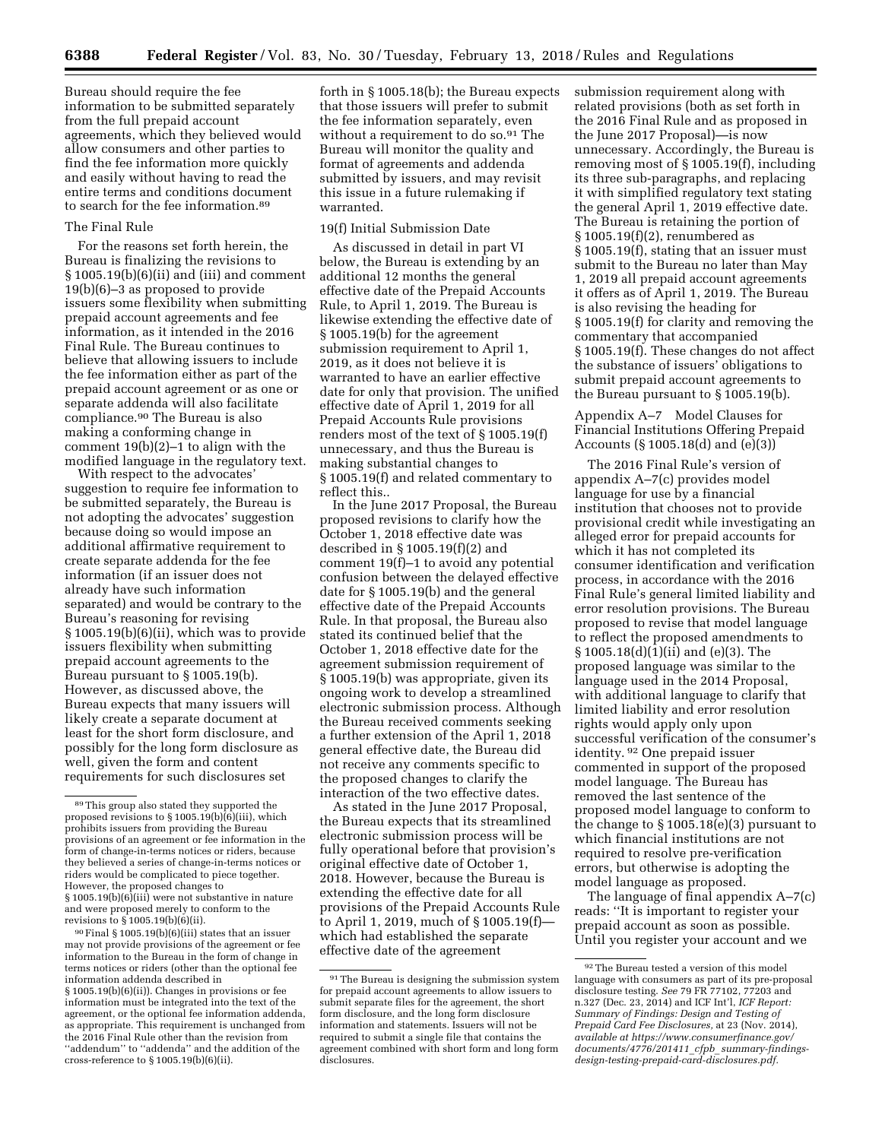Bureau should require the fee information to be submitted separately from the full prepaid account agreements, which they believed would allow consumers and other parties to find the fee information more quickly and easily without having to read the entire terms and conditions document to search for the fee information.89

## The Final Rule

For the reasons set forth herein, the Bureau is finalizing the revisions to § 1005.19(b)(6)(ii) and (iii) and comment 19(b)(6)–3 as proposed to provide issuers some flexibility when submitting prepaid account agreements and fee information, as it intended in the 2016 Final Rule. The Bureau continues to believe that allowing issuers to include the fee information either as part of the prepaid account agreement or as one or separate addenda will also facilitate compliance.90 The Bureau is also making a conforming change in comment 19(b)(2)–1 to align with the modified language in the regulatory text.

With respect to the advocates' suggestion to require fee information to be submitted separately, the Bureau is not adopting the advocates' suggestion because doing so would impose an additional affirmative requirement to create separate addenda for the fee information (if an issuer does not already have such information separated) and would be contrary to the Bureau's reasoning for revising § 1005.19(b)(6)(ii), which was to provide issuers flexibility when submitting prepaid account agreements to the Bureau pursuant to § 1005.19(b). However, as discussed above, the Bureau expects that many issuers will likely create a separate document at least for the short form disclosure, and possibly for the long form disclosure as well, given the form and content requirements for such disclosures set

90Final § 1005.19(b)(6)(iii) states that an issuer may not provide provisions of the agreement or fee information to the Bureau in the form of change in terms notices or riders (other than the optional fee information addenda described in § 1005.19(b)(6)(ii)). Changes in provisions or fee information must be integrated into the text of the agreement, or the optional fee information addenda, as appropriate. This requirement is unchanged from the 2016 Final Rule other than the revision from "addendum" to "addenda" and the addition of the cross-reference to § 1005.19(b)(6)(ii).

forth in § 1005.18(b); the Bureau expects that those issuers will prefer to submit the fee information separately, even without a requirement to do so.<sup>91</sup> The Bureau will monitor the quality and format of agreements and addenda submitted by issuers, and may revisit this issue in a future rulemaking if warranted.

# 19(f) Initial Submission Date

As discussed in detail in part VI below, the Bureau is extending by an additional 12 months the general effective date of the Prepaid Accounts Rule, to April 1, 2019. The Bureau is likewise extending the effective date of § 1005.19(b) for the agreement submission requirement to April 1, 2019, as it does not believe it is warranted to have an earlier effective date for only that provision. The unified effective date of April 1, 2019 for all Prepaid Accounts Rule provisions renders most of the text of § 1005.19(f) unnecessary, and thus the Bureau is making substantial changes to § 1005.19(f) and related commentary to reflect this..

In the June 2017 Proposal, the Bureau proposed revisions to clarify how the October 1, 2018 effective date was described in § 1005.19(f)(2) and comment 19(f)–1 to avoid any potential confusion between the delayed effective date for § 1005.19(b) and the general effective date of the Prepaid Accounts Rule. In that proposal, the Bureau also stated its continued belief that the October 1, 2018 effective date for the agreement submission requirement of § 1005.19(b) was appropriate, given its ongoing work to develop a streamlined electronic submission process. Although the Bureau received comments seeking a further extension of the April 1, 2018 general effective date, the Bureau did not receive any comments specific to the proposed changes to clarify the interaction of the two effective dates.

As stated in the June 2017 Proposal, the Bureau expects that its streamlined electronic submission process will be fully operational before that provision's original effective date of October 1, 2018. However, because the Bureau is extending the effective date for all provisions of the Prepaid Accounts Rule to April 1, 2019, much of § 1005.19(f) which had established the separate effective date of the agreement

submission requirement along with related provisions (both as set forth in the 2016 Final Rule and as proposed in the June 2017 Proposal)—is now unnecessary. Accordingly, the Bureau is removing most of § 1005.19(f), including its three sub-paragraphs, and replacing it with simplified regulatory text stating the general April 1, 2019 effective date. The Bureau is retaining the portion of § 1005.19(f)(2), renumbered as § 1005.19(f), stating that an issuer must submit to the Bureau no later than May 1, 2019 all prepaid account agreements it offers as of April 1, 2019. The Bureau is also revising the heading for § 1005.19(f) for clarity and removing the commentary that accompanied § 1005.19(f). These changes do not affect the substance of issuers' obligations to submit prepaid account agreements to the Bureau pursuant to § 1005.19(b).

Appendix A–7 Model Clauses for Financial Institutions Offering Prepaid Accounts (§ 1005.18(d) and (e)(3))

The 2016 Final Rule's version of appendix A–7(c) provides model language for use by a financial institution that chooses not to provide provisional credit while investigating an alleged error for prepaid accounts for which it has not completed its consumer identification and verification process, in accordance with the 2016 Final Rule's general limited liability and error resolution provisions. The Bureau proposed to revise that model language to reflect the proposed amendments to § 1005.18(d)(1)(ii) and (e)(3). The proposed language was similar to the language used in the 2014 Proposal, with additional language to clarify that limited liability and error resolution rights would apply only upon successful verification of the consumer's identity. 92 One prepaid issuer commented in support of the proposed model language. The Bureau has removed the last sentence of the proposed model language to conform to the change to § 1005.18(e)(3) pursuant to which financial institutions are not required to resolve pre-verification errors, but otherwise is adopting the model language as proposed.

The language of final appendix A–7(c) reads: ''It is important to register your prepaid account as soon as possible. Until you register your account and we

<sup>89</sup>This group also stated they supported the proposed revisions to § 1005.19(b)(6)(iii), which prohibits issuers from providing the Bureau provisions of an agreement or fee information in the form of change-in-terms notices or riders, because they believed a series of change-in-terms notices or riders would be complicated to piece together. However, the proposed changes to § 1005.19(b)(6)(iii) were not substantive in nature and were proposed merely to conform to the revisions to § 1005.19(b)(6)(ii).

<sup>91</sup>The Bureau is designing the submission system for prepaid account agreements to allow issuers to submit separate files for the agreement, the short form disclosure, and the long form disclosure information and statements. Issuers will not be required to submit a single file that contains the agreement combined with short form and long form disclosures.

<sup>92</sup>The Bureau tested a version of this model language with consumers as part of its pre-proposal disclosure testing. *See* 79 FR 77102, 77203 and n.327 (Dec. 23, 2014) and ICF Int'l, *ICF Report: Summary of Findings: Design and Testing of Prepaid Card Fee Disclosures,* at 23 (Nov. 2014), *available at [https://www.consumerfinance.gov/](https://www.consumerfinance.gov/documents/4776/201411_cfpb_summary-findings-design-testing-prepaid-card-disclosures.pdf) [documents/4776/201411](https://www.consumerfinance.gov/documents/4776/201411_cfpb_summary-findings-design-testing-prepaid-card-disclosures.pdf)*\_*cfpb*\_ *summary-findings[design-testing-prepaid-card-disclosures.pdf.](https://www.consumerfinance.gov/documents/4776/201411_cfpb_summary-findings-design-testing-prepaid-card-disclosures.pdf)*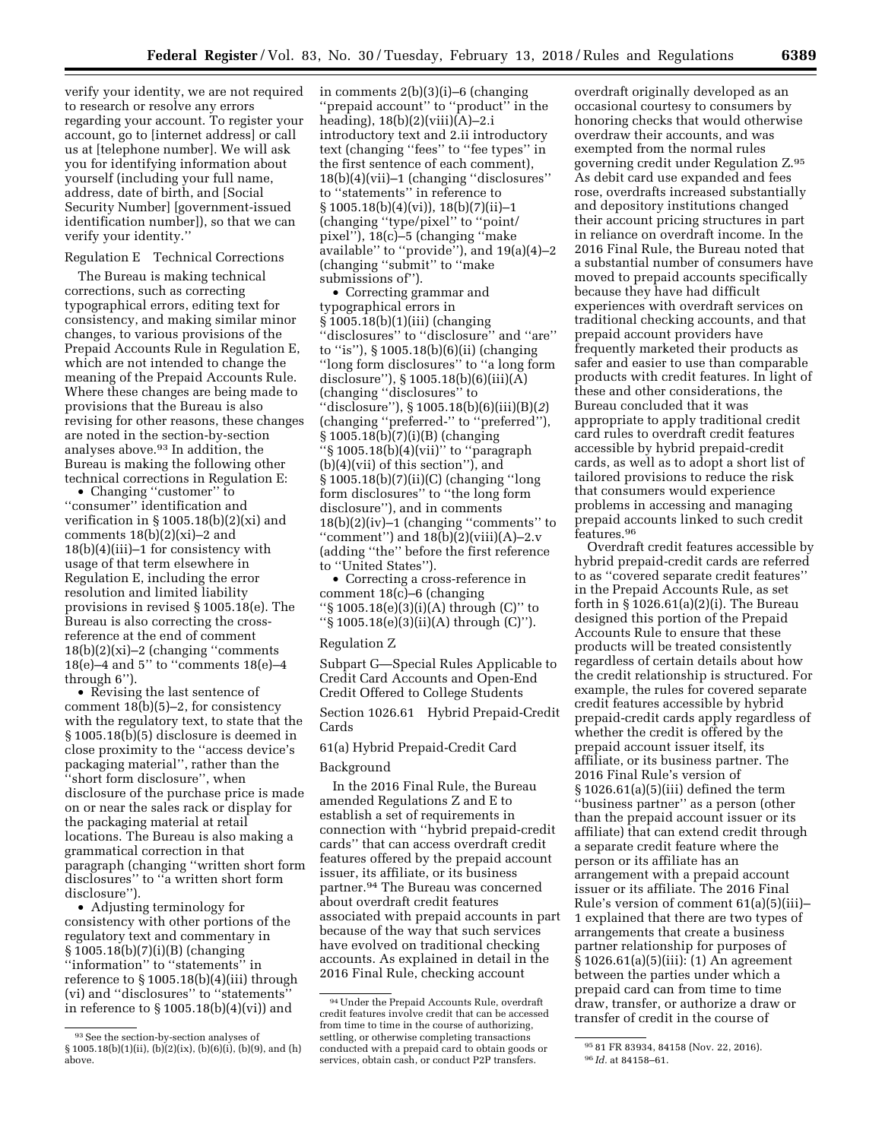verify your identity, we are not required to research or resolve any errors regarding your account. To register your account, go to [internet address] or call us at [telephone number]. We will ask you for identifying information about yourself (including your full name, address, date of birth, and [Social Security Number] [government-issued identification number]), so that we can verify your identity.''

# Regulation E Technical Corrections

The Bureau is making technical corrections, such as correcting typographical errors, editing text for consistency, and making similar minor changes, to various provisions of the Prepaid Accounts Rule in Regulation E, which are not intended to change the meaning of the Prepaid Accounts Rule. Where these changes are being made to provisions that the Bureau is also revising for other reasons, these changes are noted in the section-by-section analyses above.93 In addition, the Bureau is making the following other technical corrections in Regulation E:

• Changing "customer" to ''consumer'' identification and verification in § 1005.18(b)(2)(xi) and comments  $18(b)(2)(xi)-2$  and 18(b)(4)(iii)–1 for consistency with usage of that term elsewhere in Regulation E, including the error resolution and limited liability provisions in revised § 1005.18(e). The Bureau is also correcting the crossreference at the end of comment  $18(b)(2)(xi)-2$  (changing "comments") 18(e)–4 and 5" to "comments  $18(e)$ –4 through 6'').

• Revising the last sentence of comment 18(b)(5)–2, for consistency with the regulatory text, to state that the § 1005.18(b)(5) disclosure is deemed in close proximity to the ''access device's packaging material'', rather than the ''short form disclosure'', when disclosure of the purchase price is made on or near the sales rack or display for the packaging material at retail locations. The Bureau is also making a grammatical correction in that paragraph (changing ''written short form disclosures'' to ''a written short form disclosure'').

• Adjusting terminology for consistency with other portions of the regulatory text and commentary in § 1005.18(b)(7)(i)(B) (changing ''information'' to ''statements'' in reference to § 1005.18(b)(4)(iii) through (vi) and ''disclosures'' to ''statements'' in reference to  $\S 1005.18(b)(4)(vi)$  and

in comments 2(b)(3)(i)–6 (changing ''prepaid account'' to ''product'' in the heading),  $18(b)(2)(viii)(A)-2.i$ introductory text and 2.ii introductory text (changing ''fees'' to ''fee types'' in the first sentence of each comment), 18(b)(4)(vii)–1 (changing ''disclosures'' to ''statements'' in reference to  $\S 1005.18(b)(4)(vi)$ ,  $18(b)(7)(ii) - 1$ (changing ''type/pixel'' to ''point/ pixel''), 18(c)–5 (changing ''make available'' to ''provide''), and 19(a)(4)–2 (changing ''submit'' to ''make submissions of'').

• Correcting grammar and typographical errors in § 1005.18(b)(1)(iii) (changing ''disclosures'' to ''disclosure'' and ''are'' to ''is''), § 1005.18(b)(6)(ii) (changing ''long form disclosures'' to ''a long form disclosure''), § 1005.18(b)(6)(iii)(A) (changing ''disclosures'' to ''disclosure''), § 1005.18(b)(6)(iii)(B)(*2*) (changing ''preferred-'' to ''preferred''), § 1005.18(b)(7)(i)(B) (changing ''§ 1005.18(b)(4)(vii)'' to ''paragraph (b)(4)(vii) of this section''), and § 1005.18(b)(7)(ii)(C) (changing ''long form disclosures'' to ''the long form disclosure''), and in comments  $18(b)(2)(iv) - 1$  (changing "comments" to "comment") and  $18(b)(2)(viii)(A)-2.v$ (adding ''the'' before the first reference to ''United States'').

• Correcting a cross-reference in comment 18(c)–6 (changing ''§ 1005.18(e)(3)(i)(A) through (C)'' to ''§ 1005.18(e)(3)(ii)(A) through (C)'').

#### Regulation Z

Subpart G—Special Rules Applicable to Credit Card Accounts and Open-End Credit Offered to College Students

Section 1026.61 Hybrid Prepaid-Credit Cards

61(a) Hybrid Prepaid-Credit Card

#### Background

In the 2016 Final Rule, the Bureau amended Regulations Z and E to establish a set of requirements in connection with ''hybrid prepaid-credit cards'' that can access overdraft credit features offered by the prepaid account issuer, its affiliate, or its business partner.94 The Bureau was concerned about overdraft credit features associated with prepaid accounts in part because of the way that such services have evolved on traditional checking accounts. As explained in detail in the 2016 Final Rule, checking account

overdraft originally developed as an occasional courtesy to consumers by honoring checks that would otherwise overdraw their accounts, and was exempted from the normal rules governing credit under Regulation Z.95 As debit card use expanded and fees rose, overdrafts increased substantially and depository institutions changed their account pricing structures in part in reliance on overdraft income. In the 2016 Final Rule, the Bureau noted that a substantial number of consumers have moved to prepaid accounts specifically because they have had difficult experiences with overdraft services on traditional checking accounts, and that prepaid account providers have frequently marketed their products as safer and easier to use than comparable products with credit features. In light of these and other considerations, the Bureau concluded that it was appropriate to apply traditional credit card rules to overdraft credit features accessible by hybrid prepaid-credit cards, as well as to adopt a short list of tailored provisions to reduce the risk that consumers would experience problems in accessing and managing prepaid accounts linked to such credit features.96

Overdraft credit features accessible by hybrid prepaid-credit cards are referred to as ''covered separate credit features'' in the Prepaid Accounts Rule, as set forth in § 1026.61(a)(2)(i). The Bureau designed this portion of the Prepaid Accounts Rule to ensure that these products will be treated consistently regardless of certain details about how the credit relationship is structured. For example, the rules for covered separate credit features accessible by hybrid prepaid-credit cards apply regardless of whether the credit is offered by the prepaid account issuer itself, its affiliate, or its business partner. The 2016 Final Rule's version of § 1026.61(a)(5)(iii) defined the term ''business partner'' as a person (other than the prepaid account issuer or its affiliate) that can extend credit through a separate credit feature where the person or its affiliate has an arrangement with a prepaid account issuer or its affiliate. The 2016 Final Rule's version of comment 61(a)(5)(iii)– 1 explained that there are two types of arrangements that create a business partner relationship for purposes of § 1026.61(a)(5)(iii): (1) An agreement between the parties under which a prepaid card can from time to time draw, transfer, or authorize a draw or transfer of credit in the course of

<sup>93</sup>See the section-by-section analyses of § 1005.18(b)(1)(ii), (b)(2)(ix), (b)(6)(i), (b)(9), and (h) above.

<sup>94</sup>Under the Prepaid Accounts Rule, overdraft credit features involve credit that can be accessed from time to time in the course of authorizing, settling, or otherwise completing transactions conducted with a prepaid card to obtain goods or services, obtain cash, or conduct P2P transfers.

<sup>95 81</sup> FR 83934, 84158 (Nov. 22, 2016). 96 *Id.* at 84158–61.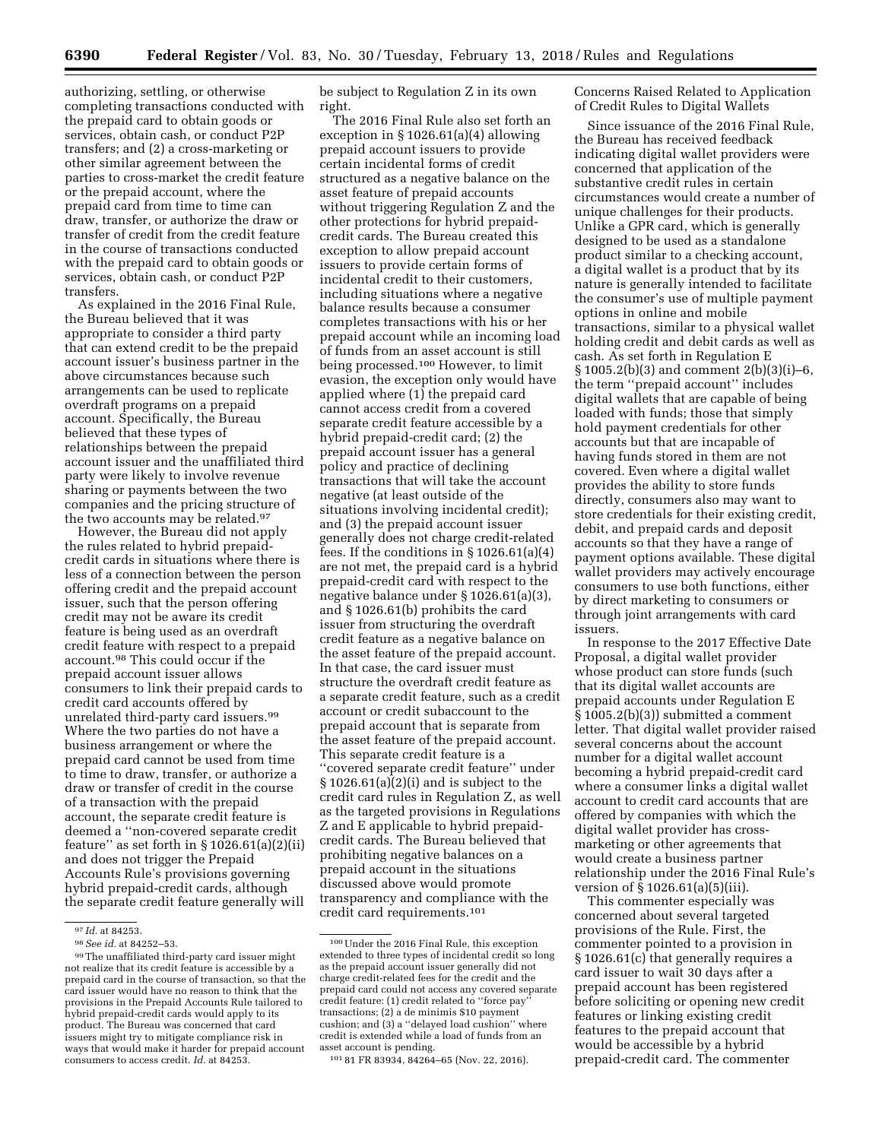authorizing, settling, or otherwise completing transactions conducted with the prepaid card to obtain goods or services, obtain cash, or conduct P2P transfers; and (2) a cross-marketing or other similar agreement between the parties to cross-market the credit feature or the prepaid account, where the prepaid card from time to time can draw, transfer, or authorize the draw or transfer of credit from the credit feature in the course of transactions conducted with the prepaid card to obtain goods or services, obtain cash, or conduct P2P transfers.

As explained in the 2016 Final Rule, the Bureau believed that it was appropriate to consider a third party that can extend credit to be the prepaid account issuer's business partner in the above circumstances because such arrangements can be used to replicate overdraft programs on a prepaid account. Specifically, the Bureau believed that these types of relationships between the prepaid account issuer and the unaffiliated third party were likely to involve revenue sharing or payments between the two companies and the pricing structure of the two accounts may be related.97

However, the Bureau did not apply the rules related to hybrid prepaidcredit cards in situations where there is less of a connection between the person offering credit and the prepaid account issuer, such that the person offering credit may not be aware its credit feature is being used as an overdraft credit feature with respect to a prepaid account.98 This could occur if the prepaid account issuer allows consumers to link their prepaid cards to credit card accounts offered by unrelated third-party card issuers.99 Where the two parties do not have a business arrangement or where the prepaid card cannot be used from time to time to draw, transfer, or authorize a draw or transfer of credit in the course of a transaction with the prepaid account, the separate credit feature is deemed a ''non-covered separate credit feature" as set forth in  $\S 1026.61(a)(2)(ii)$ and does not trigger the Prepaid Accounts Rule's provisions governing hybrid prepaid-credit cards, although the separate credit feature generally will

be subject to Regulation Z in its own right.

The 2016 Final Rule also set forth an exception in § 1026.61(a)(4) allowing prepaid account issuers to provide certain incidental forms of credit structured as a negative balance on the asset feature of prepaid accounts without triggering Regulation Z and the other protections for hybrid prepaidcredit cards. The Bureau created this exception to allow prepaid account issuers to provide certain forms of incidental credit to their customers, including situations where a negative balance results because a consumer completes transactions with his or her prepaid account while an incoming load of funds from an asset account is still being processed.100 However, to limit evasion, the exception only would have applied where (1) the prepaid card cannot access credit from a covered separate credit feature accessible by a hybrid prepaid-credit card; (2) the prepaid account issuer has a general policy and practice of declining transactions that will take the account negative (at least outside of the situations involving incidental credit); and (3) the prepaid account issuer generally does not charge credit-related fees. If the conditions in § 1026.61(a)(4) are not met, the prepaid card is a hybrid prepaid-credit card with respect to the negative balance under § 1026.61(a)(3), and § 1026.61(b) prohibits the card issuer from structuring the overdraft credit feature as a negative balance on the asset feature of the prepaid account. In that case, the card issuer must structure the overdraft credit feature as a separate credit feature, such as a credit account or credit subaccount to the prepaid account that is separate from the asset feature of the prepaid account. This separate credit feature is a ''covered separate credit feature'' under  $§ 1026.61(a)(2)(i)$  and is subject to the credit card rules in Regulation Z, as well as the targeted provisions in Regulations Z and E applicable to hybrid prepaidcredit cards. The Bureau believed that prohibiting negative balances on a prepaid account in the situations discussed above would promote transparency and compliance with the credit card requirements.101

Concerns Raised Related to Application of Credit Rules to Digital Wallets

Since issuance of the 2016 Final Rule, the Bureau has received feedback indicating digital wallet providers were concerned that application of the substantive credit rules in certain circumstances would create a number of unique challenges for their products. Unlike a GPR card, which is generally designed to be used as a standalone product similar to a checking account, a digital wallet is a product that by its nature is generally intended to facilitate the consumer's use of multiple payment options in online and mobile transactions, similar to a physical wallet holding credit and debit cards as well as cash. As set forth in Regulation E § 1005.2(b)(3) and comment 2(b)(3)(i)–6, the term ''prepaid account'' includes digital wallets that are capable of being loaded with funds; those that simply hold payment credentials for other accounts but that are incapable of having funds stored in them are not covered. Even where a digital wallet provides the ability to store funds directly, consumers also may want to store credentials for their existing credit, debit, and prepaid cards and deposit accounts so that they have a range of payment options available. These digital wallet providers may actively encourage consumers to use both functions, either by direct marketing to consumers or through joint arrangements with card issuers.

In response to the 2017 Effective Date Proposal, a digital wallet provider whose product can store funds (such that its digital wallet accounts are prepaid accounts under Regulation E § 1005.2(b)(3)) submitted a comment letter. That digital wallet provider raised several concerns about the account number for a digital wallet account becoming a hybrid prepaid-credit card where a consumer links a digital wallet account to credit card accounts that are offered by companies with which the digital wallet provider has crossmarketing or other agreements that would create a business partner relationship under the 2016 Final Rule's version of § 1026.61(a)(5)(iii).

This commenter especially was concerned about several targeted provisions of the Rule. First, the commenter pointed to a provision in § 1026.61(c) that generally requires a card issuer to wait 30 days after a prepaid account has been registered before soliciting or opening new credit features or linking existing credit features to the prepaid account that would be accessible by a hybrid prepaid-credit card. The commenter

<sup>97</sup> *Id.* at 84253.

<sup>98</sup>*See id.* at 84252–53.

<sup>99</sup>The unaffiliated third-party card issuer might not realize that its credit feature is accessible by a prepaid card in the course of transaction, so that the card issuer would have no reason to think that the provisions in the Prepaid Accounts Rule tailored to hybrid prepaid-credit cards would apply to its product. The Bureau was concerned that card issuers might try to mitigate compliance risk in ways that would make it harder for prepaid account consumers to access credit. *Id.* at 84253.

<sup>100</sup>Under the 2016 Final Rule, this exception extended to three types of incidental credit so long as the prepaid account issuer generally did not charge credit-related fees for the credit and the prepaid card could not access any covered separate credit feature: (1) credit related to ''force pay'' transactions; (2) a de minimis \$10 payment cushion; and (3) a ''delayed load cushion'' where credit is extended while a load of funds from an asset account is pending.

<sup>101</sup> 81 FR 83934, 84264–65 (Nov. 22, 2016).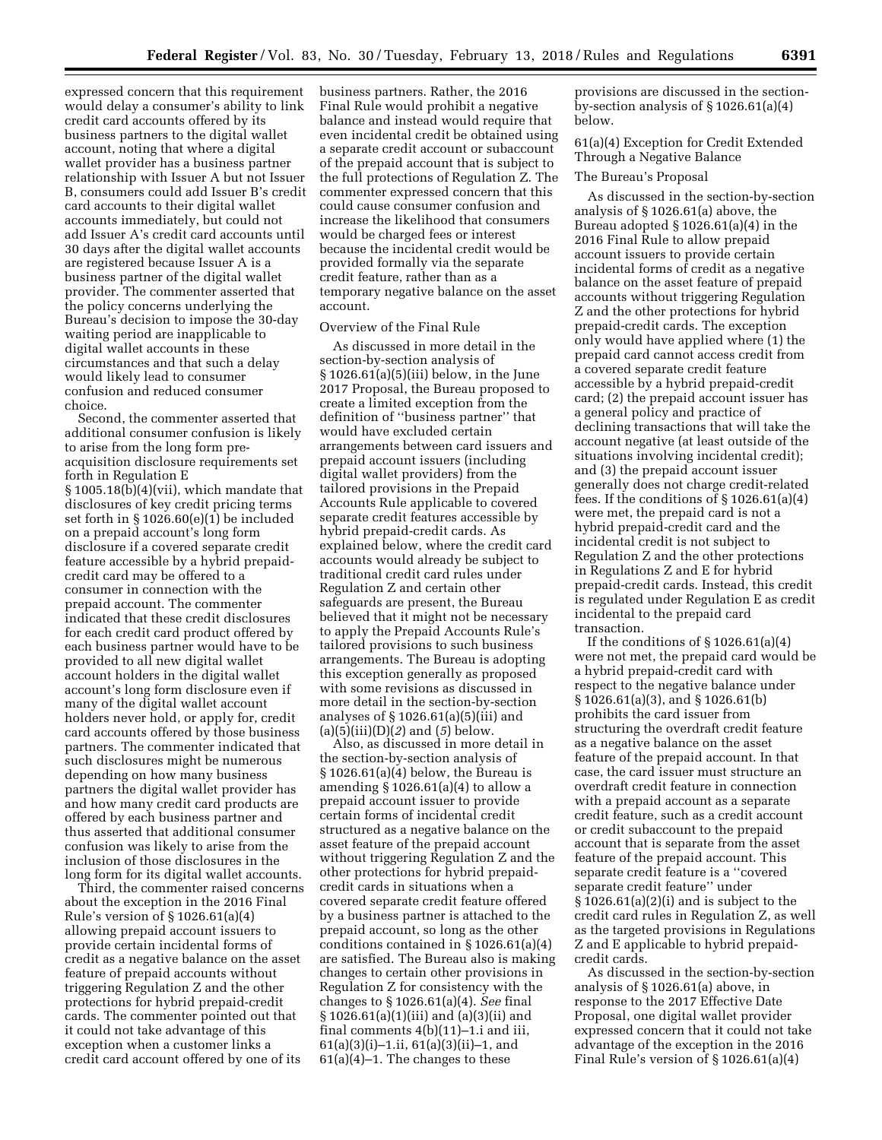expressed concern that this requirement would delay a consumer's ability to link credit card accounts offered by its business partners to the digital wallet account, noting that where a digital wallet provider has a business partner relationship with Issuer A but not Issuer B, consumers could add Issuer B's credit card accounts to their digital wallet accounts immediately, but could not add Issuer A's credit card accounts until 30 days after the digital wallet accounts are registered because Issuer A is a business partner of the digital wallet provider. The commenter asserted that the policy concerns underlying the Bureau's decision to impose the 30-day waiting period are inapplicable to digital wallet accounts in these circumstances and that such a delay would likely lead to consumer confusion and reduced consumer choice.

Second, the commenter asserted that additional consumer confusion is likely to arise from the long form preacquisition disclosure requirements set forth in Regulation E § 1005.18(b)(4)(vii), which mandate that disclosures of key credit pricing terms set forth in § 1026.60(e)(1) be included on a prepaid account's long form disclosure if a covered separate credit feature accessible by a hybrid prepaidcredit card may be offered to a consumer in connection with the prepaid account. The commenter indicated that these credit disclosures for each credit card product offered by each business partner would have to be provided to all new digital wallet account holders in the digital wallet account's long form disclosure even if many of the digital wallet account holders never hold, or apply for, credit card accounts offered by those business partners. The commenter indicated that such disclosures might be numerous depending on how many business partners the digital wallet provider has and how many credit card products are offered by each business partner and thus asserted that additional consumer confusion was likely to arise from the inclusion of those disclosures in the long form for its digital wallet accounts.

Third, the commenter raised concerns about the exception in the 2016 Final Rule's version of § 1026.61(a)(4) allowing prepaid account issuers to provide certain incidental forms of credit as a negative balance on the asset feature of prepaid accounts without triggering Regulation Z and the other protections for hybrid prepaid-credit cards. The commenter pointed out that it could not take advantage of this exception when a customer links a credit card account offered by one of its

business partners. Rather, the 2016 Final Rule would prohibit a negative balance and instead would require that even incidental credit be obtained using a separate credit account or subaccount of the prepaid account that is subject to the full protections of Regulation Z. The commenter expressed concern that this could cause consumer confusion and increase the likelihood that consumers would be charged fees or interest because the incidental credit would be provided formally via the separate credit feature, rather than as a temporary negative balance on the asset account.

## Overview of the Final Rule

As discussed in more detail in the section-by-section analysis of § 1026.61(a)(5)(iii) below, in the June 2017 Proposal, the Bureau proposed to create a limited exception from the definition of ''business partner'' that would have excluded certain arrangements between card issuers and prepaid account issuers (including digital wallet providers) from the tailored provisions in the Prepaid Accounts Rule applicable to covered separate credit features accessible by hybrid prepaid-credit cards. As explained below, where the credit card accounts would already be subject to traditional credit card rules under Regulation Z and certain other safeguards are present, the Bureau believed that it might not be necessary to apply the Prepaid Accounts Rule's tailored provisions to such business arrangements. The Bureau is adopting this exception generally as proposed with some revisions as discussed in more detail in the section-by-section analyses of  $\S 1026.61(a)(5)(iii)$  and (a)(5)(iii)(D)(*2*) and (*5*) below.

Also, as discussed in more detail in the section-by-section analysis of § 1026.61(a)(4) below, the Bureau is amending  $\S 1026.61(a)(4)$  to allow a prepaid account issuer to provide certain forms of incidental credit structured as a negative balance on the asset feature of the prepaid account without triggering Regulation Z and the other protections for hybrid prepaidcredit cards in situations when a covered separate credit feature offered by a business partner is attached to the prepaid account, so long as the other conditions contained in § 1026.61(a)(4) are satisfied. The Bureau also is making changes to certain other provisions in Regulation Z for consistency with the changes to § 1026.61(a)(4). *See* final § 1026.61(a)(1)(iii) and (a)(3)(ii) and final comments 4(b)(11)–1.i and iii, 61(a)(3)(i)–1.ii, 61(a)(3)(ii)–1, and  $61(a)(4)-1$ . The changes to these

provisions are discussed in the sectionby-section analysis of § 1026.61(a)(4) below.

61(a)(4) Exception for Credit Extended Through a Negative Balance

#### The Bureau's Proposal

As discussed in the section-by-section analysis of § 1026.61(a) above, the Bureau adopted § 1026.61(a)(4) in the 2016 Final Rule to allow prepaid account issuers to provide certain incidental forms of credit as a negative balance on the asset feature of prepaid accounts without triggering Regulation Z and the other protections for hybrid prepaid-credit cards. The exception only would have applied where (1) the prepaid card cannot access credit from a covered separate credit feature accessible by a hybrid prepaid-credit card; (2) the prepaid account issuer has a general policy and practice of declining transactions that will take the account negative (at least outside of the situations involving incidental credit); and (3) the prepaid account issuer generally does not charge credit-related fees. If the conditions of § 1026.61(a)(4) were met, the prepaid card is not a hybrid prepaid-credit card and the incidental credit is not subject to Regulation Z and the other protections in Regulations Z and E for hybrid prepaid-credit cards. Instead, this credit is regulated under Regulation E as credit incidental to the prepaid card transaction.

If the conditions of  $\S 1026.61(a)(4)$ were not met, the prepaid card would be a hybrid prepaid-credit card with respect to the negative balance under § 1026.61(a)(3), and § 1026.61(b) prohibits the card issuer from structuring the overdraft credit feature as a negative balance on the asset feature of the prepaid account. In that case, the card issuer must structure an overdraft credit feature in connection with a prepaid account as a separate credit feature, such as a credit account or credit subaccount to the prepaid account that is separate from the asset feature of the prepaid account. This separate credit feature is a ''covered separate credit feature'' under § 1026.61(a)(2)(i) and is subject to the credit card rules in Regulation Z, as well as the targeted provisions in Regulations Z and E applicable to hybrid prepaidcredit cards.

As discussed in the section-by-section analysis of § 1026.61(a) above, in response to the 2017 Effective Date Proposal, one digital wallet provider expressed concern that it could not take advantage of the exception in the 2016 Final Rule's version of § 1026.61(a)(4)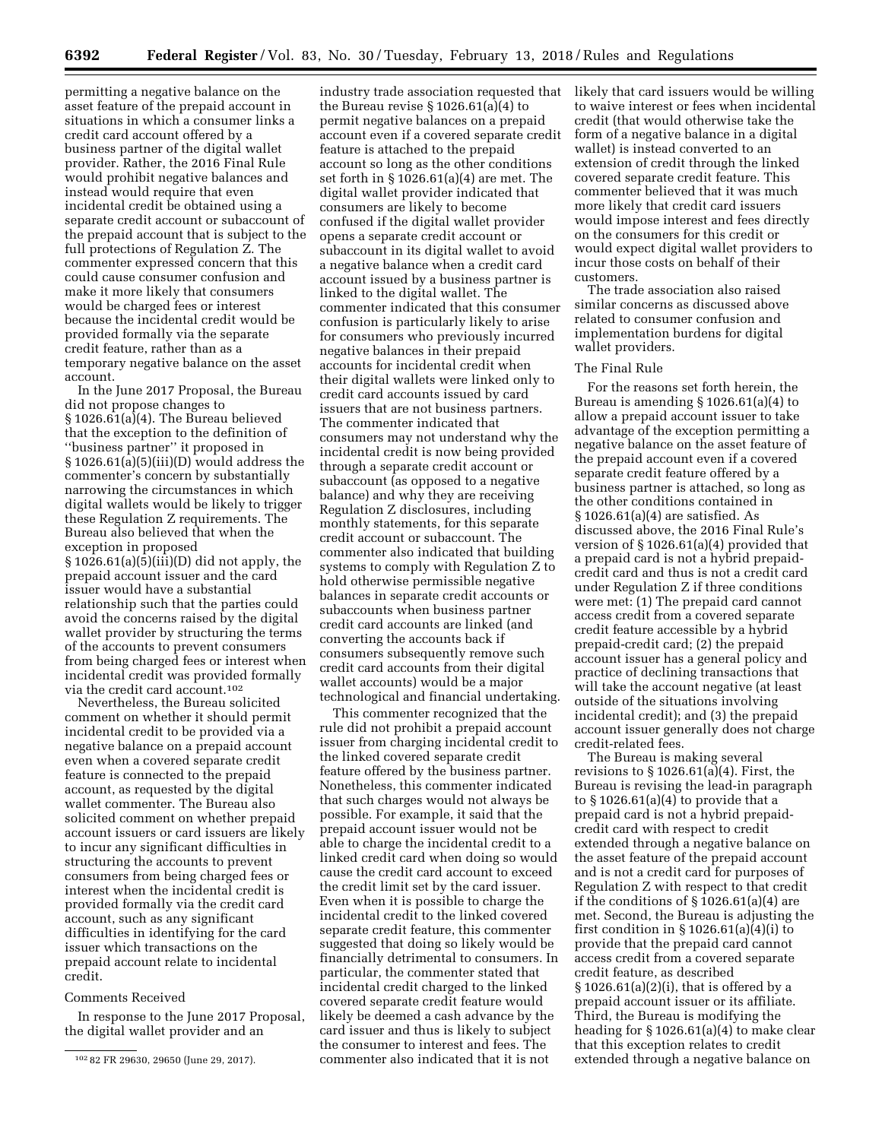permitting a negative balance on the asset feature of the prepaid account in situations in which a consumer links a credit card account offered by a business partner of the digital wallet provider. Rather, the 2016 Final Rule would prohibit negative balances and instead would require that even incidental credit be obtained using a separate credit account or subaccount of the prepaid account that is subject to the full protections of Regulation Z. The commenter expressed concern that this could cause consumer confusion and make it more likely that consumers would be charged fees or interest because the incidental credit would be provided formally via the separate credit feature, rather than as a temporary negative balance on the asset account.

In the June 2017 Proposal, the Bureau did not propose changes to § 1026.61(a)(4). The Bureau believed that the exception to the definition of ''business partner'' it proposed in § 1026.61(a)(5)(iii)(D) would address the commenter's concern by substantially narrowing the circumstances in which digital wallets would be likely to trigger these Regulation Z requirements. The Bureau also believed that when the exception in proposed § 1026.61(a)(5)(iii)(D) did not apply, the prepaid account issuer and the card issuer would have a substantial relationship such that the parties could avoid the concerns raised by the digital wallet provider by structuring the terms of the accounts to prevent consumers from being charged fees or interest when incidental credit was provided formally via the credit card account.102

Nevertheless, the Bureau solicited comment on whether it should permit incidental credit to be provided via a negative balance on a prepaid account even when a covered separate credit feature is connected to the prepaid account, as requested by the digital wallet commenter. The Bureau also solicited comment on whether prepaid account issuers or card issuers are likely to incur any significant difficulties in structuring the accounts to prevent consumers from being charged fees or interest when the incidental credit is provided formally via the credit card account, such as any significant difficulties in identifying for the card issuer which transactions on the prepaid account relate to incidental credit.

### Comments Received

In response to the June 2017 Proposal, the digital wallet provider and an

industry trade association requested that the Bureau revise § 1026.61(a)(4) to permit negative balances on a prepaid account even if a covered separate credit feature is attached to the prepaid account so long as the other conditions set forth in § 1026.61(a)(4) are met. The digital wallet provider indicated that consumers are likely to become confused if the digital wallet provider opens a separate credit account or subaccount in its digital wallet to avoid a negative balance when a credit card account issued by a business partner is linked to the digital wallet. The commenter indicated that this consumer confusion is particularly likely to arise for consumers who previously incurred negative balances in their prepaid accounts for incidental credit when their digital wallets were linked only to credit card accounts issued by card issuers that are not business partners. The commenter indicated that consumers may not understand why the incidental credit is now being provided through a separate credit account or subaccount (as opposed to a negative balance) and why they are receiving Regulation Z disclosures, including monthly statements, for this separate credit account or subaccount. The commenter also indicated that building systems to comply with Regulation Z to hold otherwise permissible negative balances in separate credit accounts or subaccounts when business partner credit card accounts are linked (and converting the accounts back if consumers subsequently remove such credit card accounts from their digital wallet accounts) would be a major technological and financial undertaking.

This commenter recognized that the rule did not prohibit a prepaid account issuer from charging incidental credit to the linked covered separate credit feature offered by the business partner. Nonetheless, this commenter indicated that such charges would not always be possible. For example, it said that the prepaid account issuer would not be able to charge the incidental credit to a linked credit card when doing so would cause the credit card account to exceed the credit limit set by the card issuer. Even when it is possible to charge the incidental credit to the linked covered separate credit feature, this commenter suggested that doing so likely would be financially detrimental to consumers. In particular, the commenter stated that incidental credit charged to the linked covered separate credit feature would likely be deemed a cash advance by the card issuer and thus is likely to subject the consumer to interest and fees. The commenter also indicated that it is not

likely that card issuers would be willing to waive interest or fees when incidental credit (that would otherwise take the form of a negative balance in a digital wallet) is instead converted to an extension of credit through the linked covered separate credit feature. This commenter believed that it was much more likely that credit card issuers would impose interest and fees directly on the consumers for this credit or would expect digital wallet providers to incur those costs on behalf of their customers.

The trade association also raised similar concerns as discussed above related to consumer confusion and implementation burdens for digital wallet providers.

### The Final Rule

For the reasons set forth herein, the Bureau is amending § 1026.61(a)(4) to allow a prepaid account issuer to take advantage of the exception permitting a negative balance on the asset feature of the prepaid account even if a covered separate credit feature offered by a business partner is attached, so long as the other conditions contained in § 1026.61(a)(4) are satisfied. As discussed above, the 2016 Final Rule's version of § 1026.61(a)(4) provided that a prepaid card is not a hybrid prepaidcredit card and thus is not a credit card under Regulation Z if three conditions were met: (1) The prepaid card cannot access credit from a covered separate credit feature accessible by a hybrid prepaid-credit card; (2) the prepaid account issuer has a general policy and practice of declining transactions that will take the account negative (at least outside of the situations involving incidental credit); and (3) the prepaid account issuer generally does not charge credit-related fees.

The Bureau is making several revisions to  $\S 1026.61(a)(4)$ . First, the Bureau is revising the lead-in paragraph to § 1026.61(a)(4) to provide that a prepaid card is not a hybrid prepaidcredit card with respect to credit extended through a negative balance on the asset feature of the prepaid account and is not a credit card for purposes of Regulation Z with respect to that credit if the conditions of  $\S 1026.61(a)(4)$  are met. Second, the Bureau is adjusting the first condition in  $\S 1026.61(a)(4)(i)$  to provide that the prepaid card cannot access credit from a covered separate credit feature, as described § 1026.61(a)(2)(i), that is offered by a prepaid account issuer or its affiliate. Third, the Bureau is modifying the heading for § 1026.61(a)(4) to make clear that this exception relates to credit extended through a negative balance on

<sup>102</sup> 82 FR 29630, 29650 (June 29, 2017).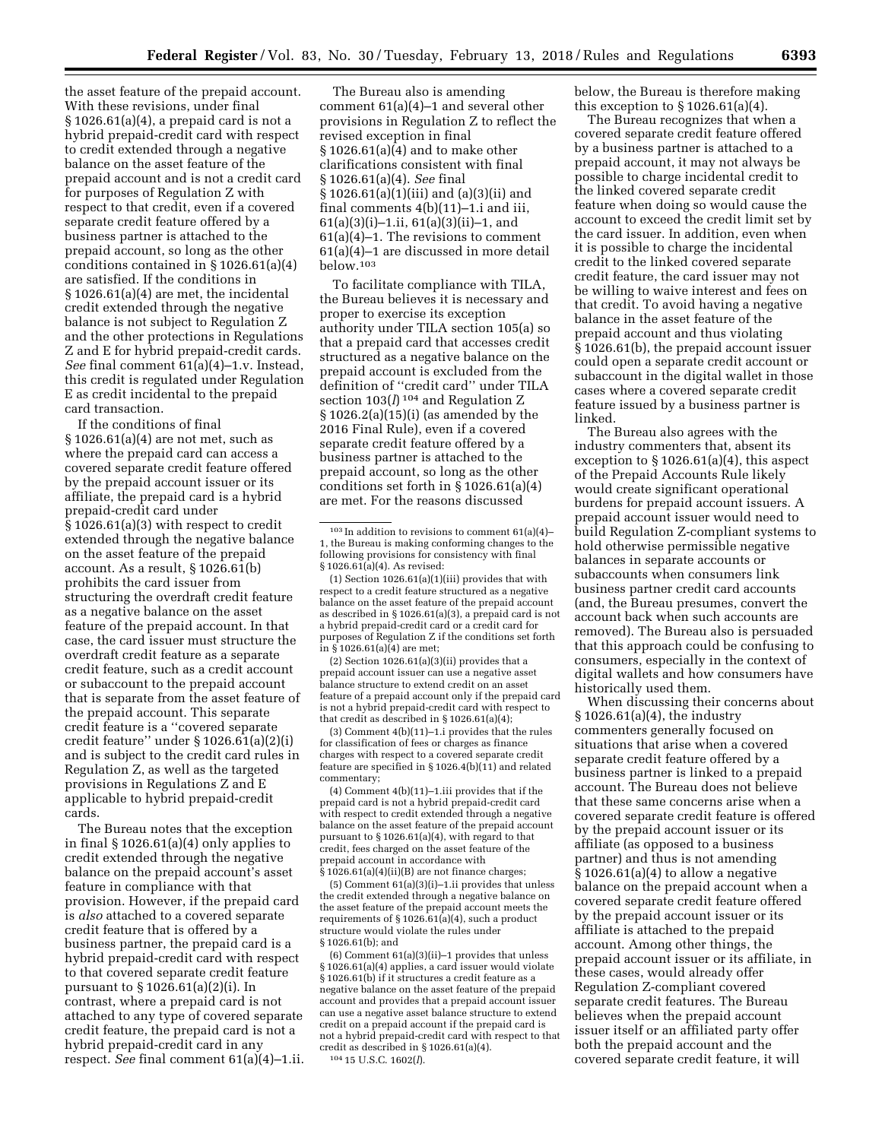the asset feature of the prepaid account. With these revisions, under final § 1026.61(a)(4), a prepaid card is not a hybrid prepaid-credit card with respect to credit extended through a negative balance on the asset feature of the prepaid account and is not a credit card for purposes of Regulation Z with respect to that credit, even if a covered separate credit feature offered by a business partner is attached to the prepaid account, so long as the other conditions contained in § 1026.61(a)(4) are satisfied. If the conditions in § 1026.61(a)(4) are met, the incidental credit extended through the negative balance is not subject to Regulation Z and the other protections in Regulations Z and E for hybrid prepaid-credit cards. *See* final comment 61(a)(4)–1.v. Instead, this credit is regulated under Regulation E as credit incidental to the prepaid card transaction.

If the conditions of final § 1026.61(a)(4) are not met, such as where the prepaid card can access a covered separate credit feature offered by the prepaid account issuer or its affiliate, the prepaid card is a hybrid prepaid-credit card under § 1026.61(a)(3) with respect to credit extended through the negative balance on the asset feature of the prepaid account. As a result, § 1026.61(b) prohibits the card issuer from structuring the overdraft credit feature as a negative balance on the asset feature of the prepaid account. In that case, the card issuer must structure the overdraft credit feature as a separate credit feature, such as a credit account or subaccount to the prepaid account that is separate from the asset feature of the prepaid account. This separate credit feature is a ''covered separate credit feature'' under § 1026.61(a)(2)(i) and is subject to the credit card rules in Regulation Z, as well as the targeted provisions in Regulations Z and E applicable to hybrid prepaid-credit cards.

The Bureau notes that the exception in final § 1026.61(a)(4) only applies to credit extended through the negative balance on the prepaid account's asset feature in compliance with that provision. However, if the prepaid card is *also* attached to a covered separate credit feature that is offered by a business partner, the prepaid card is a hybrid prepaid-credit card with respect to that covered separate credit feature pursuant to § 1026.61(a)(2)(i). In contrast, where a prepaid card is not attached to any type of covered separate credit feature, the prepaid card is not a hybrid prepaid-credit card in any respect. *See* final comment 61(a)(4)–1.ii.

The Bureau also is amending comment 61(a)(4)–1 and several other provisions in Regulation Z to reflect the revised exception in final § 1026.61(a)(4) and to make other clarifications consistent with final § 1026.61(a)(4). *See* final § 1026.61(a)(1)(iii) and (a)(3)(ii) and final comments 4(b)(11)–1.i and iii, 61(a)(3)(i)–1.ii, 61(a)(3)(ii)–1, and 61(a)(4)–1. The revisions to comment 61(a)(4)–1 are discussed in more detail  $helow$  103

To facilitate compliance with TILA, the Bureau believes it is necessary and proper to exercise its exception authority under TILA section 105(a) so that a prepaid card that accesses credit structured as a negative balance on the prepaid account is excluded from the definition of ''credit card'' under TILA section 103(*l*) 104 and Regulation Z § 1026.2(a)(15)(i) (as amended by the 2016 Final Rule), even if a covered separate credit feature offered by a business partner is attached to the prepaid account, so long as the other conditions set forth in § 1026.61(a)(4) are met. For the reasons discussed

 $(2)$  Section 1026.61 $(a)(3)(ii)$  provides that a prepaid account issuer can use a negative asset balance structure to extend credit on an asset feature of a prepaid account only if the prepaid card is not a hybrid prepaid-credit card with respect to that credit as described in § 1026.61(a)(4);

(3) Comment 4(b)(11)–1.i provides that the rules for classification of fees or charges as finance charges with respect to a covered separate credit feature are specified in § 1026.4(b)(11) and related commentary;

(4) Comment 4(b)(11)–1.iii provides that if the prepaid card is not a hybrid prepaid-credit card with respect to credit extended through a negative balance on the asset feature of the prepaid account pursuant to § 1026.61(a)(4), with regard to that credit, fees charged on the asset feature of the prepaid account in accordance with § 1026.61(a)(4)(ii)(B) are not finance charges;

(5) Comment 61(a)(3)(i)–1.ii provides that unless the credit extended through a negative balance on the asset feature of the prepaid account meets the requirements of § 1026.61(a)(4), such a product structure would violate the rules under § 1026.61(b); and

(6) Comment 61(a)(3)(ii)–1 provides that unless § 1026.61(a)(4) applies, a card issuer would violate § 1026.61(b) if it structures a credit feature as a negative balance on the asset feature of the prepaid account and provides that a prepaid account issuer can use a negative asset balance structure to extend credit on a prepaid account if the prepaid card is not a hybrid prepaid-credit card with respect to that credit as described in § 1026.61(a)(4). 104 15 U.S.C. 1602(*l*).

below, the Bureau is therefore making this exception to  $\S 1026.61(a)(4)$ .

The Bureau recognizes that when a covered separate credit feature offered by a business partner is attached to a prepaid account, it may not always be possible to charge incidental credit to the linked covered separate credit feature when doing so would cause the account to exceed the credit limit set by the card issuer. In addition, even when it is possible to charge the incidental credit to the linked covered separate credit feature, the card issuer may not be willing to waive interest and fees on that credit. To avoid having a negative balance in the asset feature of the prepaid account and thus violating § 1026.61(b), the prepaid account issuer could open a separate credit account or subaccount in the digital wallet in those cases where a covered separate credit feature issued by a business partner is linked.

The Bureau also agrees with the industry commenters that, absent its exception to § 1026.61(a)(4), this aspect of the Prepaid Accounts Rule likely would create significant operational burdens for prepaid account issuers. A prepaid account issuer would need to build Regulation Z-compliant systems to hold otherwise permissible negative balances in separate accounts or subaccounts when consumers link business partner credit card accounts (and, the Bureau presumes, convert the account back when such accounts are removed). The Bureau also is persuaded that this approach could be confusing to consumers, especially in the context of digital wallets and how consumers have historically used them.

When discussing their concerns about § 1026.61(a)(4), the industry commenters generally focused on situations that arise when a covered separate credit feature offered by a business partner is linked to a prepaid account. The Bureau does not believe that these same concerns arise when a covered separate credit feature is offered by the prepaid account issuer or its affiliate (as opposed to a business partner) and thus is not amending  $§ 1026.61(a)(4)$  to allow a negative balance on the prepaid account when a covered separate credit feature offered by the prepaid account issuer or its affiliate is attached to the prepaid account. Among other things, the prepaid account issuer or its affiliate, in these cases, would already offer Regulation Z-compliant covered separate credit features. The Bureau believes when the prepaid account issuer itself or an affiliated party offer both the prepaid account and the covered separate credit feature, it will

<sup>103</sup> In addition to revisions to comment 61(a)(4)– 1, the Bureau is making conforming changes to the following provisions for consistency with final § 1026.61(a)(4). As revised:

<sup>(1)</sup> Section 1026.61(a)(1)(iii) provides that with respect to a credit feature structured as a negative balance on the asset feature of the prepaid account as described in § 1026.61(a)(3), a prepaid card is not a hybrid prepaid-credit card or a credit card for purposes of Regulation Z if the conditions set forth in § 1026.61(a)(4) are met;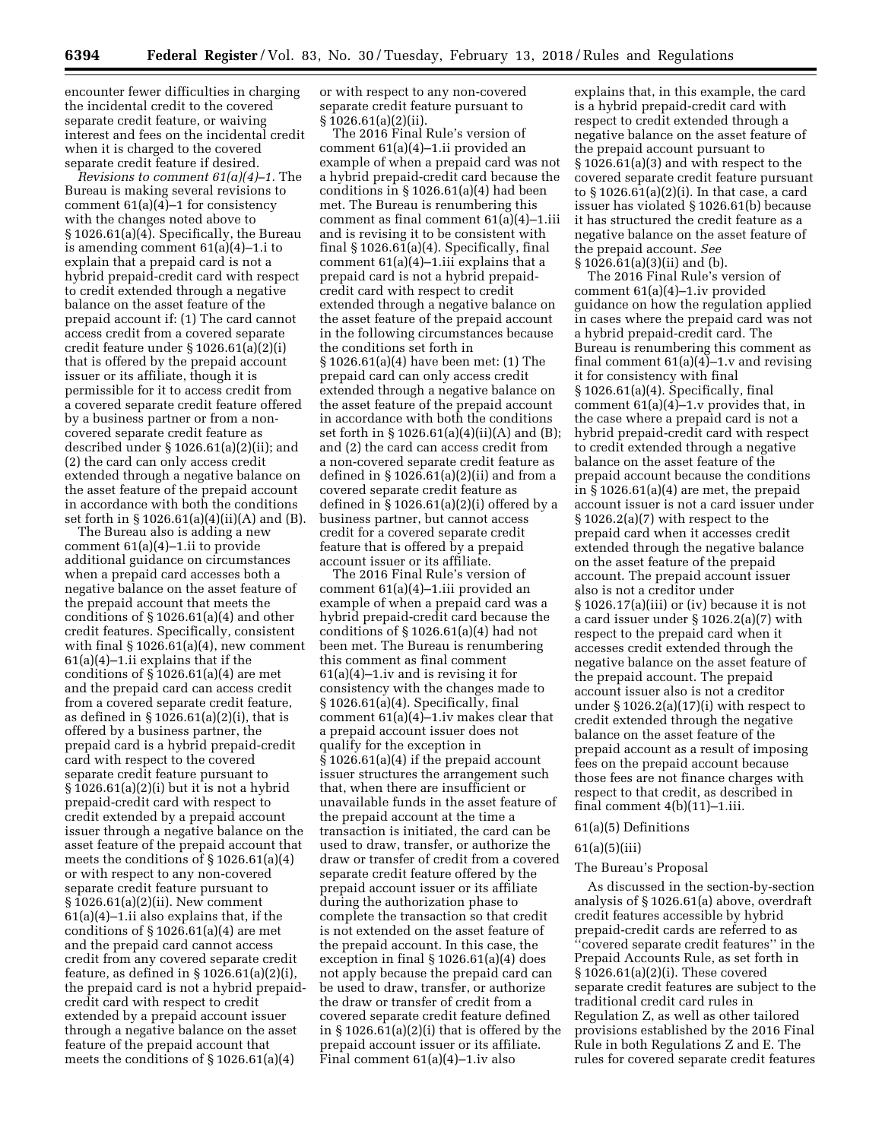encounter fewer difficulties in charging the incidental credit to the covered separate credit feature, or waiving interest and fees on the incidental credit when it is charged to the covered separate credit feature if desired.

*Revisions to comment 61(a)(4)–1.* The Bureau is making several revisions to comment 61(a)(4)–1 for consistency with the changes noted above to § 1026.61(a)(4). Specifically, the Bureau is amending comment 61(a)(4)–1.i to explain that a prepaid card is not a hybrid prepaid-credit card with respect to credit extended through a negative balance on the asset feature of the prepaid account if: (1) The card cannot access credit from a covered separate credit feature under § 1026.61(a)(2)(i) that is offered by the prepaid account issuer or its affiliate, though it is permissible for it to access credit from a covered separate credit feature offered by a business partner or from a noncovered separate credit feature as described under § 1026.61(a)(2)(ii); and (2) the card can only access credit extended through a negative balance on the asset feature of the prepaid account in accordance with both the conditions set forth in § 1026.61(a)(4)(ii)(A) and (B).

The Bureau also is adding a new comment 61(a)(4)–1.ii to provide additional guidance on circumstances when a prepaid card accesses both a negative balance on the asset feature of the prepaid account that meets the conditions of § 1026.61(a)(4) and other credit features. Specifically, consistent with final  $\S 1026.61(a)(4)$ , new comment 61(a)(4)–1.ii explains that if the conditions of § 1026.61(a)(4) are met and the prepaid card can access credit from a covered separate credit feature, as defined in § 1026.61(a)(2)(i), that is offered by a business partner, the prepaid card is a hybrid prepaid-credit card with respect to the covered separate credit feature pursuant to § 1026.61(a)(2)(i) but it is not a hybrid prepaid-credit card with respect to credit extended by a prepaid account issuer through a negative balance on the asset feature of the prepaid account that meets the conditions of § 1026.61(a)(4) or with respect to any non-covered separate credit feature pursuant to § 1026.61(a)(2)(ii). New comment 61(a)(4)–1.ii also explains that, if the conditions of § 1026.61(a)(4) are met and the prepaid card cannot access credit from any covered separate credit feature, as defined in  $\S 1026.61(a)(2)(i)$ , the prepaid card is not a hybrid prepaidcredit card with respect to credit extended by a prepaid account issuer through a negative balance on the asset feature of the prepaid account that meets the conditions of § 1026.61(a)(4)

or with respect to any non-covered separate credit feature pursuant to § 1026.61(a)(2)(ii).

The 2016 Final Rule's version of comment 61(a)(4)–1.ii provided an example of when a prepaid card was not a hybrid prepaid-credit card because the conditions in  $\S 1026.61(a)(4)$  had been met. The Bureau is renumbering this comment as final comment 61(a)(4)–1.iii and is revising it to be consistent with final § 1026.61(a)(4). Specifically, final comment  $61(a)(4)-1$ .iii explains that a prepaid card is not a hybrid prepaidcredit card with respect to credit extended through a negative balance on the asset feature of the prepaid account in the following circumstances because the conditions set forth in § 1026.61(a)(4) have been met: (1) The prepaid card can only access credit extended through a negative balance on the asset feature of the prepaid account in accordance with both the conditions set forth in § 1026.61(a)(4)(ii)(A) and (B); and (2) the card can access credit from a non-covered separate credit feature as defined in  $\S 1026.61(a)(2)(ii)$  and from a covered separate credit feature as defined in  $\S 1026.61(a)(2)(i)$  offered by a business partner, but cannot access credit for a covered separate credit feature that is offered by a prepaid account issuer or its affiliate.

The 2016 Final Rule's version of comment 61(a)(4)–1.iii provided an example of when a prepaid card was a hybrid prepaid-credit card because the conditions of § 1026.61(a)(4) had not been met. The Bureau is renumbering this comment as final comment 61(a)(4)–1.iv and is revising it for consistency with the changes made to § 1026.61(a)(4). Specifically, final comment 61(a)(4)–1.iv makes clear that a prepaid account issuer does not qualify for the exception in § 1026.61(a)(4) if the prepaid account issuer structures the arrangement such that, when there are insufficient or unavailable funds in the asset feature of the prepaid account at the time a transaction is initiated, the card can be used to draw, transfer, or authorize the draw or transfer of credit from a covered separate credit feature offered by the prepaid account issuer or its affiliate during the authorization phase to complete the transaction so that credit is not extended on the asset feature of the prepaid account. In this case, the exception in final § 1026.61(a)(4) does not apply because the prepaid card can be used to draw, transfer, or authorize the draw or transfer of credit from a covered separate credit feature defined in § 1026.61(a)(2)(i) that is offered by the prepaid account issuer or its affiliate. Final comment 61(a)(4)–1.iv also

explains that, in this example, the card is a hybrid prepaid-credit card with respect to credit extended through a negative balance on the asset feature of the prepaid account pursuant to § 1026.61(a)(3) and with respect to the covered separate credit feature pursuant to § 1026.61(a)(2)(i). In that case, a card issuer has violated § 1026.61(b) because it has structured the credit feature as a negative balance on the asset feature of the prepaid account. *See*  § 1026.61(a)(3)(ii) and (b).

The 2016 Final Rule's version of comment 61(a)(4)–1.iv provided guidance on how the regulation applied in cases where the prepaid card was not a hybrid prepaid-credit card. The Bureau is renumbering this comment as final comment 61(a)(4)–1.v and revising it for consistency with final § 1026.61(a)(4). Specifically, final comment 61(a)(4)–1.v provides that, in the case where a prepaid card is not a hybrid prepaid-credit card with respect to credit extended through a negative balance on the asset feature of the prepaid account because the conditions in § 1026.61(a)(4) are met, the prepaid account issuer is not a card issuer under § 1026.2(a)(7) with respect to the prepaid card when it accesses credit extended through the negative balance on the asset feature of the prepaid account. The prepaid account issuer also is not a creditor under § 1026.17(a)(iii) or (iv) because it is not a card issuer under § 1026.2(a)(7) with respect to the prepaid card when it accesses credit extended through the negative balance on the asset feature of the prepaid account. The prepaid account issuer also is not a creditor under § 1026.2(a)(17)(i) with respect to credit extended through the negative balance on the asset feature of the prepaid account as a result of imposing fees on the prepaid account because those fees are not finance charges with respect to that credit, as described in final comment 4(b)(11)–1.iii.

## 61(a)(5) Definitions

### 61(a)(5)(iii)

### The Bureau's Proposal

As discussed in the section-by-section analysis of § 1026.61(a) above, overdraft credit features accessible by hybrid prepaid-credit cards are referred to as ''covered separate credit features'' in the Prepaid Accounts Rule, as set forth in § 1026.61(a)(2)(i). These covered separate credit features are subject to the traditional credit card rules in Regulation Z, as well as other tailored provisions established by the 2016 Final Rule in both Regulations Z and E. The rules for covered separate credit features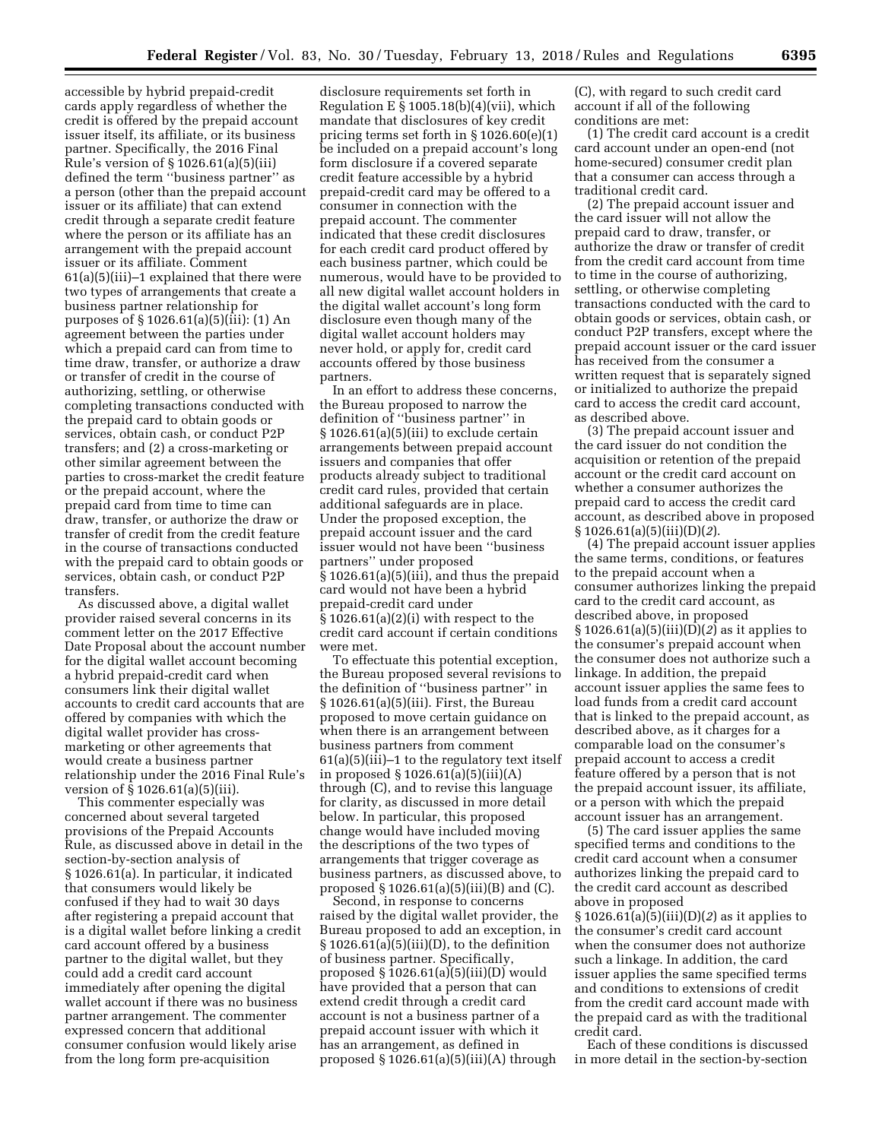accessible by hybrid prepaid-credit cards apply regardless of whether the credit is offered by the prepaid account issuer itself, its affiliate, or its business partner. Specifically, the 2016 Final Rule's version of § 1026.61(a)(5)(iii) defined the term ''business partner'' as a person (other than the prepaid account issuer or its affiliate) that can extend credit through a separate credit feature where the person or its affiliate has an arrangement with the prepaid account issuer or its affiliate. Comment 61(a)(5)(iii)–1 explained that there were two types of arrangements that create a business partner relationship for purposes of § 1026.61(a)(5)(iii): (1) An agreement between the parties under which a prepaid card can from time to time draw, transfer, or authorize a draw or transfer of credit in the course of authorizing, settling, or otherwise completing transactions conducted with the prepaid card to obtain goods or services, obtain cash, or conduct P2P transfers; and (2) a cross-marketing or other similar agreement between the parties to cross-market the credit feature or the prepaid account, where the prepaid card from time to time can draw, transfer, or authorize the draw or transfer of credit from the credit feature in the course of transactions conducted with the prepaid card to obtain goods or services, obtain cash, or conduct P2P transfers.

As discussed above, a digital wallet provider raised several concerns in its comment letter on the 2017 Effective Date Proposal about the account number for the digital wallet account becoming a hybrid prepaid-credit card when consumers link their digital wallet accounts to credit card accounts that are offered by companies with which the digital wallet provider has crossmarketing or other agreements that would create a business partner relationship under the 2016 Final Rule's version of § 1026.61(a)(5)(iii).

This commenter especially was concerned about several targeted provisions of the Prepaid Accounts Rule, as discussed above in detail in the section-by-section analysis of § 1026.61(a). In particular, it indicated that consumers would likely be confused if they had to wait 30 days after registering a prepaid account that is a digital wallet before linking a credit card account offered by a business partner to the digital wallet, but they could add a credit card account immediately after opening the digital wallet account if there was no business partner arrangement. The commenter expressed concern that additional consumer confusion would likely arise from the long form pre-acquisition

disclosure requirements set forth in Regulation E  $\S 1005.18(b)(4)(vii)$ , which mandate that disclosures of key credit pricing terms set forth in § 1026.60(e)(1) be included on a prepaid account's long form disclosure if a covered separate credit feature accessible by a hybrid prepaid-credit card may be offered to a consumer in connection with the prepaid account. The commenter indicated that these credit disclosures for each credit card product offered by each business partner, which could be numerous, would have to be provided to all new digital wallet account holders in the digital wallet account's long form disclosure even though many of the digital wallet account holders may never hold, or apply for, credit card accounts offered by those business partners.

In an effort to address these concerns, the Bureau proposed to narrow the definition of ''business partner'' in § 1026.61(a)(5)(iii) to exclude certain arrangements between prepaid account issuers and companies that offer products already subject to traditional credit card rules, provided that certain additional safeguards are in place. Under the proposed exception, the prepaid account issuer and the card issuer would not have been ''business partners'' under proposed § 1026.61(a)(5)(iii), and thus the prepaid card would not have been a hybrid prepaid-credit card under § 1026.61(a)(2)(i) with respect to the credit card account if certain conditions were met.

To effectuate this potential exception, the Bureau proposed several revisions to the definition of ''business partner'' in § 1026.61(a)(5)(iii). First, the Bureau proposed to move certain guidance on when there is an arrangement between business partners from comment  $61(a)(5)(iii)-1$  to the regulatory text itself in proposed § 1026.61(a)(5)(iii)(A) through (C), and to revise this language for clarity, as discussed in more detail below. In particular, this proposed change would have included moving the descriptions of the two types of arrangements that trigger coverage as business partners, as discussed above, to proposed  $\S 1026.61(a)(5)(iii)(B)$  and  $(C)$ .

Second, in response to concerns raised by the digital wallet provider, the Bureau proposed to add an exception, in  $\S 1026.61(a)(5)(iii)(D)$ , to the definition of business partner. Specifically, proposed § 1026.61(a)(5)(iii)(D) would have provided that a person that can extend credit through a credit card account is not a business partner of a prepaid account issuer with which it has an arrangement, as defined in proposed § 1026.61(a)(5)(iii)(A) through

(C), with regard to such credit card account if all of the following conditions are met:

(1) The credit card account is a credit card account under an open-end (not home-secured) consumer credit plan that a consumer can access through a traditional credit card.

(2) The prepaid account issuer and the card issuer will not allow the prepaid card to draw, transfer, or authorize the draw or transfer of credit from the credit card account from time to time in the course of authorizing, settling, or otherwise completing transactions conducted with the card to obtain goods or services, obtain cash, or conduct P2P transfers, except where the prepaid account issuer or the card issuer has received from the consumer a written request that is separately signed or initialized to authorize the prepaid card to access the credit card account, as described above.

(3) The prepaid account issuer and the card issuer do not condition the acquisition or retention of the prepaid account or the credit card account on whether a consumer authorizes the prepaid card to access the credit card account, as described above in proposed § 1026.61(a)(5)(iii)(D)(*2*).

(4) The prepaid account issuer applies the same terms, conditions, or features to the prepaid account when a consumer authorizes linking the prepaid card to the credit card account, as described above, in proposed § 1026.61(a)(5)(iii)(D)(*2*) as it applies to the consumer's prepaid account when the consumer does not authorize such a linkage. In addition, the prepaid account issuer applies the same fees to load funds from a credit card account that is linked to the prepaid account, as described above, as it charges for a comparable load on the consumer's prepaid account to access a credit feature offered by a person that is not the prepaid account issuer, its affiliate, or a person with which the prepaid account issuer has an arrangement.

(5) The card issuer applies the same specified terms and conditions to the credit card account when a consumer authorizes linking the prepaid card to the credit card account as described above in proposed § 1026.61(a)(5)(iii)(D)(*2*) as it applies to the consumer's credit card account when the consumer does not authorize such a linkage. In addition, the card issuer applies the same specified terms and conditions to extensions of credit from the credit card account made with the prepaid card as with the traditional credit card.

Each of these conditions is discussed in more detail in the section-by-section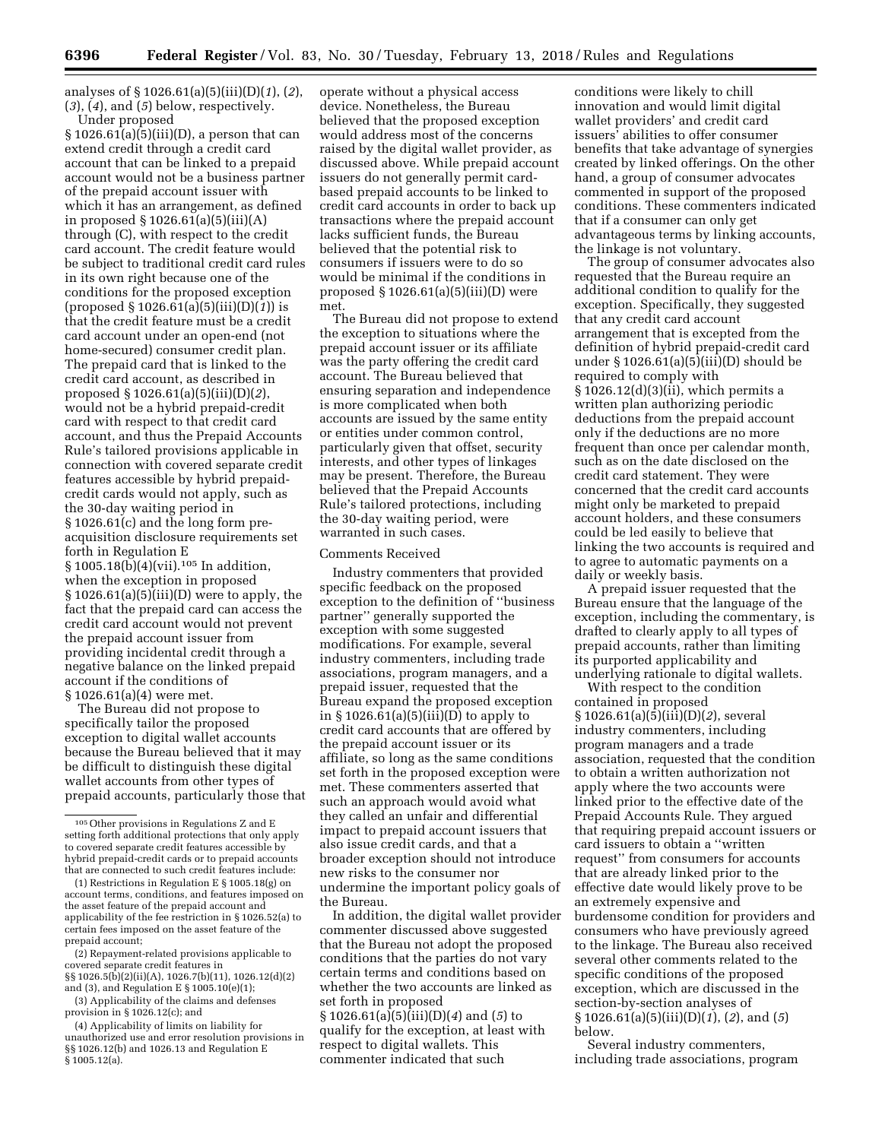analyses of § 1026.61(a)(5)(iii)(D)(*1*), (*2*), (*3*), (*4*), and (*5*) below, respectively. Under proposed

 $§ 1026.61(a)(5)(iii)(D)$ , a person that can extend credit through a credit card account that can be linked to a prepaid account would not be a business partner of the prepaid account issuer with which it has an arrangement, as defined in proposed § 1026.61(a)(5)(iii)(A) through (C), with respect to the credit card account. The credit feature would be subject to traditional credit card rules in its own right because one of the conditions for the proposed exception (proposed § 1026.61(a)(5)(iii)(D)(*1*)) is that the credit feature must be a credit card account under an open-end (not home-secured) consumer credit plan. The prepaid card that is linked to the credit card account, as described in proposed § 1026.61(a)(5)(iii)(D)(*2*), would not be a hybrid prepaid-credit card with respect to that credit card account, and thus the Prepaid Accounts Rule's tailored provisions applicable in connection with covered separate credit features accessible by hybrid prepaidcredit cards would not apply, such as the 30-day waiting period in § 1026.61(c) and the long form preacquisition disclosure requirements set forth in Regulation E § 1005.18(b)(4)(vii).105 In addition, when the exception in proposed  $§ 1026.61(a)(5)(iii)(D)$  were to apply, the fact that the prepaid card can access the credit card account would not prevent the prepaid account issuer from providing incidental credit through a negative balance on the linked prepaid account if the conditions of § 1026.61(a)(4) were met.

The Bureau did not propose to specifically tailor the proposed exception to digital wallet accounts because the Bureau believed that it may be difficult to distinguish these digital wallet accounts from other types of prepaid accounts, particularly those that

unauthorized use and error resolution provisions in §§ 1026.12(b) and 1026.13 and Regulation E § 1005.12(a).

operate without a physical access device. Nonetheless, the Bureau believed that the proposed exception would address most of the concerns raised by the digital wallet provider, as discussed above. While prepaid account issuers do not generally permit cardbased prepaid accounts to be linked to credit card accounts in order to back up transactions where the prepaid account lacks sufficient funds, the Bureau believed that the potential risk to consumers if issuers were to do so would be minimal if the conditions in proposed  $\S 1026.61(a)(5)(iii)(D)$  were met.

The Bureau did not propose to extend the exception to situations where the prepaid account issuer or its affiliate was the party offering the credit card account. The Bureau believed that ensuring separation and independence is more complicated when both accounts are issued by the same entity or entities under common control, particularly given that offset, security interests, and other types of linkages may be present. Therefore, the Bureau believed that the Prepaid Accounts Rule's tailored protections, including the 30-day waiting period, were warranted in such cases.

### Comments Received

Industry commenters that provided specific feedback on the proposed exception to the definition of ''business partner'' generally supported the exception with some suggested modifications. For example, several industry commenters, including trade associations, program managers, and a prepaid issuer, requested that the Bureau expand the proposed exception in § 1026.61(a)(5)(iii)(D) to apply to credit card accounts that are offered by the prepaid account issuer or its affiliate, so long as the same conditions set forth in the proposed exception were met. These commenters asserted that such an approach would avoid what they called an unfair and differential impact to prepaid account issuers that also issue credit cards, and that a broader exception should not introduce new risks to the consumer nor undermine the important policy goals of the Bureau.

In addition, the digital wallet provider commenter discussed above suggested that the Bureau not adopt the proposed conditions that the parties do not vary certain terms and conditions based on whether the two accounts are linked as set forth in proposed § 1026.61(a)(5)(iii)(D)(*4*) and (*5*) to qualify for the exception, at least with

respect to digital wallets. This commenter indicated that such

conditions were likely to chill innovation and would limit digital wallet providers' and credit card issuers' abilities to offer consumer benefits that take advantage of synergies created by linked offerings. On the other hand, a group of consumer advocates commented in support of the proposed conditions. These commenters indicated that if a consumer can only get advantageous terms by linking accounts, the linkage is not voluntary.

The group of consumer advocates also requested that the Bureau require an additional condition to qualify for the exception. Specifically, they suggested that any credit card account arrangement that is excepted from the definition of hybrid prepaid-credit card under  $\S 1026.61(a)(5)(iii)(D)$  should be required to comply with § 1026.12(d)(3)(ii), which permits a written plan authorizing periodic deductions from the prepaid account only if the deductions are no more frequent than once per calendar month, such as on the date disclosed on the credit card statement. They were concerned that the credit card accounts might only be marketed to prepaid account holders, and these consumers could be led easily to believe that linking the two accounts is required and to agree to automatic payments on a daily or weekly basis.

A prepaid issuer requested that the Bureau ensure that the language of the exception, including the commentary, is drafted to clearly apply to all types of prepaid accounts, rather than limiting its purported applicability and underlying rationale to digital wallets.

With respect to the condition contained in proposed § 1026.61(a)(5)(iii)(D)(*2*), several industry commenters, including program managers and a trade association, requested that the condition to obtain a written authorization not apply where the two accounts were linked prior to the effective date of the Prepaid Accounts Rule. They argued that requiring prepaid account issuers or card issuers to obtain a ''written request'' from consumers for accounts that are already linked prior to the effective date would likely prove to be an extremely expensive and burdensome condition for providers and consumers who have previously agreed to the linkage. The Bureau also received several other comments related to the specific conditions of the proposed exception, which are discussed in the section-by-section analyses of § 1026.61(a)(5)(iii)(D)(*1*), (*2*), and (*5*) below.

Several industry commenters, including trade associations, program

<sup>105</sup>Other provisions in Regulations Z and E setting forth additional protections that only apply to covered separate credit features accessible by hybrid prepaid-credit cards or to prepaid accounts that are connected to such credit features include:

<sup>(1)</sup> Restrictions in Regulation E § 1005.18(g) on account terms, conditions, and features imposed on the asset feature of the prepaid account and applicability of the fee restriction in § 1026.52(a) to certain fees imposed on the asset feature of the prepaid account;

<sup>(2)</sup> Repayment-related provisions applicable to covered separate credit features in §§ 1026.5(b)(2)(ii)(A), 1026.7(b)(11), 1026.12(d)(2)

and (3), and Regulation E § 1005.10(e)(1); (3) Applicability of the claims and defenses

provision in § 1026.12(c); and (4) Applicability of limits on liability for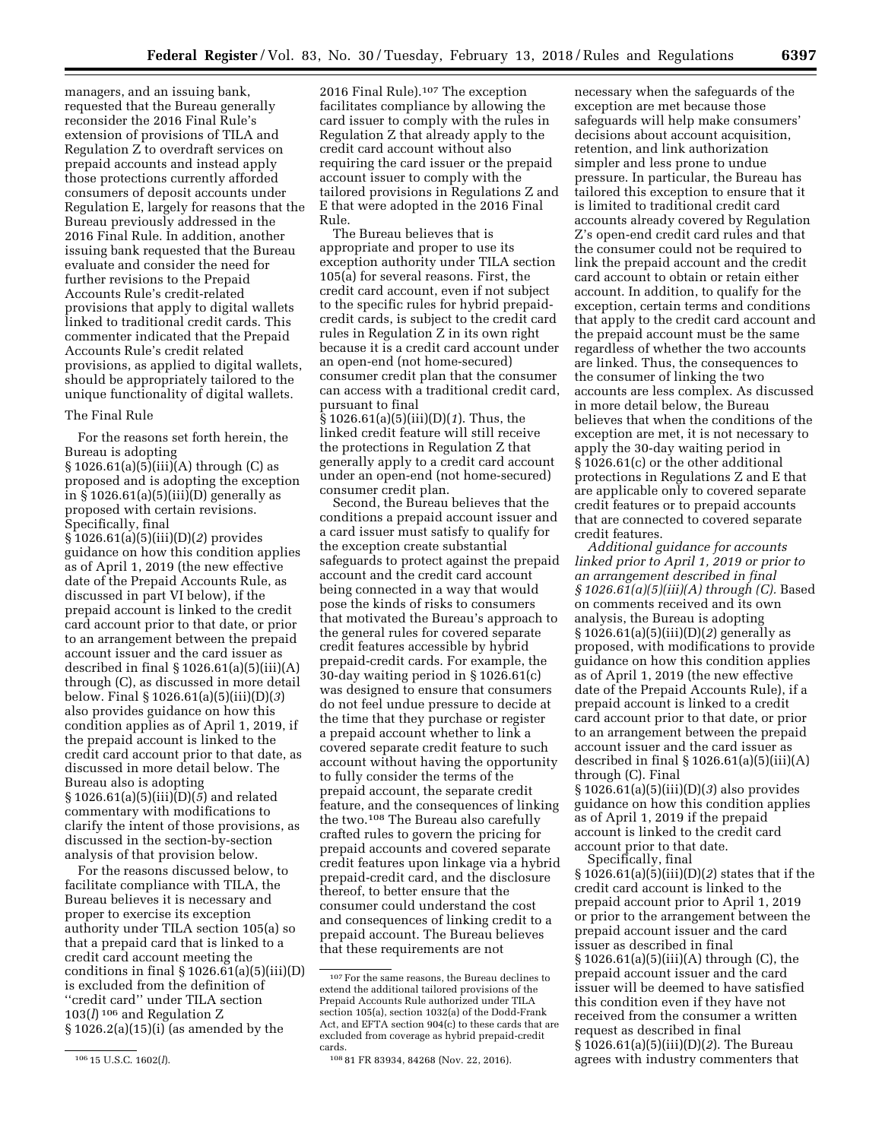managers, and an issuing bank, requested that the Bureau generally reconsider the 2016 Final Rule's extension of provisions of TILA and Regulation Z to overdraft services on prepaid accounts and instead apply those protections currently afforded consumers of deposit accounts under Regulation E, largely for reasons that the Bureau previously addressed in the 2016 Final Rule. In addition, another issuing bank requested that the Bureau evaluate and consider the need for further revisions to the Prepaid Accounts Rule's credit-related provisions that apply to digital wallets linked to traditional credit cards. This commenter indicated that the Prepaid Accounts Rule's credit related provisions, as applied to digital wallets, should be appropriately tailored to the unique functionality of digital wallets.

## The Final Rule

For the reasons set forth herein, the Bureau is adopting § 1026.61(a)(5)(iii)(A) through (C) as proposed and is adopting the exception in § 1026.61(a)(5)(iii)(D) generally as proposed with certain revisions. Specifically, final § 1026.61(a)(5)(iii)(D)(*2*) provides guidance on how this condition applies as of April 1, 2019 (the new effective date of the Prepaid Accounts Rule, as discussed in part VI below), if the prepaid account is linked to the credit card account prior to that date, or prior to an arrangement between the prepaid account issuer and the card issuer as described in final  $\S 1026.61(a)(5)(iii)(A)$ through (C), as discussed in more detail

below. Final § 1026.61(a)(5)(iii)(D)(*3*) also provides guidance on how this condition applies as of April 1, 2019, if the prepaid account is linked to the credit card account prior to that date, as discussed in more detail below. The Bureau also is adopting § 1026.61(a)(5)(iii)(D)(*5*) and related commentary with modifications to clarify the intent of those provisions, as discussed in the section-by-section analysis of that provision below.

For the reasons discussed below, to facilitate compliance with TILA, the Bureau believes it is necessary and proper to exercise its exception authority under TILA section 105(a) so that a prepaid card that is linked to a credit card account meeting the conditions in final  $\S 1026.61(a)(5)(iii)(D)$ is excluded from the definition of ''credit card'' under TILA section 103(*l*) 106 and Regulation Z § 1026.2(a)(15)(i) (as amended by the

2016 Final Rule).107 The exception facilitates compliance by allowing the card issuer to comply with the rules in Regulation Z that already apply to the credit card account without also requiring the card issuer or the prepaid account issuer to comply with the tailored provisions in Regulations Z and E that were adopted in the 2016 Final Rule.

The Bureau believes that is appropriate and proper to use its exception authority under TILA section 105(a) for several reasons. First, the credit card account, even if not subject to the specific rules for hybrid prepaidcredit cards, is subject to the credit card rules in Regulation Z in its own right because it is a credit card account under an open-end (not home-secured) consumer credit plan that the consumer can access with a traditional credit card, pursuant to final § 1026.61(a)(5)(iii)(D)(*1*). Thus, the

linked credit feature will still receive the protections in Regulation Z that generally apply to a credit card account under an open-end (not home-secured) consumer credit plan.

Second, the Bureau believes that the conditions a prepaid account issuer and a card issuer must satisfy to qualify for the exception create substantial safeguards to protect against the prepaid account and the credit card account being connected in a way that would pose the kinds of risks to consumers that motivated the Bureau's approach to the general rules for covered separate credit features accessible by hybrid prepaid-credit cards. For example, the 30-day waiting period in § 1026.61(c) was designed to ensure that consumers do not feel undue pressure to decide at the time that they purchase or register a prepaid account whether to link a covered separate credit feature to such account without having the opportunity to fully consider the terms of the prepaid account, the separate credit feature, and the consequences of linking the two.108 The Bureau also carefully crafted rules to govern the pricing for prepaid accounts and covered separate credit features upon linkage via a hybrid prepaid-credit card, and the disclosure thereof, to better ensure that the consumer could understand the cost and consequences of linking credit to a prepaid account. The Bureau believes that these requirements are not

necessary when the safeguards of the exception are met because those safeguards will help make consumers' decisions about account acquisition, retention, and link authorization simpler and less prone to undue pressure. In particular, the Bureau has tailored this exception to ensure that it is limited to traditional credit card accounts already covered by Regulation Z's open-end credit card rules and that the consumer could not be required to link the prepaid account and the credit card account to obtain or retain either account. In addition, to qualify for the exception, certain terms and conditions that apply to the credit card account and the prepaid account must be the same regardless of whether the two accounts are linked. Thus, the consequences to the consumer of linking the two accounts are less complex. As discussed in more detail below, the Bureau believes that when the conditions of the exception are met, it is not necessary to apply the 30-day waiting period in § 1026.61(c) or the other additional protections in Regulations Z and E that are applicable only to covered separate credit features or to prepaid accounts that are connected to covered separate credit features.

*Additional guidance for accounts linked prior to April 1, 2019 or prior to an arrangement described in final § 1026.61(a)(5)(iii)(A) through (C).* Based on comments received and its own analysis, the Bureau is adopting § 1026.61(a)(5)(iii)(D)(*2*) generally as proposed, with modifications to provide guidance on how this condition applies as of April 1, 2019 (the new effective date of the Prepaid Accounts Rule), if a prepaid account is linked to a credit card account prior to that date, or prior to an arrangement between the prepaid account issuer and the card issuer as described in final  $\S 1026.61(a)(5)(iii)(A)$ through (C). Final

§ 1026.61(a)(5)(iii)(D)(*3*) also provides guidance on how this condition applies as of April 1, 2019 if the prepaid account is linked to the credit card account prior to that date.

Specifically, final § 1026.61(a)(5)(iii)(D)(*2*) states that if the credit card account is linked to the prepaid account prior to April 1, 2019 or prior to the arrangement between the prepaid account issuer and the card issuer as described in final § 1026.61(a)(5)(iii)(A) through (C), the prepaid account issuer and the card issuer will be deemed to have satisfied this condition even if they have not received from the consumer a written request as described in final § 1026.61(a)(5)(iii)(D)(*2*). The Bureau agrees with industry commenters that

<sup>106</sup> 15 U.S.C. 1602(*l*).

<sup>107</sup>For the same reasons, the Bureau declines to extend the additional tailored provisions of the Prepaid Accounts Rule authorized under TILA section 105(a), section 1032(a) of the Dodd-Frank Act, and EFTA section 904(c) to these cards that are excluded from coverage as hybrid prepaid-credit cards.

<sup>108</sup> 81 FR 83934, 84268 (Nov. 22, 2016).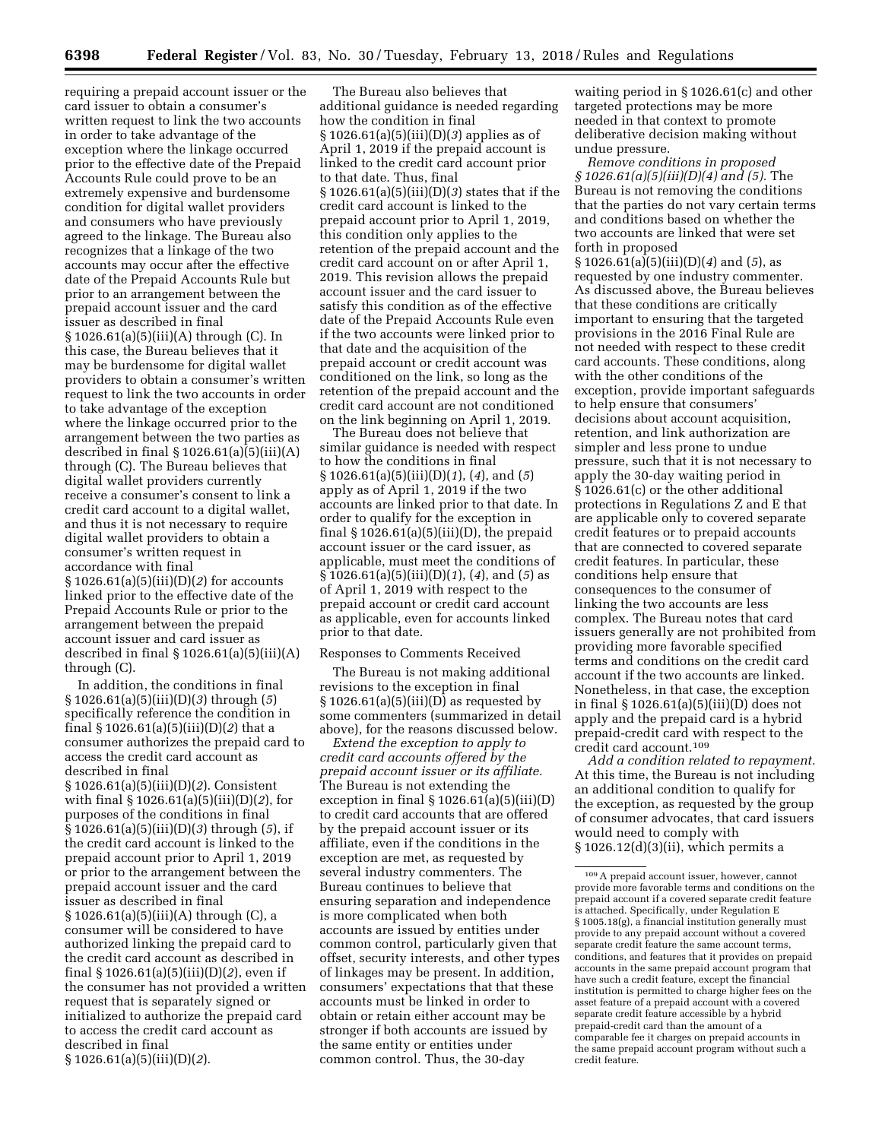requiring a prepaid account issuer or the card issuer to obtain a consumer's written request to link the two accounts in order to take advantage of the exception where the linkage occurred prior to the effective date of the Prepaid Accounts Rule could prove to be an extremely expensive and burdensome condition for digital wallet providers and consumers who have previously agreed to the linkage. The Bureau also recognizes that a linkage of the two accounts may occur after the effective date of the Prepaid Accounts Rule but prior to an arrangement between the prepaid account issuer and the card issuer as described in final § 1026.61(a)(5)(iii)(A) through (C). In this case, the Bureau believes that it may be burdensome for digital wallet providers to obtain a consumer's written request to link the two accounts in order to take advantage of the exception where the linkage occurred prior to the arrangement between the two parties as described in final  $\S 1026.61(a)\overline{(5)}$ (iii)(A) through (C). The Bureau believes that digital wallet providers currently receive a consumer's consent to link a credit card account to a digital wallet, and thus it is not necessary to require digital wallet providers to obtain a consumer's written request in accordance with final § 1026.61(a)(5)(iii)(D)(*2*) for accounts linked prior to the effective date of the Prepaid Accounts Rule or prior to the arrangement between the prepaid account issuer and card issuer as described in final  $\S 1026.61(a)(5)(iii)(A)$ through (C).

In addition, the conditions in final § 1026.61(a)(5)(iii)(D)(*3*) through (*5*) specifically reference the condition in final § 1026.61(a)(5)(iii)(D)(*2*) that a consumer authorizes the prepaid card to access the credit card account as described in final § 1026.61(a)(5)(iii)(D)(*2*). Consistent with final § 1026.61(a)(5)(iii)(D)(*2*), for purposes of the conditions in final § 1026.61(a)(5)(iii)(D)(*3*) through (*5*), if the credit card account is linked to the prepaid account prior to April 1, 2019 or prior to the arrangement between the prepaid account issuer and the card issuer as described in final § 1026.61(a)(5)(iii)(A) through (C), a consumer will be considered to have authorized linking the prepaid card to the credit card account as described in final § 1026.61(a)(5)(iii)(D)(*2*), even if the consumer has not provided a written request that is separately signed or initialized to authorize the prepaid card to access the credit card account as described in final § 1026.61(a)(5)(iii)(D)(*2*).

The Bureau also believes that additional guidance is needed regarding how the condition in final § 1026.61(a)(5)(iii)(D)(*3*) applies as of April 1, 2019 if the prepaid account is linked to the credit card account prior to that date. Thus, final § 1026.61(a)(5)(iii)(D)(*3*) states that if the credit card account is linked to the prepaid account prior to April 1, 2019, this condition only applies to the retention of the prepaid account and the credit card account on or after April 1, 2019. This revision allows the prepaid account issuer and the card issuer to satisfy this condition as of the effective date of the Prepaid Accounts Rule even if the two accounts were linked prior to that date and the acquisition of the prepaid account or credit account was conditioned on the link, so long as the retention of the prepaid account and the credit card account are not conditioned on the link beginning on April 1, 2019.

The Bureau does not believe that similar guidance is needed with respect to how the conditions in final § 1026.61(a)(5)(iii)(D)(*1*), (*4*), and (*5*) apply as of April 1, 2019 if the two accounts are linked prior to that date. In order to qualify for the exception in final  $\S 1026.61(a)(5)(iii)(D)$ , the prepaid account issuer or the card issuer, as applicable, must meet the conditions of § 1026.61(a)(5)(iii)(D)(*1*), (*4*), and (*5*) as of April 1, 2019 with respect to the prepaid account or credit card account as applicable, even for accounts linked prior to that date.

### Responses to Comments Received

The Bureau is not making additional revisions to the exception in final § 1026.61(a)(5)(iii)(D) as requested by some commenters (summarized in detail above), for the reasons discussed below.

*Extend the exception to apply to credit card accounts offered by the prepaid account issuer or its affiliate.*  The Bureau is not extending the exception in final  $\S 1026.61(a)(5)(iii)(D)$ to credit card accounts that are offered by the prepaid account issuer or its affiliate, even if the conditions in the exception are met, as requested by several industry commenters. The Bureau continues to believe that ensuring separation and independence is more complicated when both accounts are issued by entities under common control, particularly given that offset, security interests, and other types of linkages may be present. In addition, consumers' expectations that that these accounts must be linked in order to obtain or retain either account may be stronger if both accounts are issued by the same entity or entities under common control. Thus, the 30-day

waiting period in § 1026.61(c) and other targeted protections may be more needed in that context to promote deliberative decision making without undue pressure.

*Remove conditions in proposed § 1026.61(a)(5)(iii)(D)(4) and (5).* The Bureau is not removing the conditions that the parties do not vary certain terms and conditions based on whether the two accounts are linked that were set forth in proposed § 1026.61(a)(5)(iii)(D)(*4*) and (*5*), as requested by one industry commenter. As discussed above, the Bureau believes that these conditions are critically important to ensuring that the targeted provisions in the 2016 Final Rule are not needed with respect to these credit card accounts. These conditions, along with the other conditions of the exception, provide important safeguards to help ensure that consumers' decisions about account acquisition, retention, and link authorization are simpler and less prone to undue pressure, such that it is not necessary to apply the 30-day waiting period in § 1026.61(c) or the other additional protections in Regulations Z and E that are applicable only to covered separate credit features or to prepaid accounts that are connected to covered separate credit features. In particular, these conditions help ensure that consequences to the consumer of linking the two accounts are less complex. The Bureau notes that card issuers generally are not prohibited from providing more favorable specified terms and conditions on the credit card account if the two accounts are linked. Nonetheless, in that case, the exception in final § 1026.61(a)(5)(iii)(D) does not apply and the prepaid card is a hybrid prepaid-credit card with respect to the credit card account.109

*Add a condition related to repayment.*  At this time, the Bureau is not including an additional condition to qualify for the exception, as requested by the group of consumer advocates, that card issuers would need to comply with § 1026.12(d)(3)(ii), which permits a

<sup>109</sup>A prepaid account issuer, however, cannot provide more favorable terms and conditions on the prepaid account if a covered separate credit feature is attached. Specifically, under Regulation E § 1005.18(g), a financial institution generally must provide to any prepaid account without a covered separate credit feature the same account terms, conditions, and features that it provides on prepaid accounts in the same prepaid account program that have such a credit feature, except the financial institution is permitted to charge higher fees on the asset feature of a prepaid account with a covered separate credit feature accessible by a hybrid prepaid-credit card than the amount of a comparable fee it charges on prepaid accounts in the same prepaid account program without such a credit feature.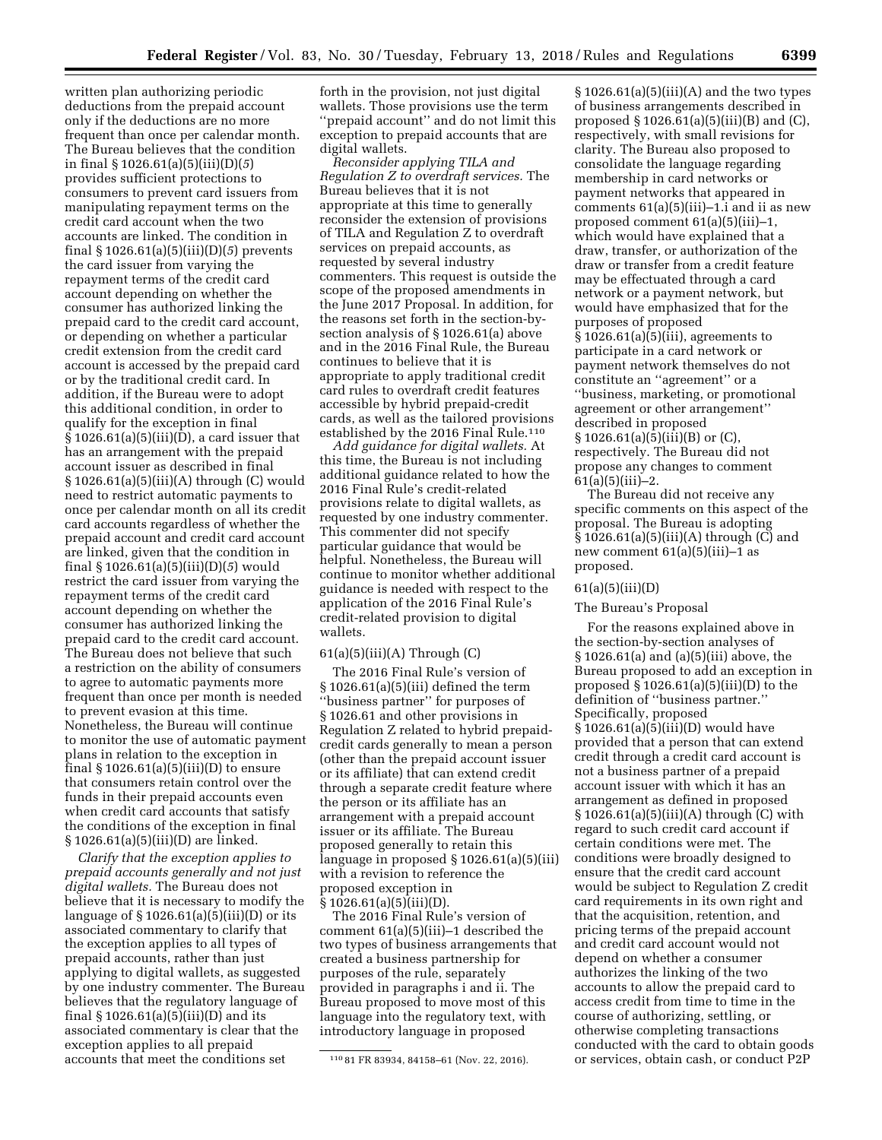written plan authorizing periodic deductions from the prepaid account only if the deductions are no more frequent than once per calendar month. The Bureau believes that the condition in final § 1026.61(a)(5)(iii)(D)(*5*) provides sufficient protections to consumers to prevent card issuers from manipulating repayment terms on the credit card account when the two accounts are linked. The condition in final § 1026.61(a)(5)(iii)(D)(*5*) prevents the card issuer from varying the repayment terms of the credit card account depending on whether the consumer has authorized linking the prepaid card to the credit card account, or depending on whether a particular credit extension from the credit card account is accessed by the prepaid card or by the traditional credit card. In addition, if the Bureau were to adopt this additional condition, in order to qualify for the exception in final  $§ 1026.61(a)(5)(iii)(D)$ , a card issuer that has an arrangement with the prepaid account issuer as described in final § 1026.61(a)(5)(iii)(A) through (C) would need to restrict automatic payments to once per calendar month on all its credit card accounts regardless of whether the prepaid account and credit card account are linked, given that the condition in final § 1026.61(a)(5)(iii)(D)(*5*) would restrict the card issuer from varying the repayment terms of the credit card account depending on whether the consumer has authorized linking the prepaid card to the credit card account. The Bureau does not believe that such a restriction on the ability of consumers to agree to automatic payments more frequent than once per month is needed to prevent evasion at this time. Nonetheless, the Bureau will continue to monitor the use of automatic payment plans in relation to the exception in final  $\S 1026.61(a)(5)(iii)(D)$  to ensure that consumers retain control over the funds in their prepaid accounts even when credit card accounts that satisfy the conditions of the exception in final § 1026.61(a)(5)(iii)(D) are linked.

*Clarify that the exception applies to prepaid accounts generally and not just digital wallets.* The Bureau does not believe that it is necessary to modify the language of  $\S 1026.61(a)(5)(iii)(D)$  or its associated commentary to clarify that the exception applies to all types of prepaid accounts, rather than just applying to digital wallets, as suggested by one industry commenter. The Bureau believes that the regulatory language of final § 1026.61(a)(5)(iii)(D) and its associated commentary is clear that the exception applies to all prepaid accounts that meet the conditions set

forth in the provision, not just digital wallets. Those provisions use the term ''prepaid account'' and do not limit this exception to prepaid accounts that are digital wallets.

*Reconsider applying TILA and Regulation Z to overdraft services.* The Bureau believes that it is not appropriate at this time to generally reconsider the extension of provisions of TILA and Regulation Z to overdraft services on prepaid accounts, as requested by several industry commenters. This request is outside the scope of the proposed amendments in the June 2017 Proposal. In addition, for the reasons set forth in the section-bysection analysis of § 1026.61(a) above and in the 2016 Final Rule, the Bureau continues to believe that it is appropriate to apply traditional credit card rules to overdraft credit features accessible by hybrid prepaid-credit cards, as well as the tailored provisions established by the 2016 Final Rule.<sup>110</sup>

*Add guidance for digital wallets.* At this time, the Bureau is not including additional guidance related to how the 2016 Final Rule's credit-related provisions relate to digital wallets, as requested by one industry commenter. This commenter did not specify particular guidance that would be helpful. Nonetheless, the Bureau will continue to monitor whether additional guidance is needed with respect to the application of the 2016 Final Rule's credit-related provision to digital wallets.

### $61(a)(5)(iii)(A)$  Through  $(C)$

The 2016 Final Rule's version of § 1026.61(a)(5)(iii) defined the term ''business partner'' for purposes of § 1026.61 and other provisions in Regulation Z related to hybrid prepaidcredit cards generally to mean a person (other than the prepaid account issuer or its affiliate) that can extend credit through a separate credit feature where the person or its affiliate has an arrangement with a prepaid account issuer or its affiliate. The Bureau proposed generally to retain this language in proposed § 1026.61(a)(5)(iii) with a revision to reference the proposed exception in  $§ 1026.61(a)(5)(iii)(D).$ 

The 2016 Final Rule's version of comment 61(a)(5)(iii)–1 described the two types of business arrangements that created a business partnership for purposes of the rule, separately provided in paragraphs i and ii. The Bureau proposed to move most of this language into the regulatory text, with introductory language in proposed

 $§ 1026.61(a)(5)(iii)(A)$  and the two types of business arrangements described in proposed  $\S 1026.61(a)(5)(iii)(B)$  and  $(C)$ , respectively, with small revisions for clarity. The Bureau also proposed to consolidate the language regarding membership in card networks or payment networks that appeared in comments 61(a)(5)(iii)–1.i and ii as new proposed comment 61(a)(5)(iii)–1, which would have explained that a draw, transfer, or authorization of the draw or transfer from a credit feature may be effectuated through a card network or a payment network, but would have emphasized that for the purposes of proposed  $\S 1026.61(a)(5)(iii)$ , agreements to participate in a card network or payment network themselves do not constitute an ''agreement'' or a ''business, marketing, or promotional agreement or other arrangement'' described in proposed § 1026.61(a)(5)(iii)(B) or (C), respectively. The Bureau did not propose any changes to comment  $61(a)(5)(iii)-2.$ 

The Bureau did not receive any specific comments on this aspect of the proposal. The Bureau is adopting § 1026.61(a)(5)(iii)(A) through (C) and new comment  $61(a)(5)(iii)-1$  as proposed.

#### $61(a)(5)(iii)(D)$

### The Bureau's Proposal

For the reasons explained above in the section-by-section analyses of § 1026.61(a) and (a)(5)(iii) above, the Bureau proposed to add an exception in proposed  $\S 1026.61(a)(5)(iii)(D)$  to the definition of ''business partner.'' Specifically, proposed § 1026.61(a)(5)(iii)(D) would have provided that a person that can extend credit through a credit card account is not a business partner of a prepaid account issuer with which it has an arrangement as defined in proposed § 1026.61(a)(5)(iii)(A) through (C) with regard to such credit card account if certain conditions were met. The conditions were broadly designed to ensure that the credit card account would be subject to Regulation Z credit card requirements in its own right and that the acquisition, retention, and pricing terms of the prepaid account and credit card account would not depend on whether a consumer authorizes the linking of the two accounts to allow the prepaid card to access credit from time to time in the course of authorizing, settling, or otherwise completing transactions conducted with the card to obtain goods or services, obtain cash, or conduct P2P

<sup>110</sup> 81 FR 83934, 84158–61 (Nov. 22, 2016).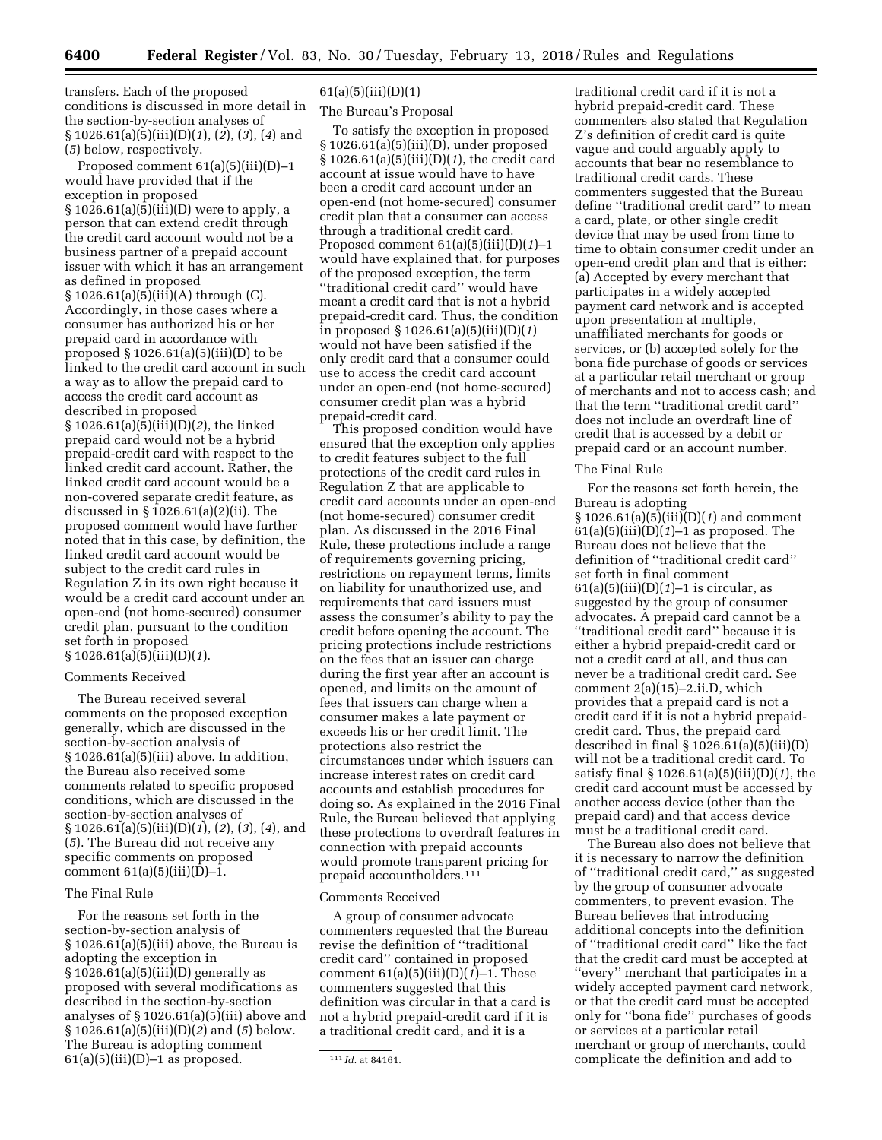transfers. Each of the proposed conditions is discussed in more detail in the section-by-section analyses of § 1026.61(a)(5)(iii)(D)(*1*), (*2*), (*3*), (*4*) and (*5*) below, respectively.

Proposed comment 61(a)(5)(iii)(D)–1 would have provided that if the exception in proposed § 1026.61(a)(5)(iii)(D) were to apply, a person that can extend credit through the credit card account would not be a business partner of a prepaid account issuer with which it has an arrangement as defined in proposed  $§ 1026.61(a)(5)(iii)(A)$  through (C). Accordingly, in those cases where a consumer has authorized his or her prepaid card in accordance with proposed  $\S 1026.61(a)(5)(iii)(D)$  to be linked to the credit card account in such a way as to allow the prepaid card to access the credit card account as described in proposed § 1026.61(a)(5)(iii)(D)(*2*), the linked prepaid card would not be a hybrid prepaid-credit card with respect to the linked credit card account. Rather, the linked credit card account would be a non-covered separate credit feature, as discussed in § 1026.61(a)(2)(ii). The proposed comment would have further noted that in this case, by definition, the linked credit card account would be subject to the credit card rules in Regulation Z in its own right because it would be a credit card account under an open-end (not home-secured) consumer credit plan, pursuant to the condition set forth in proposed § 1026.61(a)(5)(iii)(D)(*1*).

#### Comments Received

The Bureau received several comments on the proposed exception generally, which are discussed in the section-by-section analysis of § 1026.61(a)(5)(iii) above. In addition, the Bureau also received some comments related to specific proposed conditions, which are discussed in the section-by-section analyses of § 1026.61(a)(5)(iii)(D)(*1*), (*2*), (*3*), (*4*), and (*5*). The Bureau did not receive any specific comments on proposed comment  $61(a)(5)(iii)(D)-1$ .

# The Final Rule

For the reasons set forth in the section-by-section analysis of § 1026.61(a)(5)(iii) above, the Bureau is adopting the exception in  $§ 1026.61(a)(5)(iii)(D)$  generally as proposed with several modifications as described in the section-by-section analyses of § 1026.61(a)(5)(iii) above and § 1026.61(a)(5)(iii)(D)(*2*) and (*5*) below. The Bureau is adopting comment  $61(a)(5)(iii)(D)-1$  as proposed.

# $61(a)(5)(iii)(D)(1)$

# The Bureau's Proposal

To satisfy the exception in proposed § 1026.61(a)(5)(iii)(D), under proposed § 1026.61(a)(5)(iii)(D)(*1*), the credit card account at issue would have to have been a credit card account under an open-end (not home-secured) consumer credit plan that a consumer can access through a traditional credit card. Proposed comment 61(a)(5)(iii)(D)(*1*)–1 would have explained that, for purposes of the proposed exception, the term ''traditional credit card'' would have meant a credit card that is not a hybrid prepaid-credit card. Thus, the condition in proposed § 1026.61(a)(5)(iii)(D)(*1*) would not have been satisfied if the only credit card that a consumer could use to access the credit card account under an open-end (not home-secured) consumer credit plan was a hybrid prepaid-credit card.

This proposed condition would have ensured that the exception only applies to credit features subject to the full protections of the credit card rules in Regulation Z that are applicable to credit card accounts under an open-end (not home-secured) consumer credit plan. As discussed in the 2016 Final Rule, these protections include a range of requirements governing pricing, restrictions on repayment terms, limits on liability for unauthorized use, and requirements that card issuers must assess the consumer's ability to pay the credit before opening the account. The pricing protections include restrictions on the fees that an issuer can charge during the first year after an account is opened, and limits on the amount of fees that issuers can charge when a consumer makes a late payment or exceeds his or her credit limit. The protections also restrict the circumstances under which issuers can increase interest rates on credit card accounts and establish procedures for doing so. As explained in the 2016 Final Rule, the Bureau believed that applying these protections to overdraft features in connection with prepaid accounts would promote transparent pricing for prepaid accountholders.111

#### Comments Received

A group of consumer advocate commenters requested that the Bureau revise the definition of ''traditional credit card'' contained in proposed comment  $61(a)(5)(iii)(D)(1)-1$ . These commenters suggested that this definition was circular in that a card is not a hybrid prepaid-credit card if it is a traditional credit card, and it is a

traditional credit card if it is not a hybrid prepaid-credit card. These commenters also stated that Regulation Z's definition of credit card is quite vague and could arguably apply to accounts that bear no resemblance to traditional credit cards. These commenters suggested that the Bureau define ''traditional credit card'' to mean a card, plate, or other single credit device that may be used from time to time to obtain consumer credit under an open-end credit plan and that is either: (a) Accepted by every merchant that participates in a widely accepted payment card network and is accepted upon presentation at multiple, unaffiliated merchants for goods or services, or (b) accepted solely for the bona fide purchase of goods or services at a particular retail merchant or group of merchants and not to access cash; and that the term ''traditional credit card'' does not include an overdraft line of credit that is accessed by a debit or prepaid card or an account number.

#### The Final Rule

For the reasons set forth herein, the Bureau is adopting § 1026.61(a)(5)(iii)(D)(*1*) and comment 61(a)(5)(iii)(D)(*1*)–1 as proposed. The Bureau does not believe that the definition of ''traditional credit card'' set forth in final comment 61(a)(5)(iii)(D)(*1*)–1 is circular, as suggested by the group of consumer advocates. A prepaid card cannot be a ''traditional credit card'' because it is either a hybrid prepaid-credit card or not a credit card at all, and thus can never be a traditional credit card. See comment 2(a)(15)–2.ii.D, which provides that a prepaid card is not a credit card if it is not a hybrid prepaidcredit card. Thus, the prepaid card described in final  $\S 1026.61(a)(5)(iii)(D)$ will not be a traditional credit card. To satisfy final § 1026.61(a)(5)(iii)(D)(*1*), the credit card account must be accessed by another access device (other than the prepaid card) and that access device must be a traditional credit card.

The Bureau also does not believe that it is necessary to narrow the definition of ''traditional credit card,'' as suggested by the group of consumer advocate commenters, to prevent evasion. The Bureau believes that introducing additional concepts into the definition of ''traditional credit card'' like the fact that the credit card must be accepted at ''every'' merchant that participates in a widely accepted payment card network, or that the credit card must be accepted only for ''bona fide'' purchases of goods or services at a particular retail merchant or group of merchants, could complicate the definition and add to

<sup>111</sup> *Id.* at 84161.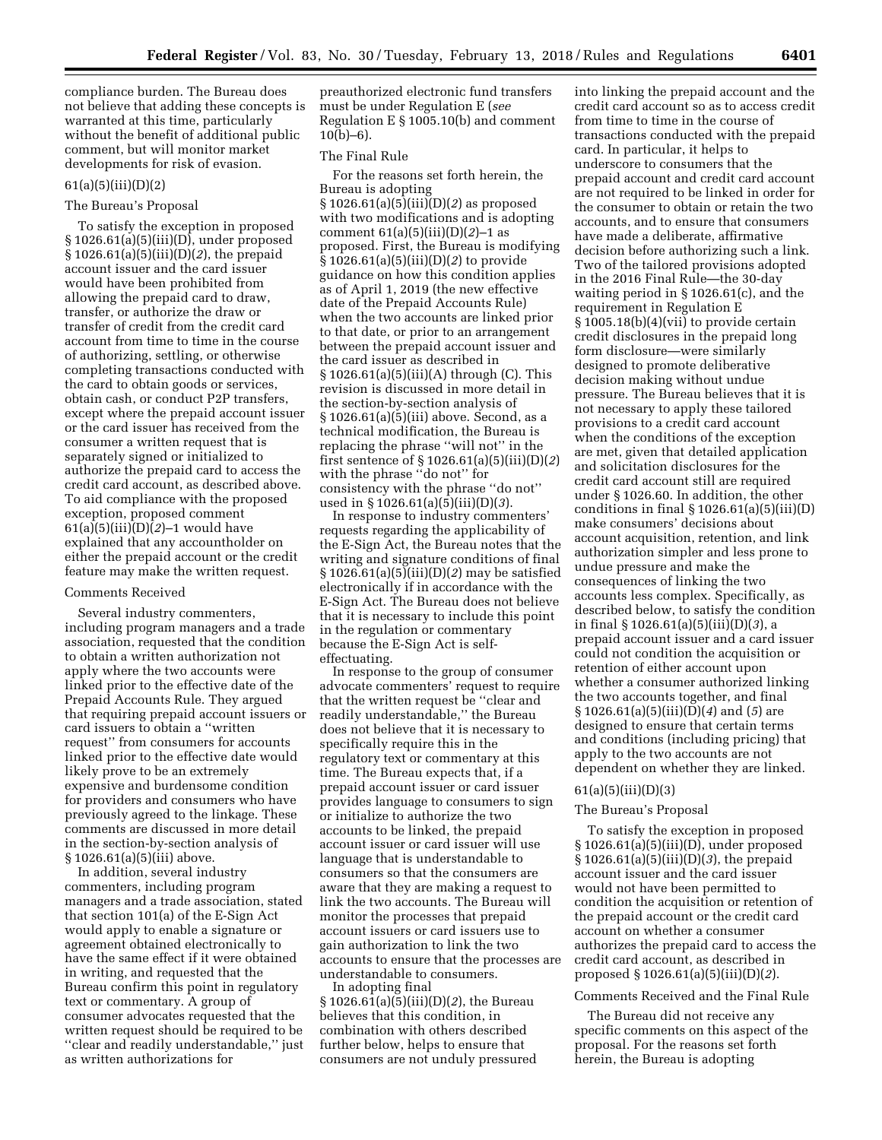compliance burden. The Bureau does not believe that adding these concepts is warranted at this time, particularly without the benefit of additional public comment, but will monitor market developments for risk of evasion.

## $61(a)(5)(iii)(D)(2)$

# The Bureau's Proposal

To satisfy the exception in proposed § 1026.61(a)(5)(iii)(D), under proposed § 1026.61(a)(5)(iii)(D)(*2*), the prepaid account issuer and the card issuer would have been prohibited from allowing the prepaid card to draw, transfer, or authorize the draw or transfer of credit from the credit card account from time to time in the course of authorizing, settling, or otherwise completing transactions conducted with the card to obtain goods or services, obtain cash, or conduct P2P transfers, except where the prepaid account issuer or the card issuer has received from the consumer a written request that is separately signed or initialized to authorize the prepaid card to access the credit card account, as described above. To aid compliance with the proposed exception, proposed comment 61(a)(5)(iii)(D)(*2*)–1 would have explained that any accountholder on either the prepaid account or the credit feature may make the written request.

# Comments Received

Several industry commenters, including program managers and a trade association, requested that the condition to obtain a written authorization not apply where the two accounts were linked prior to the effective date of the Prepaid Accounts Rule. They argued that requiring prepaid account issuers or card issuers to obtain a ''written request'' from consumers for accounts linked prior to the effective date would likely prove to be an extremely expensive and burdensome condition for providers and consumers who have previously agreed to the linkage. These comments are discussed in more detail in the section-by-section analysis of § 1026.61(a)(5)(iii) above.

In addition, several industry commenters, including program managers and a trade association, stated that section 101(a) of the E-Sign Act would apply to enable a signature or agreement obtained electronically to have the same effect if it were obtained in writing, and requested that the Bureau confirm this point in regulatory text or commentary. A group of consumer advocates requested that the written request should be required to be ''clear and readily understandable,'' just as written authorizations for

preauthorized electronic fund transfers must be under Regulation E (*see*  Regulation E § 1005.10(b) and comment  $10(b)-6$ ).

### The Final Rule

For the reasons set forth herein, the Bureau is adopting § 1026.61(a)(5)(iii)(D)(*2*) as proposed with two modifications and is adopting comment 61(a)(5)(iii)(D)(*2*)–1 as proposed. First, the Bureau is modifying § 1026.61(a)(5)(iii)(D)(*2*) to provide guidance on how this condition applies as of April 1, 2019 (the new effective date of the Prepaid Accounts Rule) when the two accounts are linked prior to that date, or prior to an arrangement between the prepaid account issuer and the card issuer as described in § 1026.61(a)(5)(iii)(A) through (C). This revision is discussed in more detail in the section-by-section analysis of § 1026.61(a)(5)(iii) above. Second, as a technical modification, the Bureau is replacing the phrase ''will not'' in the first sentence of § 1026.61(a)(5)(iii)(D)(*2*) with the phrase ''do not'' for consistency with the phrase ''do not'' used in § 1026.61(a)(5)(iii)(D)(*3*).

In response to industry commenters' requests regarding the applicability of the E-Sign Act, the Bureau notes that the writing and signature conditions of final § 1026.61(a)(5)(iii)(D)(*2*) may be satisfied electronically if in accordance with the E-Sign Act. The Bureau does not believe that it is necessary to include this point in the regulation or commentary because the E-Sign Act is selfeffectuating.

In response to the group of consumer advocate commenters' request to require that the written request be ''clear and readily understandable,'' the Bureau does not believe that it is necessary to specifically require this in the regulatory text or commentary at this time. The Bureau expects that, if a prepaid account issuer or card issuer provides language to consumers to sign or initialize to authorize the two accounts to be linked, the prepaid account issuer or card issuer will use language that is understandable to consumers so that the consumers are aware that they are making a request to link the two accounts. The Bureau will monitor the processes that prepaid account issuers or card issuers use to gain authorization to link the two accounts to ensure that the processes are understandable to consumers.

In adopting final § 1026.61(a)(5)(iii)(D)(*2*), the Bureau believes that this condition, in combination with others described further below, helps to ensure that consumers are not unduly pressured into linking the prepaid account and the credit card account so as to access credit from time to time in the course of transactions conducted with the prepaid card. In particular, it helps to underscore to consumers that the prepaid account and credit card account are not required to be linked in order for the consumer to obtain or retain the two accounts, and to ensure that consumers have made a deliberate, affirmative decision before authorizing such a link. Two of the tailored provisions adopted in the 2016 Final Rule—the 30-day waiting period in § 1026.61(c), and the requirement in Regulation E § 1005.18(b)(4)(vii) to provide certain credit disclosures in the prepaid long form disclosure—were similarly designed to promote deliberative decision making without undue pressure. The Bureau believes that it is not necessary to apply these tailored provisions to a credit card account when the conditions of the exception are met, given that detailed application and solicitation disclosures for the credit card account still are required under § 1026.60. In addition, the other conditions in final  $\S 1026.61(a)(5)(iii)(D)$ make consumers' decisions about account acquisition, retention, and link authorization simpler and less prone to undue pressure and make the consequences of linking the two accounts less complex. Specifically, as described below, to satisfy the condition in final § 1026.61(a)(5)(iii)(D)(*3*), a prepaid account issuer and a card issuer could not condition the acquisition or retention of either account upon whether a consumer authorized linking the two accounts together, and final § 1026.61(a)(5)(iii)(D)(*4*) and (*5*) are designed to ensure that certain terms and conditions (including pricing) that apply to the two accounts are not dependent on whether they are linked.

# 61(a)(5)(iii)(D)(3)

#### The Bureau's Proposal

To satisfy the exception in proposed § 1026.61(a)(5)(iii)(D), under proposed § 1026.61(a)(5)(iii)(D)(*3*), the prepaid account issuer and the card issuer would not have been permitted to condition the acquisition or retention of the prepaid account or the credit card account on whether a consumer authorizes the prepaid card to access the credit card account, as described in proposed § 1026.61(a)(5)(iii)(D)(*2*).

# Comments Received and the Final Rule

The Bureau did not receive any specific comments on this aspect of the proposal. For the reasons set forth herein, the Bureau is adopting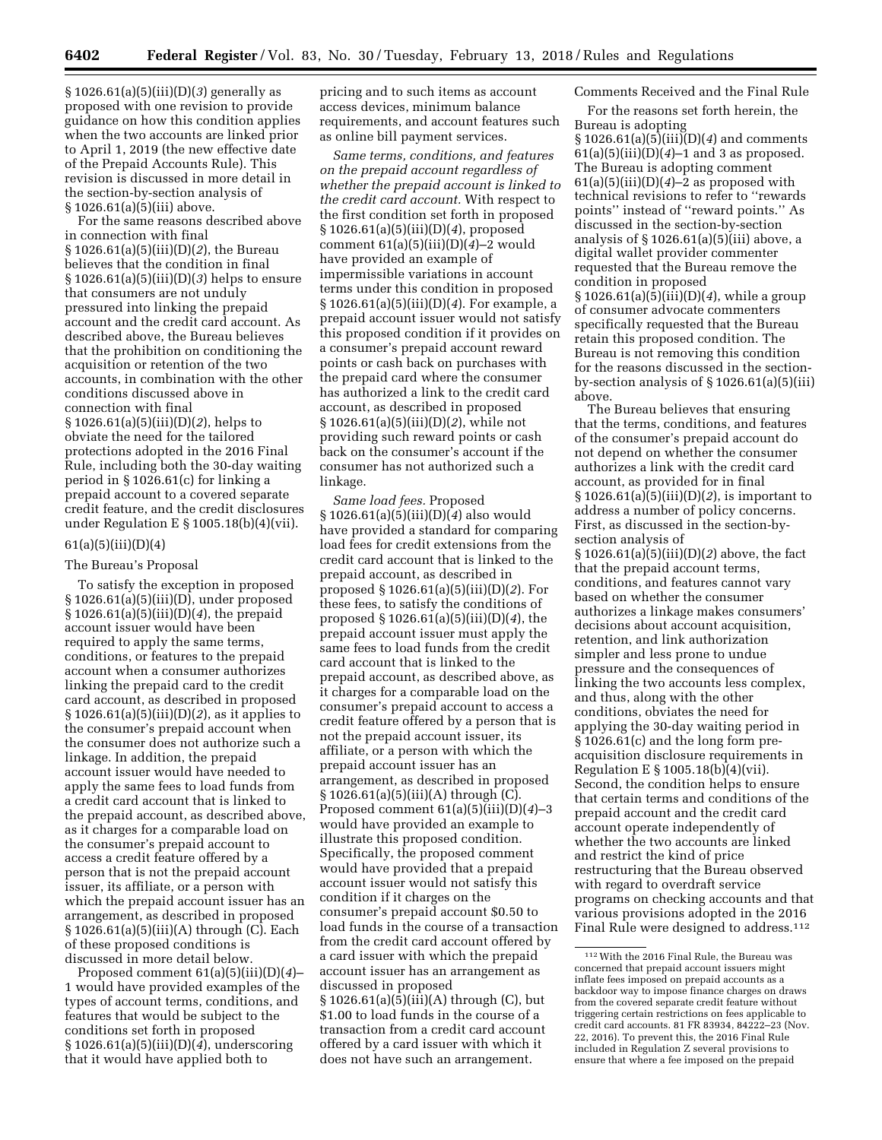§ 1026.61(a)(5)(iii)(D)(*3*) generally as proposed with one revision to provide guidance on how this condition applies when the two accounts are linked prior to April 1, 2019 (the new effective date of the Prepaid Accounts Rule). This revision is discussed in more detail in the section-by-section analysis of § 1026.61(a)(5)(iii) above.

For the same reasons described above in connection with final § 1026.61(a)(5)(iii)(D)(*2*), the Bureau believes that the condition in final § 1026.61(a)(5)(iii)(D)(*3*) helps to ensure that consumers are not unduly pressured into linking the prepaid account and the credit card account. As described above, the Bureau believes that the prohibition on conditioning the acquisition or retention of the two accounts, in combination with the other conditions discussed above in connection with final § 1026.61(a)(5)(iii)(D)(*2*), helps to obviate the need for the tailored protections adopted in the 2016 Final Rule, including both the 30-day waiting period in § 1026.61(c) for linking a prepaid account to a covered separate credit feature, and the credit disclosures under Regulation E § 1005.18(b)(4)(vii).

## $61(a)(5)(iii)(D)(4)$

#### The Bureau's Proposal

To satisfy the exception in proposed § 1026.61(a)(5)(iii)(D), under proposed § 1026.61(a)(5)(iii)(D)(*4*), the prepaid account issuer would have been required to apply the same terms, conditions, or features to the prepaid account when a consumer authorizes linking the prepaid card to the credit card account, as described in proposed § 1026.61(a)(5)(iii)(D)(*2*), as it applies to the consumer's prepaid account when the consumer does not authorize such a linkage. In addition, the prepaid account issuer would have needed to apply the same fees to load funds from a credit card account that is linked to the prepaid account, as described above, as it charges for a comparable load on the consumer's prepaid account to access a credit feature offered by a person that is not the prepaid account issuer, its affiliate, or a person with which the prepaid account issuer has an arrangement, as described in proposed § 1026.61(a)(5)(iii)(A) through (C). Each of these proposed conditions is discussed in more detail below.

Proposed comment 61(a)(5)(iii)(D)(*4*)– 1 would have provided examples of the types of account terms, conditions, and features that would be subject to the conditions set forth in proposed § 1026.61(a)(5)(iii)(D)(*4*), underscoring that it would have applied both to

pricing and to such items as account access devices, minimum balance requirements, and account features such as online bill payment services.

*Same terms, conditions, and features on the prepaid account regardless of whether the prepaid account is linked to the credit card account.* With respect to the first condition set forth in proposed § 1026.61(a)(5)(iii)(D)(*4*), proposed comment 61(a)(5)(iii)(D)(*4*)–2 would have provided an example of impermissible variations in account terms under this condition in proposed § 1026.61(a)(5)(iii)(D)(*4*). For example, a prepaid account issuer would not satisfy this proposed condition if it provides on a consumer's prepaid account reward points or cash back on purchases with the prepaid card where the consumer has authorized a link to the credit card account, as described in proposed § 1026.61(a)(5)(iii)(D)(*2*), while not providing such reward points or cash back on the consumer's account if the consumer has not authorized such a linkage.

*Same load fees.* Proposed § 1026.61(a)(5)(iii)(D)(*4*) also would have provided a standard for comparing load fees for credit extensions from the credit card account that is linked to the prepaid account, as described in proposed § 1026.61(a)(5)(iii)(D)(*2*). For these fees, to satisfy the conditions of proposed § 1026.61(a)(5)(iii)(D)(*4*), the prepaid account issuer must apply the same fees to load funds from the credit card account that is linked to the prepaid account, as described above, as it charges for a comparable load on the consumer's prepaid account to access a credit feature offered by a person that is not the prepaid account issuer, its affiliate, or a person with which the prepaid account issuer has an arrangement, as described in proposed § 1026.61(a)(5)(iii)(A) through (C). Proposed comment 61(a)(5)(iii)(D)(*4*)–3 would have provided an example to illustrate this proposed condition. Specifically, the proposed comment would have provided that a prepaid account issuer would not satisfy this condition if it charges on the consumer's prepaid account \$0.50 to load funds in the course of a transaction from the credit card account offered by a card issuer with which the prepaid account issuer has an arrangement as discussed in proposed § 1026.61(a)(5)(iii)(A) through (C), but \$1.00 to load funds in the course of a transaction from a credit card account offered by a card issuer with which it does not have such an arrangement.

Comments Received and the Final Rule

For the reasons set forth herein, the Bureau is adopting

§ 1026.61(a)(5)(iii)(D)(*4*) and comments 61(a)(5)(iii)(D)(*4*)–1 and 3 as proposed. The Bureau is adopting comment  $61(a)(5)(iii)(D)(4)-2$  as proposed with technical revisions to refer to ''rewards points'' instead of ''reward points.'' As discussed in the section-by-section analysis of  $\S 1026.61(a)(5)(iii)$  above, a digital wallet provider commenter requested that the Bureau remove the condition in proposed § 1026.61(a)(5)(iii)(D)(*4*), while a group of consumer advocate commenters specifically requested that the Bureau retain this proposed condition. The Bureau is not removing this condition for the reasons discussed in the sectionby-section analysis of § 1026.61(a)(5)(iii) above.

The Bureau believes that ensuring that the terms, conditions, and features of the consumer's prepaid account do not depend on whether the consumer authorizes a link with the credit card account, as provided for in final § 1026.61(a)(5)(iii)(D)(*2*), is important to address a number of policy concerns. First, as discussed in the section-bysection analysis of § 1026.61(a)(5)(iii)(D)(*2*) above, the fact that the prepaid account terms, conditions, and features cannot vary based on whether the consumer authorizes a linkage makes consumers' decisions about account acquisition, retention, and link authorization simpler and less prone to undue pressure and the consequences of linking the two accounts less complex, and thus, along with the other conditions, obviates the need for applying the 30-day waiting period in § 1026.61(c) and the long form preacquisition disclosure requirements in Regulation E § 1005.18(b)(4)(vii). Second, the condition helps to ensure that certain terms and conditions of the prepaid account and the credit card account operate independently of whether the two accounts are linked and restrict the kind of price restructuring that the Bureau observed with regard to overdraft service programs on checking accounts and that various provisions adopted in the 2016 Final Rule were designed to address.112

<sup>112</sup>With the 2016 Final Rule, the Bureau was concerned that prepaid account issuers might inflate fees imposed on prepaid accounts as a backdoor way to impose finance charges on draws from the covered separate credit feature without triggering certain restrictions on fees applicable to credit card accounts. 81 FR 83934, 84222–23 (Nov. 22, 2016). To prevent this, the 2016 Final Rule included in Regulation Z several provisions to ensure that where a fee imposed on the prepaid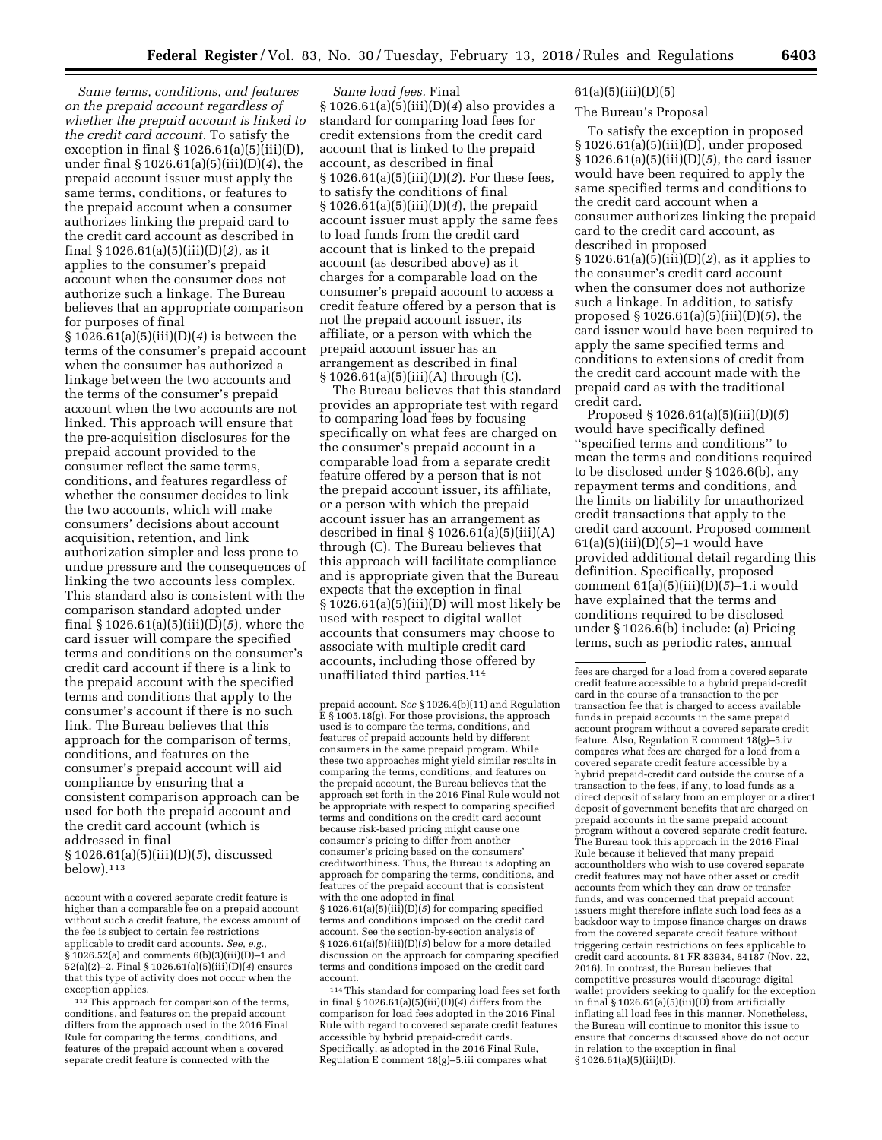*Same terms, conditions, and features on the prepaid account regardless of whether the prepaid account is linked to the credit card account.* To satisfy the exception in final  $\S 1026.61(a)(5)(iii)(D)$ , under final § 1026.61(a)(5)(iii)(D)(*4*), the prepaid account issuer must apply the same terms, conditions, or features to the prepaid account when a consumer authorizes linking the prepaid card to the credit card account as described in final § 1026.61(a)(5)(iii)(D)(*2*), as it applies to the consumer's prepaid account when the consumer does not authorize such a linkage. The Bureau believes that an appropriate comparison for purposes of final

§ 1026.61(a)(5)(iii)(D)(*4*) is between the terms of the consumer's prepaid account when the consumer has authorized a linkage between the two accounts and the terms of the consumer's prepaid account when the two accounts are not linked. This approach will ensure that the pre-acquisition disclosures for the prepaid account provided to the consumer reflect the same terms, conditions, and features regardless of whether the consumer decides to link the two accounts, which will make consumers' decisions about account acquisition, retention, and link authorization simpler and less prone to undue pressure and the consequences of linking the two accounts less complex. This standard also is consistent with the comparison standard adopted under final § 1026.61(a)(5)(iii)(D)(*5*), where the card issuer will compare the specified terms and conditions on the consumer's credit card account if there is a link to the prepaid account with the specified terms and conditions that apply to the consumer's account if there is no such link. The Bureau believes that this approach for the comparison of terms, conditions, and features on the consumer's prepaid account will aid compliance by ensuring that a consistent comparison approach can be used for both the prepaid account and the credit card account (which is addressed in final § 1026.61(a)(5)(iii)(D)(*5*), discussed  $below$ ).<sup>113</sup>

*Same load fees.* Final § 1026.61(a)(5)(iii)(D)(*4*) also provides a standard for comparing load fees for credit extensions from the credit card account that is linked to the prepaid account, as described in final § 1026.61(a)(5)(iii)(D)(*2*). For these fees, to satisfy the conditions of final § 1026.61(a)(5)(iii)(D)(*4*), the prepaid account issuer must apply the same fees to load funds from the credit card account that is linked to the prepaid account (as described above) as it charges for a comparable load on the consumer's prepaid account to access a credit feature offered by a person that is not the prepaid account issuer, its affiliate, or a person with which the prepaid account issuer has an arrangement as described in final § 1026.61(a)(5)(iii)(A) through (C).

The Bureau believes that this standard provides an appropriate test with regard to comparing load fees by focusing specifically on what fees are charged on the consumer's prepaid account in a comparable load from a separate credit feature offered by a person that is not the prepaid account issuer, its affiliate, or a person with which the prepaid account issuer has an arrangement as described in final  $\S 1026.61(a)(5)(iii)(A)$ through (C). The Bureau believes that this approach will facilitate compliance and is appropriate given that the Bureau expects that the exception in final § 1026.61(a)(5)(iii)(D) will most likely be used with respect to digital wallet accounts that consumers may choose to associate with multiple credit card accounts, including those offered by unaffiliated third parties.114

114This standard for comparing load fees set forth in final § 1026.61(a)(5)(iii)(D)(*4*) differs from the comparison for load fees adopted in the 2016 Final Rule with regard to covered separate credit features accessible by hybrid prepaid-credit cards. Specifically, as adopted in the 2016 Final Rule, Regulation E comment 18(g)–5.iii compares what

# 61(a)(5)(iii)(D)(5)

# The Bureau's Proposal

To satisfy the exception in proposed § 1026.61(a)(5)(iii)(D), under proposed § 1026.61(a)(5)(iii)(D)(*5*), the card issuer would have been required to apply the same specified terms and conditions to the credit card account when a consumer authorizes linking the prepaid card to the credit card account, as described in proposed § 1026.61(a)(5)(iii)(D)(*2*), as it applies to the consumer's credit card account when the consumer does not authorize such a linkage. In addition, to satisfy proposed § 1026.61(a)(5)(iii)(D)(*5*), the card issuer would have been required to apply the same specified terms and conditions to extensions of credit from the credit card account made with the prepaid card as with the traditional credit card.

Proposed § 1026.61(a)(5)(iii)(D)(*5*) would have specifically defined ''specified terms and conditions'' to mean the terms and conditions required to be disclosed under § 1026.6(b), any repayment terms and conditions, and the limits on liability for unauthorized credit transactions that apply to the credit card account. Proposed comment 61(a)(5)(iii)(D)(*5*)–1 would have provided additional detail regarding this definition. Specifically, proposed comment 61(a)(5)(iii)(D)(*5*)–1.i would have explained that the terms and conditions required to be disclosed under § 1026.6(b) include: (a) Pricing terms, such as periodic rates, annual

account with a covered separate credit feature is higher than a comparable fee on a prepaid account without such a credit feature, the excess amount of the fee is subject to certain fee restrictions applicable to credit card accounts. See, e.g. § 1026.52(a) and comments 6(b)(3)(iii)(D)–1 and 52(a)(2)–2. Final § 1026.61(a)(5)(iii)(D)(*4*) ensures that this type of activity does not occur when the exception applies.

<sup>113</sup>This approach for comparison of the terms, conditions, and features on the prepaid account differs from the approach used in the 2016 Final Rule for comparing the terms, conditions, and features of the prepaid account when a covered separate credit feature is connected with the

prepaid account. *See* § 1026.4(b)(11) and Regulation E § 1005.18(g). For those provisions, the approach used is to compare the terms, conditions, and features of prepaid accounts held by different consumers in the same prepaid program. While these two approaches might yield similar results in comparing the terms, conditions, and features on the prepaid account, the Bureau believes that the approach set forth in the 2016 Final Rule would not be appropriate with respect to comparing specified terms and conditions on the credit card account because risk-based pricing might cause one consumer's pricing to differ from another consumer's pricing based on the consumers' creditworthiness. Thus, the Bureau is adopting an approach for comparing the terms, conditions, and features of the prepaid account that is consistent with the one adopted in final  $§ 1026.61(a)(5)(iii)(D)(5)$  for comparing specified terms and conditions imposed on the credit card account. See the section-by-section analysis of § 1026.61(a)(5)(iii)(D)(*5*) below for a more detailed discussion on the approach for comparing specified terms and conditions imposed on the credit card account.

fees are charged for a load from a covered separate credit feature accessible to a hybrid prepaid-credit card in the course of a transaction to the per transaction fee that is charged to access available funds in prepaid accounts in the same prepaid account program without a covered separate credit feature. Also, Regulation E comment 18(g)–5.iv compares what fees are charged for a load from a covered separate credit feature accessible by a hybrid prepaid-credit card outside the course of a transaction to the fees, if any, to load funds as a direct deposit of salary from an employer or a direct deposit of government benefits that are charged on prepaid accounts in the same prepaid account program without a covered separate credit feature. The Bureau took this approach in the 2016 Final Rule because it believed that many prepaid accountholders who wish to use covered separate credit features may not have other asset or credit accounts from which they can draw or transfer funds, and was concerned that prepaid account issuers might therefore inflate such load fees as a backdoor way to impose finance charges on draws from the covered separate credit feature without triggering certain restrictions on fees applicable to credit card accounts. 81 FR 83934, 84187 (Nov. 22, 2016). In contrast, the Bureau believes that competitive pressures would discourage digital wallet providers seeking to qualify for the exception in final § 1026.61(a)(5)(iii)(D) from artificially inflating all load fees in this manner. Nonetheless, the Bureau will continue to monitor this issue to ensure that concerns discussed above do not occur in relation to the exception in final § 1026.61(a)(5)(iii)(D).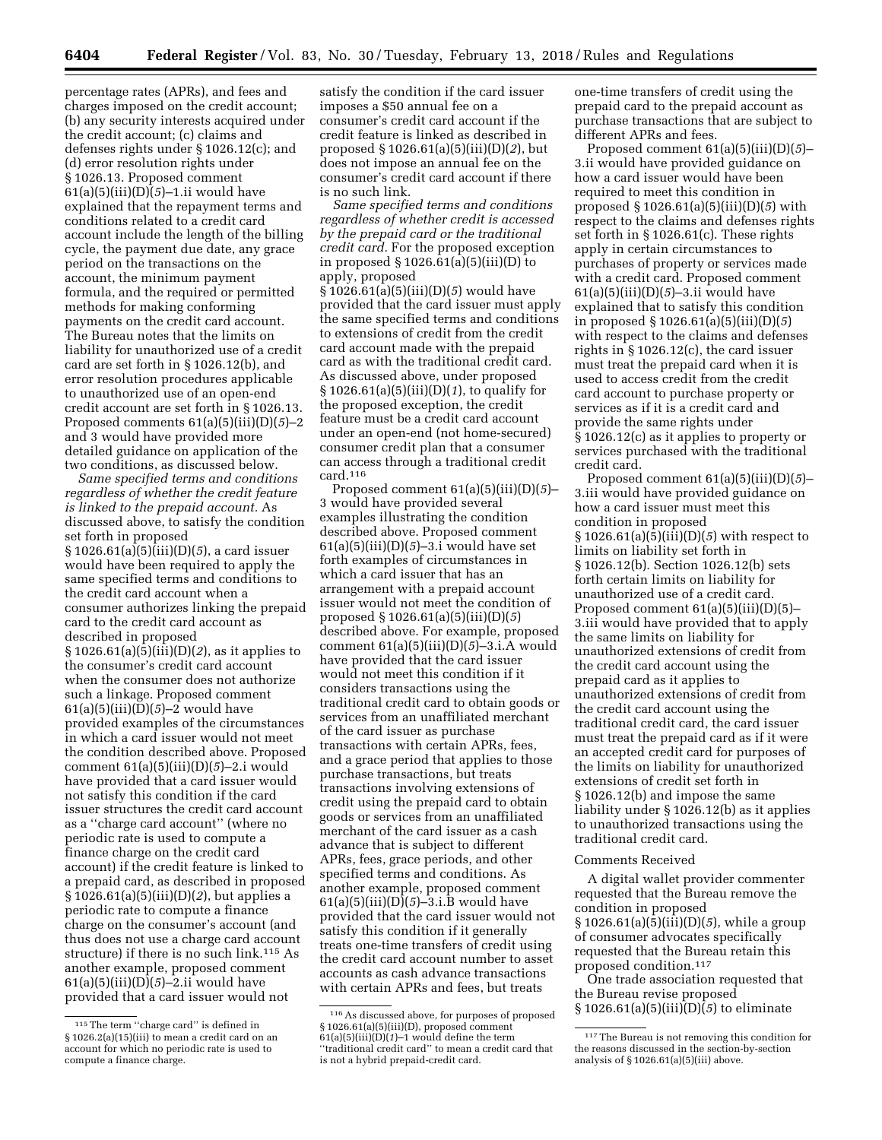percentage rates (APRs), and fees and charges imposed on the credit account; (b) any security interests acquired under the credit account; (c) claims and defenses rights under § 1026.12(c); and (d) error resolution rights under § 1026.13. Proposed comment 61(a)(5)(iii)(D)(*5*)–1.ii would have explained that the repayment terms and conditions related to a credit card account include the length of the billing cycle, the payment due date, any grace period on the transactions on the account, the minimum payment formula, and the required or permitted methods for making conforming payments on the credit card account. The Bureau notes that the limits on liability for unauthorized use of a credit card are set forth in § 1026.12(b), and error resolution procedures applicable to unauthorized use of an open-end credit account are set forth in § 1026.13. Proposed comments 61(a)(5)(iii)(D)(*5*)–2 and 3 would have provided more detailed guidance on application of the two conditions, as discussed below.

*Same specified terms and conditions regardless of whether the credit feature is linked to the prepaid account.* As discussed above, to satisfy the condition set forth in proposed § 1026.61(a)(5)(iii)(D)(*5*), a card issuer would have been required to apply the same specified terms and conditions to the credit card account when a consumer authorizes linking the prepaid card to the credit card account as described in proposed § 1026.61(a)(5)(iii)(D)(*2*), as it applies to the consumer's credit card account when the consumer does not authorize such a linkage. Proposed comment 61(a)(5)(iii)(D)(*5*)–2 would have provided examples of the circumstances in which a card issuer would not meet the condition described above. Proposed comment 61(a)(5)(iii)(D)(*5*)–2.i would have provided that a card issuer would not satisfy this condition if the card issuer structures the credit card account as a ''charge card account'' (where no periodic rate is used to compute a finance charge on the credit card account) if the credit feature is linked to a prepaid card, as described in proposed § 1026.61(a)(5)(iii)(D)(*2*), but applies a periodic rate to compute a finance charge on the consumer's account (and thus does not use a charge card account structure) if there is no such link.<sup>115</sup> As another example, proposed comment 61(a)(5)(iii)(D)(*5*)–2.ii would have provided that a card issuer would not

satisfy the condition if the card issuer imposes a \$50 annual fee on a consumer's credit card account if the credit feature is linked as described in proposed § 1026.61(a)(5)(iii)(D)(*2*), but does not impose an annual fee on the consumer's credit card account if there is no such link.

*Same specified terms and conditions regardless of whether credit is accessed by the prepaid card or the traditional credit card.* For the proposed exception in proposed § 1026.61(a)(5)(iii)(D) to apply, proposed § 1026.61(a)(5)(iii)(D)(*5*) would have provided that the card issuer must apply the same specified terms and conditions to extensions of credit from the credit card account made with the prepaid card as with the traditional credit card. As discussed above, under proposed § 1026.61(a)(5)(iii)(D)(*1*), to qualify for the proposed exception, the credit feature must be a credit card account under an open-end (not home-secured) consumer credit plan that a consumer can access through a traditional credit card.116

Proposed comment 61(a)(5)(iii)(D)(*5*)– 3 would have provided several examples illustrating the condition described above. Proposed comment 61(a)(5)(iii)(D)(*5*)–3.i would have set forth examples of circumstances in which a card issuer that has an arrangement with a prepaid account issuer would not meet the condition of proposed § 1026.61(a)(5)(iii)(D)(*5*) described above. For example, proposed comment 61(a)(5)(iii)(D)(*5*)–3.i.A would have provided that the card issuer would not meet this condition if it considers transactions using the traditional credit card to obtain goods or services from an unaffiliated merchant of the card issuer as purchase transactions with certain APRs, fees, and a grace period that applies to those purchase transactions, but treats transactions involving extensions of credit using the prepaid card to obtain goods or services from an unaffiliated merchant of the card issuer as a cash advance that is subject to different APRs, fees, grace periods, and other specified terms and conditions. As another example, proposed comment 61(a)(5)(iii)(D)(*5*)–3.i.B would have provided that the card issuer would not satisfy this condition if it generally treats one-time transfers of credit using the credit card account number to asset accounts as cash advance transactions with certain APRs and fees, but treats

one-time transfers of credit using the prepaid card to the prepaid account as purchase transactions that are subject to different APRs and fees.

Proposed comment 61(a)(5)(iii)(D)(*5*)– 3.ii would have provided guidance on how a card issuer would have been required to meet this condition in proposed § 1026.61(a)(5)(iii)(D)(*5*) with respect to the claims and defenses rights set forth in § 1026.61(c). These rights apply in certain circumstances to purchases of property or services made with a credit card. Proposed comment 61(a)(5)(iii)(D)(*5*)–3.ii would have explained that to satisfy this condition in proposed § 1026.61(a)(5)(iii)(D)(*5*) with respect to the claims and defenses rights in § 1026.12(c), the card issuer must treat the prepaid card when it is used to access credit from the credit card account to purchase property or services as if it is a credit card and provide the same rights under § 1026.12(c) as it applies to property or services purchased with the traditional credit card.

Proposed comment 61(a)(5)(iii)(D)(*5*)– 3.iii would have provided guidance on how a card issuer must meet this condition in proposed § 1026.61(a)(5)(iii)(D)(*5*) with respect to limits on liability set forth in § 1026.12(b). Section 1026.12(b) sets forth certain limits on liability for unauthorized use of a credit card. Proposed comment  $61(a)(5)(iii)(D)(5)$ – 3.iii would have provided that to apply the same limits on liability for unauthorized extensions of credit from the credit card account using the prepaid card as it applies to unauthorized extensions of credit from the credit card account using the traditional credit card, the card issuer must treat the prepaid card as if it were an accepted credit card for purposes of the limits on liability for unauthorized extensions of credit set forth in § 1026.12(b) and impose the same liability under § 1026.12(b) as it applies to unauthorized transactions using the traditional credit card.

#### Comments Received

A digital wallet provider commenter requested that the Bureau remove the condition in proposed § 1026.61(a)(5)(iii)(D)(*5*), while a group of consumer advocates specifically requested that the Bureau retain this proposed condition.117

One trade association requested that the Bureau revise proposed § 1026.61(a)(5)(iii)(D)(*5*) to eliminate

<sup>115</sup>The term ''charge card'' is defined in § 1026.2(a)(15)(iii) to mean a credit card on an account for which no periodic rate is used to compute a finance charge.

<sup>116</sup>As discussed above, for purposes of proposed § 1026.61(a)(5)(iii)(D), proposed comment  $61(a)(5)(iii)(D)(1)-1$  would define the term ''traditional credit card'' to mean a credit card that is not a hybrid prepaid-credit card.

<sup>117</sup>The Bureau is not removing this condition for the reasons discussed in the section-by-section analysis of § 1026.61(a)(5)(iii) above.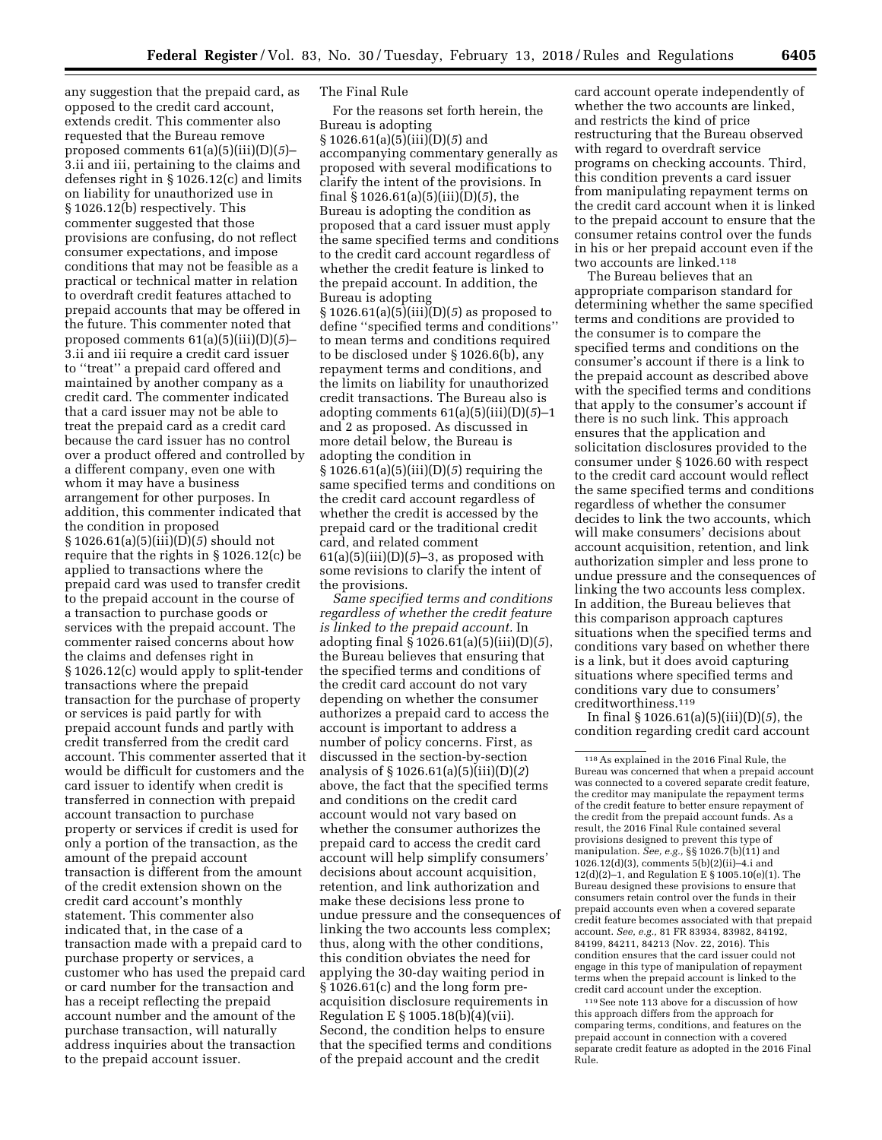any suggestion that the prepaid card, as opposed to the credit card account, extends credit. This commenter also requested that the Bureau remove proposed comments 61(a)(5)(iii)(D)(*5*)– 3.ii and iii, pertaining to the claims and defenses right in § 1026.12(c) and limits on liability for unauthorized use in § 1026.12(b) respectively. This commenter suggested that those provisions are confusing, do not reflect consumer expectations, and impose conditions that may not be feasible as a practical or technical matter in relation to overdraft credit features attached to prepaid accounts that may be offered in the future. This commenter noted that proposed comments 61(a)(5)(iii)(D)(*5*)– 3.ii and iii require a credit card issuer to ''treat'' a prepaid card offered and maintained by another company as a credit card. The commenter indicated that a card issuer may not be able to treat the prepaid card as a credit card because the card issuer has no control over a product offered and controlled by a different company, even one with whom it may have a business arrangement for other purposes. In addition, this commenter indicated that the condition in proposed § 1026.61(a)(5)(iii)(D)(*5*) should not require that the rights in § 1026.12(c) be applied to transactions where the prepaid card was used to transfer credit to the prepaid account in the course of a transaction to purchase goods or services with the prepaid account. The

commenter raised concerns about how the claims and defenses right in § 1026.12(c) would apply to split-tender transactions where the prepaid transaction for the purchase of property or services is paid partly for with prepaid account funds and partly with credit transferred from the credit card account. This commenter asserted that it would be difficult for customers and the card issuer to identify when credit is transferred in connection with prepaid account transaction to purchase property or services if credit is used for only a portion of the transaction, as the amount of the prepaid account transaction is different from the amount of the credit extension shown on the credit card account's monthly statement. This commenter also indicated that, in the case of a transaction made with a prepaid card to purchase property or services, a customer who has used the prepaid card or card number for the transaction and has a receipt reflecting the prepaid account number and the amount of the purchase transaction, will naturally address inquiries about the transaction to the prepaid account issuer.

### The Final Rule

For the reasons set forth herein, the Bureau is adopting § 1026.61(a)(5)(iii)(D)(*5*) and accompanying commentary generally as proposed with several modifications to clarify the intent of the provisions. In final § 1026.61(a)(5)(iii)(D)(*5*), the Bureau is adopting the condition as proposed that a card issuer must apply the same specified terms and conditions to the credit card account regardless of whether the credit feature is linked to the prepaid account. In addition, the Bureau is adopting § 1026.61(a)(5)(iii)(D)(*5*) as proposed to define ''specified terms and conditions'' to mean terms and conditions required to be disclosed under § 1026.6(b), any repayment terms and conditions, and the limits on liability for unauthorized credit transactions. The Bureau also is adopting comments 61(a)(5)(iii)(D)(*5*)–1 and 2 as proposed. As discussed in more detail below, the Bureau is adopting the condition in § 1026.61(a)(5)(iii)(D)(*5*) requiring the same specified terms and conditions on the credit card account regardless of whether the credit is accessed by the prepaid card or the traditional credit card, and related comment 61(a)(5)(iii)(D)(*5*)–3, as proposed with some revisions to clarify the intent of the provisions.

*Same specified terms and conditions regardless of whether the credit feature is linked to the prepaid account.* In adopting final § 1026.61(a)(5)(iii)(D)(*5*), the Bureau believes that ensuring that the specified terms and conditions of the credit card account do not vary depending on whether the consumer authorizes a prepaid card to access the account is important to address a number of policy concerns. First, as discussed in the section-by-section analysis of § 1026.61(a)(5)(iii)(D)(*2*) above, the fact that the specified terms and conditions on the credit card account would not vary based on whether the consumer authorizes the prepaid card to access the credit card account will help simplify consumers' decisions about account acquisition, retention, and link authorization and make these decisions less prone to undue pressure and the consequences of linking the two accounts less complex; thus, along with the other conditions, this condition obviates the need for applying the 30-day waiting period in § 1026.61(c) and the long form preacquisition disclosure requirements in Regulation E § 1005.18(b)(4)(vii). Second, the condition helps to ensure that the specified terms and conditions of the prepaid account and the credit

card account operate independently of whether the two accounts are linked, and restricts the kind of price restructuring that the Bureau observed with regard to overdraft service programs on checking accounts. Third, this condition prevents a card issuer from manipulating repayment terms on the credit card account when it is linked to the prepaid account to ensure that the consumer retains control over the funds in his or her prepaid account even if the two accounts are linked.118

The Bureau believes that an appropriate comparison standard for determining whether the same specified terms and conditions are provided to the consumer is to compare the specified terms and conditions on the consumer's account if there is a link to the prepaid account as described above with the specified terms and conditions that apply to the consumer's account if there is no such link. This approach ensures that the application and solicitation disclosures provided to the consumer under § 1026.60 with respect to the credit card account would reflect the same specified terms and conditions regardless of whether the consumer decides to link the two accounts, which will make consumers' decisions about account acquisition, retention, and link authorization simpler and less prone to undue pressure and the consequences of linking the two accounts less complex. In addition, the Bureau believes that this comparison approach captures situations when the specified terms and conditions vary based on whether there is a link, but it does avoid capturing situations where specified terms and conditions vary due to consumers' creditworthiness.119

In final § 1026.61(a)(5)(iii)(D)(*5*), the condition regarding credit card account

119See note 113 above for a discussion of how this approach differs from the approach for comparing terms, conditions, and features on the prepaid account in connection with a covered separate credit feature as adopted in the 2016 Final Rule.

<sup>118</sup>As explained in the 2016 Final Rule, the Bureau was concerned that when a prepaid account was connected to a covered separate credit feature, the creditor may manipulate the repayment terms of the credit feature to better ensure repayment of the credit from the prepaid account funds. As a result, the 2016 Final Rule contained several provisions designed to prevent this type of manipulation. *See, e.g.,* §§ 1026.7(b)(11) and 1026.12(d)(3), comments 5(b)(2)(ii)–4.i and 12(d)(2)–1, and Regulation E § 1005.10(e)(1). The Bureau designed these provisions to ensure that consumers retain control over the funds in their prepaid accounts even when a covered separate credit feature becomes associated with that prepaid account. *See, e.g.,* 81 FR 83934, 83982, 84192, 84199, 84211, 84213 (Nov. 22, 2016). This condition ensures that the card issuer could not engage in this type of manipulation of repayment terms when the prepaid account is linked to the credit card account under the exception.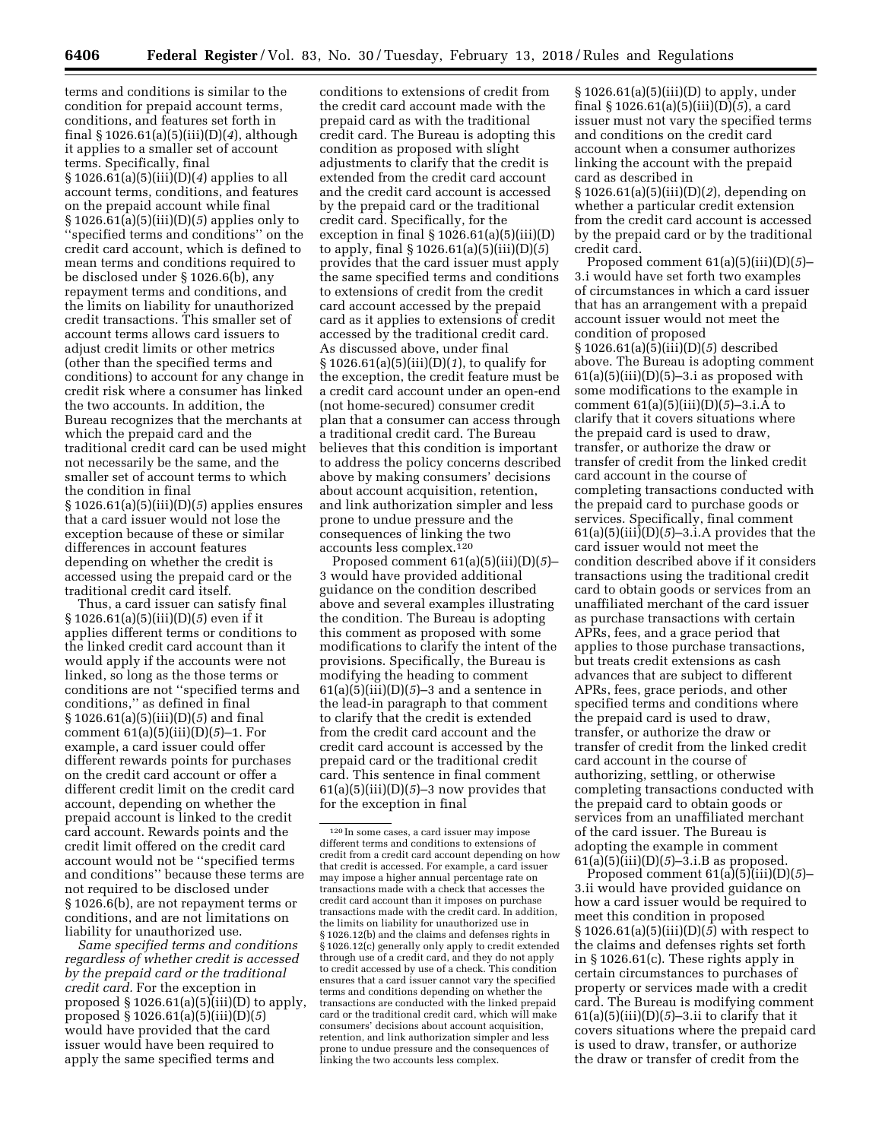terms and conditions is similar to the condition for prepaid account terms, conditions, and features set forth in final § 1026.61(a)(5)(iii)(D)(*4*), although it applies to a smaller set of account terms. Specifically, final § 1026.61(a)(5)(iii)(D)(*4*) applies to all account terms, conditions, and features on the prepaid account while final § 1026.61(a)(5)(iii)(D)(*5*) applies only to ''specified terms and conditions'' on the credit card account, which is defined to mean terms and conditions required to be disclosed under § 1026.6(b), any repayment terms and conditions, and the limits on liability for unauthorized credit transactions. This smaller set of account terms allows card issuers to adjust credit limits or other metrics (other than the specified terms and conditions) to account for any change in credit risk where a consumer has linked the two accounts. In addition, the Bureau recognizes that the merchants at which the prepaid card and the traditional credit card can be used might not necessarily be the same, and the smaller set of account terms to which the condition in final § 1026.61(a)(5)(iii)(D)(*5*) applies ensures that a card issuer would not lose the exception because of these or similar differences in account features depending on whether the credit is accessed using the prepaid card or the traditional credit card itself.

Thus, a card issuer can satisfy final § 1026.61(a)(5)(iii)(D)(*5*) even if it applies different terms or conditions to the linked credit card account than it would apply if the accounts were not linked, so long as the those terms or conditions are not ''specified terms and conditions,'' as defined in final § 1026.61(a)(5)(iii)(D)(*5*) and final comment 61(a)(5)(iii)(D)(*5*)–1. For example, a card issuer could offer different rewards points for purchases on the credit card account or offer a different credit limit on the credit card account, depending on whether the prepaid account is linked to the credit card account. Rewards points and the credit limit offered on the credit card account would not be ''specified terms and conditions'' because these terms are not required to be disclosed under § 1026.6(b), are not repayment terms or conditions, and are not limitations on liability for unauthorized use.

*Same specified terms and conditions regardless of whether credit is accessed by the prepaid card or the traditional credit card.* For the exception in proposed  $\S 1026.61(a)(5)(iii)(D)$  to apply, proposed § 1026.61(a)(5)(iii)(D)(*5*) would have provided that the card issuer would have been required to apply the same specified terms and

conditions to extensions of credit from the credit card account made with the prepaid card as with the traditional credit card. The Bureau is adopting this condition as proposed with slight adjustments to clarify that the credit is extended from the credit card account and the credit card account is accessed by the prepaid card or the traditional credit card. Specifically, for the exception in final  $\S 1026.61(a)(5)(iii)(D)$ to apply, final § 1026.61(a)(5)(iii)(D)(*5*) provides that the card issuer must apply the same specified terms and conditions to extensions of credit from the credit card account accessed by the prepaid card as it applies to extensions of credit accessed by the traditional credit card. As discussed above, under final § 1026.61(a)(5)(iii)(D)(*1*), to qualify for the exception, the credit feature must be a credit card account under an open-end (not home-secured) consumer credit plan that a consumer can access through a traditional credit card. The Bureau believes that this condition is important to address the policy concerns described above by making consumers' decisions about account acquisition, retention, and link authorization simpler and less prone to undue pressure and the consequences of linking the two accounts less complex.120

Proposed comment 61(a)(5)(iii)(D)(*5*)– 3 would have provided additional guidance on the condition described above and several examples illustrating the condition. The Bureau is adopting this comment as proposed with some modifications to clarify the intent of the provisions. Specifically, the Bureau is modifying the heading to comment 61(a)(5)(iii)(D)(*5*)–3 and a sentence in the lead-in paragraph to that comment to clarify that the credit is extended from the credit card account and the credit card account is accessed by the prepaid card or the traditional credit card. This sentence in final comment  $61(a)(5)(iii)(D)(5)-3$  now provides that for the exception in final

§ 1026.61(a)(5)(iii)(D) to apply, under final § 1026.61(a)(5)(iii)(D)(*5*), a card issuer must not vary the specified terms and conditions on the credit card account when a consumer authorizes linking the account with the prepaid card as described in

§ 1026.61(a)(5)(iii)(D)(*2*), depending on whether a particular credit extension from the credit card account is accessed by the prepaid card or by the traditional credit card.

Proposed comment 61(a)(5)(iii)(D)(*5*)– 3.i would have set forth two examples of circumstances in which a card issuer that has an arrangement with a prepaid account issuer would not meet the condition of proposed § 1026.61(a)(5)(iii)(D)(*5*) described above. The Bureau is adopting comment  $61(a)(5)(iii)(D)(5)-3.i$  as proposed with some modifications to the example in comment 61(a)(5)(iii)(D)(*5*)–3.i.A to clarify that it covers situations where the prepaid card is used to draw, transfer, or authorize the draw or transfer of credit from the linked credit card account in the course of completing transactions conducted with the prepaid card to purchase goods or services. Specifically, final comment  $61(a)(5)(iii)(D)(5)-3.i.A$  provides that the card issuer would not meet the condition described above if it considers transactions using the traditional credit card to obtain goods or services from an unaffiliated merchant of the card issuer as purchase transactions with certain APRs, fees, and a grace period that applies to those purchase transactions, but treats credit extensions as cash advances that are subject to different APRs, fees, grace periods, and other specified terms and conditions where the prepaid card is used to draw, transfer, or authorize the draw or transfer of credit from the linked credit card account in the course of authorizing, settling, or otherwise completing transactions conducted with the prepaid card to obtain goods or services from an unaffiliated merchant of the card issuer. The Bureau is adopting the example in comment 61(a)(5)(iii)(D)(*5*)–3.i.B as proposed.

Proposed comment 61(a)(5)(iii)(D)(*5*)– 3.ii would have provided guidance on how a card issuer would be required to meet this condition in proposed § 1026.61(a)(5)(iii)(D)(*5*) with respect to the claims and defenses rights set forth in § 1026.61(c). These rights apply in certain circumstances to purchases of property or services made with a credit card. The Bureau is modifying comment  $61(a)(5)(iii)(D)(5)-3.ii$  to clarify that it covers situations where the prepaid card is used to draw, transfer, or authorize the draw or transfer of credit from the

<sup>120</sup> In some cases, a card issuer may impose different terms and conditions to extensions of credit from a credit card account depending on how that credit is accessed. For example, a card issuer may impose a higher annual percentage rate on transactions made with a check that accesses the credit card account than it imposes on purchase transactions made with the credit card. In addition, the limits on liability for unauthorized use in § 1026.12(b) and the claims and defenses rights in § 1026.12(c) generally only apply to credit extended through use of a credit card, and they do not apply to credit accessed by use of a check. This condition ensures that a card issuer cannot vary the specified terms and conditions depending on whether the transactions are conducted with the linked prepaid card or the traditional credit card, which will make consumers' decisions about account acquisition, retention, and link authorization simpler and less prone to undue pressure and the consequences of linking the two accounts less complex.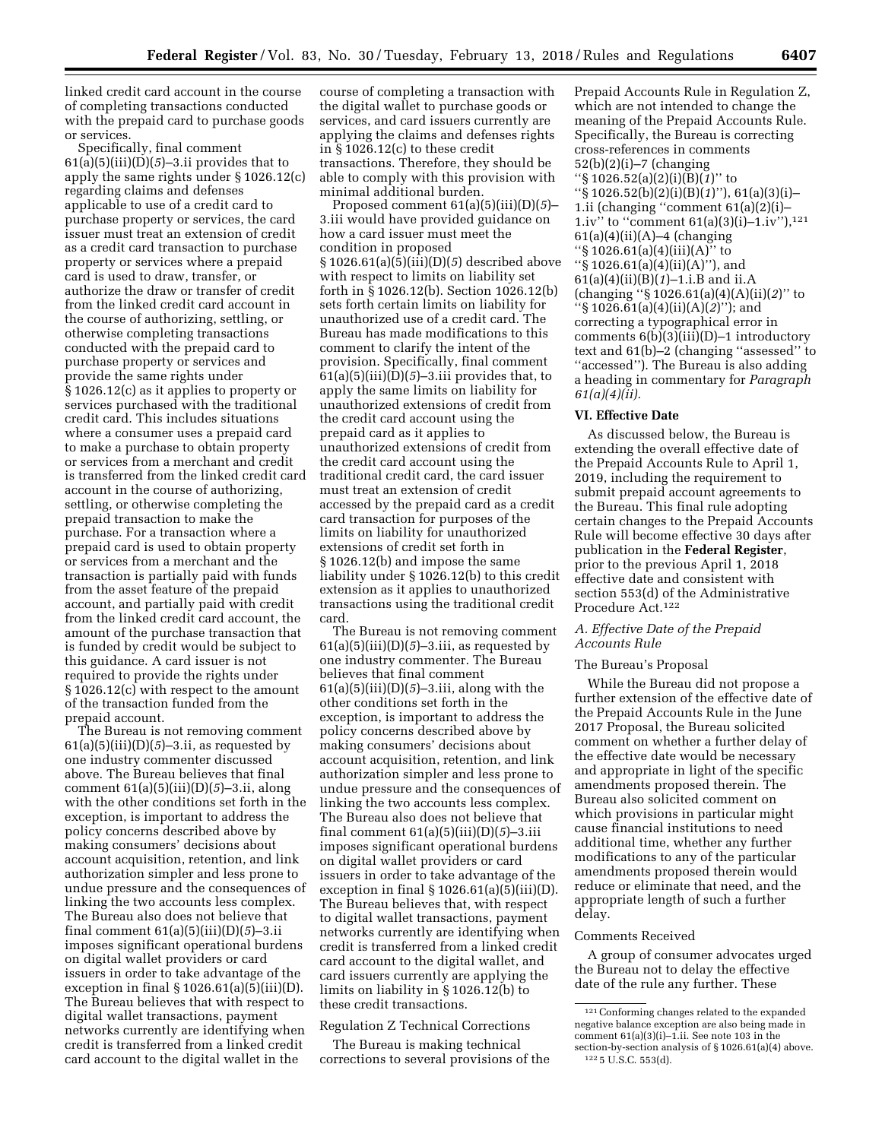linked credit card account in the course of completing transactions conducted with the prepaid card to purchase goods or services.

Specifically, final comment 61(a)(5)(iii)(D)(*5*)–3.ii provides that to apply the same rights under § 1026.12(c) regarding claims and defenses applicable to use of a credit card to purchase property or services, the card issuer must treat an extension of credit as a credit card transaction to purchase property or services where a prepaid card is used to draw, transfer, or authorize the draw or transfer of credit from the linked credit card account in the course of authorizing, settling, or otherwise completing transactions conducted with the prepaid card to purchase property or services and provide the same rights under § 1026.12(c) as it applies to property or services purchased with the traditional credit card. This includes situations where a consumer uses a prepaid card to make a purchase to obtain property or services from a merchant and credit is transferred from the linked credit card account in the course of authorizing, settling, or otherwise completing the prepaid transaction to make the purchase. For a transaction where a prepaid card is used to obtain property or services from a merchant and the transaction is partially paid with funds from the asset feature of the prepaid account, and partially paid with credit from the linked credit card account, the amount of the purchase transaction that is funded by credit would be subject to this guidance. A card issuer is not required to provide the rights under § 1026.12(c) with respect to the amount of the transaction funded from the prepaid account.

The Bureau is not removing comment  $61(a)(5)(iii)(D)(5)-3.ii$ , as requested by one industry commenter discussed above. The Bureau believes that final comment 61(a)(5)(iii)(D)(*5*)–3.ii, along with the other conditions set forth in the exception, is important to address the policy concerns described above by making consumers' decisions about account acquisition, retention, and link authorization simpler and less prone to undue pressure and the consequences of linking the two accounts less complex. The Bureau also does not believe that final comment 61(a)(5)(iii)(D)(*5*)–3.ii imposes significant operational burdens on digital wallet providers or card issuers in order to take advantage of the exception in final  $\S 1026.61(a)(5)(iii)(D)$ . The Bureau believes that with respect to digital wallet transactions, payment networks currently are identifying when credit is transferred from a linked credit card account to the digital wallet in the

course of completing a transaction with the digital wallet to purchase goods or services, and card issuers currently are applying the claims and defenses rights in § 1026.12(c) to these credit transactions. Therefore, they should be able to comply with this provision with minimal additional burden.

Proposed comment 61(a)(5)(iii)(D)(*5*)– 3.iii would have provided guidance on how a card issuer must meet the condition in proposed § 1026.61(a)(5)(iii)(D)(*5*) described above with respect to limits on liability set forth in § 1026.12(b). Section 1026.12(b) sets forth certain limits on liability for unauthorized use of a credit card. The Bureau has made modifications to this comment to clarify the intent of the provision. Specifically, final comment  $61(a)(5)(iii)(D)(5)-3.iii$  provides that, to apply the same limits on liability for unauthorized extensions of credit from the credit card account using the prepaid card as it applies to unauthorized extensions of credit from the credit card account using the traditional credit card, the card issuer must treat an extension of credit accessed by the prepaid card as a credit card transaction for purposes of the limits on liability for unauthorized extensions of credit set forth in § 1026.12(b) and impose the same liability under § 1026.12(b) to this credit extension as it applies to unauthorized transactions using the traditional credit card.

The Bureau is not removing comment 61(a)(5)(iii)(D)(*5*)–3.iii, as requested by one industry commenter. The Bureau believes that final comment 61(a)(5)(iii)(D)(*5*)–3.iii, along with the other conditions set forth in the exception, is important to address the policy concerns described above by making consumers' decisions about account acquisition, retention, and link authorization simpler and less prone to undue pressure and the consequences of linking the two accounts less complex. The Bureau also does not believe that final comment 61(a)(5)(iii)(D)(*5*)–3.iii imposes significant operational burdens on digital wallet providers or card issuers in order to take advantage of the exception in final  $\S 1026.61(a)(5)(iii)(D)$ . The Bureau believes that, with respect to digital wallet transactions, payment networks currently are identifying when credit is transferred from a linked credit card account to the digital wallet, and card issuers currently are applying the limits on liability in § 1026.12(b) to these credit transactions.

# Regulation Z Technical Corrections

The Bureau is making technical corrections to several provisions of the

Prepaid Accounts Rule in Regulation Z, which are not intended to change the meaning of the Prepaid Accounts Rule. Specifically, the Bureau is correcting cross-references in comments  $52(b)(2)(i)$ –7 (changing ''§ 1026.52(a)(2)(i)(B)(*1*)'' to ''§ 1026.52(b)(2)(i)(B)(*1*)''), 61(a)(3)(i)– 1.ii (changing ''comment 61(a)(2)(i)– 1.iv" to "comment  $61(a)(3)(i)-1.iv"$ ),<sup>121</sup>  $61(a)(4)(ii)(A)$ –4 (changing ''§ 1026.61(a)(4)(iii)(A)'' to ''§ 1026.61(a)(4)(ii)(A)''), and 61(a)(4)(ii)(B)(*1*)–1.i.B and ii.A (changing ''§ 1026.61(a)(4)(A)(ii)(*2*)'' to ''§ 1026.61(a)(4)(ii)(A)(*2*)''); and correcting a typographical error in comments 6(b)(3)(iii)(D)–1 introductory text and 61(b)–2 (changing ''assessed'' to ''accessed''). The Bureau is also adding a heading in commentary for *Paragraph 61(a)(4)(ii).* 

# **VI. Effective Date**

As discussed below, the Bureau is extending the overall effective date of the Prepaid Accounts Rule to April 1, 2019, including the requirement to submit prepaid account agreements to the Bureau. This final rule adopting certain changes to the Prepaid Accounts Rule will become effective 30 days after publication in the **Federal Register**, prior to the previous April 1, 2018 effective date and consistent with section 553(d) of the Administrative Procedure Act.122

#### *A. Effective Date of the Prepaid Accounts Rule*

#### The Bureau's Proposal

While the Bureau did not propose a further extension of the effective date of the Prepaid Accounts Rule in the June 2017 Proposal, the Bureau solicited comment on whether a further delay of the effective date would be necessary and appropriate in light of the specific amendments proposed therein. The Bureau also solicited comment on which provisions in particular might cause financial institutions to need additional time, whether any further modifications to any of the particular amendments proposed therein would reduce or eliminate that need, and the appropriate length of such a further delay.

#### Comments Received

A group of consumer advocates urged the Bureau not to delay the effective date of the rule any further. These

 $^{\rm 121}$  Conforming changes related to the expanded negative balance exception are also being made in comment 61(a)(3)(i)–1.ii. See note 103 in the section-by-section analysis of § 1026.61(a)(4) above. 122 5 U.S.C. 553(d).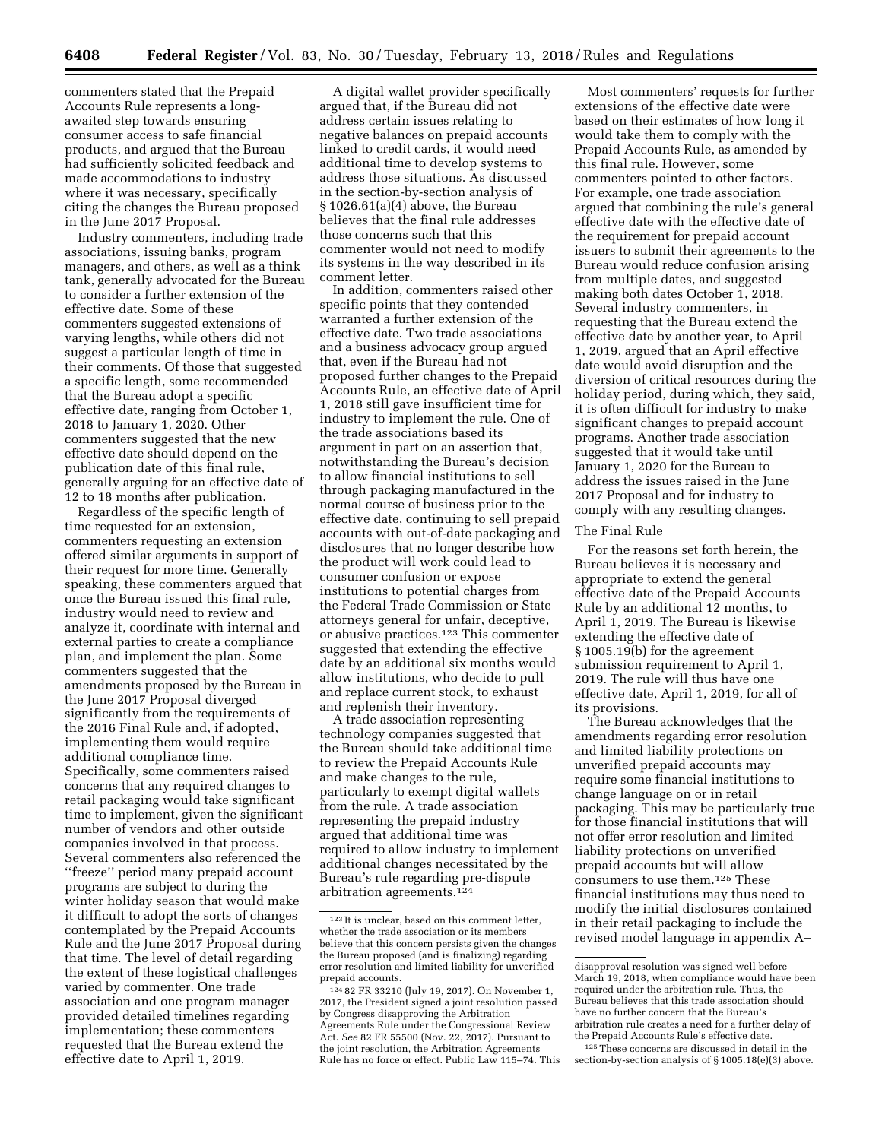commenters stated that the Prepaid Accounts Rule represents a longawaited step towards ensuring consumer access to safe financial products, and argued that the Bureau had sufficiently solicited feedback and made accommodations to industry where it was necessary, specifically citing the changes the Bureau proposed in the June 2017 Proposal.

Industry commenters, including trade associations, issuing banks, program managers, and others, as well as a think tank, generally advocated for the Bureau to consider a further extension of the effective date. Some of these commenters suggested extensions of varying lengths, while others did not suggest a particular length of time in their comments. Of those that suggested a specific length, some recommended that the Bureau adopt a specific effective date, ranging from October 1, 2018 to January 1, 2020. Other commenters suggested that the new effective date should depend on the publication date of this final rule, generally arguing for an effective date of 12 to 18 months after publication.

Regardless of the specific length of time requested for an extension, commenters requesting an extension offered similar arguments in support of their request for more time. Generally speaking, these commenters argued that once the Bureau issued this final rule, industry would need to review and analyze it, coordinate with internal and external parties to create a compliance plan, and implement the plan. Some commenters suggested that the amendments proposed by the Bureau in the June 2017 Proposal diverged significantly from the requirements of the 2016 Final Rule and, if adopted, implementing them would require additional compliance time. Specifically, some commenters raised concerns that any required changes to retail packaging would take significant time to implement, given the significant number of vendors and other outside companies involved in that process. Several commenters also referenced the ''freeze'' period many prepaid account programs are subject to during the winter holiday season that would make it difficult to adopt the sorts of changes contemplated by the Prepaid Accounts Rule and the June 2017 Proposal during that time. The level of detail regarding the extent of these logistical challenges varied by commenter. One trade association and one program manager provided detailed timelines regarding implementation; these commenters requested that the Bureau extend the effective date to April 1, 2019.

A digital wallet provider specifically argued that, if the Bureau did not address certain issues relating to negative balances on prepaid accounts linked to credit cards, it would need additional time to develop systems to address those situations. As discussed in the section-by-section analysis of § 1026.61(a)(4) above, the Bureau believes that the final rule addresses those concerns such that this commenter would not need to modify its systems in the way described in its comment letter.

In addition, commenters raised other specific points that they contended warranted a further extension of the effective date. Two trade associations and a business advocacy group argued that, even if the Bureau had not proposed further changes to the Prepaid Accounts Rule, an effective date of April 1, 2018 still gave insufficient time for industry to implement the rule. One of the trade associations based its argument in part on an assertion that, notwithstanding the Bureau's decision to allow financial institutions to sell through packaging manufactured in the normal course of business prior to the effective date, continuing to sell prepaid accounts with out-of-date packaging and disclosures that no longer describe how the product will work could lead to consumer confusion or expose institutions to potential charges from the Federal Trade Commission or State attorneys general for unfair, deceptive, or abusive practices.123 This commenter suggested that extending the effective date by an additional six months would allow institutions, who decide to pull and replace current stock, to exhaust and replenish their inventory.

A trade association representing technology companies suggested that the Bureau should take additional time to review the Prepaid Accounts Rule and make changes to the rule, particularly to exempt digital wallets from the rule. A trade association representing the prepaid industry argued that additional time was required to allow industry to implement additional changes necessitated by the Bureau's rule regarding pre-dispute arbitration agreements.124

Most commenters' requests for further extensions of the effective date were based on their estimates of how long it would take them to comply with the Prepaid Accounts Rule, as amended by this final rule. However, some commenters pointed to other factors. For example, one trade association argued that combining the rule's general effective date with the effective date of the requirement for prepaid account issuers to submit their agreements to the Bureau would reduce confusion arising from multiple dates, and suggested making both dates October 1, 2018. Several industry commenters, in requesting that the Bureau extend the effective date by another year, to April 1, 2019, argued that an April effective date would avoid disruption and the diversion of critical resources during the holiday period, during which, they said, it is often difficult for industry to make significant changes to prepaid account programs. Another trade association suggested that it would take until January 1, 2020 for the Bureau to address the issues raised in the June 2017 Proposal and for industry to comply with any resulting changes.

### The Final Rule

For the reasons set forth herein, the Bureau believes it is necessary and appropriate to extend the general effective date of the Prepaid Accounts Rule by an additional 12 months, to April 1, 2019. The Bureau is likewise extending the effective date of § 1005.19(b) for the agreement submission requirement to April 1, 2019. The rule will thus have one effective date, April 1, 2019, for all of its provisions.

The Bureau acknowledges that the amendments regarding error resolution and limited liability protections on unverified prepaid accounts may require some financial institutions to change language on or in retail packaging. This may be particularly true for those financial institutions that will not offer error resolution and limited liability protections on unverified prepaid accounts but will allow consumers to use them.125 These financial institutions may thus need to modify the initial disclosures contained in their retail packaging to include the revised model language in appendix A–

<sup>123</sup> It is unclear, based on this comment letter, whether the trade association or its members believe that this concern persists given the changes the Bureau proposed (and is finalizing) regarding error resolution and limited liability for unverified prepaid accounts.

<sup>124</sup> 82 FR 33210 (July 19, 2017). On November 1, 2017, the President signed a joint resolution passed by Congress disapproving the Arbitration Agreements Rule under the Congressional Review Act. *See* 82 FR 55500 (Nov. 22, 2017). Pursuant to the joint resolution, the Arbitration Agreements Rule has no force or effect. Public Law 115–74. This

disapproval resolution was signed well before March 19, 2018, when compliance would have been required under the arbitration rule. Thus, the Bureau believes that this trade association should have no further concern that the Bureau's arbitration rule creates a need for a further delay of the Prepaid Accounts Rule's effective date.

<sup>125</sup>These concerns are discussed in detail in the section-by-section analysis of § 1005.18(e)(3) above.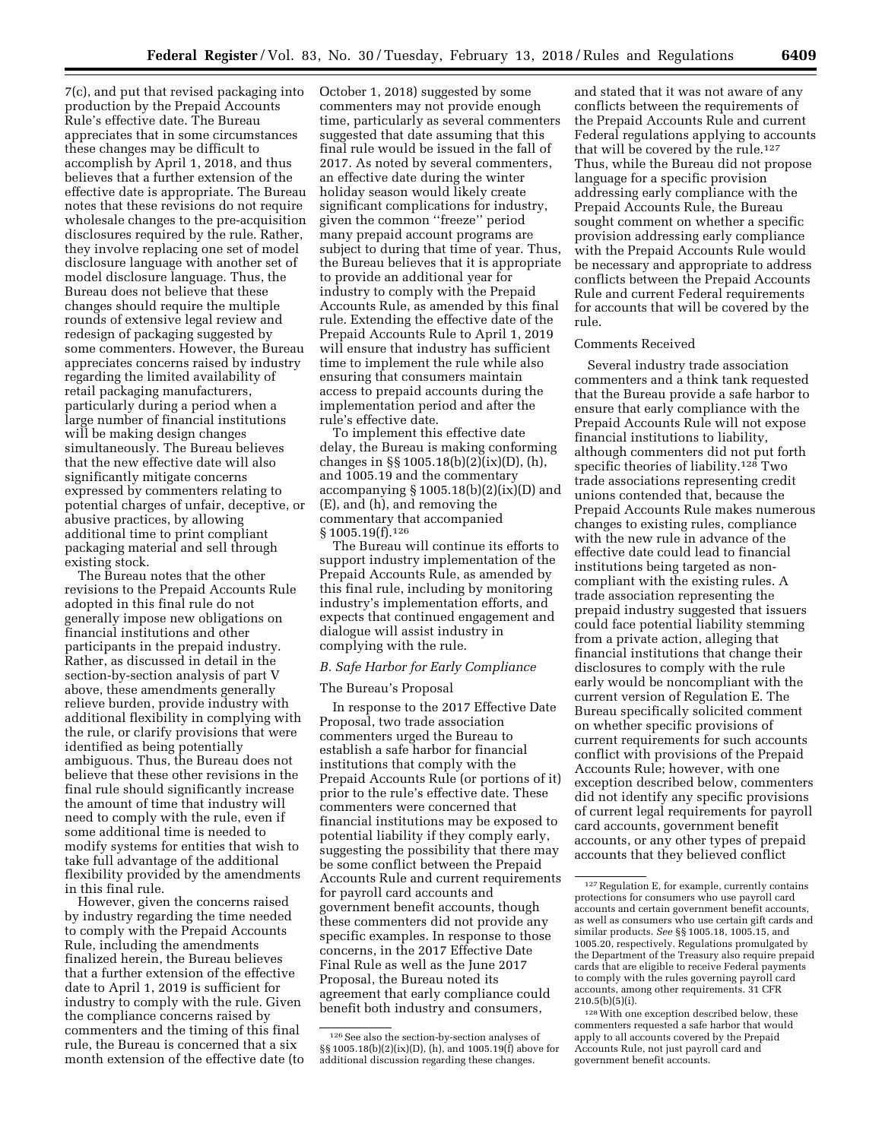7(c), and put that revised packaging into production by the Prepaid Accounts Rule's effective date. The Bureau appreciates that in some circumstances these changes may be difficult to accomplish by April 1, 2018, and thus believes that a further extension of the effective date is appropriate. The Bureau notes that these revisions do not require wholesale changes to the pre-acquisition disclosures required by the rule. Rather, they involve replacing one set of model disclosure language with another set of model disclosure language. Thus, the Bureau does not believe that these changes should require the multiple rounds of extensive legal review and redesign of packaging suggested by some commenters. However, the Bureau appreciates concerns raised by industry regarding the limited availability of retail packaging manufacturers, particularly during a period when a large number of financial institutions will be making design changes simultaneously. The Bureau believes that the new effective date will also significantly mitigate concerns

expressed by commenters relating to potential charges of unfair, deceptive, or abusive practices, by allowing additional time to print compliant packaging material and sell through existing stock.

The Bureau notes that the other revisions to the Prepaid Accounts Rule adopted in this final rule do not generally impose new obligations on financial institutions and other participants in the prepaid industry. Rather, as discussed in detail in the section-by-section analysis of part V above, these amendments generally relieve burden, provide industry with additional flexibility in complying with the rule, or clarify provisions that were identified as being potentially ambiguous. Thus, the Bureau does not believe that these other revisions in the final rule should significantly increase the amount of time that industry will need to comply with the rule, even if some additional time is needed to modify systems for entities that wish to take full advantage of the additional flexibility provided by the amendments in this final rule.

However, given the concerns raised by industry regarding the time needed to comply with the Prepaid Accounts Rule, including the amendments finalized herein, the Bureau believes that a further extension of the effective date to April 1, 2019 is sufficient for industry to comply with the rule. Given the compliance concerns raised by commenters and the timing of this final rule, the Bureau is concerned that a six month extension of the effective date (to October 1, 2018) suggested by some commenters may not provide enough time, particularly as several commenters suggested that date assuming that this final rule would be issued in the fall of 2017. As noted by several commenters, an effective date during the winter holiday season would likely create significant complications for industry, given the common ''freeze'' period many prepaid account programs are subject to during that time of year. Thus, the Bureau believes that it is appropriate to provide an additional year for industry to comply with the Prepaid Accounts Rule, as amended by this final rule. Extending the effective date of the Prepaid Accounts Rule to April 1, 2019 will ensure that industry has sufficient time to implement the rule while also ensuring that consumers maintain access to prepaid accounts during the implementation period and after the rule's effective date.

To implement this effective date delay, the Bureau is making conforming changes in §§ 1005.18(b)(2)(ix)(D), (h), and 1005.19 and the commentary accompanying  $\S 1005.18(b)(2)(ix)(D)$  and (E), and (h), and removing the commentary that accompanied § 1005.19(f).<sup>126</sup>

The Bureau will continue its efforts to support industry implementation of the Prepaid Accounts Rule, as amended by this final rule, including by monitoring industry's implementation efforts, and expects that continued engagement and dialogue will assist industry in complying with the rule.

### *B. Safe Harbor for Early Compliance*

#### The Bureau's Proposal

In response to the 2017 Effective Date Proposal, two trade association commenters urged the Bureau to establish a safe harbor for financial institutions that comply with the Prepaid Accounts Rule (or portions of it) prior to the rule's effective date. These commenters were concerned that financial institutions may be exposed to potential liability if they comply early, suggesting the possibility that there may be some conflict between the Prepaid Accounts Rule and current requirements for payroll card accounts and government benefit accounts, though these commenters did not provide any specific examples. In response to those concerns, in the 2017 Effective Date Final Rule as well as the June 2017 Proposal, the Bureau noted its agreement that early compliance could benefit both industry and consumers,

and stated that it was not aware of any conflicts between the requirements of the Prepaid Accounts Rule and current Federal regulations applying to accounts that will be covered by the rule.127 Thus, while the Bureau did not propose language for a specific provision addressing early compliance with the Prepaid Accounts Rule, the Bureau sought comment on whether a specific provision addressing early compliance with the Prepaid Accounts Rule would be necessary and appropriate to address conflicts between the Prepaid Accounts Rule and current Federal requirements for accounts that will be covered by the rule.

#### Comments Received

Several industry trade association commenters and a think tank requested that the Bureau provide a safe harbor to ensure that early compliance with the Prepaid Accounts Rule will not expose financial institutions to liability, although commenters did not put forth specific theories of liability.<sup>128</sup> Two trade associations representing credit unions contended that, because the Prepaid Accounts Rule makes numerous changes to existing rules, compliance with the new rule in advance of the effective date could lead to financial institutions being targeted as noncompliant with the existing rules. A trade association representing the prepaid industry suggested that issuers could face potential liability stemming from a private action, alleging that financial institutions that change their disclosures to comply with the rule early would be noncompliant with the current version of Regulation E. The Bureau specifically solicited comment on whether specific provisions of current requirements for such accounts conflict with provisions of the Prepaid Accounts Rule; however, with one exception described below, commenters did not identify any specific provisions of current legal requirements for payroll card accounts, government benefit accounts, or any other types of prepaid accounts that they believed conflict

<sup>&</sup>lt;sup>126</sup> See also the section-by-section analyses of §§ 1005.18(b)(2)(ix)(D), (h), and 1005.19(f) above for additional discussion regarding these changes.

<sup>127</sup>Regulation E, for example, currently contains protections for consumers who use payroll card accounts and certain government benefit accounts, as well as consumers who use certain gift cards and similar products. *See* §§ 1005.18, 1005.15, and 1005.20, respectively. Regulations promulgated by the Department of the Treasury also require prepaid cards that are eligible to receive Federal payments to comply with the rules governing payroll card accounts, among other requirements. 31 CFR  $210.5(b)(5)(i)$ .

<sup>128</sup>With one exception described below, these commenters requested a safe harbor that would apply to all accounts covered by the Prepaid Accounts Rule, not just payroll card and government benefit accounts.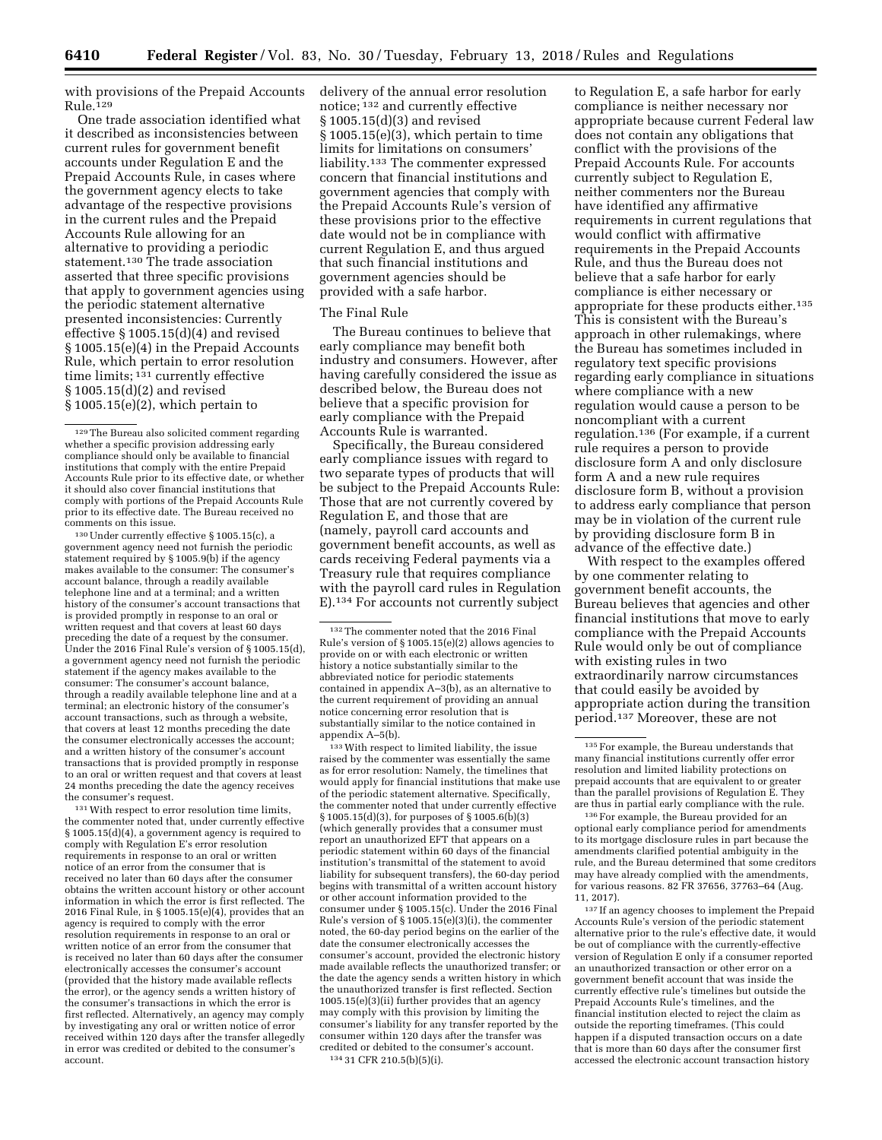with provisions of the Prepaid Accounts Rule.129

One trade association identified what it described as inconsistencies between current rules for government benefit accounts under Regulation E and the Prepaid Accounts Rule, in cases where the government agency elects to take advantage of the respective provisions in the current rules and the Prepaid Accounts Rule allowing for an alternative to providing a periodic statement.<sup>130</sup> The trade association asserted that three specific provisions that apply to government agencies using the periodic statement alternative presented inconsistencies: Currently effective § 1005.15(d)(4) and revised § 1005.15(e)(4) in the Prepaid Accounts Rule, which pertain to error resolution time limits; 131 currently effective § 1005.15(d)(2) and revised § 1005.15(e)(2), which pertain to

130Under currently effective § 1005.15(c), a government agency need not furnish the periodic statement required by § 1005.9(b) if the agency makes available to the consumer: The consumer's account balance, through a readily available telephone line and at a terminal; and a written history of the consumer's account transactions that is provided promptly in response to an oral or written request and that covers at least 60 days preceding the date of a request by the consumer. Under the 2016 Final Rule's version of § 1005.15(d), a government agency need not furnish the periodic statement if the agency makes available to the consumer: The consumer's account balance, through a readily available telephone line and at a terminal; an electronic history of the consumer's account transactions, such as through a website, that covers at least 12 months preceding the date the consumer electronically accesses the account; and a written history of the consumer's account transactions that is provided promptly in response to an oral or written request and that covers at least 24 months preceding the date the agency receives the consumer's request.

131With respect to error resolution time limits, the commenter noted that, under currently effective § 1005.15(d)(4), a government agency is required to comply with Regulation E's error resolution requirements in response to an oral or written notice of an error from the consumer that is received no later than 60 days after the consumer obtains the written account history or other account information in which the error is first reflected. The 2016 Final Rule, in § 1005.15(e)(4), provides that an agency is required to comply with the error resolution requirements in response to an oral or written notice of an error from the consumer that is received no later than 60 days after the consumer electronically accesses the consumer's account (provided that the history made available reflects the error), or the agency sends a written history of the consumer's transactions in which the error is first reflected. Alternatively, an agency may comply by investigating any oral or written notice of error received within 120 days after the transfer allegedly in error was credited or debited to the consumer's account.

delivery of the annual error resolution notice; 132 and currently effective § 1005.15(d)(3) and revised § 1005.15(e)(3), which pertain to time limits for limitations on consumers' liability.133 The commenter expressed concern that financial institutions and government agencies that comply with the Prepaid Accounts Rule's version of these provisions prior to the effective date would not be in compliance with current Regulation E, and thus argued that such financial institutions and government agencies should be provided with a safe harbor.

#### The Final Rule

The Bureau continues to believe that early compliance may benefit both industry and consumers. However, after having carefully considered the issue as described below, the Bureau does not believe that a specific provision for early compliance with the Prepaid Accounts Rule is warranted.

Specifically, the Bureau considered early compliance issues with regard to two separate types of products that will be subject to the Prepaid Accounts Rule: Those that are not currently covered by Regulation E, and those that are (namely, payroll card accounts and government benefit accounts, as well as cards receiving Federal payments via a Treasury rule that requires compliance with the payroll card rules in Regulation E).134 For accounts not currently subject

132The commenter noted that the 2016 Final Rule's version of § 1005.15(e)(2) allows agencies to provide on or with each electronic or written history a notice substantially similar to the abbreviated notice for periodic statements contained in appendix A–3(b), as an alternative to the current requirement of providing an annual notice concerning error resolution that is substantially similar to the notice contained in appendix A–5(b).

133With respect to limited liability, the issue raised by the commenter was essentially the same as for error resolution: Namely, the timelines that would apply for financial institutions that make use of the periodic statement alternative. Specifically, the commenter noted that under currently effective § 1005.15(d)(3), for purposes of § 1005.6(b)(3) (which generally provides that a consumer must report an unauthorized EFT that appears on a periodic statement within 60 days of the financial institution's transmittal of the statement to avoid liability for subsequent transfers), the 60-day period begins with transmittal of a written account history or other account information provided to the consumer under § 1005.15(c). Under the 2016 Final Rule's version of § 1005.15(e)(3)(i), the commenter noted, the 60-day period begins on the earlier of the date the consumer electronically accesses the consumer's account, provided the electronic history made available reflects the unauthorized transfer; or the date the agency sends a written history in which the unauthorized transfer is first reflected. Section 1005.15(e)(3)(ii) further provides that an agency may comply with this provision by limiting the consumer's liability for any transfer reported by the consumer within 120 days after the transfer was credited or debited to the consumer's account. 134 31 CFR 210.5(b)(5)(i).

to Regulation E, a safe harbor for early compliance is neither necessary nor appropriate because current Federal law does not contain any obligations that conflict with the provisions of the Prepaid Accounts Rule. For accounts currently subject to Regulation E, neither commenters nor the Bureau have identified any affirmative requirements in current regulations that would conflict with affirmative requirements in the Prepaid Accounts Rule, and thus the Bureau does not believe that a safe harbor for early compliance is either necessary or appropriate for these products either.<sup>135</sup> This is consistent with the Bureau's approach in other rulemakings, where the Bureau has sometimes included in regulatory text specific provisions regarding early compliance in situations where compliance with a new regulation would cause a person to be noncompliant with a current regulation.136 (For example, if a current rule requires a person to provide disclosure form A and only disclosure form A and a new rule requires disclosure form B, without a provision to address early compliance that person may be in violation of the current rule by providing disclosure form B in advance of the effective date.)

With respect to the examples offered by one commenter relating to government benefit accounts, the Bureau believes that agencies and other financial institutions that move to early compliance with the Prepaid Accounts Rule would only be out of compliance with existing rules in two extraordinarily narrow circumstances that could easily be avoided by appropriate action during the transition period.137 Moreover, these are not

136For example, the Bureau provided for an optional early compliance period for amendments to its mortgage disclosure rules in part because the amendments clarified potential ambiguity in the rule, and the Bureau determined that some creditors may have already complied with the amendments, for various reasons. 82 FR 37656, 37763–64 (Aug. 11, 2017).

 $^{\rm 137}\!\,$  If an agency chooses to implement the Prepaid Accounts Rule's version of the periodic statement alternative prior to the rule's effective date, it would be out of compliance with the currently-effective version of Regulation E only if a consumer reported an unauthorized transaction or other error on a government benefit account that was inside the currently effective rule's timelines but outside the Prepaid Accounts Rule's timelines, and the financial institution elected to reject the claim as outside the reporting timeframes. (This could happen if a disputed transaction occurs on a date that is more than 60 days after the consumer first accessed the electronic account transaction history

<sup>129</sup>The Bureau also solicited comment regarding whether a specific provision addressing early compliance should only be available to financial institutions that comply with the entire Prepaid Accounts Rule prior to its effective date, or whether it should also cover financial institutions that comply with portions of the Prepaid Accounts Rule prior to its effective date. The Bureau received no comments on this issue.

<sup>135</sup>For example, the Bureau understands that many financial institutions currently offer error resolution and limited liability protections on prepaid accounts that are equivalent to or greater than the parallel provisions of Regulation E. They are thus in partial early compliance with the rule.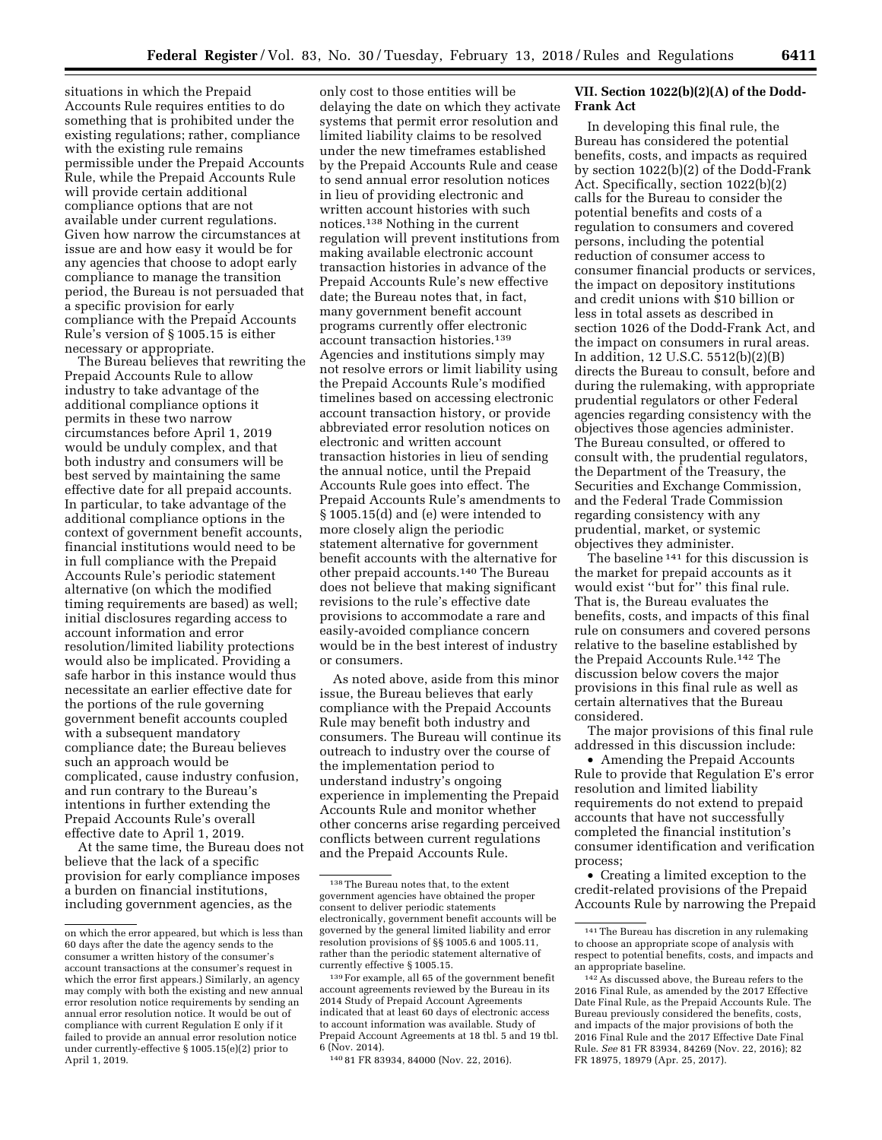situations in which the Prepaid Accounts Rule requires entities to do something that is prohibited under the existing regulations; rather, compliance with the existing rule remains permissible under the Prepaid Accounts Rule, while the Prepaid Accounts Rule will provide certain additional compliance options that are not available under current regulations. Given how narrow the circumstances at issue are and how easy it would be for any agencies that choose to adopt early compliance to manage the transition period, the Bureau is not persuaded that a specific provision for early compliance with the Prepaid Accounts Rule's version of § 1005.15 is either necessary or appropriate.

The Bureau believes that rewriting the Prepaid Accounts Rule to allow industry to take advantage of the additional compliance options it permits in these two narrow circumstances before April 1, 2019 would be unduly complex, and that both industry and consumers will be best served by maintaining the same effective date for all prepaid accounts. In particular, to take advantage of the additional compliance options in the context of government benefit accounts, financial institutions would need to be in full compliance with the Prepaid Accounts Rule's periodic statement alternative (on which the modified timing requirements are based) as well; initial disclosures regarding access to account information and error resolution/limited liability protections would also be implicated. Providing a safe harbor in this instance would thus necessitate an earlier effective date for the portions of the rule governing government benefit accounts coupled with a subsequent mandatory compliance date; the Bureau believes such an approach would be complicated, cause industry confusion, and run contrary to the Bureau's intentions in further extending the Prepaid Accounts Rule's overall effective date to April 1, 2019.

At the same time, the Bureau does not believe that the lack of a specific provision for early compliance imposes a burden on financial institutions, including government agencies, as the

only cost to those entities will be delaying the date on which they activate systems that permit error resolution and limited liability claims to be resolved under the new timeframes established by the Prepaid Accounts Rule and cease to send annual error resolution notices in lieu of providing electronic and written account histories with such notices.138 Nothing in the current regulation will prevent institutions from making available electronic account transaction histories in advance of the Prepaid Accounts Rule's new effective date; the Bureau notes that, in fact, many government benefit account programs currently offer electronic account transaction histories.139 Agencies and institutions simply may not resolve errors or limit liability using the Prepaid Accounts Rule's modified timelines based on accessing electronic account transaction history, or provide abbreviated error resolution notices on electronic and written account transaction histories in lieu of sending the annual notice, until the Prepaid Accounts Rule goes into effect. The Prepaid Accounts Rule's amendments to § 1005.15(d) and (e) were intended to more closely align the periodic statement alternative for government benefit accounts with the alternative for other prepaid accounts.140 The Bureau does not believe that making significant revisions to the rule's effective date provisions to accommodate a rare and easily-avoided compliance concern would be in the best interest of industry or consumers.

As noted above, aside from this minor issue, the Bureau believes that early compliance with the Prepaid Accounts Rule may benefit both industry and consumers. The Bureau will continue its outreach to industry over the course of the implementation period to understand industry's ongoing experience in implementing the Prepaid Accounts Rule and monitor whether other concerns arise regarding perceived conflicts between current regulations and the Prepaid Accounts Rule.

# **VII. Section 1022(b)(2)(A) of the Dodd-Frank Act**

In developing this final rule, the Bureau has considered the potential benefits, costs, and impacts as required by section 1022(b)(2) of the Dodd-Frank Act. Specifically, section 1022(b)(2) calls for the Bureau to consider the potential benefits and costs of a regulation to consumers and covered persons, including the potential reduction of consumer access to consumer financial products or services, the impact on depository institutions and credit unions with \$10 billion or less in total assets as described in section 1026 of the Dodd-Frank Act, and the impact on consumers in rural areas. In addition, 12 U.S.C. 5512(b)(2)(B) directs the Bureau to consult, before and during the rulemaking, with appropriate prudential regulators or other Federal agencies regarding consistency with the objectives those agencies administer. The Bureau consulted, or offered to consult with, the prudential regulators, the Department of the Treasury, the Securities and Exchange Commission, and the Federal Trade Commission regarding consistency with any prudential, market, or systemic objectives they administer.

The baseline 141 for this discussion is the market for prepaid accounts as it would exist ''but for'' this final rule. That is, the Bureau evaluates the benefits, costs, and impacts of this final rule on consumers and covered persons relative to the baseline established by the Prepaid Accounts Rule.142 The discussion below covers the major provisions in this final rule as well as certain alternatives that the Bureau considered.

The major provisions of this final rule addressed in this discussion include:

• Amending the Prepaid Accounts Rule to provide that Regulation E's error resolution and limited liability requirements do not extend to prepaid accounts that have not successfully completed the financial institution's consumer identification and verification process;

• Creating a limited exception to the credit-related provisions of the Prepaid Accounts Rule by narrowing the Prepaid

on which the error appeared, but which is less than 60 days after the date the agency sends to the consumer a written history of the consumer's account transactions at the consumer's request in which the error first appears.) Similarly, an agency may comply with both the existing and new annual error resolution notice requirements by sending an annual error resolution notice. It would be out of compliance with current Regulation E only if it failed to provide an annual error resolution notice under currently-effective § 1005.15(e)(2) prior to April 1, 2019.

<sup>138</sup>The Bureau notes that, to the extent government agencies have obtained the proper consent to deliver periodic statements electronically, government benefit accounts will be governed by the general limited liability and error resolution provisions of §§ 1005.6 and 1005.11, rather than the periodic statement alternative of currently effective § 1005.15.

<sup>139</sup>For example, all 65 of the government benefit account agreements reviewed by the Bureau in its 2014 Study of Prepaid Account Agreements indicated that at least 60 days of electronic access to account information was available. Study of Prepaid Account Agreements at 18 tbl. 5 and 19 tbl. 6 (Nov. 2014).

<sup>140</sup> 81 FR 83934, 84000 (Nov. 22, 2016).

<sup>141</sup>The Bureau has discretion in any rulemaking to choose an appropriate scope of analysis with respect to potential benefits, costs, and impacts and an appropriate baseline.

<sup>142</sup>As discussed above, the Bureau refers to the 2016 Final Rule, as amended by the 2017 Effective Date Final Rule, as the Prepaid Accounts Rule. The Bureau previously considered the benefits, costs, and impacts of the major provisions of both the 2016 Final Rule and the 2017 Effective Date Final Rule. *See* 81 FR 83934, 84269 (Nov. 22, 2016); 82 FR 18975, 18979 (Apr. 25, 2017).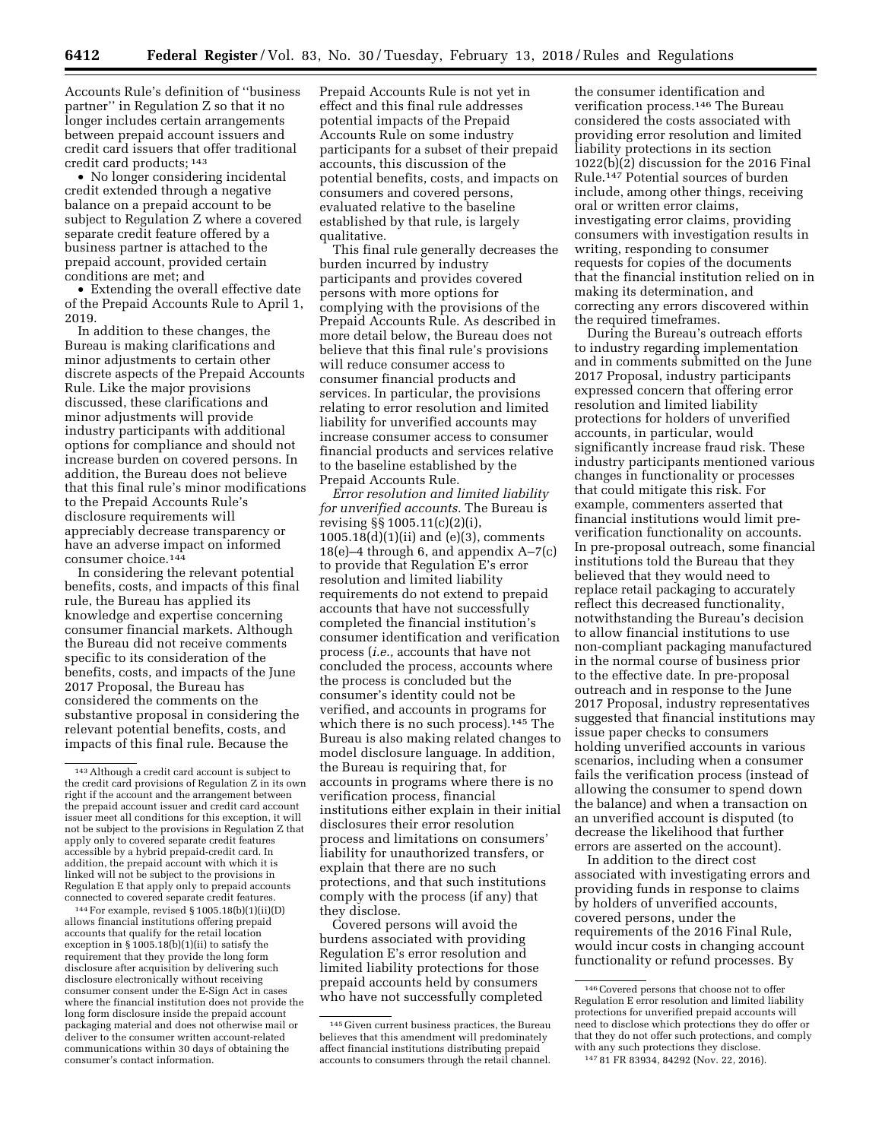Accounts Rule's definition of ''business partner'' in Regulation Z so that it no longer includes certain arrangements between prepaid account issuers and credit card issuers that offer traditional credit card products; 143

• No longer considering incidental credit extended through a negative balance on a prepaid account to be subject to Regulation Z where a covered separate credit feature offered by a business partner is attached to the prepaid account, provided certain conditions are met; and

• Extending the overall effective date of the Prepaid Accounts Rule to April 1, 2019.

In addition to these changes, the Bureau is making clarifications and minor adjustments to certain other discrete aspects of the Prepaid Accounts Rule. Like the major provisions discussed, these clarifications and minor adjustments will provide industry participants with additional options for compliance and should not increase burden on covered persons. In addition, the Bureau does not believe that this final rule's minor modifications to the Prepaid Accounts Rule's disclosure requirements will appreciably decrease transparency or have an adverse impact on informed consumer choice.144

In considering the relevant potential benefits, costs, and impacts of this final rule, the Bureau has applied its knowledge and expertise concerning consumer financial markets. Although the Bureau did not receive comments specific to its consideration of the benefits, costs, and impacts of the June 2017 Proposal, the Bureau has considered the comments on the substantive proposal in considering the relevant potential benefits, costs, and impacts of this final rule. Because the

144For example, revised § 1005.18(b)(1)(ii)(D) allows financial institutions offering prepaid accounts that qualify for the retail location exception in  $\S$  1005.18(b)(1)(ii) to satisfy the requirement that they provide the long form disclosure after acquisition by delivering such disclosure electronically without receiving consumer consent under the E-Sign Act in cases where the financial institution does not provide the long form disclosure inside the prepaid account packaging material and does not otherwise mail or deliver to the consumer written account-related communications within 30 days of obtaining the consumer's contact information.

Prepaid Accounts Rule is not yet in effect and this final rule addresses potential impacts of the Prepaid Accounts Rule on some industry participants for a subset of their prepaid accounts, this discussion of the potential benefits, costs, and impacts on consumers and covered persons, evaluated relative to the baseline established by that rule, is largely qualitative.

This final rule generally decreases the burden incurred by industry participants and provides covered persons with more options for complying with the provisions of the Prepaid Accounts Rule. As described in more detail below, the Bureau does not believe that this final rule's provisions will reduce consumer access to consumer financial products and services. In particular, the provisions relating to error resolution and limited liability for unverified accounts may increase consumer access to consumer financial products and services relative to the baseline established by the Prepaid Accounts Rule.

*Error resolution and limited liability for unverified accounts.* The Bureau is revising §§ 1005.11(c)(2)(i), 1005.18(d)(1)(ii) and (e)(3), comments 18(e)–4 through 6, and appendix  $A-7(c)$ to provide that Regulation E's error resolution and limited liability requirements do not extend to prepaid accounts that have not successfully completed the financial institution's consumer identification and verification process (*i.e.,* accounts that have not concluded the process, accounts where the process is concluded but the consumer's identity could not be verified, and accounts in programs for which there is no such process).145 The Bureau is also making related changes to model disclosure language. In addition, the Bureau is requiring that, for accounts in programs where there is no verification process, financial institutions either explain in their initial disclosures their error resolution process and limitations on consumers' liability for unauthorized transfers, or explain that there are no such protections, and that such institutions comply with the process (if any) that they disclose.

Covered persons will avoid the burdens associated with providing Regulation E's error resolution and limited liability protections for those prepaid accounts held by consumers who have not successfully completed

the consumer identification and verification process.146 The Bureau considered the costs associated with providing error resolution and limited liability protections in its section 1022(b)(2) discussion for the 2016 Final Rule.147 Potential sources of burden include, among other things, receiving oral or written error claims, investigating error claims, providing consumers with investigation results in writing, responding to consumer requests for copies of the documents that the financial institution relied on in making its determination, and correcting any errors discovered within the required timeframes.

During the Bureau's outreach efforts to industry regarding implementation and in comments submitted on the June 2017 Proposal, industry participants expressed concern that offering error resolution and limited liability protections for holders of unverified accounts, in particular, would significantly increase fraud risk. These industry participants mentioned various changes in functionality or processes that could mitigate this risk. For example, commenters asserted that financial institutions would limit preverification functionality on accounts. In pre-proposal outreach, some financial institutions told the Bureau that they believed that they would need to replace retail packaging to accurately reflect this decreased functionality, notwithstanding the Bureau's decision to allow financial institutions to use non-compliant packaging manufactured in the normal course of business prior to the effective date. In pre-proposal outreach and in response to the June 2017 Proposal, industry representatives suggested that financial institutions may issue paper checks to consumers holding unverified accounts in various scenarios, including when a consumer fails the verification process (instead of allowing the consumer to spend down the balance) and when a transaction on an unverified account is disputed (to decrease the likelihood that further errors are asserted on the account).

In addition to the direct cost associated with investigating errors and providing funds in response to claims by holders of unverified accounts, covered persons, under the requirements of the 2016 Final Rule, would incur costs in changing account functionality or refund processes. By

<sup>143</sup>Although a credit card account is subject to the credit card provisions of Regulation Z in its own right if the account and the arrangement between the prepaid account issuer and credit card account issuer meet all conditions for this exception, it will not be subject to the provisions in Regulation Z that apply only to covered separate credit features accessible by a hybrid prepaid-credit card. In addition, the prepaid account with which it is linked will not be subject to the provisions in Regulation E that apply only to prepaid accounts connected to covered separate credit features.

<sup>145</sup> Given current business practices, the Bureau believes that this amendment will predominately affect financial institutions distributing prepaid accounts to consumers through the retail channel.

 $^{\rm 146}$  Covered persons that choose not to offer Regulation E error resolution and limited liability protections for unverified prepaid accounts will need to disclose which protections they do offer or that they do not offer such protections, and comply with any such protections they disclose. 147 81 FR 83934, 84292 (Nov. 22, 2016).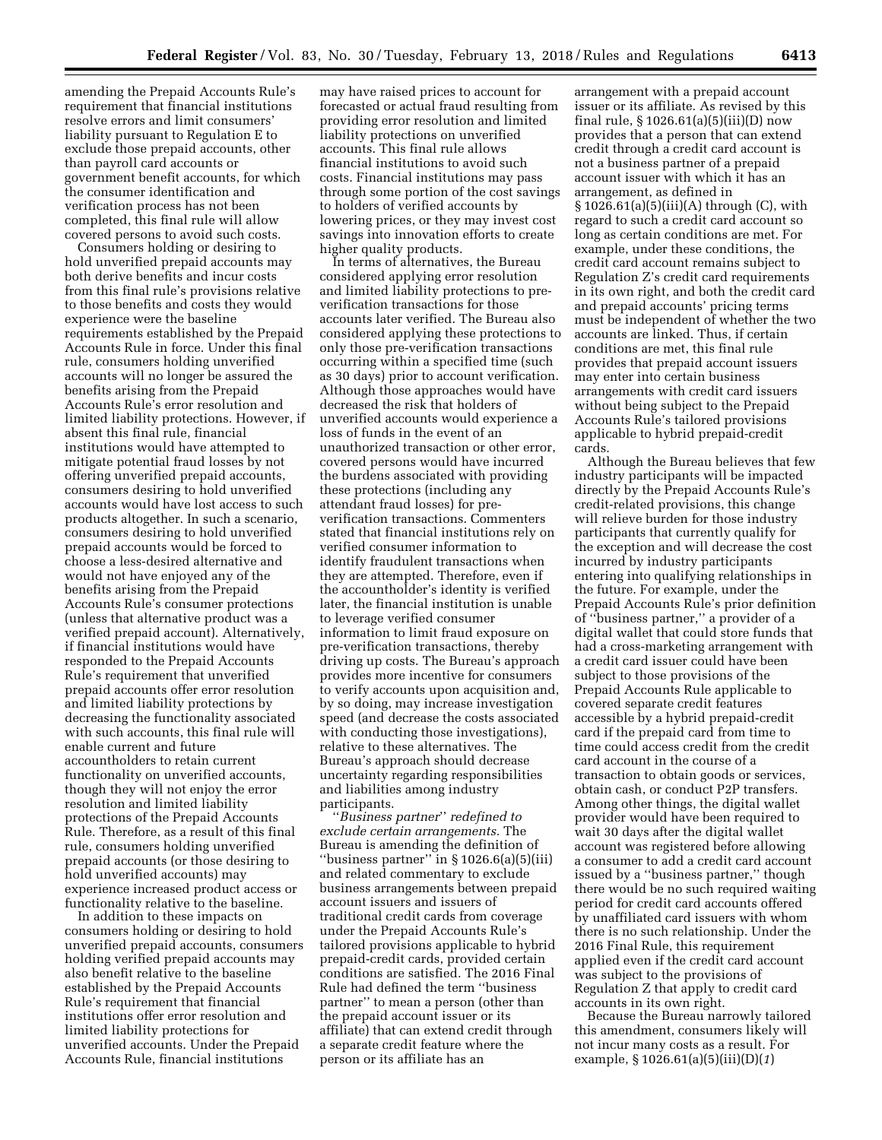amending the Prepaid Accounts Rule's requirement that financial institutions resolve errors and limit consumers' liability pursuant to Regulation E to exclude those prepaid accounts, other than payroll card accounts or government benefit accounts, for which the consumer identification and verification process has not been completed, this final rule will allow covered persons to avoid such costs.

Consumers holding or desiring to hold unverified prepaid accounts may both derive benefits and incur costs from this final rule's provisions relative to those benefits and costs they would experience were the baseline requirements established by the Prepaid Accounts Rule in force. Under this final rule, consumers holding unverified accounts will no longer be assured the benefits arising from the Prepaid Accounts Rule's error resolution and limited liability protections. However, if absent this final rule, financial institutions would have attempted to mitigate potential fraud losses by not offering unverified prepaid accounts, consumers desiring to hold unverified accounts would have lost access to such products altogether. In such a scenario, consumers desiring to hold unverified prepaid accounts would be forced to choose a less-desired alternative and would not have enjoyed any of the benefits arising from the Prepaid Accounts Rule's consumer protections (unless that alternative product was a verified prepaid account). Alternatively, if financial institutions would have responded to the Prepaid Accounts Rule's requirement that unverified prepaid accounts offer error resolution and limited liability protections by decreasing the functionality associated with such accounts, this final rule will enable current and future accountholders to retain current functionality on unverified accounts, though they will not enjoy the error resolution and limited liability protections of the Prepaid Accounts Rule. Therefore, as a result of this final rule, consumers holding unverified prepaid accounts (or those desiring to hold unverified accounts) may experience increased product access or functionality relative to the baseline.

In addition to these impacts on consumers holding or desiring to hold unverified prepaid accounts, consumers holding verified prepaid accounts may also benefit relative to the baseline established by the Prepaid Accounts Rule's requirement that financial institutions offer error resolution and limited liability protections for unverified accounts. Under the Prepaid Accounts Rule, financial institutions

may have raised prices to account for forecasted or actual fraud resulting from providing error resolution and limited liability protections on unverified accounts. This final rule allows financial institutions to avoid such costs. Financial institutions may pass through some portion of the cost savings to holders of verified accounts by lowering prices, or they may invest cost savings into innovation efforts to create higher quality products.

In terms of alternatives, the Bureau considered applying error resolution and limited liability protections to preverification transactions for those accounts later verified. The Bureau also considered applying these protections to only those pre-verification transactions occurring within a specified time (such as 30 days) prior to account verification. Although those approaches would have decreased the risk that holders of unverified accounts would experience a loss of funds in the event of an unauthorized transaction or other error, covered persons would have incurred the burdens associated with providing these protections (including any attendant fraud losses) for preverification transactions. Commenters stated that financial institutions rely on verified consumer information to identify fraudulent transactions when they are attempted. Therefore, even if the accountholder's identity is verified later, the financial institution is unable to leverage verified consumer information to limit fraud exposure on pre-verification transactions, thereby driving up costs. The Bureau's approach provides more incentive for consumers to verify accounts upon acquisition and, by so doing, may increase investigation speed (and decrease the costs associated with conducting those investigations), relative to these alternatives. The Bureau's approach should decrease uncertainty regarding responsibilities and liabilities among industry participants.

''*Business partner*'' *redefined to exclude certain arrangements.* The Bureau is amending the definition of "business partner" in  $\S 1026.6(a)(5)(iii)$ and related commentary to exclude business arrangements between prepaid account issuers and issuers of traditional credit cards from coverage under the Prepaid Accounts Rule's tailored provisions applicable to hybrid prepaid-credit cards, provided certain conditions are satisfied. The 2016 Final Rule had defined the term ''business partner'' to mean a person (other than the prepaid account issuer or its affiliate) that can extend credit through a separate credit feature where the person or its affiliate has an

arrangement with a prepaid account issuer or its affiliate. As revised by this final rule, § 1026.61(a)(5)(iii)(D) now provides that a person that can extend credit through a credit card account is not a business partner of a prepaid account issuer with which it has an arrangement, as defined in § 1026.61(a)(5)(iii)(A) through (C), with regard to such a credit card account so long as certain conditions are met. For example, under these conditions, the credit card account remains subject to Regulation Z's credit card requirements in its own right, and both the credit card and prepaid accounts' pricing terms must be independent of whether the two accounts are linked. Thus, if certain conditions are met, this final rule provides that prepaid account issuers may enter into certain business arrangements with credit card issuers without being subject to the Prepaid Accounts Rule's tailored provisions applicable to hybrid prepaid-credit cards.

Although the Bureau believes that few industry participants will be impacted directly by the Prepaid Accounts Rule's credit-related provisions, this change will relieve burden for those industry participants that currently qualify for the exception and will decrease the cost incurred by industry participants entering into qualifying relationships in the future. For example, under the Prepaid Accounts Rule's prior definition of ''business partner,'' a provider of a digital wallet that could store funds that had a cross-marketing arrangement with a credit card issuer could have been subject to those provisions of the Prepaid Accounts Rule applicable to covered separate credit features accessible by a hybrid prepaid-credit card if the prepaid card from time to time could access credit from the credit card account in the course of a transaction to obtain goods or services, obtain cash, or conduct P2P transfers. Among other things, the digital wallet provider would have been required to wait 30 days after the digital wallet account was registered before allowing a consumer to add a credit card account issued by a ''business partner,'' though there would be no such required waiting period for credit card accounts offered by unaffiliated card issuers with whom there is no such relationship. Under the 2016 Final Rule, this requirement applied even if the credit card account was subject to the provisions of Regulation Z that apply to credit card accounts in its own right.

Because the Bureau narrowly tailored this amendment, consumers likely will not incur many costs as a result. For example, § 1026.61(a)(5)(iii)(D)(*1*)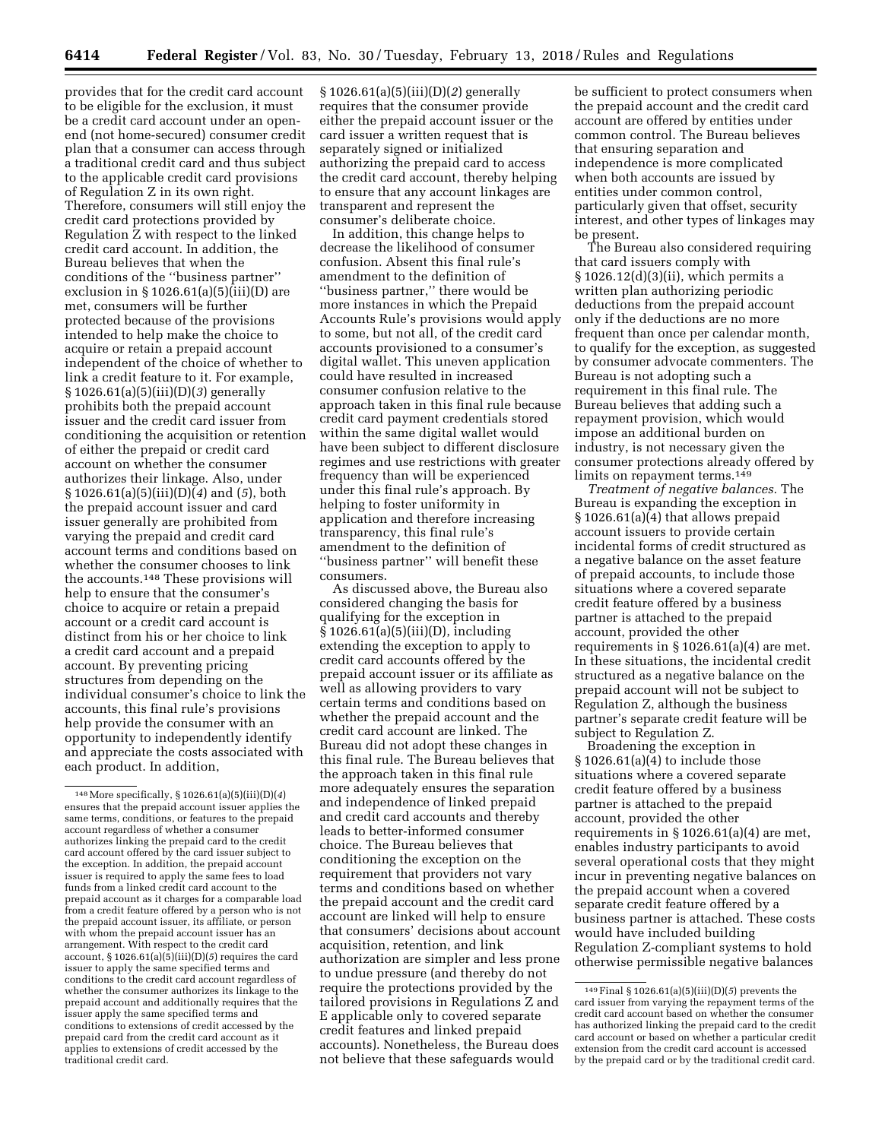provides that for the credit card account to be eligible for the exclusion, it must be a credit card account under an openend (not home-secured) consumer credit plan that a consumer can access through a traditional credit card and thus subject to the applicable credit card provisions of Regulation Z in its own right. Therefore, consumers will still enjoy the credit card protections provided by Regulation Z with respect to the linked credit card account. In addition, the Bureau believes that when the conditions of the ''business partner'' exclusion in  $\S 1026.61(a)(5)(iii)(D)$  are met, consumers will be further protected because of the provisions intended to help make the choice to acquire or retain a prepaid account independent of the choice of whether to link a credit feature to it. For example, § 1026.61(a)(5)(iii)(D)(*3*) generally prohibits both the prepaid account issuer and the credit card issuer from conditioning the acquisition or retention of either the prepaid or credit card account on whether the consumer authorizes their linkage. Also, under § 1026.61(a)(5)(iii)(D)(*4*) and (*5*), both the prepaid account issuer and card issuer generally are prohibited from varying the prepaid and credit card account terms and conditions based on whether the consumer chooses to link the accounts.148 These provisions will help to ensure that the consumer's choice to acquire or retain a prepaid account or a credit card account is distinct from his or her choice to link a credit card account and a prepaid account. By preventing pricing structures from depending on the individual consumer's choice to link the accounts, this final rule's provisions help provide the consumer with an opportunity to independently identify and appreciate the costs associated with each product. In addition,

§ 1026.61(a)(5)(iii)(D)(*2*) generally requires that the consumer provide either the prepaid account issuer or the card issuer a written request that is separately signed or initialized authorizing the prepaid card to access the credit card account, thereby helping to ensure that any account linkages are transparent and represent the consumer's deliberate choice.

In addition, this change helps to decrease the likelihood of consumer confusion. Absent this final rule's amendment to the definition of ''business partner,'' there would be more instances in which the Prepaid Accounts Rule's provisions would apply to some, but not all, of the credit card accounts provisioned to a consumer's digital wallet. This uneven application could have resulted in increased consumer confusion relative to the approach taken in this final rule because credit card payment credentials stored within the same digital wallet would have been subject to different disclosure regimes and use restrictions with greater frequency than will be experienced under this final rule's approach. By helping to foster uniformity in application and therefore increasing transparency, this final rule's amendment to the definition of ''business partner'' will benefit these consumers.

As discussed above, the Bureau also considered changing the basis for qualifying for the exception in § 1026.61(a)(5)(iii)(D), including extending the exception to apply to credit card accounts offered by the prepaid account issuer or its affiliate as well as allowing providers to vary certain terms and conditions based on whether the prepaid account and the credit card account are linked. The Bureau did not adopt these changes in this final rule. The Bureau believes that the approach taken in this final rule more adequately ensures the separation and independence of linked prepaid and credit card accounts and thereby leads to better-informed consumer choice. The Bureau believes that conditioning the exception on the requirement that providers not vary terms and conditions based on whether the prepaid account and the credit card account are linked will help to ensure that consumers' decisions about account acquisition, retention, and link authorization are simpler and less prone to undue pressure (and thereby do not require the protections provided by the tailored provisions in Regulations Z and E applicable only to covered separate credit features and linked prepaid accounts). Nonetheless, the Bureau does not believe that these safeguards would

be sufficient to protect consumers when the prepaid account and the credit card account are offered by entities under common control. The Bureau believes that ensuring separation and independence is more complicated when both accounts are issued by entities under common control, particularly given that offset, security interest, and other types of linkages may be present.

The Bureau also considered requiring that card issuers comply with § 1026.12(d)(3)(ii), which permits a written plan authorizing periodic deductions from the prepaid account only if the deductions are no more frequent than once per calendar month, to qualify for the exception, as suggested by consumer advocate commenters. The Bureau is not adopting such a requirement in this final rule. The Bureau believes that adding such a repayment provision, which would impose an additional burden on industry, is not necessary given the consumer protections already offered by limits on repayment terms.<sup>149</sup>

*Treatment of negative balances.* The Bureau is expanding the exception in § 1026.61(a)(4) that allows prepaid account issuers to provide certain incidental forms of credit structured as a negative balance on the asset feature of prepaid accounts, to include those situations where a covered separate credit feature offered by a business partner is attached to the prepaid account, provided the other requirements in  $\S 1026.61(a)(4)$  are met. In these situations, the incidental credit structured as a negative balance on the prepaid account will not be subject to Regulation Z, although the business partner's separate credit feature will be subject to Regulation Z.

Broadening the exception in § 1026.61(a)(4) to include those situations where a covered separate credit feature offered by a business partner is attached to the prepaid account, provided the other requirements in  $\S 1026.61(a)(4)$  are met, enables industry participants to avoid several operational costs that they might incur in preventing negative balances on the prepaid account when a covered separate credit feature offered by a business partner is attached. These costs would have included building Regulation Z-compliant systems to hold otherwise permissible negative balances

<sup>148</sup>More specifically, § 1026.61(a)(5)(iii)(D)(*4*) ensures that the prepaid account issuer applies the same terms, conditions, or features to the prepaid account regardless of whether a consumer authorizes linking the prepaid card to the credit card account offered by the card issuer subject to the exception. In addition, the prepaid account issuer is required to apply the same fees to load funds from a linked credit card account to the prepaid account as it charges for a comparable load from a credit feature offered by a person who is not the prepaid account issuer, its affiliate, or person with whom the prepaid account issuer has an arrangement. With respect to the credit card account, § 1026.61(a)(5)(iii)(D)(*5*) requires the card issuer to apply the same specified terms and conditions to the credit card account regardless of whether the consumer authorizes its linkage to the prepaid account and additionally requires that the issuer apply the same specified terms and conditions to extensions of credit accessed by the prepaid card from the credit card account as it applies to extensions of credit accessed by the traditional credit card.

<sup>149</sup>Final § 1026.61(a)(5)(iii)(D)(*5*) prevents the card issuer from varying the repayment terms of the credit card account based on whether the consumer has authorized linking the prepaid card to the credit card account or based on whether a particular credit extension from the credit card account is accessed by the prepaid card or by the traditional credit card.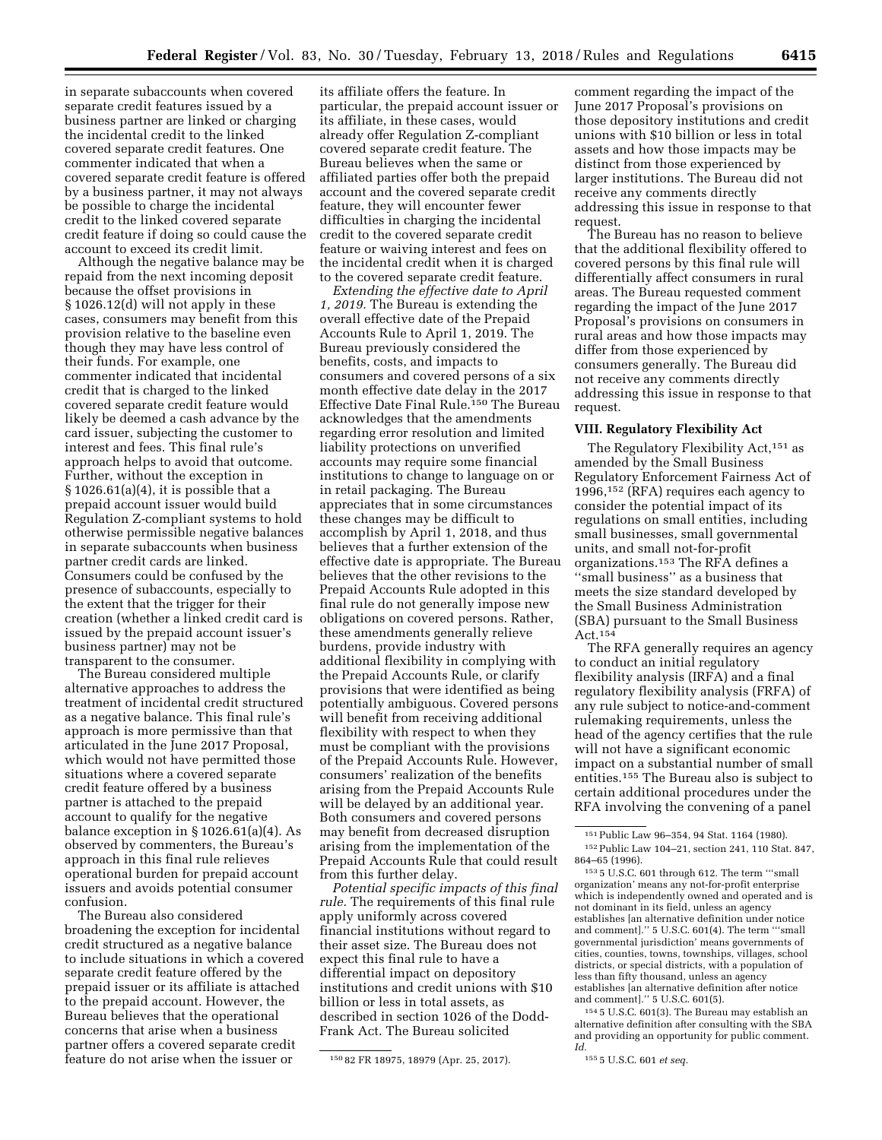in separate subaccounts when covered separate credit features issued by a

business partner are linked or charging the incidental credit to the linked covered separate credit features. One commenter indicated that when a covered separate credit feature is offered by a business partner, it may not always be possible to charge the incidental credit to the linked covered separate credit feature if doing so could cause the account to exceed its credit limit.

Although the negative balance may be repaid from the next incoming deposit because the offset provisions in § 1026.12(d) will not apply in these cases, consumers may benefit from this provision relative to the baseline even though they may have less control of their funds. For example, one commenter indicated that incidental credit that is charged to the linked covered separate credit feature would likely be deemed a cash advance by the card issuer, subjecting the customer to interest and fees. This final rule's approach helps to avoid that outcome. Further, without the exception in  $\S 1026.61(a)(4)$ , it is possible that a prepaid account issuer would build Regulation Z-compliant systems to hold otherwise permissible negative balances in separate subaccounts when business partner credit cards are linked. Consumers could be confused by the presence of subaccounts, especially to the extent that the trigger for their creation (whether a linked credit card is issued by the prepaid account issuer's business partner) may not be transparent to the consumer.

The Bureau considered multiple alternative approaches to address the treatment of incidental credit structured as a negative balance. This final rule's approach is more permissive than that articulated in the June 2017 Proposal, which would not have permitted those situations where a covered separate credit feature offered by a business partner is attached to the prepaid account to qualify for the negative balance exception in § 1026.61(a)(4). As observed by commenters, the Bureau's approach in this final rule relieves operational burden for prepaid account issuers and avoids potential consumer confusion.

The Bureau also considered broadening the exception for incidental credit structured as a negative balance to include situations in which a covered separate credit feature offered by the prepaid issuer or its affiliate is attached to the prepaid account. However, the Bureau believes that the operational concerns that arise when a business partner offers a covered separate credit feature do not arise when the issuer or

its affiliate offers the feature. In particular, the prepaid account issuer or its affiliate, in these cases, would already offer Regulation Z-compliant covered separate credit feature. The Bureau believes when the same or affiliated parties offer both the prepaid account and the covered separate credit feature, they will encounter fewer difficulties in charging the incidental credit to the covered separate credit feature or waiving interest and fees on the incidental credit when it is charged to the covered separate credit feature.

*Extending the effective date to April 1, 2019.* The Bureau is extending the overall effective date of the Prepaid Accounts Rule to April 1, 2019. The Bureau previously considered the benefits, costs, and impacts to consumers and covered persons of a six month effective date delay in the 2017 Effective Date Final Rule.<sup>150</sup> The Bureau acknowledges that the amendments regarding error resolution and limited liability protections on unverified accounts may require some financial institutions to change to language on or in retail packaging. The Bureau appreciates that in some circumstances these changes may be difficult to accomplish by April 1, 2018, and thus believes that a further extension of the effective date is appropriate. The Bureau believes that the other revisions to the Prepaid Accounts Rule adopted in this final rule do not generally impose new obligations on covered persons. Rather, these amendments generally relieve burdens, provide industry with additional flexibility in complying with the Prepaid Accounts Rule, or clarify provisions that were identified as being potentially ambiguous. Covered persons will benefit from receiving additional flexibility with respect to when they must be compliant with the provisions of the Prepaid Accounts Rule. However, consumers' realization of the benefits arising from the Prepaid Accounts Rule will be delayed by an additional year. Both consumers and covered persons may benefit from decreased disruption arising from the implementation of the Prepaid Accounts Rule that could result from this further delay.

*Potential specific impacts of this final rule.* The requirements of this final rule apply uniformly across covered financial institutions without regard to their asset size. The Bureau does not expect this final rule to have a differential impact on depository institutions and credit unions with \$10 billion or less in total assets, as described in section 1026 of the Dodd-Frank Act. The Bureau solicited

comment regarding the impact of the June 2017 Proposal's provisions on those depository institutions and credit unions with \$10 billion or less in total assets and how those impacts may be distinct from those experienced by larger institutions. The Bureau did not receive any comments directly addressing this issue in response to that request.

The Bureau has no reason to believe that the additional flexibility offered to covered persons by this final rule will differentially affect consumers in rural areas. The Bureau requested comment regarding the impact of the June 2017 Proposal's provisions on consumers in rural areas and how those impacts may differ from those experienced by consumers generally. The Bureau did not receive any comments directly addressing this issue in response to that request.

#### **VIII. Regulatory Flexibility Act**

The Regulatory Flexibility Act,151 as amended by the Small Business Regulatory Enforcement Fairness Act of 1996,152 (RFA) requires each agency to consider the potential impact of its regulations on small entities, including small businesses, small governmental units, and small not-for-profit organizations.153 The RFA defines a ''small business'' as a business that meets the size standard developed by the Small Business Administration (SBA) pursuant to the Small Business Act.154

The RFA generally requires an agency to conduct an initial regulatory flexibility analysis (IRFA) and a final regulatory flexibility analysis (FRFA) of any rule subject to notice-and-comment rulemaking requirements, unless the head of the agency certifies that the rule will not have a significant economic impact on a substantial number of small entities.155 The Bureau also is subject to certain additional procedures under the RFA involving the convening of a panel

154 5 U.S.C. 601(3). The Bureau may establish an alternative definition after consulting with the SBA and providing an opportunity for public comment. *Id.* 

155 5 U.S.C. 601 *et seq.* 

<sup>150</sup> 82 FR 18975, 18979 (Apr. 25, 2017).

<sup>151</sup>Public Law 96–354, 94 Stat. 1164 (1980). 152Public Law 104–21, section 241, 110 Stat. 847, 864–65 (1996).

<sup>153</sup> 5 U.S.C. 601 through 612. The term '''small organization' means any not-for-profit enterprise which is independently owned and operated and is not dominant in its field, unless an agency establishes [an alternative definition under notice and comment].'' 5 U.S.C. 601(4). The term '''small governmental jurisdiction' means governments of cities, counties, towns, townships, villages, school districts, or special districts, with a population of less than fifty thousand, unless an agency establishes [an alternative definition after notice and comment].'' 5 U.S.C. 601(5).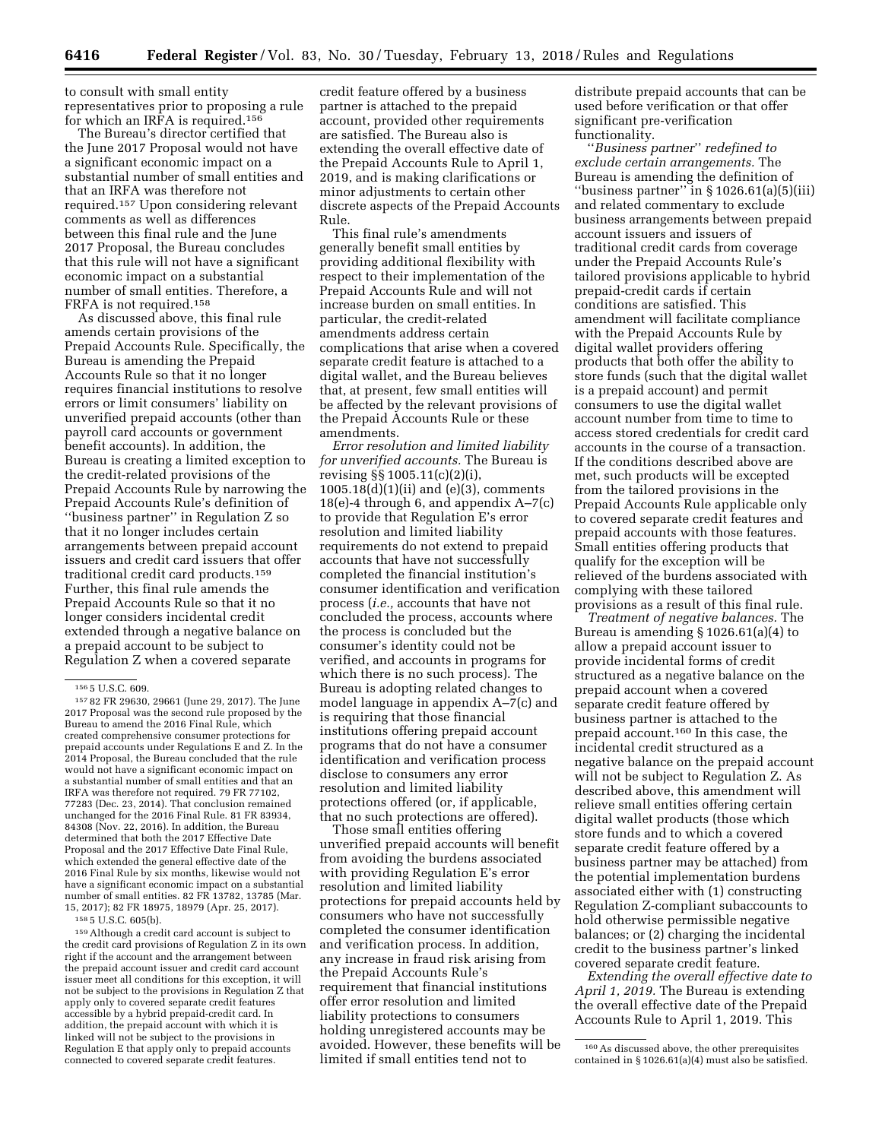to consult with small entity representatives prior to proposing a rule for which an IRFA is required.156

The Bureau's director certified that the June 2017 Proposal would not have a significant economic impact on a substantial number of small entities and that an IRFA was therefore not required.157 Upon considering relevant comments as well as differences between this final rule and the June 2017 Proposal, the Bureau concludes that this rule will not have a significant economic impact on a substantial number of small entities. Therefore, a FRFA is not required.158

As discussed above, this final rule amends certain provisions of the Prepaid Accounts Rule. Specifically, the Bureau is amending the Prepaid Accounts Rule so that it no longer requires financial institutions to resolve errors or limit consumers' liability on unverified prepaid accounts (other than payroll card accounts or government benefit accounts). In addition, the Bureau is creating a limited exception to the credit-related provisions of the Prepaid Accounts Rule by narrowing the Prepaid Accounts Rule's definition of ''business partner'' in Regulation Z so that it no longer includes certain arrangements between prepaid account issuers and credit card issuers that offer traditional credit card products.159 Further, this final rule amends the Prepaid Accounts Rule so that it no longer considers incidental credit extended through a negative balance on a prepaid account to be subject to Regulation Z when a covered separate

158 5 U.S.C. 605(b).

159Although a credit card account is subject to the credit card provisions of Regulation Z in its own right if the account and the arrangement between the prepaid account issuer and credit card account issuer meet all conditions for this exception, it will not be subject to the provisions in Regulation Z that apply only to covered separate credit features accessible by a hybrid prepaid-credit card. In addition, the prepaid account with which it is linked will not be subject to the provisions in Regulation E that apply only to prepaid accounts connected to covered separate credit features.

credit feature offered by a business partner is attached to the prepaid account, provided other requirements are satisfied. The Bureau also is extending the overall effective date of the Prepaid Accounts Rule to April 1, 2019, and is making clarifications or minor adjustments to certain other discrete aspects of the Prepaid Accounts Rule.

This final rule's amendments generally benefit small entities by providing additional flexibility with respect to their implementation of the Prepaid Accounts Rule and will not increase burden on small entities. In particular, the credit-related amendments address certain complications that arise when a covered separate credit feature is attached to a digital wallet, and the Bureau believes that, at present, few small entities will be affected by the relevant provisions of the Prepaid Accounts Rule or these amendments.

*Error resolution and limited liability for unverified accounts.* The Bureau is revising §§ 1005.11(c)(2)(i),  $1005.18(d)(1)(ii)$  and  $(e)(3)$ , comments 18(e)-4 through 6, and appendix A–7(c) to provide that Regulation E's error resolution and limited liability requirements do not extend to prepaid accounts that have not successfully completed the financial institution's consumer identification and verification process (*i.e.,* accounts that have not concluded the process, accounts where the process is concluded but the consumer's identity could not be verified, and accounts in programs for which there is no such process). The Bureau is adopting related changes to model language in appendix A–7(c) and is requiring that those financial institutions offering prepaid account programs that do not have a consumer identification and verification process disclose to consumers any error resolution and limited liability protections offered (or, if applicable, that no such protections are offered).

Those small entities offering unverified prepaid accounts will benefit from avoiding the burdens associated with providing Regulation E's error resolution and limited liability protections for prepaid accounts held by consumers who have not successfully completed the consumer identification and verification process. In addition, any increase in fraud risk arising from the Prepaid Accounts Rule's requirement that financial institutions offer error resolution and limited liability protections to consumers holding unregistered accounts may be avoided. However, these benefits will be limited if small entities tend not to

distribute prepaid accounts that can be used before verification or that offer significant pre-verification functionality.

''*Business partner*'' *redefined to exclude certain arrangements.* The Bureau is amending the definition of ''business partner'' in § 1026.61(a)(5)(iii) and related commentary to exclude business arrangements between prepaid account issuers and issuers of traditional credit cards from coverage under the Prepaid Accounts Rule's tailored provisions applicable to hybrid prepaid-credit cards if certain conditions are satisfied. This amendment will facilitate compliance with the Prepaid Accounts Rule by digital wallet providers offering products that both offer the ability to store funds (such that the digital wallet is a prepaid account) and permit consumers to use the digital wallet account number from time to time to access stored credentials for credit card accounts in the course of a transaction. If the conditions described above are met, such products will be excepted from the tailored provisions in the Prepaid Accounts Rule applicable only to covered separate credit features and prepaid accounts with those features. Small entities offering products that qualify for the exception will be relieved of the burdens associated with complying with these tailored provisions as a result of this final rule.

*Treatment of negative balances.* The Bureau is amending § 1026.61(a)(4) to allow a prepaid account issuer to provide incidental forms of credit structured as a negative balance on the prepaid account when a covered separate credit feature offered by business partner is attached to the prepaid account.160 In this case, the incidental credit structured as a negative balance on the prepaid account will not be subject to Regulation Z. As described above, this amendment will relieve small entities offering certain digital wallet products (those which store funds and to which a covered separate credit feature offered by a business partner may be attached) from the potential implementation burdens associated either with (1) constructing Regulation Z-compliant subaccounts to hold otherwise permissible negative balances; or (2) charging the incidental credit to the business partner's linked covered separate credit feature.

*Extending the overall effective date to April 1, 2019.* The Bureau is extending the overall effective date of the Prepaid Accounts Rule to April 1, 2019. This

<sup>156</sup> 5 U.S.C. 609.

<sup>157</sup> 82 FR 29630, 29661 (June 29, 2017). The June 2017 Proposal was the second rule proposed by the Bureau to amend the 2016 Final Rule, which created comprehensive consumer protections for prepaid accounts under Regulations E and Z. In the 2014 Proposal, the Bureau concluded that the rule would not have a significant economic impact on a substantial number of small entities and that an IRFA was therefore not required. 79 FR 77102, 77283 (Dec. 23, 2014). That conclusion remained unchanged for the 2016 Final Rule. 81 FR 83934, 84308 (Nov. 22, 2016). In addition, the Bureau determined that both the 2017 Effective Date Proposal and the 2017 Effective Date Final Rule, which extended the general effective date of the 2016 Final Rule by six months, likewise would not have a significant economic impact on a substantial number of small entities. 82 FR 13782, 13785 (Mar. 15, 2017); 82 FR 18975, 18979 (Apr. 25, 2017).

<sup>160</sup>As discussed above, the other prerequisites contained in § 1026.61(a)(4) must also be satisfied.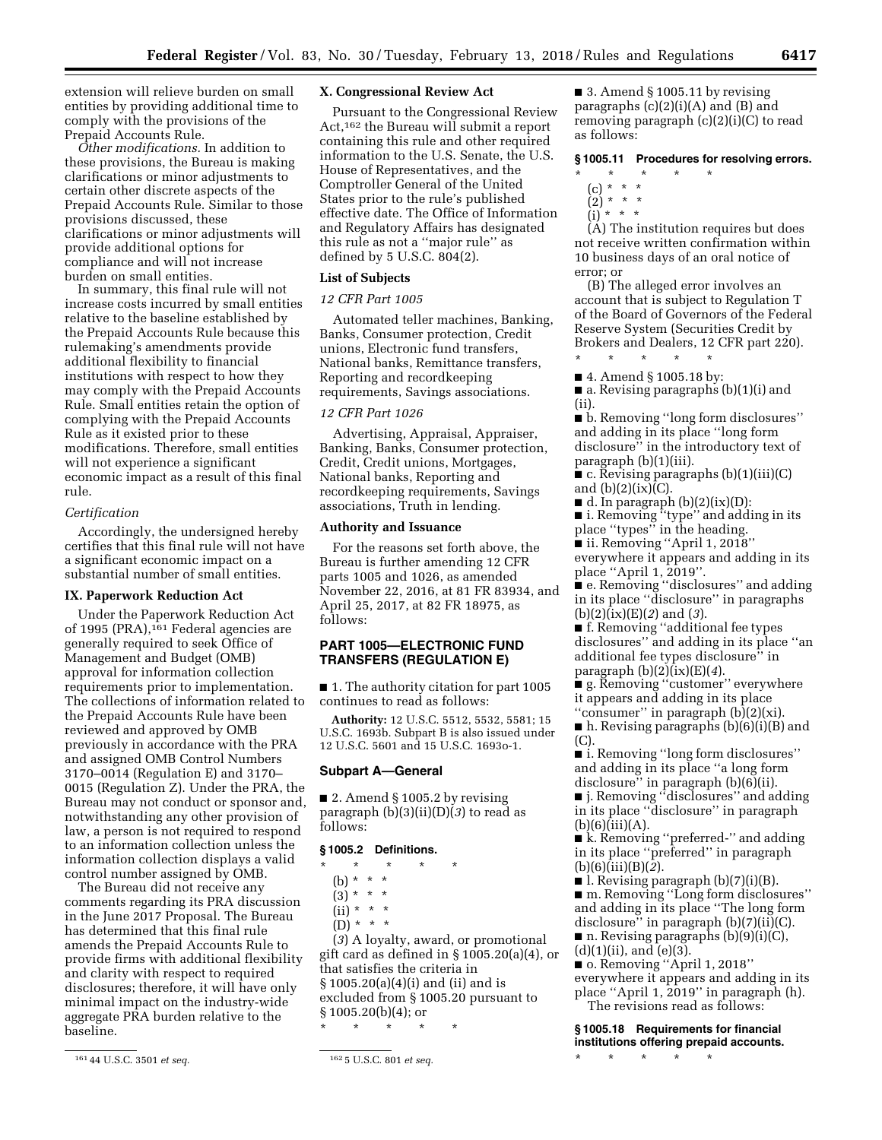extension will relieve burden on small entities by providing additional time to comply with the provisions of the Prepaid Accounts Rule.

*Other modifications.* In addition to these provisions, the Bureau is making clarifications or minor adjustments to certain other discrete aspects of the Prepaid Accounts Rule. Similar to those provisions discussed, these clarifications or minor adjustments will provide additional options for compliance and will not increase burden on small entities.

In summary, this final rule will not increase costs incurred by small entities relative to the baseline established by the Prepaid Accounts Rule because this rulemaking's amendments provide additional flexibility to financial institutions with respect to how they may comply with the Prepaid Accounts Rule. Small entities retain the option of complying with the Prepaid Accounts Rule as it existed prior to these modifications. Therefore, small entities will not experience a significant economic impact as a result of this final rule.

### *Certification*

Accordingly, the undersigned hereby certifies that this final rule will not have a significant economic impact on a substantial number of small entities.

# **IX. Paperwork Reduction Act**

Under the Paperwork Reduction Act of 1995 (PRA),<sup>161</sup> Federal agencies are generally required to seek Office of Management and Budget (OMB) approval for information collection requirements prior to implementation. The collections of information related to the Prepaid Accounts Rule have been reviewed and approved by OMB previously in accordance with the PRA and assigned OMB Control Numbers 3170–0014 (Regulation E) and 3170– 0015 (Regulation Z). Under the PRA, the Bureau may not conduct or sponsor and, notwithstanding any other provision of law, a person is not required to respond to an information collection unless the information collection displays a valid control number assigned by OMB.

The Bureau did not receive any comments regarding its PRA discussion in the June 2017 Proposal. The Bureau has determined that this final rule amends the Prepaid Accounts Rule to provide firms with additional flexibility and clarity with respect to required disclosures; therefore, it will have only minimal impact on the industry-wide aggregate PRA burden relative to the baseline.

## **X. Congressional Review Act**

Pursuant to the Congressional Review Act,162 the Bureau will submit a report containing this rule and other required information to the U.S. Senate, the U.S. House of Representatives, and the Comptroller General of the United States prior to the rule's published effective date. The Office of Information and Regulatory Affairs has designated this rule as not a ''major rule'' as defined by 5 U.S.C. 804(2).

## **List of Subjects**

# *12 CFR Part 1005*

Automated teller machines, Banking, Banks, Consumer protection, Credit unions, Electronic fund transfers, National banks, Remittance transfers, Reporting and recordkeeping requirements, Savings associations.

## *12 CFR Part 1026*

Advertising, Appraisal, Appraiser, Banking, Banks, Consumer protection, Credit, Credit unions, Mortgages, National banks, Reporting and recordkeeping requirements, Savings associations, Truth in lending.

## **Authority and Issuance**

For the reasons set forth above, the Bureau is further amending 12 CFR parts 1005 and 1026, as amended November 22, 2016, at 81 FR 83934, and April 25, 2017, at 82 FR 18975, as follows:

# **PART 1005—ELECTRONIC FUND TRANSFERS (REGULATION E)**

■ 1. The authority citation for part 1005 continues to read as follows:

**Authority:** 12 U.S.C. 5512, 5532, 5581; 15 U.S.C. 1693b. Subpart B is also issued under 12 U.S.C. 5601 and 15 U.S.C. 1693o-1.

#### **Subpart A—General**

 $\blacksquare$  2. Amend § 1005.2 by revising paragraph (b)(3)(ii)(D)(*3*) to read as follows:

#### **§ 1005.2 Definitions.**

\* \* \* \* \*

- (b) \* \* \*
- $(3) * * * *$
- $(ii) * * * *$
- $(D) * * * *$

(*3*) A loyalty, award, or promotional gift card as defined in § 1005.20(a)(4), or that satisfies the criteria in § 1005.20(a)(4)(i) and (ii) and is excluded from § 1005.20 pursuant to § 1005.20(b)(4); or

\* \* \* \* \*

 $\blacksquare$  3. Amend § 1005.11 by revising paragraphs (c)(2)(i)(A) and (B) and removing paragraph (c)(2)(i)(C) to read as follows:

# **§ 1005.11 Procedures for resolving errors.**

- \* \* \* \* \*
	- (c) \* \* \*
	- $(2)^* * * *$
	- $(i)$  \* \* \*

(A) The institution requires but does not receive written confirmation within 10 business days of an oral notice of error; or

(B) The alleged error involves an account that is subject to Regulation T of the Board of Governors of the Federal Reserve System (Securities Credit by Brokers and Dealers, 12 CFR part 220). \* \* \* \* \*

- 4. Amend § 1005.18 by:
- a. Revising paragraphs (b)(1)(i) and (ii).

■ b. Removing "long form disclosures" and adding in its place ''long form disclosure'' in the introductory text of paragraph (b)(1)(iii).

 $\bullet$  c. Revising paragraphs (b)(1)(iii)(C) and  $(b)(2)(ix)(C)$ .

- $\blacksquare$  d. In paragraph (b)(2)(ix)(D):
- i. Removing ''type'' and adding in its place ''types'' in the heading.
- ii. Removing "April 1, 2018" everywhere it appears and adding in its

place ''April 1, 2019''.

■ e. Removing ''disclosures'' and adding in its place ''disclosure'' in paragraphs (b)(2)(ix)(E)(*2*) and (*3*).

■ f. Removing "additional fee types disclosures'' and adding in its place ''an additional fee types disclosure'' in paragraph (b)(2)(ix)(E)(*4*).

■ g. Removing ''customer'' everywhere it appears and adding in its place

''consumer'' in paragraph (b)(2)(xi). ■ h. Revising paragraphs (b)(6)(i)(B) and (C).

■ i. Removing "long form disclosures" and adding in its place ''a long form disclosure<sup>7</sup> in paragraph (b)(6)(ii).

■ j. Removing ''disclosures'' and adding in its place ''disclosure'' in paragraph  $(b)(6)(iii)(A).$ 

■ k. Removing "preferred-" and adding in its place ''preferred'' in paragraph (b)(6)(iii)(B)(*2*).

■ l. Revising paragraph (b)(7)(i)(B). ■ m. Removing ''Long form disclosures''

and adding in its place ''The long form disclosure'' in paragraph (b)(7)(ii)(C).

 $\blacksquare$  n. Revising paragraphs (b)(9)(i)(C),  $(d)(1)(ii)$ , and  $(e)(3)$ .

■ o. Removing "April 1, 2018" everywhere it appears and adding in its place ''April 1, 2019'' in paragraph (h). The revisions read as follows:

**§ 1005.18 Requirements for financial institutions offering prepaid accounts.** 

\* \* \* \* \*

<sup>161</sup> 44 U.S.C. 3501 *et seq.* 162 5 U.S.C. 801 *et seq.*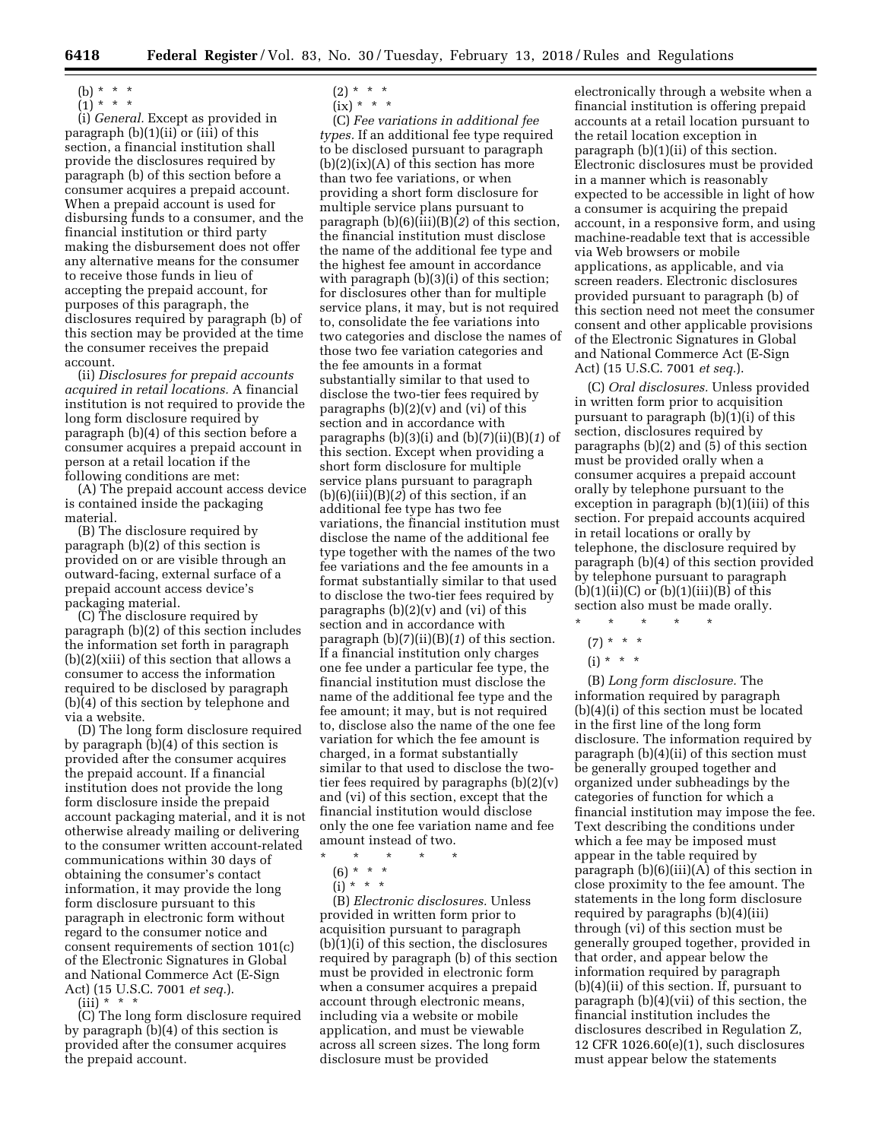- 
- (b)  $* * * *$  $(1)^*$  \* \* \*
- 

(i) *General.* Except as provided in paragraph (b)(1)(ii) or (iii) of this section, a financial institution shall provide the disclosures required by paragraph (b) of this section before a consumer acquires a prepaid account. When a prepaid account is used for disbursing funds to a consumer, and the financial institution or third party making the disbursement does not offer any alternative means for the consumer to receive those funds in lieu of accepting the prepaid account, for purposes of this paragraph, the disclosures required by paragraph (b) of this section may be provided at the time the consumer receives the prepaid account.

(ii) *Disclosures for prepaid accounts acquired in retail locations.* A financial institution is not required to provide the long form disclosure required by paragraph (b)(4) of this section before a consumer acquires a prepaid account in person at a retail location if the following conditions are met:

(A) The prepaid account access device is contained inside the packaging material.

(B) The disclosure required by paragraph (b)(2) of this section is provided on or are visible through an outward-facing, external surface of a prepaid account access device's packaging material.

(C) The disclosure required by paragraph (b)(2) of this section includes the information set forth in paragraph (b)(2)(xiii) of this section that allows a consumer to access the information required to be disclosed by paragraph (b)(4) of this section by telephone and via a website.

(D) The long form disclosure required by paragraph (b)(4) of this section is provided after the consumer acquires the prepaid account. If a financial institution does not provide the long form disclosure inside the prepaid account packaging material, and it is not otherwise already mailing or delivering to the consumer written account-related communications within 30 days of obtaining the consumer's contact information, it may provide the long form disclosure pursuant to this paragraph in electronic form without regard to the consumer notice and consent requirements of section 101(c) of the Electronic Signatures in Global and National Commerce Act (E-Sign Act) (15 U.S.C. 7001 *et seq.*).

 $(iii) * * * *$ 

(C) The long form disclosure required by paragraph (b)(4) of this section is provided after the consumer acquires the prepaid account.

- $(2) * * * *$
- $(ix) * * * *$

(C) *Fee variations in additional fee types.* If an additional fee type required to be disclosed pursuant to paragraph  $(b)(2)(ix)(A)$  of this section has more than two fee variations, or when providing a short form disclosure for multiple service plans pursuant to paragraph (b)(6)(iii)(B)(*2*) of this section, the financial institution must disclose the name of the additional fee type and the highest fee amount in accordance with paragraph (b)(3)(i) of this section; for disclosures other than for multiple service plans, it may, but is not required to, consolidate the fee variations into two categories and disclose the names of those two fee variation categories and the fee amounts in a format substantially similar to that used to disclose the two-tier fees required by paragraphs  $(b)(2)(v)$  and  $(vi)$  of this section and in accordance with paragraphs (b)(3)(i) and (b)(7)(ii)(B)(*1*) of this section. Except when providing a short form disclosure for multiple service plans pursuant to paragraph (b)(6)(iii)(B)(*2*) of this section, if an additional fee type has two fee variations, the financial institution must disclose the name of the additional fee type together with the names of the two fee variations and the fee amounts in a format substantially similar to that used to disclose the two-tier fees required by paragraphs (b)(2)(v) and (vi) of this section and in accordance with paragraph (b)(7)(ii)(B)(*1*) of this section. If a financial institution only charges one fee under a particular fee type, the financial institution must disclose the name of the additional fee type and the fee amount; it may, but is not required to, disclose also the name of the one fee variation for which the fee amount is charged, in a format substantially similar to that used to disclose the twotier fees required by paragraphs (b)(2)(v) and (vi) of this section, except that the financial institution would disclose only the one fee variation name and fee amount instead of two.

- \* \* \* \* \*
- $(6) * * * *$
- $\int$ i) \* \* \*

(B) *Electronic disclosures.* Unless provided in written form prior to acquisition pursuant to paragraph (b)(1)(i) of this section, the disclosures required by paragraph (b) of this section must be provided in electronic form when a consumer acquires a prepaid account through electronic means, including via a website or mobile application, and must be viewable across all screen sizes. The long form disclosure must be provided

electronically through a website when a financial institution is offering prepaid accounts at a retail location pursuant to the retail location exception in paragraph (b)(1)(ii) of this section. Electronic disclosures must be provided in a manner which is reasonably expected to be accessible in light of how a consumer is acquiring the prepaid account, in a responsive form, and using machine-readable text that is accessible via Web browsers or mobile applications, as applicable, and via screen readers. Electronic disclosures provided pursuant to paragraph (b) of this section need not meet the consumer consent and other applicable provisions of the Electronic Signatures in Global and National Commerce Act (E-Sign Act) (15 U.S.C. 7001 *et seq.*).

(C) *Oral disclosures.* Unless provided in written form prior to acquisition pursuant to paragraph (b)(1)(i) of this section, disclosures required by paragraphs (b)(2) and  $(5)$  of this section must be provided orally when a consumer acquires a prepaid account orally by telephone pursuant to the exception in paragraph (b)(1)(iii) of this section. For prepaid accounts acquired in retail locations or orally by telephone, the disclosure required by paragraph (b)(4) of this section provided by telephone pursuant to paragraph  $(b)(1)(ii)(C)$  or  $(b)(1)(iii)(B)$  of this section also must be made orally.  $\star$   $\qquad$   $\star$   $\qquad$   $\star$ 

- $(7) * * * *$
- $(i) * * * *$

(B) *Long form disclosure.* The information required by paragraph (b)(4)(i) of this section must be located in the first line of the long form disclosure. The information required by paragraph (b)(4)(ii) of this section must be generally grouped together and organized under subheadings by the categories of function for which a financial institution may impose the fee. Text describing the conditions under which a fee may be imposed must appear in the table required by paragraph (b)(6)(iii)(A) of this section in close proximity to the fee amount. The statements in the long form disclosure required by paragraphs (b)(4)(iii) through (vi) of this section must be generally grouped together, provided in that order, and appear below the information required by paragraph (b)(4)(ii) of this section. If, pursuant to paragraph (b)(4)(vii) of this section, the financial institution includes the disclosures described in Regulation Z, 12 CFR 1026.60(e)(1), such disclosures must appear below the statements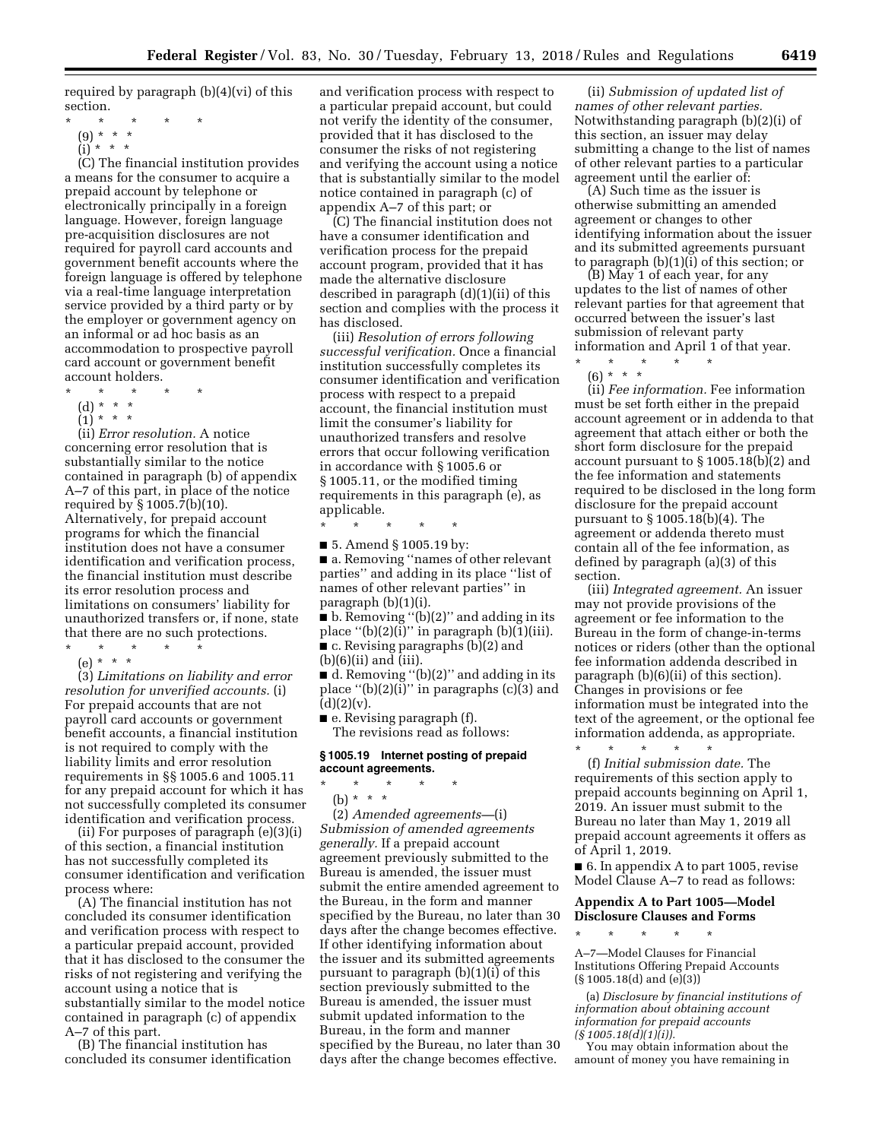required by paragraph (b)(4)(vi) of this section.

- \* \* \* \* \*
	- (9) \* \* \*

 $(i)$  \* \* \*

(C) The financial institution provides a means for the consumer to acquire a prepaid account by telephone or electronically principally in a foreign language. However, foreign language pre-acquisition disclosures are not required for payroll card accounts and government benefit accounts where the foreign language is offered by telephone via a real-time language interpretation service provided by a third party or by the employer or government agency on an informal or ad hoc basis as an accommodation to prospective payroll card account or government benefit account holders.

- \* \* \* \* \*
- (d) \* \* \*
- $(1) * * * *$

(ii) *Error resolution.* A notice concerning error resolution that is substantially similar to the notice contained in paragraph (b) of appendix A–7 of this part, in place of the notice required by § 1005.7(b)(10). Alternatively, for prepaid account programs for which the financial institution does not have a consumer identification and verification process, the financial institution must describe its error resolution process and limitations on consumers' liability for unauthorized transfers or, if none, state that there are no such protections.

\* \* \* \* \* (e) \* \* \*

(3) *Limitations on liability and error resolution for unverified accounts.* (i) For prepaid accounts that are not payroll card accounts or government benefit accounts, a financial institution is not required to comply with the liability limits and error resolution requirements in §§ 1005.6 and 1005.11 for any prepaid account for which it has not successfully completed its consumer identification and verification process.

(ii) For purposes of paragraph (e)(3)(i) of this section, a financial institution has not successfully completed its consumer identification and verification process where:

(A) The financial institution has not concluded its consumer identification and verification process with respect to a particular prepaid account, provided that it has disclosed to the consumer the risks of not registering and verifying the account using a notice that is substantially similar to the model notice contained in paragraph (c) of appendix A–7 of this part.

(B) The financial institution has concluded its consumer identification

and verification process with respect to a particular prepaid account, but could not verify the identity of the consumer, provided that it has disclosed to the consumer the risks of not registering and verifying the account using a notice that is substantially similar to the model notice contained in paragraph (c) of appendix A–7 of this part; or

(C) The financial institution does not have a consumer identification and verification process for the prepaid account program, provided that it has made the alternative disclosure described in paragraph (d)(1)(ii) of this section and complies with the process it has disclosed.

(iii) *Resolution of errors following successful verification.* Once a financial institution successfully completes its consumer identification and verification process with respect to a prepaid account, the financial institution must limit the consumer's liability for unauthorized transfers and resolve errors that occur following verification in accordance with § 1005.6 or § 1005.11, or the modified timing requirements in this paragraph (e), as applicable.

\* \* \* \* \*

■ 5. Amend § 1005.19 by: ■ a. Removing "names of other relevant parties'' and adding in its place ''list of names of other relevant parties'' in paragraph (b)(1)(i).

■ b. Removing "(b)(2)" and adding in its place " $(b)(2)(i)$ " in paragraph  $(b)(1)(iii)$ . ■ c. Revising paragraphs (b)(2) and (b)(6)(ii) and (iii).

■ d. Removing ''(b)(2)'' and adding in its place " $(b)(2)(i)$ " in paragraphs  $(c)(3)$  and  $(d)(2)(v).$ 

■ e. Revising paragraph (f). The revisions read as follows:

## **§ 1005.19 Internet posting of prepaid account agreements.**

- \* \* \* \* \*
- (b) \* \* \*

(2) *Amended agreements—*(i) *Submission of amended agreements generally.* If a prepaid account agreement previously submitted to the Bureau is amended, the issuer must submit the entire amended agreement to the Bureau, in the form and manner specified by the Bureau, no later than 30 days after the change becomes effective. If other identifying information about the issuer and its submitted agreements pursuant to paragraph (b)(1)(i) of this section previously submitted to the Bureau is amended, the issuer must submit updated information to the Bureau, in the form and manner specified by the Bureau, no later than 30 days after the change becomes effective.

(ii) *Submission of updated list of names of other relevant parties.*  Notwithstanding paragraph (b)(2)(i) of this section, an issuer may delay submitting a change to the list of names of other relevant parties to a particular agreement until the earlier of:

(A) Such time as the issuer is otherwise submitting an amended agreement or changes to other identifying information about the issuer and its submitted agreements pursuant to paragraph (b)(1)(i) of this section; or

(B) May 1 of each year, for any updates to the list of names of other relevant parties for that agreement that occurred between the issuer's last submission of relevant party information and April 1 of that year.

\* \* \* \* \* (6) \* \* \*

(ii) *Fee information.* Fee information must be set forth either in the prepaid account agreement or in addenda to that agreement that attach either or both the short form disclosure for the prepaid account pursuant to § 1005.18(b)(2) and the fee information and statements required to be disclosed in the long form disclosure for the prepaid account pursuant to § 1005.18(b)(4). The agreement or addenda thereto must contain all of the fee information, as defined by paragraph (a)(3) of this section.

(iii) *Integrated agreement.* An issuer may not provide provisions of the agreement or fee information to the Bureau in the form of change-in-terms notices or riders (other than the optional fee information addenda described in paragraph (b)(6)(ii) of this section). Changes in provisions or fee information must be integrated into the text of the agreement, or the optional fee information addenda, as appropriate.

\* \* \* \* \* (f) *Initial submission date.* The requirements of this section apply to prepaid accounts beginning on April 1, 2019. An issuer must submit to the Bureau no later than May 1, 2019 all prepaid account agreements it offers as of April 1, 2019.

■ 6. In appendix A to part 1005, revise Model Clause A–7 to read as follows:

# **Appendix A to Part 1005—Model Disclosure Clauses and Forms**

\* \* \* \* \* A–7—Model Clauses for Financial Institutions Offering Prepaid Accounts (§ 1005.18(d) and (e)(3))

(a) *Disclosure by financial institutions of information about obtaining account information for prepaid accounts (§ 1005.18(d)(1)(i)).* 

You may obtain information about the amount of money you have remaining in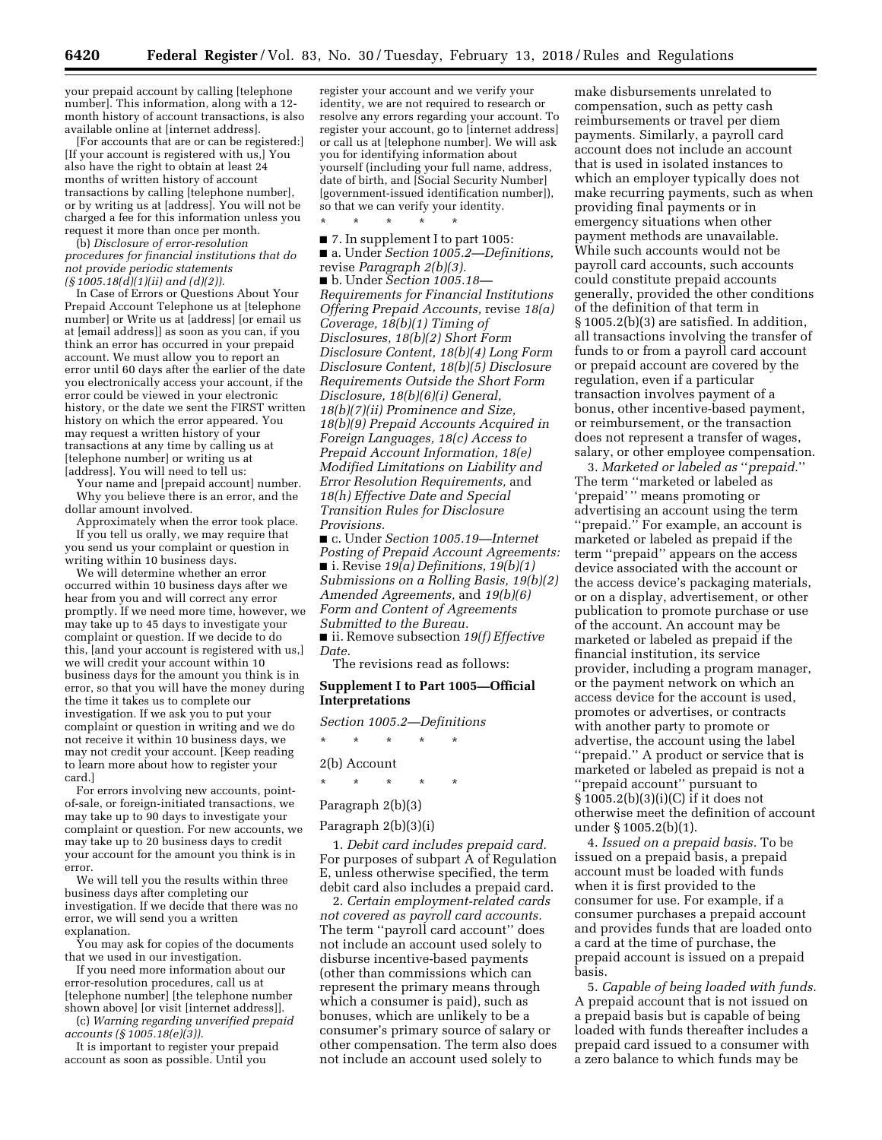your prepaid account by calling [telephone number]. This information, along with a 12 month history of account transactions, is also available online at [internet address].

[For accounts that are or can be registered:] [If your account is registered with us,] You also have the right to obtain at least 24 months of written history of account transactions by calling [telephone number], or by writing us at [address]. You will not be charged a fee for this information unless you request it more than once per month.

(b) *Disclosure of error-resolution procedures for financial institutions that do not provide periodic statements (§ 1005.18(d)(1)(ii) and (d)(2)).* 

In Case of Errors or Questions About Your Prepaid Account Telephone us at [telephone number] or Write us at [address] [or email us at [email address]] as soon as you can, if you think an error has occurred in your prepaid account. We must allow you to report an error until 60 days after the earlier of the date you electronically access your account, if the error could be viewed in your electronic history, or the date we sent the FIRST written history on which the error appeared. You may request a written history of your transactions at any time by calling us at [telephone number] or writing us at [address]. You will need to tell us:

Your name and [prepaid account] number. Why you believe there is an error, and the dollar amount involved.

Approximately when the error took place. If you tell us orally, we may require that you send us your complaint or question in writing within 10 business days.

We will determine whether an error occurred within 10 business days after we hear from you and will correct any error promptly. If we need more time, however, we may take up to 45 days to investigate your complaint or question. If we decide to do this, [and your account is registered with us,] we will credit your account within 10 business days for the amount you think is in error, so that you will have the money during the time it takes us to complete our investigation. If we ask you to put your complaint or question in writing and we do not receive it within 10 business days, we may not credit your account. [Keep reading to learn more about how to register your card.]

For errors involving new accounts, pointof-sale, or foreign-initiated transactions, we may take up to 90 days to investigate your complaint or question. For new accounts, we may take up to 20 business days to credit your account for the amount you think is in error.

We will tell you the results within three business days after completing our investigation. If we decide that there was no error, we will send you a written explanation.

You may ask for copies of the documents that we used in our investigation.

If you need more information about our error-resolution procedures, call us at [telephone number] [the telephone number shown above] [or visit [internet address]].

(c) *Warning regarding unverified prepaid accounts (§ 1005.18(e)(3)).* 

It is important to register your prepaid account as soon as possible. Until you

register your account and we verify your identity, we are not required to research or resolve any errors regarding your account. To register your account, go to [internet address] or call us at [telephone number]. We will ask you for identifying information about yourself (including your full name, address, date of birth, and [Social Security Number] [government-issued identification number]), so that we can verify your identity.

\* \* \* \* \* ■ 7. In supplement I to part 1005:

■ a. Under *Section 1005.2—Definitions,*  revise *Paragraph 2(b)(3).* 

■ b. Under *Section 1005.18— Requirements for Financial Institutions Offering Prepaid Accounts,* revise *18(a) Coverage, 18(b)(1) Timing of Disclosures, 18(b)(2) Short Form Disclosure Content, 18(b)(4) Long Form Disclosure Content, 18(b)(5) Disclosure Requirements Outside the Short Form Disclosure, 18(b)(6)(i) General, 18(b)(7)(ii) Prominence and Size, 18(b)(9) Prepaid Accounts Acquired in Foreign Languages, 18(c) Access to Prepaid Account Information, 18(e) Modified Limitations on Liability and Error Resolution Requirements,* and *18(h) Effective Date and Special Transition Rules for Disclosure Provisions.* 

■ c. Under *Section 1005.19—Internet Posting of Prepaid Account Agreements:*  ■ i. Revise *19(a) Definitions, 19(b)(1) Submissions on a Rolling Basis, 19(b)(2) Amended Agreements,* and *19(b)(6) Form and Content of Agreements Submitted to the Bureau.* 

■ ii. Remove subsection 19(*f*) *Effective Date.* 

The revisions read as follows:

# **Supplement I to Part 1005—Official Interpretations**

*Section 1005.2—Definitions* 

\* \* \* \* \*

# 2(b) Account

\* \* \* \* \*

# Paragraph 2(b)(3)

# Paragraph 2(b)(3)(i)

1. *Debit card includes prepaid card.*  For purposes of subpart A of Regulation E, unless otherwise specified, the term debit card also includes a prepaid card.

2. *Certain employment-related cards not covered as payroll card accounts.*  The term ''payroll card account'' does not include an account used solely to disburse incentive-based payments (other than commissions which can represent the primary means through which a consumer is paid), such as bonuses, which are unlikely to be a consumer's primary source of salary or other compensation. The term also does not include an account used solely to

make disbursements unrelated to compensation, such as petty cash reimbursements or travel per diem payments. Similarly, a payroll card account does not include an account that is used in isolated instances to which an employer typically does not make recurring payments, such as when providing final payments or in emergency situations when other payment methods are unavailable. While such accounts would not be payroll card accounts, such accounts could constitute prepaid accounts generally, provided the other conditions of the definition of that term in § 1005.2(b)(3) are satisfied. In addition, all transactions involving the transfer of funds to or from a payroll card account or prepaid account are covered by the regulation, even if a particular transaction involves payment of a bonus, other incentive-based payment, or reimbursement, or the transaction does not represent a transfer of wages, salary, or other employee compensation.

3. *Marketed or labeled as* ''*prepaid.*'' The term ''marketed or labeled as 'prepaid' '' means promoting or advertising an account using the term ''prepaid.'' For example, an account is marketed or labeled as prepaid if the term ''prepaid'' appears on the access device associated with the account or the access device's packaging materials, or on a display, advertisement, or other publication to promote purchase or use of the account. An account may be marketed or labeled as prepaid if the financial institution, its service provider, including a program manager, or the payment network on which an access device for the account is used, promotes or advertises, or contracts with another party to promote or advertise, the account using the label ''prepaid.'' A product or service that is marketed or labeled as prepaid is not a ''prepaid account'' pursuant to § 1005.2(b)(3)(i)(C) if it does not otherwise meet the definition of account under § 1005.2(b)(1).

4. *Issued on a prepaid basis.* To be issued on a prepaid basis, a prepaid account must be loaded with funds when it is first provided to the consumer for use. For example, if a consumer purchases a prepaid account and provides funds that are loaded onto a card at the time of purchase, the prepaid account is issued on a prepaid basis.

5. *Capable of being loaded with funds.*  A prepaid account that is not issued on a prepaid basis but is capable of being loaded with funds thereafter includes a prepaid card issued to a consumer with a zero balance to which funds may be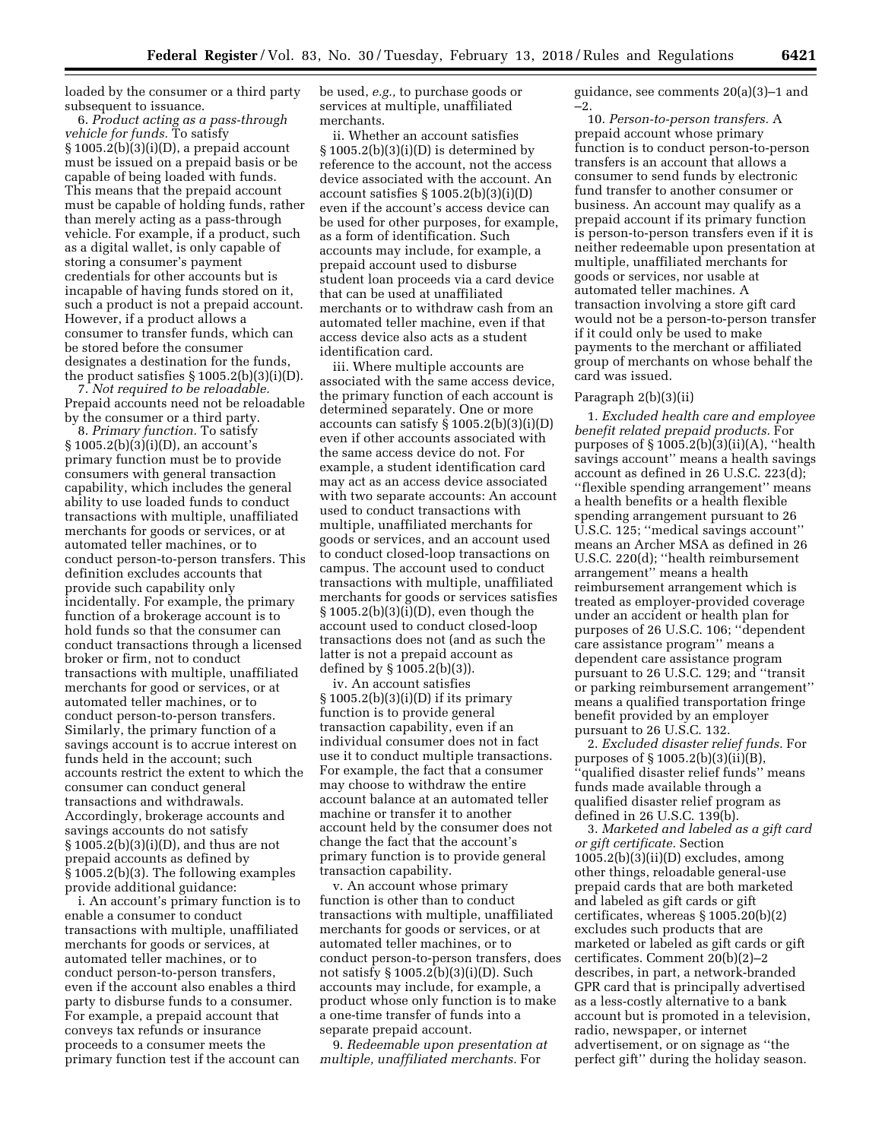loaded by the consumer or a third party subsequent to issuance.

6. *Product acting as a pass-through vehicle for funds.* To satisfy § 1005.2(b)(3)(i)(D), a prepaid account must be issued on a prepaid basis or be capable of being loaded with funds. This means that the prepaid account must be capable of holding funds, rather than merely acting as a pass-through vehicle. For example, if a product, such as a digital wallet, is only capable of storing a consumer's payment credentials for other accounts but is incapable of having funds stored on it, such a product is not a prepaid account. However, if a product allows a consumer to transfer funds, which can be stored before the consumer designates a destination for the funds, the product satisfies § 1005.2(b)(3)(i)(D).

7. *Not required to be reloadable.*  Prepaid accounts need not be reloadable by the consumer or a third party.

8. *Primary function.* To satisfy § 1005.2(b)(3)(i)(D), an account's primary function must be to provide consumers with general transaction capability, which includes the general ability to use loaded funds to conduct transactions with multiple, unaffiliated merchants for goods or services, or at automated teller machines, or to conduct person-to-person transfers. This definition excludes accounts that provide such capability only incidentally. For example, the primary function of a brokerage account is to hold funds so that the consumer can conduct transactions through a licensed broker or firm, not to conduct transactions with multiple, unaffiliated merchants for good or services, or at automated teller machines, or to conduct person-to-person transfers. Similarly, the primary function of a savings account is to accrue interest on funds held in the account; such accounts restrict the extent to which the consumer can conduct general transactions and withdrawals. Accordingly, brokerage accounts and savings accounts do not satisfy § 1005.2(b)(3)(i)(D), and thus are not prepaid accounts as defined by § 1005.2(b)(3). The following examples provide additional guidance:

i. An account's primary function is to enable a consumer to conduct transactions with multiple, unaffiliated merchants for goods or services, at automated teller machines, or to conduct person-to-person transfers, even if the account also enables a third party to disburse funds to a consumer. For example, a prepaid account that conveys tax refunds or insurance proceeds to a consumer meets the primary function test if the account can

be used, *e.g.,* to purchase goods or services at multiple, unaffiliated merchants.

ii. Whether an account satisfies  $§ 1005.2(b)(3)(i)(D)$  is determined by reference to the account, not the access device associated with the account. An account satisfies  $\S 1005.2(b)(3)(i)(D)$ even if the account's access device can be used for other purposes, for example, as a form of identification. Such accounts may include, for example, a prepaid account used to disburse student loan proceeds via a card device that can be used at unaffiliated merchants or to withdraw cash from an automated teller machine, even if that access device also acts as a student identification card.

iii. Where multiple accounts are associated with the same access device, the primary function of each account is determined separately. One or more accounts can satisfy  $\S 1005.2(b)(3)(i)(D)$ even if other accounts associated with the same access device do not. For example, a student identification card may act as an access device associated with two separate accounts: An account used to conduct transactions with multiple, unaffiliated merchants for goods or services, and an account used to conduct closed-loop transactions on campus. The account used to conduct transactions with multiple, unaffiliated merchants for goods or services satisfies § 1005.2(b)(3)(i)(D), even though the account used to conduct closed-loop transactions does not (and as such the latter is not a prepaid account as defined by § 1005.2(b)(3)).

iv. An account satisfies  $\S 1005.2(b)(3)(i)(D)$  if its primary function is to provide general transaction capability, even if an individual consumer does not in fact use it to conduct multiple transactions. For example, the fact that a consumer may choose to withdraw the entire account balance at an automated teller machine or transfer it to another account held by the consumer does not change the fact that the account's primary function is to provide general transaction capability.

v. An account whose primary function is other than to conduct transactions with multiple, unaffiliated merchants for goods or services, or at automated teller machines, or to conduct person-to-person transfers, does not satisfy § 1005.2(b)(3)(i)(D). Such accounts may include, for example, a product whose only function is to make a one-time transfer of funds into a separate prepaid account.

9. *Redeemable upon presentation at multiple, unaffiliated merchants.* For

guidance, see comments 20(a)(3)–1 and –2.

10. *Person-to-person transfers.* A prepaid account whose primary function is to conduct person-to-person transfers is an account that allows a consumer to send funds by electronic fund transfer to another consumer or business. An account may qualify as a prepaid account if its primary function is person-to-person transfers even if it is neither redeemable upon presentation at multiple, unaffiliated merchants for goods or services, nor usable at automated teller machines. A transaction involving a store gift card would not be a person-to-person transfer if it could only be used to make payments to the merchant or affiliated group of merchants on whose behalf the card was issued.

#### Paragraph 2(b)(3)(ii)

1. *Excluded health care and employee benefit related prepaid products.* For purposes of  $\S 1005.2(b)(3)(ii)(A)$ , "health savings account'' means a health savings account as defined in 26 U.S.C. 223(d); ''flexible spending arrangement'' means a health benefits or a health flexible spending arrangement pursuant to 26 U.S.C. 125; ''medical savings account'' means an Archer MSA as defined in 26 U.S.C. 220(d); ''health reimbursement arrangement'' means a health reimbursement arrangement which is treated as employer-provided coverage under an accident or health plan for purposes of 26 U.S.C. 106; ''dependent care assistance program'' means a dependent care assistance program pursuant to 26 U.S.C. 129; and ''transit or parking reimbursement arrangement'' means a qualified transportation fringe benefit provided by an employer pursuant to 26 U.S.C. 132.

2. *Excluded disaster relief funds.* For purposes of § 1005.2(b)(3)(ii)(B), ''qualified disaster relief funds'' means funds made available through a qualified disaster relief program as defined in 26 U.S.C. 139(b).

3. *Marketed and labeled as a gift card or gift certificate.* Section  $1005.2(b)(3)(ii)(D)$  excludes, among other things, reloadable general-use prepaid cards that are both marketed and labeled as gift cards or gift certificates, whereas § 1005.20(b)(2) excludes such products that are marketed or labeled as gift cards or gift certificates. Comment 20(b)(2)–2 describes, in part, a network-branded GPR card that is principally advertised as a less-costly alternative to a bank account but is promoted in a television, radio, newspaper, or internet advertisement, or on signage as ''the perfect gift'' during the holiday season.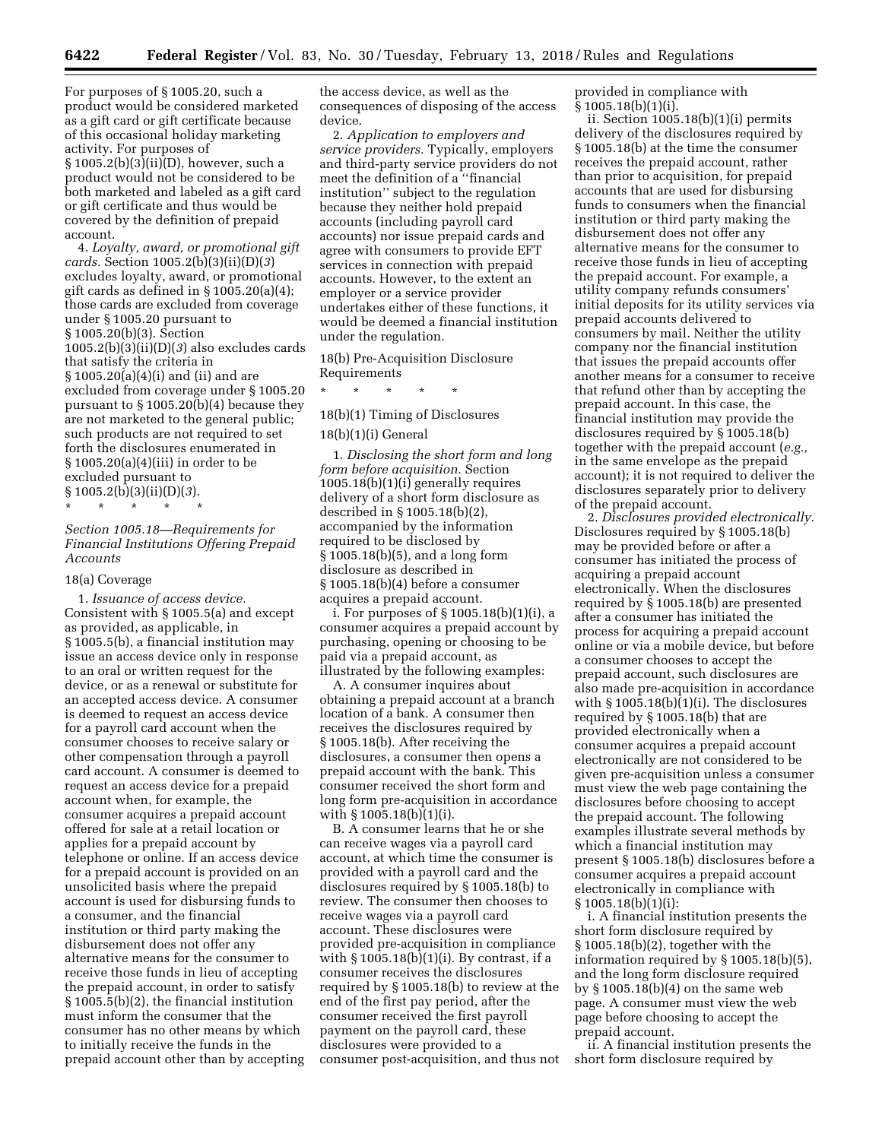For purposes of § 1005.20, such a product would be considered marketed as a gift card or gift certificate because of this occasional holiday marketing activity. For purposes of § 1005.2(b)(3)(ii)(D), however, such a product would not be considered to be both marketed and labeled as a gift card or gift certificate and thus would be covered by the definition of prepaid account.

4. *Loyalty, award, or promotional gift cards.* Section 1005.2(b)(3)(ii)(D)(*3*) excludes loyalty, award, or promotional gift cards as defined in § 1005.20(a)(4); those cards are excluded from coverage under § 1005.20 pursuant to § 1005.20(b)(3). Section 1005.2(b)(3)(ii)(D)(*3*) also excludes cards that satisfy the criteria in § 1005.20(a)(4)(i) and (ii) and are excluded from coverage under § 1005.20 pursuant to § 1005.20(b)(4) because they are not marketed to the general public; such products are not required to set forth the disclosures enumerated in § 1005.20(a)(4)(iii) in order to be excluded pursuant to § 1005.2(b)(3)(ii)(D)(*3*).

\* \* \* \* \*

# *Section 1005.18—Requirements for Financial Institutions Offering Prepaid Accounts*

#### 18(a) Coverage

1. *Issuance of access device.*  Consistent with § 1005.5(a) and except as provided, as applicable, in § 1005.5(b), a financial institution may issue an access device only in response to an oral or written request for the device, or as a renewal or substitute for an accepted access device. A consumer is deemed to request an access device for a payroll card account when the consumer chooses to receive salary or other compensation through a payroll card account. A consumer is deemed to request an access device for a prepaid account when, for example, the consumer acquires a prepaid account offered for sale at a retail location or applies for a prepaid account by telephone or online. If an access device for a prepaid account is provided on an unsolicited basis where the prepaid account is used for disbursing funds to a consumer, and the financial institution or third party making the disbursement does not offer any alternative means for the consumer to receive those funds in lieu of accepting the prepaid account, in order to satisfy § 1005.5(b)(2), the financial institution must inform the consumer that the consumer has no other means by which to initially receive the funds in the prepaid account other than by accepting the access device, as well as the consequences of disposing of the access device.

2. *Application to employers and service providers.* Typically, employers and third-party service providers do not meet the definition of a ''financial institution'' subject to the regulation because they neither hold prepaid accounts (including payroll card accounts) nor issue prepaid cards and agree with consumers to provide EFT services in connection with prepaid accounts. However, to the extent an employer or a service provider undertakes either of these functions, it would be deemed a financial institution under the regulation.

18(b) Pre-Acquisition Disclosure Requirements

\* \* \* \* \*

## 18(b)(1) Timing of Disclosures

#### 18(b)(1)(i) General

1. *Disclosing the short form and long form before acquisition.* Section 1005.18(b)(1)(i) generally requires delivery of a short form disclosure as described in § 1005.18(b)(2), accompanied by the information required to be disclosed by § 1005.18(b)(5), and a long form disclosure as described in § 1005.18(b)(4) before a consumer acquires a prepaid account.

i. For purposes of § 1005.18(b)(1)(i), a consumer acquires a prepaid account by purchasing, opening or choosing to be paid via a prepaid account, as illustrated by the following examples:

A. A consumer inquires about obtaining a prepaid account at a branch location of a bank. A consumer then receives the disclosures required by § 1005.18(b). After receiving the disclosures, a consumer then opens a prepaid account with the bank. This consumer received the short form and long form pre-acquisition in accordance with § 1005.18(b)(1)(i).

B. A consumer learns that he or she can receive wages via a payroll card account, at which time the consumer is provided with a payroll card and the disclosures required by § 1005.18(b) to review. The consumer then chooses to receive wages via a payroll card account. These disclosures were provided pre-acquisition in compliance with  $\S 1005.18(b)(1)(i)$ . By contrast, if a consumer receives the disclosures required by § 1005.18(b) to review at the end of the first pay period, after the consumer received the first payroll payment on the payroll card, these disclosures were provided to a consumer post-acquisition, and thus not

provided in compliance with § 1005.18(b)(1)(i).

ii. Section 1005.18(b)(1)(i) permits delivery of the disclosures required by § 1005.18(b) at the time the consumer receives the prepaid account, rather than prior to acquisition, for prepaid accounts that are used for disbursing funds to consumers when the financial institution or third party making the disbursement does not offer any alternative means for the consumer to receive those funds in lieu of accepting the prepaid account. For example, a utility company refunds consumers' initial deposits for its utility services via prepaid accounts delivered to consumers by mail. Neither the utility company nor the financial institution that issues the prepaid accounts offer another means for a consumer to receive that refund other than by accepting the prepaid account. In this case, the financial institution may provide the disclosures required by § 1005.18(b) together with the prepaid account (*e.g.,*  in the same envelope as the prepaid account); it is not required to deliver the disclosures separately prior to delivery of the prepaid account.

2. *Disclosures provided electronically.*  Disclosures required by § 1005.18(b) may be provided before or after a consumer has initiated the process of acquiring a prepaid account electronically. When the disclosures required by § 1005.18(b) are presented after a consumer has initiated the process for acquiring a prepaid account online or via a mobile device, but before a consumer chooses to accept the prepaid account, such disclosures are also made pre-acquisition in accordance with  $\S 1005.18(b)(1)(i)$ . The disclosures required by § 1005.18(b) that are provided electronically when a consumer acquires a prepaid account electronically are not considered to be given pre-acquisition unless a consumer must view the web page containing the disclosures before choosing to accept the prepaid account. The following examples illustrate several methods by which a financial institution may present § 1005.18(b) disclosures before a consumer acquires a prepaid account electronically in compliance with § 1005.18(b)(1)(i):

i. A financial institution presents the short form disclosure required by § 1005.18(b)(2), together with the information required by § 1005.18(b)(5), and the long form disclosure required by § 1005.18(b)(4) on the same web page. A consumer must view the web page before choosing to accept the prepaid account.

ii. A financial institution presents the short form disclosure required by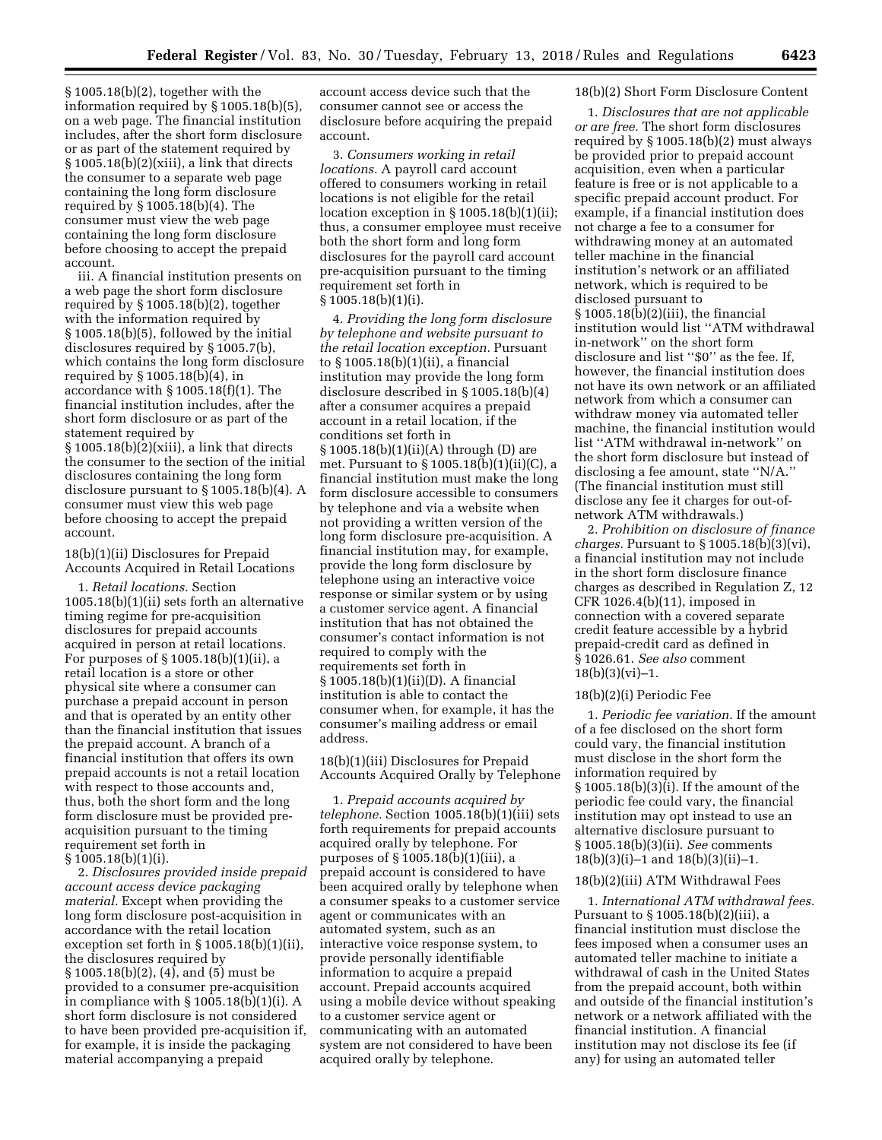§ 1005.18(b)(2), together with the information required by § 1005.18(b)(5), on a web page. The financial institution includes, after the short form disclosure or as part of the statement required by § 1005.18(b)(2)(xiii), a link that directs the consumer to a separate web page containing the long form disclosure required by § 1005.18(b)(4). The consumer must view the web page containing the long form disclosure before choosing to accept the prepaid account.

iii. A financial institution presents on a web page the short form disclosure required by § 1005.18(b)(2), together with the information required by § 1005.18(b)(5), followed by the initial disclosures required by § 1005.7(b), which contains the long form disclosure required by § 1005.18(b)(4), in accordance with § 1005.18(f)(1). The financial institution includes, after the short form disclosure or as part of the statement required by  $\S 1005.18(b)(2)(xiii)$ , a link that directs the consumer to the section of the initial disclosures containing the long form disclosure pursuant to § 1005.18(b)(4). A consumer must view this web page before choosing to accept the prepaid account.

18(b)(1)(ii) Disclosures for Prepaid Accounts Acquired in Retail Locations

1. *Retail locations.* Section 1005.18(b)(1)(ii) sets forth an alternative timing regime for pre-acquisition disclosures for prepaid accounts acquired in person at retail locations. For purposes of § 1005.18(b)(1)(ii), a retail location is a store or other physical site where a consumer can purchase a prepaid account in person and that is operated by an entity other than the financial institution that issues the prepaid account. A branch of a financial institution that offers its own prepaid accounts is not a retail location with respect to those accounts and, thus, both the short form and the long form disclosure must be provided preacquisition pursuant to the timing requirement set forth in § 1005.18(b)(1)(i).

2. *Disclosures provided inside prepaid account access device packaging material.* Except when providing the long form disclosure post-acquisition in accordance with the retail location exception set forth in § 1005.18(b)(1)(ii), the disclosures required by § 1005.18(b)(2), (4), and (5) must be provided to a consumer pre-acquisition in compliance with  $\S 1005.18(b)(1)(i)$ . A short form disclosure is not considered to have been provided pre-acquisition if, for example, it is inside the packaging material accompanying a prepaid

account access device such that the consumer cannot see or access the disclosure before acquiring the prepaid account.

3. *Consumers working in retail locations.* A payroll card account offered to consumers working in retail locations is not eligible for the retail location exception in § 1005.18(b)(1)(ii); thus, a consumer employee must receive both the short form and long form disclosures for the payroll card account pre-acquisition pursuant to the timing requirement set forth in § 1005.18(b)(1)(i).

4. *Providing the long form disclosure by telephone and website pursuant to the retail location exception.* Pursuant to § 1005.18(b)(1)(ii), a financial institution may provide the long form disclosure described in § 1005.18(b)(4) after a consumer acquires a prepaid account in a retail location, if the conditions set forth in § 1005.18(b)(1)(ii)(A) through (D) are met. Pursuant to § 1005.18(b)(1)(ii)(C), a financial institution must make the long form disclosure accessible to consumers by telephone and via a website when not providing a written version of the long form disclosure pre-acquisition. A financial institution may, for example, provide the long form disclosure by telephone using an interactive voice response or similar system or by using a customer service agent. A financial institution that has not obtained the consumer's contact information is not required to comply with the requirements set forth in § 1005.18(b)(1)(ii)(D). A financial institution is able to contact the consumer when, for example, it has the consumer's mailing address or email address.

18(b)(1)(iii) Disclosures for Prepaid Accounts Acquired Orally by Telephone

1. *Prepaid accounts acquired by telephone.* Section 1005.18(b)(1)(iii) sets forth requirements for prepaid accounts acquired orally by telephone. For purposes of § 1005.18(b)(1)(iii), a prepaid account is considered to have been acquired orally by telephone when a consumer speaks to a customer service agent or communicates with an automated system, such as an interactive voice response system, to provide personally identifiable information to acquire a prepaid account. Prepaid accounts acquired using a mobile device without speaking to a customer service agent or communicating with an automated system are not considered to have been acquired orally by telephone.

# 18(b)(2) Short Form Disclosure Content

1. *Disclosures that are not applicable or are free.* The short form disclosures required by § 1005.18(b)(2) must always be provided prior to prepaid account acquisition, even when a particular feature is free or is not applicable to a specific prepaid account product. For example, if a financial institution does not charge a fee to a consumer for withdrawing money at an automated teller machine in the financial institution's network or an affiliated network, which is required to be disclosed pursuant to § 1005.18(b)(2)(iii), the financial institution would list ''ATM withdrawal in-network'' on the short form disclosure and list "\$0" as the fee. If, however, the financial institution does not have its own network or an affiliated network from which a consumer can withdraw money via automated teller machine, the financial institution would list ''ATM withdrawal in-network'' on the short form disclosure but instead of disclosing a fee amount, state ''N/A.'' (The financial institution must still disclose any fee it charges for out-ofnetwork ATM withdrawals.)

2. *Prohibition on disclosure of finance charges.* Pursuant to § 1005.18(b)(3)(vi), a financial institution may not include in the short form disclosure finance charges as described in Regulation Z, 12 CFR 1026.4(b)(11), imposed in connection with a covered separate credit feature accessible by a hybrid prepaid-credit card as defined in § 1026.61. *See also* comment  $18(b)(3)(vi)-1.$ 

#### 18(b)(2)(i) Periodic Fee

1. *Periodic fee variation.* If the amount of a fee disclosed on the short form could vary, the financial institution must disclose in the short form the information required by § 1005.18(b)(3)(i). If the amount of the periodic fee could vary, the financial institution may opt instead to use an alternative disclosure pursuant to § 1005.18(b)(3)(ii). *See* comments 18(b)(3)(i)–1 and 18(b)(3)(ii)–1.

#### 18(b)(2)(iii) ATM Withdrawal Fees

1. *International ATM withdrawal fees.*  Pursuant to § 1005.18(b)(2)(iii), a financial institution must disclose the fees imposed when a consumer uses an automated teller machine to initiate a withdrawal of cash in the United States from the prepaid account, both within and outside of the financial institution's network or a network affiliated with the financial institution. A financial institution may not disclose its fee (if any) for using an automated teller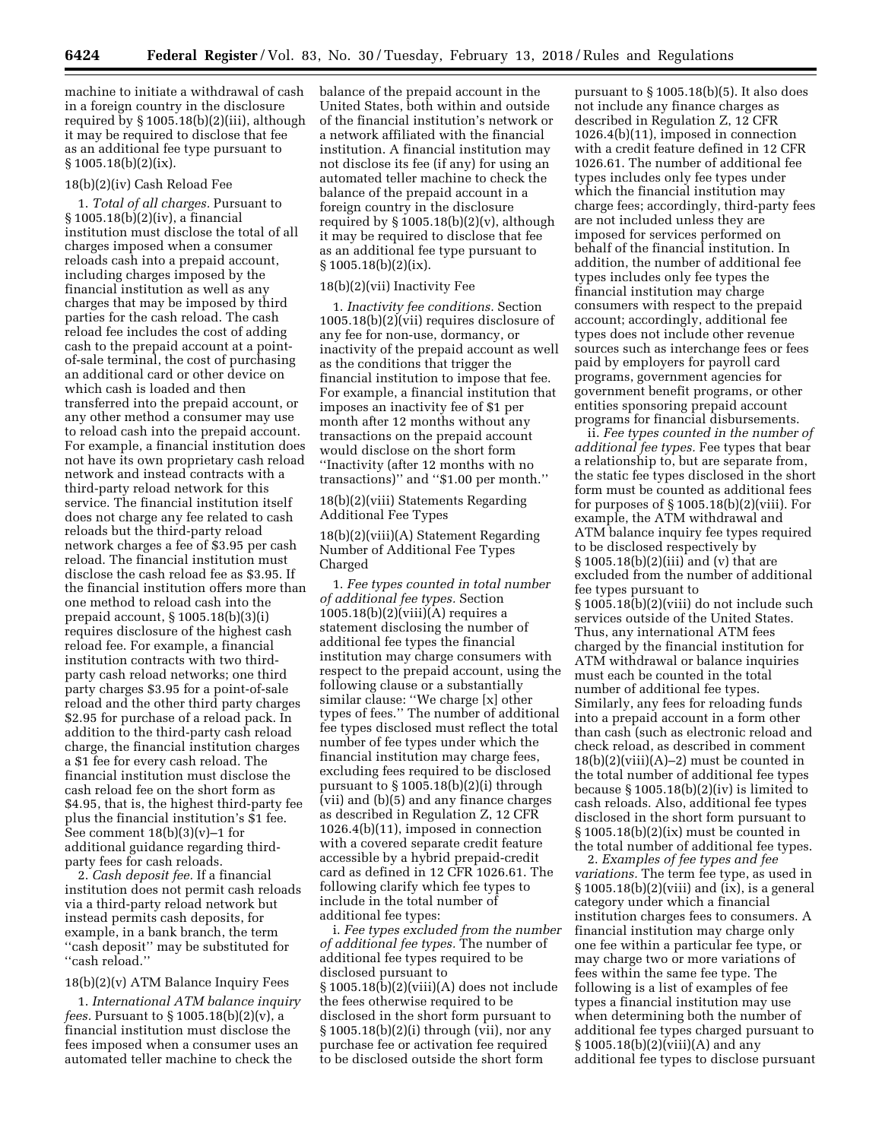machine to initiate a withdrawal of cash in a foreign country in the disclosure required by § 1005.18(b)(2)(iii), although it may be required to disclose that fee as an additional fee type pursuant to § 1005.18(b)(2)(ix).

#### 18(b)(2)(iv) Cash Reload Fee

1. *Total of all charges.* Pursuant to § 1005.18(b)(2)(iv), a financial institution must disclose the total of all charges imposed when a consumer reloads cash into a prepaid account, including charges imposed by the financial institution as well as any charges that may be imposed by third parties for the cash reload. The cash reload fee includes the cost of adding cash to the prepaid account at a pointof-sale terminal, the cost of purchasing an additional card or other device on which cash is loaded and then transferred into the prepaid account, or any other method a consumer may use to reload cash into the prepaid account. For example, a financial institution does not have its own proprietary cash reload network and instead contracts with a third-party reload network for this service. The financial institution itself does not charge any fee related to cash reloads but the third-party reload network charges a fee of \$3.95 per cash reload. The financial institution must disclose the cash reload fee as \$3.95. If the financial institution offers more than one method to reload cash into the prepaid account, § 1005.18(b)(3)(i) requires disclosure of the highest cash reload fee. For example, a financial institution contracts with two thirdparty cash reload networks; one third party charges \$3.95 for a point-of-sale reload and the other third party charges \$2.95 for purchase of a reload pack. In addition to the third-party cash reload charge, the financial institution charges a \$1 fee for every cash reload. The financial institution must disclose the cash reload fee on the short form as \$4.95, that is, the highest third-party fee plus the financial institution's \$1 fee. See comment  $18(b)(3)(v)-1$  for additional guidance regarding thirdparty fees for cash reloads.

2. *Cash deposit fee.* If a financial institution does not permit cash reloads via a third-party reload network but instead permits cash deposits, for example, in a bank branch, the term ''cash deposit'' may be substituted for ''cash reload.''

#### 18(b)(2)(v) ATM Balance Inquiry Fees

1. *International ATM balance inquiry fees.* Pursuant to § 1005.18(b)(2)(v), a financial institution must disclose the fees imposed when a consumer uses an automated teller machine to check the

balance of the prepaid account in the United States, both within and outside of the financial institution's network or a network affiliated with the financial institution. A financial institution may not disclose its fee (if any) for using an automated teller machine to check the balance of the prepaid account in a foreign country in the disclosure required by  $\S 1005.18(b)(2)(v)$ , although it may be required to disclose that fee as an additional fee type pursuant to  $§ 1005.18(b)(2)(ix).$ 

#### 18(b)(2)(vii) Inactivity Fee

1. *Inactivity fee conditions.* Section 1005.18(b)(2)(vii) requires disclosure of any fee for non-use, dormancy, or inactivity of the prepaid account as well as the conditions that trigger the financial institution to impose that fee. For example, a financial institution that imposes an inactivity fee of \$1 per month after 12 months without any transactions on the prepaid account would disclose on the short form ''Inactivity (after 12 months with no transactions)'' and ''\$1.00 per month.''

18(b)(2)(viii) Statements Regarding Additional Fee Types

18(b)(2)(viii)(A) Statement Regarding Number of Additional Fee Types Charged

1. *Fee types counted in total number of additional fee types.* Section 1005.18(b)(2)(viii)(A) requires a statement disclosing the number of additional fee types the financial institution may charge consumers with respect to the prepaid account, using the following clause or a substantially similar clause: ''We charge [x] other types of fees.'' The number of additional fee types disclosed must reflect the total number of fee types under which the financial institution may charge fees, excluding fees required to be disclosed pursuant to  $\S 1005.18(b)(2)(i)$  through (vii) and (b)(5) and any finance charges as described in Regulation Z, 12 CFR 1026.4(b)(11), imposed in connection with a covered separate credit feature accessible by a hybrid prepaid-credit card as defined in 12 CFR 1026.61. The following clarify which fee types to include in the total number of additional fee types:

i. *Fee types excluded from the number of additional fee types.* The number of additional fee types required to be disclosed pursuant to § 1005.18(b)(2)(viii)(A) does not include the fees otherwise required to be disclosed in the short form pursuant to § 1005.18(b)(2)(i) through (vii), nor any purchase fee or activation fee required to be disclosed outside the short form

pursuant to § 1005.18(b)(5). It also does not include any finance charges as described in Regulation Z, 12 CFR 1026.4(b)(11), imposed in connection with a credit feature defined in 12 CFR 1026.61. The number of additional fee types includes only fee types under which the financial institution may charge fees; accordingly, third-party fees are not included unless they are imposed for services performed on behalf of the financial institution. In addition, the number of additional fee types includes only fee types the financial institution may charge consumers with respect to the prepaid account; accordingly, additional fee types does not include other revenue sources such as interchange fees or fees paid by employers for payroll card programs, government agencies for government benefit programs, or other entities sponsoring prepaid account programs for financial disbursements.

ii. *Fee types counted in the number of additional fee types.* Fee types that bear a relationship to, but are separate from, the static fee types disclosed in the short form must be counted as additional fees for purposes of  $\S 1005.18(b)(2)(viii)$ . For example, the ATM withdrawal and ATM balance inquiry fee types required to be disclosed respectively by § 1005.18(b)(2)(iii) and (v) that are excluded from the number of additional fee types pursuant to § 1005.18(b)(2)(viii) do not include such services outside of the United States. Thus, any international ATM fees charged by the financial institution for ATM withdrawal or balance inquiries must each be counted in the total number of additional fee types. Similarly, any fees for reloading funds into a prepaid account in a form other than cash (such as electronic reload and check reload, as described in comment  $18(b)(2)(viii)(A)-2)$  must be counted in the total number of additional fee types because  $\S 1005.18(b)(2)(iv)$  is limited to cash reloads. Also, additional fee types disclosed in the short form pursuant to § 1005.18(b)(2)(ix) must be counted in the total number of additional fee types.

2. *Examples of fee types and fee variations.* The term fee type, as used in  $\S 1005.18(b)(2)(viii)$  and  $(ix)$ , is a general category under which a financial institution charges fees to consumers. A financial institution may charge only one fee within a particular fee type, or may charge two or more variations of fees within the same fee type. The following is a list of examples of fee types a financial institution may use when determining both the number of additional fee types charged pursuant to  $\S 1005.18(b)(2)(viii)(A)$  and any additional fee types to disclose pursuant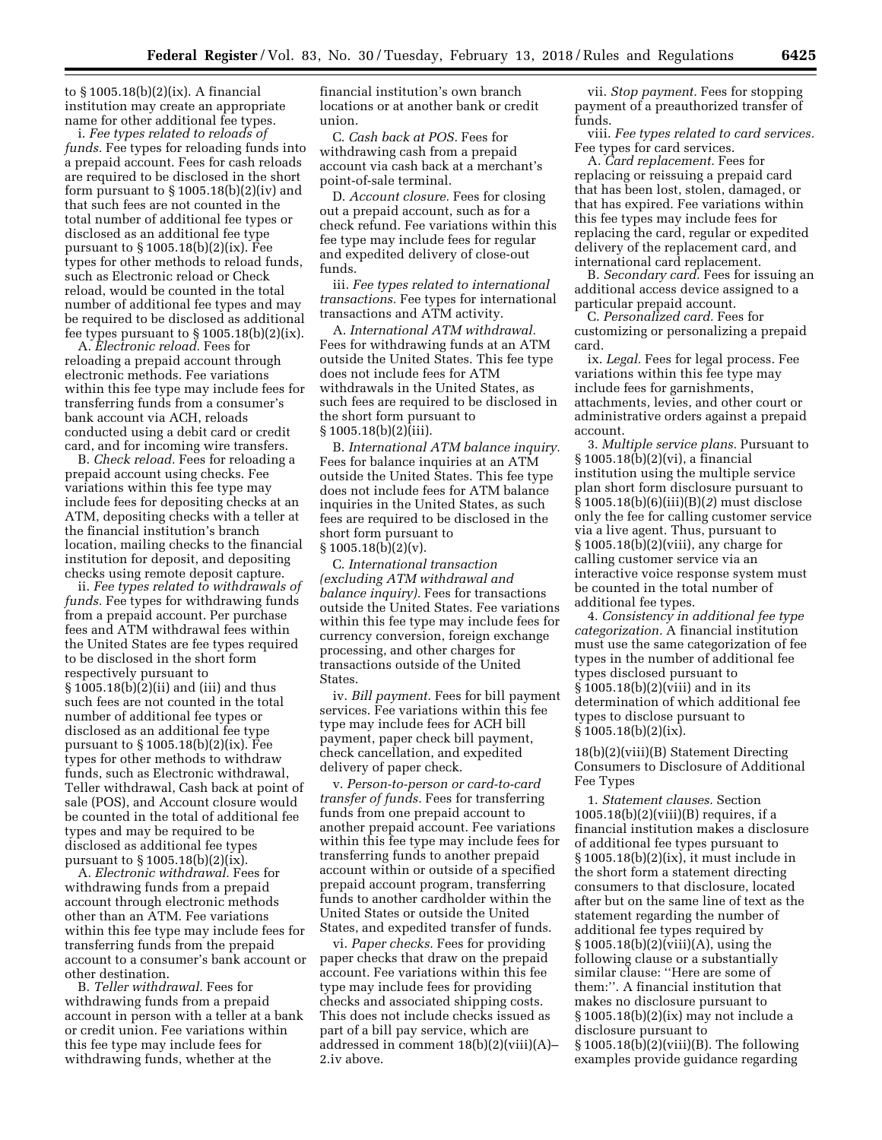to § 1005.18(b)(2)(ix). A financial institution may create an appropriate name for other additional fee types.

i. *Fee types related to reloads of funds.* Fee types for reloading funds into a prepaid account. Fees for cash reloads are required to be disclosed in the short form pursuant to  $\S 1005.18(b)(2)(iv)$  and that such fees are not counted in the total number of additional fee types or disclosed as an additional fee type pursuant to § 1005.18(b)(2)(ix). Fee types for other methods to reload funds, such as Electronic reload or Check reload, would be counted in the total number of additional fee types and may be required to be disclosed as additional fee types pursuant to  $\S 1005.18(b)(2)(ix)$ .

A. *Electronic reload.* Fees for reloading a prepaid account through electronic methods. Fee variations within this fee type may include fees for transferring funds from a consumer's bank account via ACH, reloads conducted using a debit card or credit card, and for incoming wire transfers.

B. *Check reload.* Fees for reloading a prepaid account using checks. Fee variations within this fee type may include fees for depositing checks at an ATM, depositing checks with a teller at the financial institution's branch location, mailing checks to the financial institution for deposit, and depositing checks using remote deposit capture.

ii. *Fee types related to withdrawals of funds.* Fee types for withdrawing funds from a prepaid account. Per purchase fees and ATM withdrawal fees within the United States are fee types required to be disclosed in the short form respectively pursuant to § 1005.18(b)(2)(ii) and (iii) and thus such fees are not counted in the total number of additional fee types or disclosed as an additional fee type pursuant to § 1005.18(b)(2)(ix). Fee types for other methods to withdraw funds, such as Electronic withdrawal, Teller withdrawal, Cash back at point of sale (POS), and Account closure would be counted in the total of additional fee types and may be required to be disclosed as additional fee types pursuant to § 1005.18(b)(2)(ix).

A. *Electronic withdrawal.* Fees for withdrawing funds from a prepaid account through electronic methods other than an ATM. Fee variations within this fee type may include fees for transferring funds from the prepaid account to a consumer's bank account or other destination.

B. *Teller withdrawal.* Fees for withdrawing funds from a prepaid account in person with a teller at a bank or credit union. Fee variations within this fee type may include fees for withdrawing funds, whether at the

financial institution's own branch locations or at another bank or credit union.

C. *Cash back at POS.* Fees for withdrawing cash from a prepaid account via cash back at a merchant's point-of-sale terminal.

D. *Account closure.* Fees for closing out a prepaid account, such as for a check refund. Fee variations within this fee type may include fees for regular and expedited delivery of close-out funds.

iii. *Fee types related to international transactions.* Fee types for international transactions and ATM activity.

A. *International ATM withdrawal.*  Fees for withdrawing funds at an ATM outside the United States. This fee type does not include fees for ATM withdrawals in the United States, as such fees are required to be disclosed in the short form pursuant to § 1005.18(b)(2)(iii).

B. *International ATM balance inquiry.*  Fees for balance inquiries at an ATM outside the United States. This fee type does not include fees for ATM balance inquiries in the United States, as such fees are required to be disclosed in the short form pursuant to § 1005.18(b)(2)(v).

C. *International transaction (excluding ATM withdrawal and balance inquiry).* Fees for transactions outside the United States. Fee variations within this fee type may include fees for currency conversion, foreign exchange processing, and other charges for transactions outside of the United States.

iv. *Bill payment.* Fees for bill payment services. Fee variations within this fee type may include fees for ACH bill payment, paper check bill payment, check cancellation, and expedited delivery of paper check.

v. *Person-to-person or card-to-card transfer of funds.* Fees for transferring funds from one prepaid account to another prepaid account. Fee variations within this fee type may include fees for transferring funds to another prepaid account within or outside of a specified prepaid account program, transferring funds to another cardholder within the United States or outside the United States, and expedited transfer of funds.

vi. *Paper checks.* Fees for providing paper checks that draw on the prepaid account. Fee variations within this fee type may include fees for providing checks and associated shipping costs. This does not include checks issued as part of a bill pay service, which are addressed in comment 18(b)(2)(viii)(A)– 2.iv above.

vii. *Stop payment.* Fees for stopping payment of a preauthorized transfer of funds.

viii. *Fee types related to card services.*  Fee types for card services.

A. *Card replacement.* Fees for replacing or reissuing a prepaid card that has been lost, stolen, damaged, or that has expired. Fee variations within this fee types may include fees for replacing the card, regular or expedited delivery of the replacement card, and international card replacement.

B. *Secondary card.* Fees for issuing an additional access device assigned to a particular prepaid account.

C. *Personalized card.* Fees for customizing or personalizing a prepaid card.

ix. *Legal.* Fees for legal process. Fee variations within this fee type may include fees for garnishments, attachments, levies, and other court or administrative orders against a prepaid account.

3. *Multiple service plans.* Pursuant to § 1005.18(b)(2)(vi), a financial institution using the multiple service plan short form disclosure pursuant to § 1005.18(b)(6)(iii)(B)(*2*) must disclose only the fee for calling customer service via a live agent. Thus, pursuant to § 1005.18(b)(2)(viii), any charge for calling customer service via an interactive voice response system must be counted in the total number of additional fee types.

4. *Consistency in additional fee type categorization.* A financial institution must use the same categorization of fee types in the number of additional fee types disclosed pursuant to § 1005.18(b)(2)(viii) and in its determination of which additional fee types to disclose pursuant to  $§ 1005.18(b)(2)(ix).$ 

18(b)(2)(viii)(B) Statement Directing Consumers to Disclosure of Additional Fee Types

1. *Statement clauses.* Section  $1005.18(b)(2)(viii)(B)$  requires, if a financial institution makes a disclosure of additional fee types pursuant to § 1005.18(b)(2)(ix), it must include in the short form a statement directing consumers to that disclosure, located after but on the same line of text as the statement regarding the number of additional fee types required by § 1005.18(b)(2)(viii)(A), using the following clause or a substantially similar clause: "Here are some of them:''. A financial institution that makes no disclosure pursuant to § 1005.18(b)(2)(ix) may not include a disclosure pursuant to  $\S 1005.18(b)(2)(viii)(B)$ . The following examples provide guidance regarding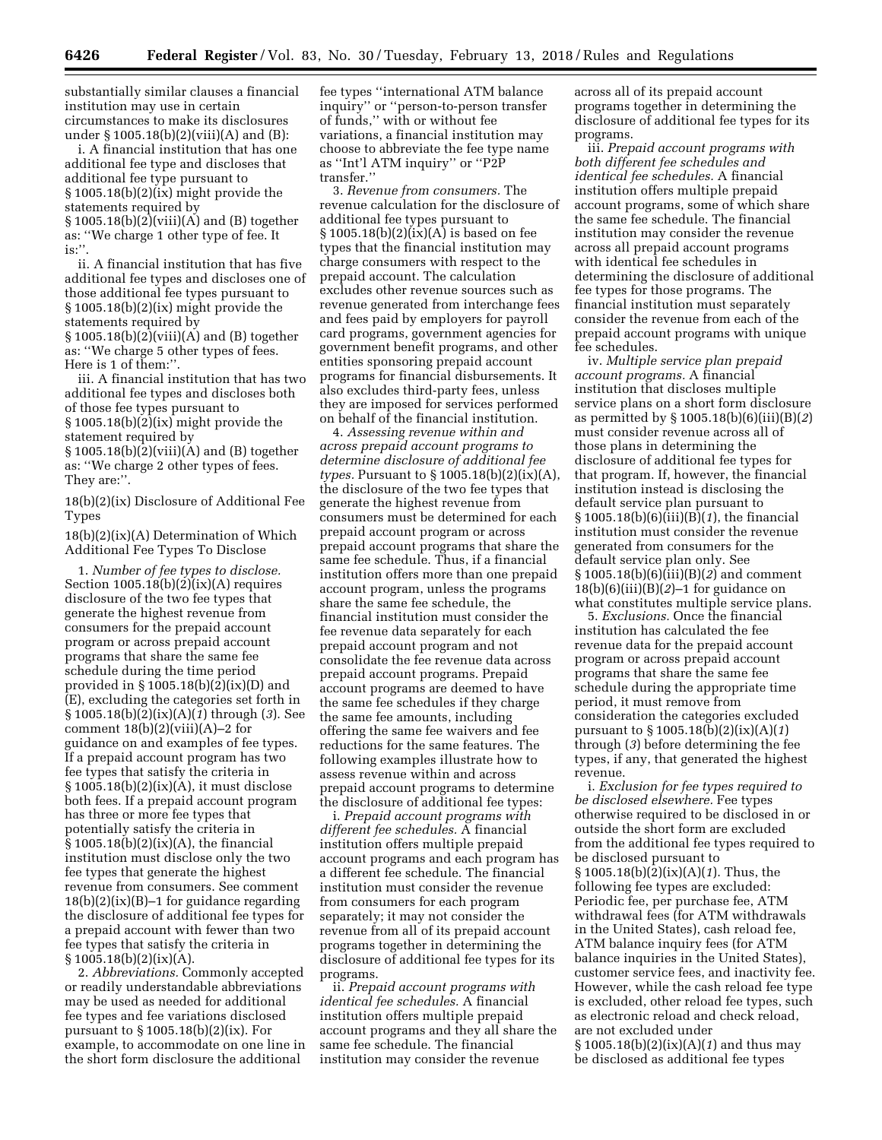substantially similar clauses a financial institution may use in certain circumstances to make its disclosures under § 1005.18(b)(2)(viii)(A) and (B):

i. A financial institution that has one additional fee type and discloses that additional fee type pursuant to § 1005.18(b)(2)(ix) might provide the statements required by § 1005.18(b)(2)(viii)(A) and (B) together as: ''We charge 1 other type of fee. It is:''.

ii. A financial institution that has five additional fee types and discloses one of those additional fee types pursuant to § 1005.18(b)(2)(ix) might provide the statements required by § 1005.18(b)(2)(viii)(A) and (B) together as: ''We charge 5 other types of fees. Here is 1 of them:''.

iii. A financial institution that has two additional fee types and discloses both of those fee types pursuant to § 1005.18(b)(2)(ix) might provide the statement required by § 1005.18(b)(2)(viii)(A) and (B) together as: ''We charge 2 other types of fees. They are:''.

18(b)(2)(ix) Disclosure of Additional Fee Types

# 18(b)(2)(ix)(A) Determination of Which Additional Fee Types To Disclose

1. *Number of fee types to disclose.*  Section  $1005.18(b)(2)(ix)(A)$  requires disclosure of the two fee types that generate the highest revenue from consumers for the prepaid account program or across prepaid account programs that share the same fee schedule during the time period provided in § 1005.18(b)(2)(ix)(D) and (E), excluding the categories set forth in § 1005.18(b)(2)(ix)(A)(*1*) through (*3*). See comment  $18(b)(2)(viii)(A)-2$  for guidance on and examples of fee types. If a prepaid account program has two fee types that satisfy the criteria in § 1005.18(b)(2)(ix)(A), it must disclose both fees. If a prepaid account program has three or more fee types that potentially satisfy the criteria in  $\S 1005.18(b)(2)(ix)(A)$ , the financial institution must disclose only the two fee types that generate the highest revenue from consumers. See comment  $18(b)(2)(ix)(B)-1$  for guidance regarding the disclosure of additional fee types for a prepaid account with fewer than two fee types that satisfy the criteria in  $§ 1005.18(b)(2)(ix)(A).$ 

2. *Abbreviations.* Commonly accepted or readily understandable abbreviations may be used as needed for additional fee types and fee variations disclosed pursuant to  $\S 1005.18(b)(2)(ix)$ . For example, to accommodate on one line in the short form disclosure the additional

fee types ''international ATM balance inquiry'' or ''person-to-person transfer of funds,'' with or without fee variations, a financial institution may choose to abbreviate the fee type name as ''Int'l ATM inquiry'' or ''P2P transfer.''

3. *Revenue from consumers.* The revenue calculation for the disclosure of additional fee types pursuant to § 1005.18(b)(2)(ix)(A) is based on fee types that the financial institution may charge consumers with respect to the prepaid account. The calculation excludes other revenue sources such as revenue generated from interchange fees and fees paid by employers for payroll card programs, government agencies for government benefit programs, and other entities sponsoring prepaid account programs for financial disbursements. It also excludes third-party fees, unless they are imposed for services performed on behalf of the financial institution.

4. *Assessing revenue within and across prepaid account programs to determine disclosure of additional fee types.* Pursuant to § 1005.18(b)(2)(ix)(A), the disclosure of the two fee types that generate the highest revenue from consumers must be determined for each prepaid account program or across prepaid account programs that share the same fee schedule. Thus, if a financial institution offers more than one prepaid account program, unless the programs share the same fee schedule, the financial institution must consider the fee revenue data separately for each prepaid account program and not consolidate the fee revenue data across prepaid account programs. Prepaid account programs are deemed to have the same fee schedules if they charge the same fee amounts, including offering the same fee waivers and fee reductions for the same features. The following examples illustrate how to assess revenue within and across prepaid account programs to determine the disclosure of additional fee types:

i. *Prepaid account programs with different fee schedules.* A financial institution offers multiple prepaid account programs and each program has a different fee schedule. The financial institution must consider the revenue from consumers for each program separately; it may not consider the revenue from all of its prepaid account programs together in determining the disclosure of additional fee types for its programs.

ii. *Prepaid account programs with identical fee schedules.* A financial institution offers multiple prepaid account programs and they all share the same fee schedule. The financial institution may consider the revenue

across all of its prepaid account programs together in determining the disclosure of additional fee types for its programs.

iii. *Prepaid account programs with both different fee schedules and identical fee schedules.* A financial institution offers multiple prepaid account programs, some of which share the same fee schedule. The financial institution may consider the revenue across all prepaid account programs with identical fee schedules in determining the disclosure of additional fee types for those programs. The financial institution must separately consider the revenue from each of the prepaid account programs with unique fee schedules.

iv. *Multiple service plan prepaid account programs.* A financial institution that discloses multiple service plans on a short form disclosure as permitted by § 1005.18(b)(6)(iii)(B)(*2*) must consider revenue across all of those plans in determining the disclosure of additional fee types for that program. If, however, the financial institution instead is disclosing the default service plan pursuant to § 1005.18(b)(6)(iii)(B)(*1*), the financial institution must consider the revenue generated from consumers for the default service plan only. See § 1005.18(b)(6)(iii)(B)(*2*) and comment 18(b)(6)(iii)(B)(*2*)–1 for guidance on what constitutes multiple service plans.

5. *Exclusions.* Once the financial institution has calculated the fee revenue data for the prepaid account program or across prepaid account programs that share the same fee schedule during the appropriate time period, it must remove from consideration the categories excluded pursuant to § 1005.18(b)(2)(ix)(A)(*1*) through (*3*) before determining the fee types, if any, that generated the highest revenue.

i. *Exclusion for fee types required to be disclosed elsewhere.* Fee types otherwise required to be disclosed in or outside the short form are excluded from the additional fee types required to be disclosed pursuant to § 1005.18(b)(2)(ix)(A)(*1*). Thus, the following fee types are excluded: Periodic fee, per purchase fee, ATM withdrawal fees (for ATM withdrawals in the United States), cash reload fee, ATM balance inquiry fees (for ATM balance inquiries in the United States), customer service fees, and inactivity fee. However, while the cash reload fee type is excluded, other reload fee types, such as electronic reload and check reload, are not excluded under § 1005.18(b)(2)(ix)(A)(*1*) and thus may be disclosed as additional fee types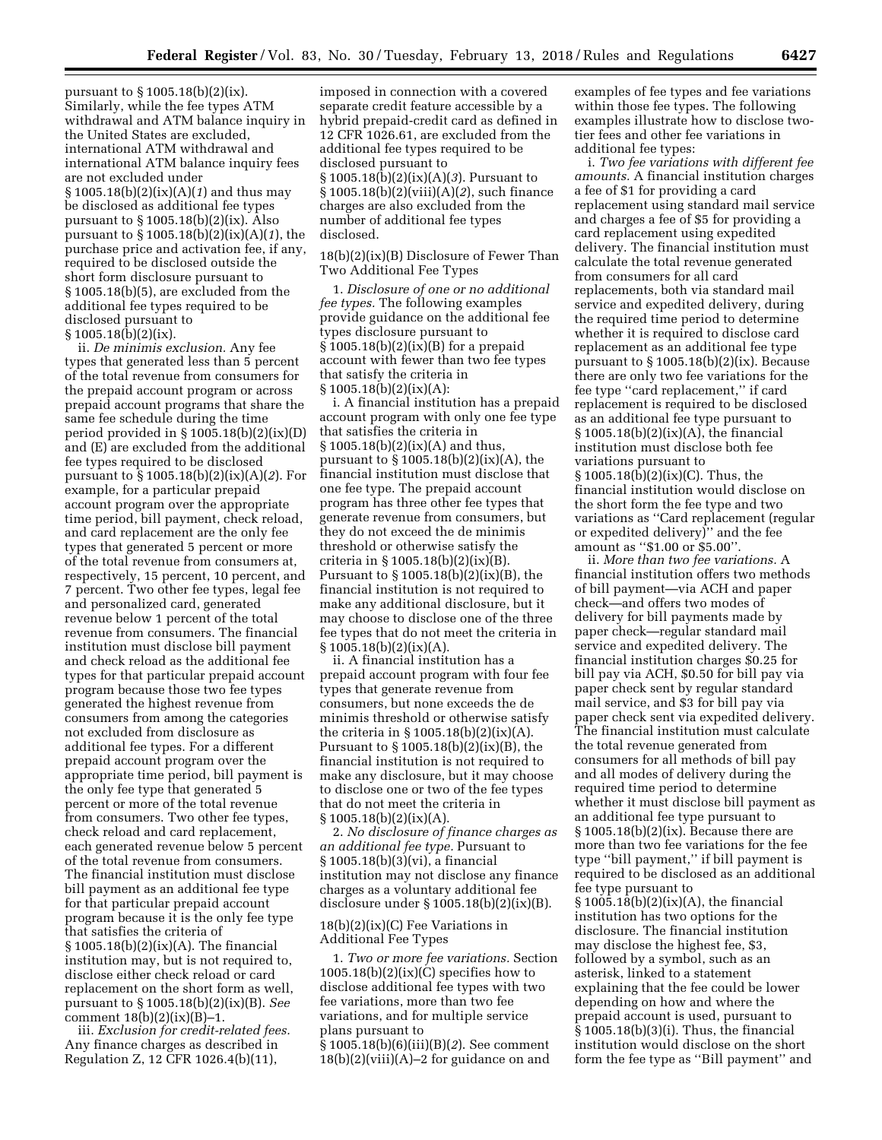pursuant to § 1005.18(b)(2)(ix). Similarly, while the fee types ATM withdrawal and ATM balance inquiry in the United States are excluded, international ATM withdrawal and international ATM balance inquiry fees are not excluded under § 1005.18(b)(2)(ix)(A)(*1*) and thus may be disclosed as additional fee types pursuant to § 1005.18(b)(2)(ix). Also pursuant to § 1005.18(b)(2)(ix)(A)(*1*), the purchase price and activation fee, if any, required to be disclosed outside the short form disclosure pursuant to § 1005.18(b)(5), are excluded from the additional fee types required to be disclosed pursuant to § 1005.18(b)(2)(ix).

ii. *De minimis exclusion.* Any fee types that generated less than 5 percent of the total revenue from consumers for the prepaid account program or across prepaid account programs that share the same fee schedule during the time period provided in § 1005.18(b)(2)(ix)(D) and (E) are excluded from the additional fee types required to be disclosed pursuant to § 1005.18(b)(2)(ix)(A)(*2*). For example, for a particular prepaid account program over the appropriate time period, bill payment, check reload, and card replacement are the only fee types that generated 5 percent or more of the total revenue from consumers at, respectively, 15 percent, 10 percent, and 7 percent. Two other fee types, legal fee and personalized card, generated revenue below 1 percent of the total revenue from consumers. The financial institution must disclose bill payment and check reload as the additional fee types for that particular prepaid account program because those two fee types generated the highest revenue from consumers from among the categories not excluded from disclosure as additional fee types. For a different prepaid account program over the appropriate time period, bill payment is the only fee type that generated 5 percent or more of the total revenue from consumers. Two other fee types, check reload and card replacement, each generated revenue below 5 percent of the total revenue from consumers. The financial institution must disclose bill payment as an additional fee type for that particular prepaid account program because it is the only fee type that satisfies the criteria of § 1005.18(b)(2)(ix)(A). The financial institution may, but is not required to, disclose either check reload or card replacement on the short form as well, pursuant to § 1005.18(b)(2)(ix)(B). *See*  comment  $18(b)(2)(ix)(B)-1$ .

iii. *Exclusion for credit-related fees.*  Any finance charges as described in Regulation Z, 12 CFR 1026.4(b)(11),

imposed in connection with a covered separate credit feature accessible by a hybrid prepaid-credit card as defined in 12 CFR 1026.61, are excluded from the additional fee types required to be disclosed pursuant to § 1005.18(b)(2)(ix)(A)(*3*). Pursuant to § 1005.18(b)(2)(viii)(A)(*2*), such finance charges are also excluded from the number of additional fee types disclosed.

18(b)(2)(ix)(B) Disclosure of Fewer Than Two Additional Fee Types

1. *Disclosure of one or no additional fee types.* The following examples provide guidance on the additional fee types disclosure pursuant to § 1005.18(b)(2)(ix)(B) for a prepaid account with fewer than two fee types that satisfy the criteria in  $\S 1005.18(b)(2)(ix)(A):$ 

i. A financial institution has a prepaid account program with only one fee type that satisfies the criteria in  $§ 1005.18(b)(2)(ix)(A)$  and thus, pursuant to  $\S 1005.18(b)(2)(ix)(A)$ , the financial institution must disclose that one fee type. The prepaid account program has three other fee types that generate revenue from consumers, but they do not exceed the de minimis threshold or otherwise satisfy the criteria in § 1005.18(b)(2)(ix)(B). Pursuant to § 1005.18(b)(2)(ix)(B), the financial institution is not required to make any additional disclosure, but it may choose to disclose one of the three fee types that do not meet the criteria in  $§ 1005.18(b)(2)(ix)(A).$ 

ii. A financial institution has a prepaid account program with four fee types that generate revenue from consumers, but none exceeds the de minimis threshold or otherwise satisfy the criteria in  $\S 1005.18(b)(2)(ix)(A)$ . Pursuant to § 1005.18(b)(2)(ix)(B), the financial institution is not required to make any disclosure, but it may choose to disclose one or two of the fee types that do not meet the criteria in  $§ 1005.18(b)(2)(ix)(A).$ 

2. *No disclosure of finance charges as an additional fee type.* Pursuant to § 1005.18(b)(3)(vi), a financial institution may not disclose any finance charges as a voluntary additional fee disclosure under § 1005.18(b)(2)(ix)(B).

# 18(b)(2)(ix)(C) Fee Variations in Additional Fee Types

1. *Two or more fee variations.* Section  $1005.18(b)(2)(ix)(C)$  specifies how to disclose additional fee types with two fee variations, more than two fee variations, and for multiple service plans pursuant to § 1005.18(b)(6)(iii)(B)(*2*). See comment  $18(b)(2)(viii)(A)-2$  for guidance on and

examples of fee types and fee variations within those fee types. The following examples illustrate how to disclose twotier fees and other fee variations in additional fee types:

i. *Two fee variations with different fee amounts.* A financial institution charges a fee of \$1 for providing a card replacement using standard mail service and charges a fee of \$5 for providing a card replacement using expedited delivery. The financial institution must calculate the total revenue generated from consumers for all card replacements, both via standard mail service and expedited delivery, during the required time period to determine whether it is required to disclose card replacement as an additional fee type pursuant to § 1005.18(b)(2)(ix). Because there are only two fee variations for the fee type ''card replacement,'' if card replacement is required to be disclosed as an additional fee type pursuant to  $§ 1005.18(b)(2)(ix)(A)$ , the financial institution must disclose both fee variations pursuant to § 1005.18(b)(2)(ix)(C). Thus, the financial institution would disclose on the short form the fee type and two variations as ''Card replacement (regular or expedited delivery)'' and the fee amount as ''\$1.00 or \$5.00''.

ii. *More than two fee variations.* A financial institution offers two methods of bill payment—via ACH and paper check—and offers two modes of delivery for bill payments made by paper check—regular standard mail service and expedited delivery. The financial institution charges \$0.25 for bill pay via ACH, \$0.50 for bill pay via paper check sent by regular standard mail service, and \$3 for bill pay via paper check sent via expedited delivery. The financial institution must calculate the total revenue generated from consumers for all methods of bill pay and all modes of delivery during the required time period to determine whether it must disclose bill payment as an additional fee type pursuant to  $§ 1005.18(b)(2)(ix)$ . Because there are more than two fee variations for the fee type ''bill payment,'' if bill payment is required to be disclosed as an additional fee type pursuant to  $\S 1005.18(b)(2)(ix)(A)$ , the financial institution has two options for the disclosure. The financial institution may disclose the highest fee, \$3, followed by a symbol, such as an asterisk, linked to a statement explaining that the fee could be lower depending on how and where the prepaid account is used, pursuant to § 1005.18(b)(3)(i). Thus, the financial institution would disclose on the short form the fee type as ''Bill payment'' and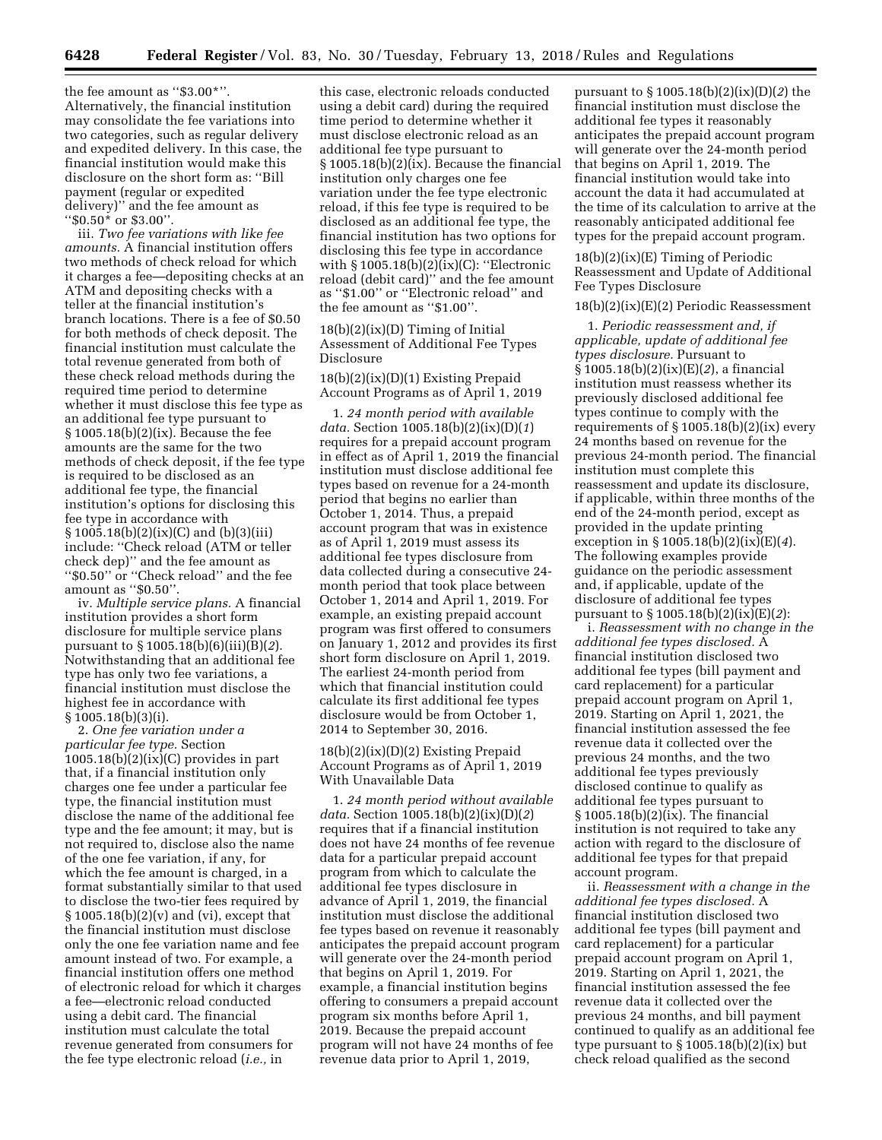the fee amount as ''\$3.00\*''. Alternatively, the financial institution may consolidate the fee variations into two categories, such as regular delivery and expedited delivery. In this case, the financial institution would make this disclosure on the short form as: ''Bill payment (regular or expedited delivery)'' and the fee amount as ''\$0.50\* or \$3.00''.

iii. *Two fee variations with like fee amounts.* A financial institution offers two methods of check reload for which it charges a fee—depositing checks at an ATM and depositing checks with a teller at the financial institution's branch locations. There is a fee of \$0.50 for both methods of check deposit. The financial institution must calculate the total revenue generated from both of these check reload methods during the required time period to determine whether it must disclose this fee type as an additional fee type pursuant to § 1005.18(b)(2)(ix). Because the fee amounts are the same for the two methods of check deposit, if the fee type is required to be disclosed as an additional fee type, the financial institution's options for disclosing this fee type in accordance with  $\S 1005.18(b)(2)(ix)(C)$  and  $(b)(3)(iii)$ include: ''Check reload (ATM or teller check dep)'' and the fee amount as ''\$0.50'' or ''Check reload'' and the fee amount as ''\$0.50''.

iv. *Multiple service plans.* A financial institution provides a short form disclosure for multiple service plans pursuant to § 1005.18(b)(6)(iii)(B)(*2*). Notwithstanding that an additional fee type has only two fee variations, a financial institution must disclose the highest fee in accordance with § 1005.18(b)(3)(i).

2. *One fee variation under a particular fee type.* Section  $1005.18(b)(2)(ix)(C)$  provides in part that, if a financial institution only charges one fee under a particular fee type, the financial institution must disclose the name of the additional fee type and the fee amount; it may, but is not required to, disclose also the name of the one fee variation, if any, for which the fee amount is charged, in a format substantially similar to that used to disclose the two-tier fees required by  $\S 1005.18(b)(2)(v)$  and (vi), except that the financial institution must disclose only the one fee variation name and fee amount instead of two. For example, a financial institution offers one method of electronic reload for which it charges a fee—electronic reload conducted using a debit card. The financial institution must calculate the total revenue generated from consumers for the fee type electronic reload (*i.e.,* in

this case, electronic reloads conducted using a debit card) during the required time period to determine whether it must disclose electronic reload as an additional fee type pursuant to § 1005.18(b)(2)(ix). Because the financial institution only charges one fee variation under the fee type electronic reload, if this fee type is required to be disclosed as an additional fee type, the financial institution has two options for disclosing this fee type in accordance with § 1005.18(b)(2)(ix)(C): ''Electronic reload (debit card)'' and the fee amount as ''\$1.00'' or ''Electronic reload'' and the fee amount as ''\$1.00''.

 $18(b)(2)(ix)(D)$  Timing of Initial Assessment of Additional Fee Types Disclosure

18(b)(2)(ix)(D)(1) Existing Prepaid Account Programs as of April 1, 2019

1. *24 month period with available data.* Section 1005.18(b)(2)(ix)(D)(*1*) requires for a prepaid account program in effect as of April 1, 2019 the financial institution must disclose additional fee types based on revenue for a 24-month period that begins no earlier than October 1, 2014. Thus, a prepaid account program that was in existence as of April 1, 2019 must assess its additional fee types disclosure from data collected during a consecutive 24 month period that took place between October 1, 2014 and April 1, 2019. For example, an existing prepaid account program was first offered to consumers on January 1, 2012 and provides its first short form disclosure on April 1, 2019. The earliest 24-month period from which that financial institution could calculate its first additional fee types disclosure would be from October 1, 2014 to September 30, 2016.

18(b)(2)(ix)(D)(2) Existing Prepaid Account Programs as of April 1, 2019 With Unavailable Data

1. *24 month period without available data.* Section 1005.18(b)(2)(ix)(D)(*2*) requires that if a financial institution does not have 24 months of fee revenue data for a particular prepaid account program from which to calculate the additional fee types disclosure in advance of April 1, 2019, the financial institution must disclose the additional fee types based on revenue it reasonably anticipates the prepaid account program will generate over the 24-month period that begins on April 1, 2019. For example, a financial institution begins offering to consumers a prepaid account program six months before April 1, 2019. Because the prepaid account program will not have 24 months of fee revenue data prior to April 1, 2019,

pursuant to § 1005.18(b)(2)(ix)(D)(*2*) the financial institution must disclose the additional fee types it reasonably anticipates the prepaid account program will generate over the 24-month period that begins on April 1, 2019. The financial institution would take into account the data it had accumulated at the time of its calculation to arrive at the reasonably anticipated additional fee types for the prepaid account program.

18(b)(2)(ix)(E) Timing of Periodic Reassessment and Update of Additional Fee Types Disclosure

#### 18(b)(2)(ix)(E)(2) Periodic Reassessment

1. *Periodic reassessment and, if applicable, update of additional fee types disclosure.* Pursuant to § 1005.18(b)(2)(ix)(E)(*2*), a financial institution must reassess whether its previously disclosed additional fee types continue to comply with the requirements of § 1005.18(b)(2)(ix) every 24 months based on revenue for the previous 24-month period. The financial institution must complete this reassessment and update its disclosure, if applicable, within three months of the end of the 24-month period, except as provided in the update printing exception in § 1005.18(b)(2)(ix)(E)(*4*). The following examples provide guidance on the periodic assessment and, if applicable, update of the disclosure of additional fee types pursuant to § 1005.18(b)(2)(ix)(E)(*2*):

i. *Reassessment with no change in the additional fee types disclosed.* A financial institution disclosed two additional fee types (bill payment and card replacement) for a particular prepaid account program on April 1, 2019. Starting on April 1, 2021, the financial institution assessed the fee revenue data it collected over the previous 24 months, and the two additional fee types previously disclosed continue to qualify as additional fee types pursuant to § 1005.18(b)(2)(ix). The financial institution is not required to take any action with regard to the disclosure of additional fee types for that prepaid account program.

ii. *Reassessment with a change in the additional fee types disclosed.* A financial institution disclosed two additional fee types (bill payment and card replacement) for a particular prepaid account program on April 1, 2019. Starting on April 1, 2021, the financial institution assessed the fee revenue data it collected over the previous 24 months, and bill payment continued to qualify as an additional fee type pursuant to  $\S 1005.18(b)(2)(ix)$  but check reload qualified as the second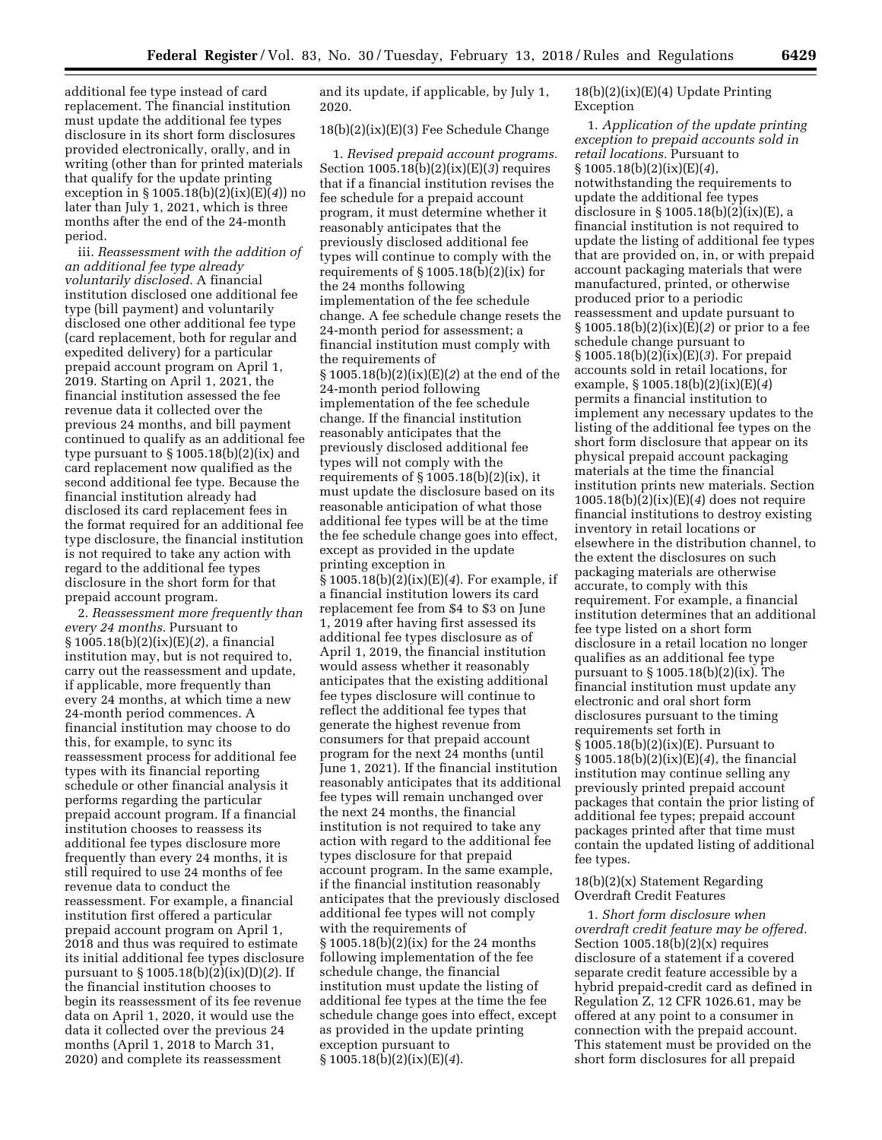additional fee type instead of card replacement. The financial institution must update the additional fee types disclosure in its short form disclosures provided electronically, orally, and in writing (other than for printed materials that qualify for the update printing exception in § 1005.18(b)(2)(ix)(E)(*4*)) no later than July 1, 2021, which is three months after the end of the 24-month period.

iii. *Reassessment with the addition of an additional fee type already voluntarily disclosed.* A financial institution disclosed one additional fee type (bill payment) and voluntarily disclosed one other additional fee type (card replacement, both for regular and expedited delivery) for a particular prepaid account program on April 1, 2019. Starting on April 1, 2021, the financial institution assessed the fee revenue data it collected over the previous 24 months, and bill payment continued to qualify as an additional fee type pursuant to § 1005.18(b)(2)(ix) and card replacement now qualified as the second additional fee type. Because the financial institution already had disclosed its card replacement fees in the format required for an additional fee type disclosure, the financial institution is not required to take any action with regard to the additional fee types disclosure in the short form for that prepaid account program.

2. *Reassessment more frequently than every 24 months.* Pursuant to § 1005.18(b)(2)(ix)(E)(*2*), a financial institution may, but is not required to, carry out the reassessment and update, if applicable, more frequently than every 24 months, at which time a new 24-month period commences. A financial institution may choose to do this, for example, to sync its reassessment process for additional fee types with its financial reporting schedule or other financial analysis it performs regarding the particular prepaid account program. If a financial institution chooses to reassess its additional fee types disclosure more frequently than every 24 months, it is still required to use 24 months of fee revenue data to conduct the reassessment. For example, a financial institution first offered a particular prepaid account program on April 1, 2018 and thus was required to estimate its initial additional fee types disclosure pursuant to § 1005.18(b)(2)(ix)(D)(*2*). If the financial institution chooses to begin its reassessment of its fee revenue data on April 1, 2020, it would use the data it collected over the previous 24 months (April 1, 2018 to March 31, 2020) and complete its reassessment

and its update, if applicable, by July 1, 2020.

# 18(b)(2)(ix)(E)(3) Fee Schedule Change

1. *Revised prepaid account programs.*  Section 1005.18(b)(2)(ix)(E)(*3*) requires that if a financial institution revises the fee schedule for a prepaid account program, it must determine whether it reasonably anticipates that the previously disclosed additional fee types will continue to comply with the requirements of § 1005.18(b)(2)(ix) for the 24 months following implementation of the fee schedule change. A fee schedule change resets the 24-month period for assessment; a financial institution must comply with the requirements of § 1005.18(b)(2)(ix)(E)(*2*) at the end of the 24-month period following implementation of the fee schedule change. If the financial institution reasonably anticipates that the previously disclosed additional fee types will not comply with the requirements of  $\S 1005.18(b)(2)(ix)$ , it must update the disclosure based on its reasonable anticipation of what those additional fee types will be at the time the fee schedule change goes into effect, except as provided in the update printing exception in § 1005.18(b)(2)(ix)(E)(*4*). For example, if a financial institution lowers its card replacement fee from \$4 to \$3 on June 1, 2019 after having first assessed its additional fee types disclosure as of April 1, 2019, the financial institution would assess whether it reasonably anticipates that the existing additional fee types disclosure will continue to reflect the additional fee types that generate the highest revenue from consumers for that prepaid account program for the next 24 months (until June 1, 2021). If the financial institution reasonably anticipates that its additional fee types will remain unchanged over the next 24 months, the financial institution is not required to take any action with regard to the additional fee types disclosure for that prepaid account program. In the same example, if the financial institution reasonably anticipates that the previously disclosed additional fee types will not comply with the requirements of § 1005.18(b)(2)(ix) for the 24 months following implementation of the fee schedule change, the financial institution must update the listing of additional fee types at the time the fee schedule change goes into effect, except as provided in the update printing exception pursuant to § 1005.18(b)(2)(ix)(E)(*4*).

# $18(b)(2)(ix)(E)(4)$  Update Printing Exception

1. *Application of the update printing exception to prepaid accounts sold in retail locations.* Pursuant to § 1005.18(b)(2)(ix)(E)(*4*), notwithstanding the requirements to update the additional fee types disclosure in § 1005.18(b)(2)(ix)(E), a financial institution is not required to update the listing of additional fee types that are provided on, in, or with prepaid account packaging materials that were manufactured, printed, or otherwise produced prior to a periodic reassessment and update pursuant to § 1005.18(b)(2)(ix)(E)(*2*) or prior to a fee schedule change pursuant to § 1005.18(b)(2)(ix)(E)(*3*). For prepaid accounts sold in retail locations, for example, § 1005.18(b)(2)(ix)(E)(*4*) permits a financial institution to implement any necessary updates to the listing of the additional fee types on the short form disclosure that appear on its physical prepaid account packaging materials at the time the financial institution prints new materials. Section 1005.18(b)(2)(ix)(E)(*4*) does not require financial institutions to destroy existing inventory in retail locations or elsewhere in the distribution channel, to the extent the disclosures on such packaging materials are otherwise accurate, to comply with this requirement. For example, a financial institution determines that an additional fee type listed on a short form disclosure in a retail location no longer qualifies as an additional fee type pursuant to § 1005.18(b)(2)(ix). The financial institution must update any electronic and oral short form disclosures pursuant to the timing requirements set forth in § 1005.18(b)(2)(ix)(E). Pursuant to § 1005.18(b)(2)(ix)(E)(*4*), the financial institution may continue selling any previously printed prepaid account packages that contain the prior listing of additional fee types; prepaid account packages printed after that time must contain the updated listing of additional fee types.

# 18(b)(2)(x) Statement Regarding Overdraft Credit Features

1. *Short form disclosure when overdraft credit feature may be offered.*  Section  $1005.18(b)(2)(x)$  requires disclosure of a statement if a covered separate credit feature accessible by a hybrid prepaid-credit card as defined in Regulation Z, 12 CFR 1026.61, may be offered at any point to a consumer in connection with the prepaid account. This statement must be provided on the short form disclosures for all prepaid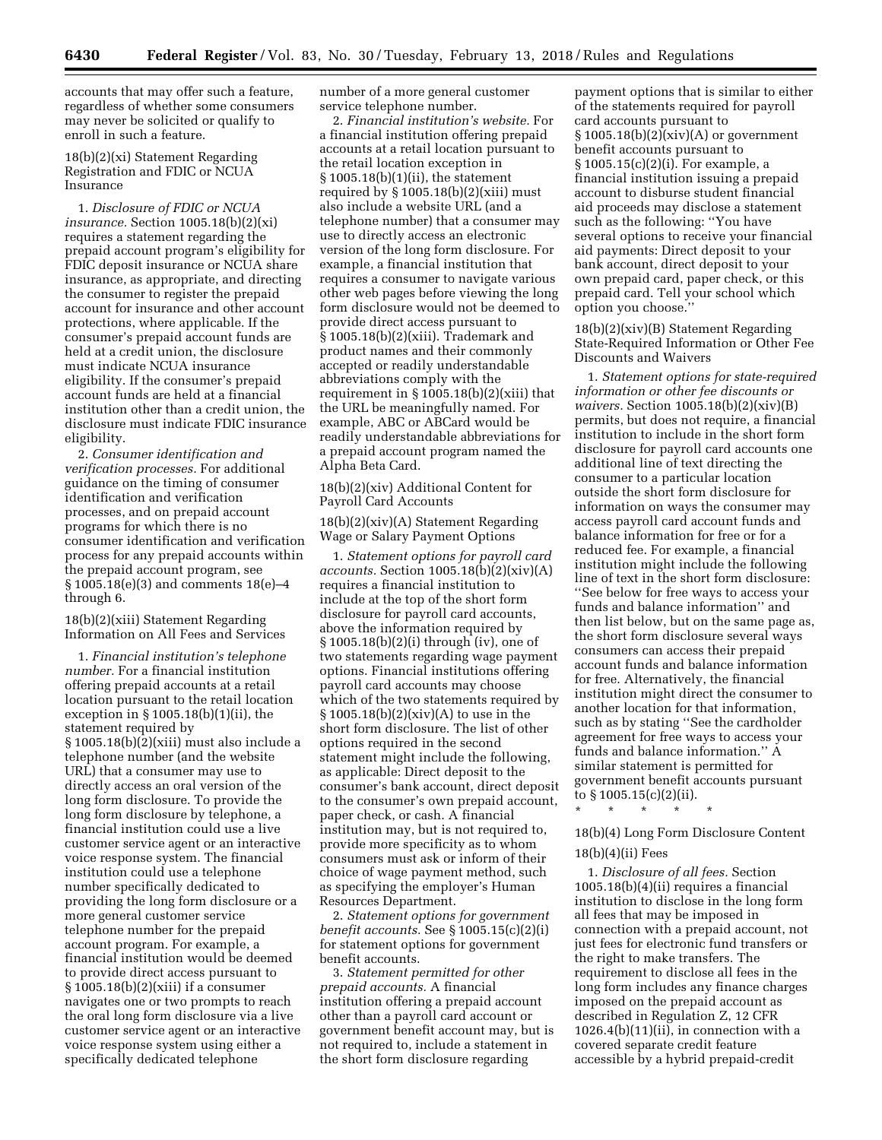accounts that may offer such a feature, regardless of whether some consumers may never be solicited or qualify to enroll in such a feature.

# 18(b)(2)(xi) Statement Regarding Registration and FDIC or NCUA Insurance

1. *Disclosure of FDIC or NCUA insurance.* Section 1005.18(b)(2)(xi) requires a statement regarding the prepaid account program's eligibility for FDIC deposit insurance or NCUA share insurance, as appropriate, and directing the consumer to register the prepaid account for insurance and other account protections, where applicable. If the consumer's prepaid account funds are held at a credit union, the disclosure must indicate NCUA insurance eligibility. If the consumer's prepaid account funds are held at a financial institution other than a credit union, the disclosure must indicate FDIC insurance eligibility.

2. *Consumer identification and verification processes.* For additional guidance on the timing of consumer identification and verification processes, and on prepaid account programs for which there is no consumer identification and verification process for any prepaid accounts within the prepaid account program, see § 1005.18(e)(3) and comments 18(e)–4 through 6.

# 18(b)(2)(xiii) Statement Regarding Information on All Fees and Services

1. *Financial institution's telephone number.* For a financial institution offering prepaid accounts at a retail location pursuant to the retail location exception in § 1005.18(b)(1)(ii), the statement required by § 1005.18(b)(2)(xiii) must also include a telephone number (and the website URL) that a consumer may use to directly access an oral version of the long form disclosure. To provide the long form disclosure by telephone, a financial institution could use a live customer service agent or an interactive voice response system. The financial institution could use a telephone number specifically dedicated to providing the long form disclosure or a more general customer service telephone number for the prepaid account program. For example, a financial institution would be deemed to provide direct access pursuant to § 1005.18(b)(2)(xiii) if a consumer navigates one or two prompts to reach the oral long form disclosure via a live customer service agent or an interactive voice response system using either a specifically dedicated telephone

number of a more general customer service telephone number.

2. *Financial institution's website.* For a financial institution offering prepaid accounts at a retail location pursuant to the retail location exception in § 1005.18(b)(1)(ii), the statement required by § 1005.18(b)(2)(xiii) must also include a website URL (and a telephone number) that a consumer may use to directly access an electronic version of the long form disclosure. For example, a financial institution that requires a consumer to navigate various other web pages before viewing the long form disclosure would not be deemed to provide direct access pursuant to § 1005.18(b)(2)(xiii). Trademark and product names and their commonly accepted or readily understandable abbreviations comply with the requirement in  $\S 1005.18(b)(2)(xiii)$  that the URL be meaningfully named. For example, ABC or ABCard would be readily understandable abbreviations for a prepaid account program named the Alpha Beta Card.

# 18(b)(2)(xiv) Additional Content for Payroll Card Accounts

18(b)(2)(xiv)(A) Statement Regarding Wage or Salary Payment Options

1. *Statement options for payroll card accounts.* Section 1005.18(b)(2)(xiv)(A) requires a financial institution to include at the top of the short form disclosure for payroll card accounts, above the information required by § 1005.18(b)(2)(i) through (iv), one of two statements regarding wage payment options. Financial institutions offering payroll card accounts may choose which of the two statements required by  $§ 1005.18(b)(2)(xiv)(A)$  to use in the short form disclosure. The list of other options required in the second statement might include the following, as applicable: Direct deposit to the consumer's bank account, direct deposit to the consumer's own prepaid account, paper check, or cash. A financial institution may, but is not required to, provide more specificity as to whom consumers must ask or inform of their choice of wage payment method, such as specifying the employer's Human Resources Department.

2. *Statement options for government benefit accounts.* See § 1005.15(c)(2)(i) for statement options for government benefit accounts.

3. *Statement permitted for other prepaid accounts.* A financial institution offering a prepaid account other than a payroll card account or government benefit account may, but is not required to, include a statement in the short form disclosure regarding

payment options that is similar to either of the statements required for payroll card accounts pursuant to  $§ 1005.18(b)(2)(xiv)(A)$  or government benefit accounts pursuant to § 1005.15(c)(2)(i). For example, a financial institution issuing a prepaid account to disburse student financial aid proceeds may disclose a statement such as the following: ''You have several options to receive your financial aid payments: Direct deposit to your bank account, direct deposit to your own prepaid card, paper check, or this prepaid card. Tell your school which option you choose.''

# 18(b)(2)(xiv)(B) Statement Regarding State-Required Information or Other Fee Discounts and Waivers

1. *Statement options for state-required information or other fee discounts or waivers.* Section 1005.18(b)(2)(xiv)(B) permits, but does not require, a financial institution to include in the short form disclosure for payroll card accounts one additional line of text directing the consumer to a particular location outside the short form disclosure for information on ways the consumer may access payroll card account funds and balance information for free or for a reduced fee. For example, a financial institution might include the following line of text in the short form disclosure: ''See below for free ways to access your funds and balance information'' and then list below, but on the same page as, the short form disclosure several ways consumers can access their prepaid account funds and balance information for free. Alternatively, the financial institution might direct the consumer to another location for that information, such as by stating ''See the cardholder agreement for free ways to access your funds and balance information.'' A similar statement is permitted for government benefit accounts pursuant to § 1005.15(c)(2)(ii).

\* \* \* \* \* 18(b)(4) Long Form Disclosure Content

# $18(b)(4)(ii)$  Fees

1. *Disclosure of all fees.* Section 1005.18(b)(4)(ii) requires a financial institution to disclose in the long form all fees that may be imposed in connection with a prepaid account, not just fees for electronic fund transfers or the right to make transfers. The requirement to disclose all fees in the long form includes any finance charges imposed on the prepaid account as described in Regulation Z, 12 CFR  $1026.4(b)(11)(ii)$ , in connection with a covered separate credit feature accessible by a hybrid prepaid-credit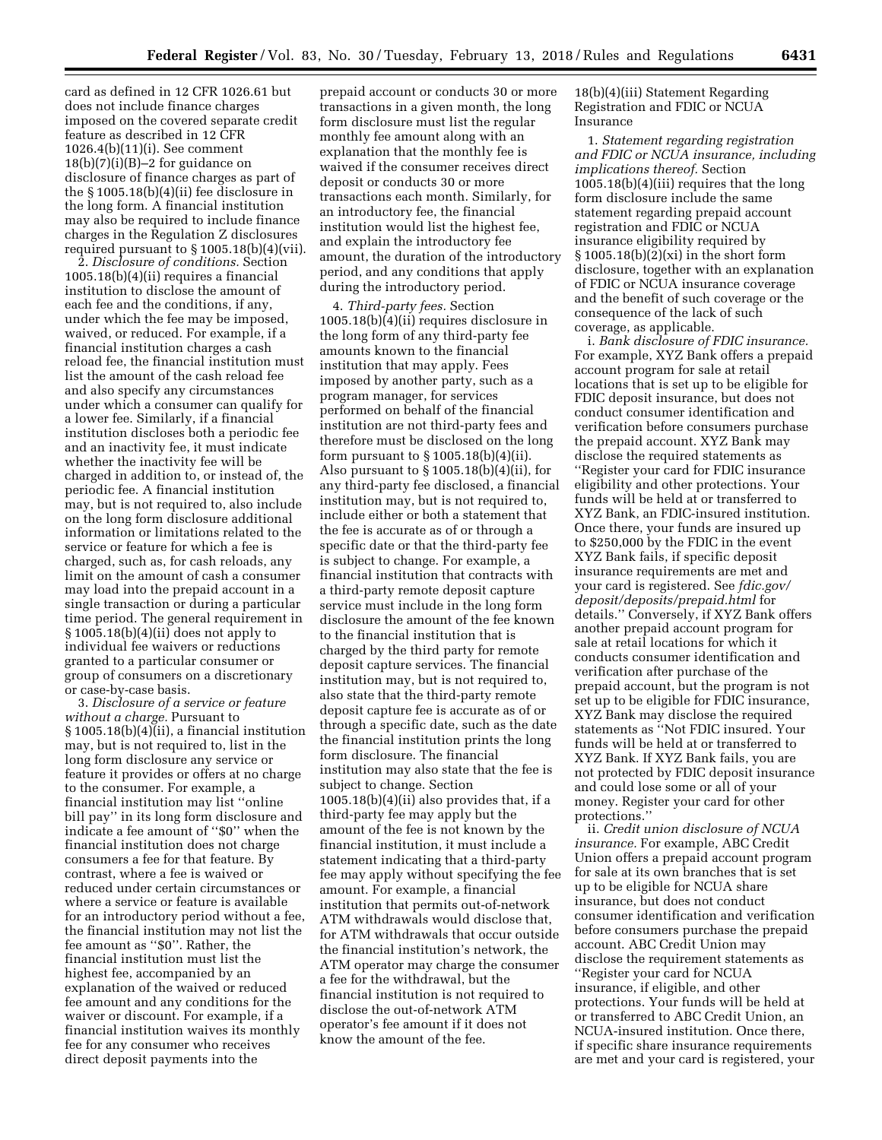card as defined in 12 CFR 1026.61 but does not include finance charges imposed on the covered separate credit feature as described in 12 CFR 1026.4(b)(11)(i). See comment  $18(b)(7)(i)(B)-2$  for guidance on disclosure of finance charges as part of the § 1005.18(b)(4)(ii) fee disclosure in the long form. A financial institution may also be required to include finance charges in the Regulation Z disclosures required pursuant to § 1005.18(b)(4)(vii).

2. *Disclosure of conditions.* Section 1005.18(b)(4)(ii) requires a financial institution to disclose the amount of each fee and the conditions, if any, under which the fee may be imposed, waived, or reduced. For example, if a financial institution charges a cash reload fee, the financial institution must list the amount of the cash reload fee and also specify any circumstances under which a consumer can qualify for a lower fee. Similarly, if a financial institution discloses both a periodic fee and an inactivity fee, it must indicate whether the inactivity fee will be charged in addition to, or instead of, the periodic fee. A financial institution may, but is not required to, also include on the long form disclosure additional information or limitations related to the service or feature for which a fee is charged, such as, for cash reloads, any limit on the amount of cash a consumer may load into the prepaid account in a single transaction or during a particular time period. The general requirement in § 1005.18(b)(4)(ii) does not apply to individual fee waivers or reductions granted to a particular consumer or group of consumers on a discretionary or case-by-case basis.

3. *Disclosure of a service or feature without a charge.* Pursuant to § 1005.18(b)(4)(ii), a financial institution may, but is not required to, list in the long form disclosure any service or feature it provides or offers at no charge to the consumer. For example, a financial institution may list ''online bill pay'' in its long form disclosure and indicate a fee amount of ''\$0'' when the financial institution does not charge consumers a fee for that feature. By contrast, where a fee is waived or reduced under certain circumstances or where a service or feature is available for an introductory period without a fee, the financial institution may not list the fee amount as ''\$0''. Rather, the financial institution must list the highest fee, accompanied by an explanation of the waived or reduced fee amount and any conditions for the waiver or discount. For example, if a financial institution waives its monthly fee for any consumer who receives direct deposit payments into the

prepaid account or conducts 30 or more transactions in a given month, the long form disclosure must list the regular monthly fee amount along with an explanation that the monthly fee is waived if the consumer receives direct deposit or conducts 30 or more transactions each month. Similarly, for an introductory fee, the financial institution would list the highest fee, and explain the introductory fee amount, the duration of the introductory period, and any conditions that apply during the introductory period.

4. *Third-party fees.* Section 1005.18(b)(4)(ii) requires disclosure in the long form of any third-party fee amounts known to the financial institution that may apply. Fees imposed by another party, such as a program manager, for services performed on behalf of the financial institution are not third-party fees and therefore must be disclosed on the long form pursuant to  $\S 1005.18(b)(4)(ii)$ . Also pursuant to  $\S 1005.18(b)(4)(ii)$ , for any third-party fee disclosed, a financial institution may, but is not required to, include either or both a statement that the fee is accurate as of or through a specific date or that the third-party fee is subject to change. For example, a financial institution that contracts with a third-party remote deposit capture service must include in the long form disclosure the amount of the fee known to the financial institution that is charged by the third party for remote deposit capture services. The financial institution may, but is not required to, also state that the third-party remote deposit capture fee is accurate as of or through a specific date, such as the date the financial institution prints the long form disclosure. The financial institution may also state that the fee is subject to change. Section 1005.18(b)(4)(ii) also provides that, if a third-party fee may apply but the amount of the fee is not known by the financial institution, it must include a statement indicating that a third-party fee may apply without specifying the fee amount. For example, a financial institution that permits out-of-network ATM withdrawals would disclose that, for ATM withdrawals that occur outside the financial institution's network, the ATM operator may charge the consumer a fee for the withdrawal, but the financial institution is not required to disclose the out-of-network ATM operator's fee amount if it does not know the amount of the fee.

18(b)(4)(iii) Statement Regarding Registration and FDIC or NCUA Insurance

1. *Statement regarding registration and FDIC or NCUA insurance, including implications thereof.* Section 1005.18(b)(4)(iii) requires that the long form disclosure include the same statement regarding prepaid account registration and FDIC or NCUA insurance eligibility required by § 1005.18(b)(2)(xi) in the short form disclosure, together with an explanation of FDIC or NCUA insurance coverage and the benefit of such coverage or the consequence of the lack of such coverage, as applicable.

i. *Bank disclosure of FDIC insurance.*  For example, XYZ Bank offers a prepaid account program for sale at retail locations that is set up to be eligible for FDIC deposit insurance, but does not conduct consumer identification and verification before consumers purchase the prepaid account. XYZ Bank may disclose the required statements as ''Register your card for FDIC insurance eligibility and other protections. Your funds will be held at or transferred to XYZ Bank, an FDIC-insured institution. Once there, your funds are insured up to \$250,000 by the FDIC in the event XYZ Bank fails, if specific deposit insurance requirements are met and your card is registered. See *fdic.gov/ deposit/deposits/prepaid.html* for details.'' Conversely, if XYZ Bank offers another prepaid account program for sale at retail locations for which it conducts consumer identification and verification after purchase of the prepaid account, but the program is not set up to be eligible for FDIC insurance, XYZ Bank may disclose the required statements as ''Not FDIC insured. Your funds will be held at or transferred to XYZ Bank. If XYZ Bank fails, you are not protected by FDIC deposit insurance and could lose some or all of your money. Register your card for other protections.''

ii. *Credit union disclosure of NCUA insurance.* For example, ABC Credit Union offers a prepaid account program for sale at its own branches that is set up to be eligible for NCUA share insurance, but does not conduct consumer identification and verification before consumers purchase the prepaid account. ABC Credit Union may disclose the requirement statements as ''Register your card for NCUA insurance, if eligible, and other protections. Your funds will be held at or transferred to ABC Credit Union, an NCUA-insured institution. Once there, if specific share insurance requirements are met and your card is registered, your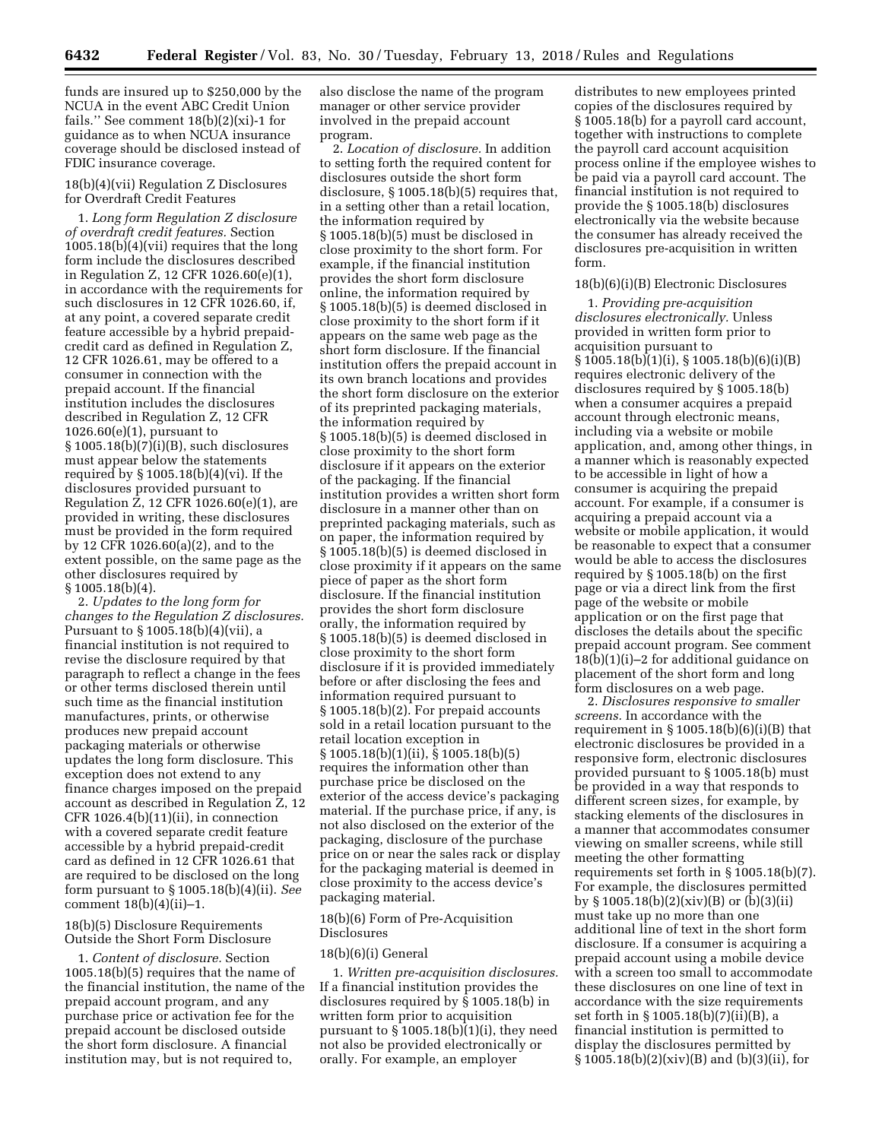funds are insured up to \$250,000 by the NCUA in the event ABC Credit Union fails.'' See comment 18(b)(2)(xi)-1 for guidance as to when NCUA insurance coverage should be disclosed instead of FDIC insurance coverage.

## 18(b)(4)(vii) Regulation Z Disclosures for Overdraft Credit Features

1. *Long form Regulation Z disclosure of overdraft credit features.* Section 1005.18(b)(4)(vii) requires that the long form include the disclosures described in Regulation Z, 12 CFR 1026.60(e)(1), in accordance with the requirements for such disclosures in 12 CFR 1026.60, if, at any point, a covered separate credit feature accessible by a hybrid prepaidcredit card as defined in Regulation Z, 12 CFR 1026.61, may be offered to a consumer in connection with the prepaid account. If the financial institution includes the disclosures described in Regulation Z, 12 CFR 1026.60(e)(1), pursuant to  $§ 1005.18(b)(7)(i)(B)$ , such disclosures must appear below the statements required by § 1005.18(b)(4)(vi). If the disclosures provided pursuant to Regulation Z, 12 CFR 1026.60(e)(1), are provided in writing, these disclosures must be provided in the form required by 12 CFR 1026.60(a)(2), and to the extent possible, on the same page as the other disclosures required by § 1005.18(b)(4).

2. *Updates to the long form for changes to the Regulation Z disclosures.*  Pursuant to § 1005.18(b)(4)(vii), a financial institution is not required to revise the disclosure required by that paragraph to reflect a change in the fees or other terms disclosed therein until such time as the financial institution manufactures, prints, or otherwise produces new prepaid account packaging materials or otherwise updates the long form disclosure. This exception does not extend to any finance charges imposed on the prepaid account as described in Regulation Z, 12 CFR 1026.4(b)(11)(ii), in connection with a covered separate credit feature accessible by a hybrid prepaid-credit card as defined in 12 CFR 1026.61 that are required to be disclosed on the long form pursuant to § 1005.18(b)(4)(ii). *See*  comment 18(b)(4)(ii)–1.

18(b)(5) Disclosure Requirements Outside the Short Form Disclosure

1. *Content of disclosure.* Section 1005.18(b)(5) requires that the name of the financial institution, the name of the prepaid account program, and any purchase price or activation fee for the prepaid account be disclosed outside the short form disclosure. A financial institution may, but is not required to,

also disclose the name of the program manager or other service provider involved in the prepaid account program.

2. *Location of disclosure.* In addition to setting forth the required content for disclosures outside the short form disclosure, § 1005.18(b)(5) requires that, in a setting other than a retail location, the information required by § 1005.18(b)(5) must be disclosed in close proximity to the short form. For example, if the financial institution provides the short form disclosure online, the information required by § 1005.18(b)(5) is deemed disclosed in close proximity to the short form if it appears on the same web page as the short form disclosure. If the financial institution offers the prepaid account in its own branch locations and provides the short form disclosure on the exterior of its preprinted packaging materials, the information required by § 1005.18(b)(5) is deemed disclosed in close proximity to the short form disclosure if it appears on the exterior of the packaging. If the financial institution provides a written short form disclosure in a manner other than on preprinted packaging materials, such as on paper, the information required by § 1005.18(b)(5) is deemed disclosed in close proximity if it appears on the same piece of paper as the short form disclosure. If the financial institution provides the short form disclosure orally, the information required by § 1005.18(b)(5) is deemed disclosed in close proximity to the short form disclosure if it is provided immediately before or after disclosing the fees and information required pursuant to § 1005.18(b)(2). For prepaid accounts sold in a retail location pursuant to the retail location exception in § 1005.18(b)(1)(ii), § 1005.18(b)(5) requires the information other than purchase price be disclosed on the exterior of the access device's packaging material. If the purchase price, if any, is not also disclosed on the exterior of the packaging, disclosure of the purchase price on or near the sales rack or display for the packaging material is deemed in close proximity to the access device's packaging material.

# 18(b)(6) Form of Pre-Acquisition Disclosures

## 18(b)(6)(i) General

1. *Written pre-acquisition disclosures.*  If a financial institution provides the disclosures required by § 1005.18(b) in written form prior to acquisition pursuant to  $\S 1005.18(b)(1)(i)$ , they need not also be provided electronically or orally. For example, an employer

distributes to new employees printed copies of the disclosures required by § 1005.18(b) for a payroll card account, together with instructions to complete the payroll card account acquisition process online if the employee wishes to be paid via a payroll card account. The financial institution is not required to provide the § 1005.18(b) disclosures electronically via the website because the consumer has already received the disclosures pre-acquisition in written form.

#### 18(b)(6)(i)(B) Electronic Disclosures

1. *Providing pre-acquisition disclosures electronically.* Unless provided in written form prior to acquisition pursuant to § 1005.18(b)(1)(i), § 1005.18(b)(6)(i)(B) requires electronic delivery of the disclosures required by § 1005.18(b) when a consumer acquires a prepaid account through electronic means, including via a website or mobile application, and, among other things, in a manner which is reasonably expected to be accessible in light of how a consumer is acquiring the prepaid account. For example, if a consumer is acquiring a prepaid account via a website or mobile application, it would be reasonable to expect that a consumer would be able to access the disclosures required by § 1005.18(b) on the first page or via a direct link from the first page of the website or mobile application or on the first page that discloses the details about the specific prepaid account program. See comment 18(b)(1)(i)–2 for additional guidance on placement of the short form and long form disclosures on a web page.

2. *Disclosures responsive to smaller screens.* In accordance with the requirement in  $\S 1005.18(b)(6)(i)(B)$  that electronic disclosures be provided in a responsive form, electronic disclosures provided pursuant to § 1005.18(b) must be provided in a way that responds to different screen sizes, for example, by stacking elements of the disclosures in a manner that accommodates consumer viewing on smaller screens, while still meeting the other formatting requirements set forth in § 1005.18(b)(7). For example, the disclosures permitted by § 1005.18(b)(2)(xiv)(B) or (b)(3)(ii) must take up no more than one additional line of text in the short form disclosure. If a consumer is acquiring a prepaid account using a mobile device with a screen too small to accommodate these disclosures on one line of text in accordance with the size requirements set forth in § 1005.18(b)(7)(ii)(B), a financial institution is permitted to display the disclosures permitted by § 1005.18(b)(2)(xiv)(B) and (b)(3)(ii), for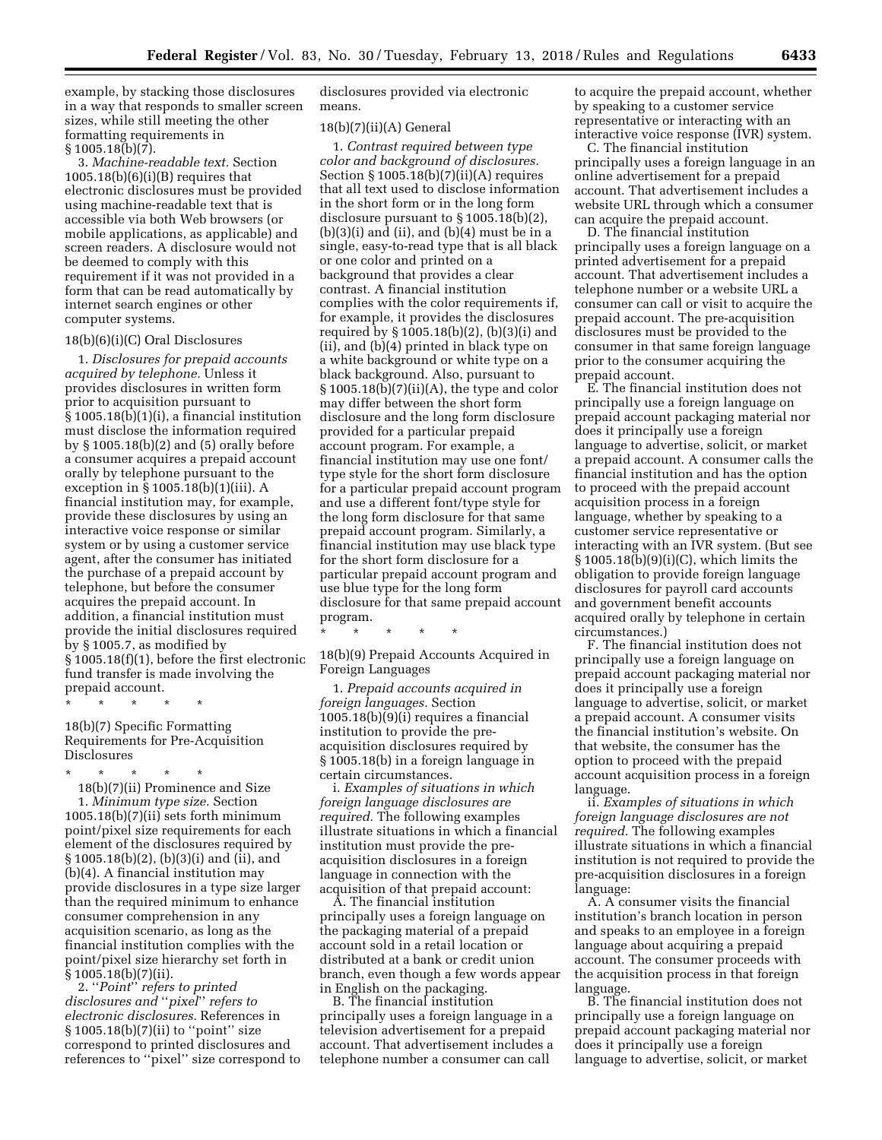example, by stacking those disclosures in a way that responds to smaller screen sizes, while still meeting the other formatting requirements in  $§ 1005.18(b)(7).$ 

3. *Machine-readable text.* Section  $1005.18(b)(6)(i)(B)$  requires that electronic disclosures must be provided using machine-readable text that is accessible via both Web browsers (or mobile applications, as applicable) and screen readers. A disclosure would not be deemed to comply with this requirement if it was not provided in a form that can be read automatically by internet search engines or other computer systems.

#### 18(b)(6)(i)(C) Oral Disclosures

1. *Disclosures for prepaid accounts acquired by telephone.* Unless it provides disclosures in written form prior to acquisition pursuant to § 1005.18(b)(1)(i), a financial institution must disclose the information required by § 1005.18(b)(2) and (5) orally before a consumer acquires a prepaid account orally by telephone pursuant to the exception in § 1005.18(b)(1)(iii). A financial institution may, for example, provide these disclosures by using an interactive voice response or similar system or by using a customer service agent, after the consumer has initiated the purchase of a prepaid account by telephone, but before the consumer acquires the prepaid account. In addition, a financial institution must provide the initial disclosures required by § 1005.7, as modified by § 1005.18(f)(1), before the first electronic fund transfer is made involving the prepaid account.

\* \* \* \* \*

18(b)(7) Specific Formatting Requirements for Pre-Acquisition Disclosures

\* \* \* \* \*

18(b)(7)(ii) Prominence and Size 1. *Minimum type size.* Section 1005.18(b)(7)(ii) sets forth minimum point/pixel size requirements for each element of the disclosures required by § 1005.18(b)(2), (b)(3)(i) and (ii), and (b)(4). A financial institution may provide disclosures in a type size larger than the required minimum to enhance consumer comprehension in any acquisition scenario, as long as the financial institution complies with the point/pixel size hierarchy set forth in § 1005.18(b)(7)(ii).

2. ''*Point*'' *refers to printed disclosures and* ''*pixel*'' *refers to electronic disclosures.* References in § 1005.18(b)(7)(ii) to "point" size correspond to printed disclosures and references to ''pixel'' size correspond to disclosures provided via electronic means.

#### 18(b)(7)(ii)(A) General

1. *Contrast required between type color and background of disclosures.*  Section § 1005.18(b)(7)(ii)(A) requires that all text used to disclose information in the short form or in the long form disclosure pursuant to § 1005.18(b)(2),  $(b)(3)(i)$  and  $(ii)$ , and  $(b)(4)$  must be in a single, easy-to-read type that is all black or one color and printed on a background that provides a clear contrast. A financial institution complies with the color requirements if, for example, it provides the disclosures required by § 1005.18(b)(2), (b)(3)(i) and (ii), and (b)(4) printed in black type on a white background or white type on a black background. Also, pursuant to § 1005.18(b)(7)(ii)(A), the type and color may differ between the short form disclosure and the long form disclosure provided for a particular prepaid account program. For example, a financial institution may use one font/ type style for the short form disclosure for a particular prepaid account program and use a different font/type style for the long form disclosure for that same prepaid account program. Similarly, a financial institution may use black type for the short form disclosure for a particular prepaid account program and use blue type for the long form disclosure for that same prepaid account program.

\* \* \* \* \*

18(b)(9) Prepaid Accounts Acquired in Foreign Languages

1. *Prepaid accounts acquired in foreign languages.* Section 1005.18(b)(9)(i) requires a financial institution to provide the preacquisition disclosures required by § 1005.18(b) in a foreign language in certain circumstances.

i. *Examples of situations in which foreign language disclosures are required.* The following examples illustrate situations in which a financial institution must provide the preacquisition disclosures in a foreign language in connection with the acquisition of that prepaid account:

A. The financial institution principally uses a foreign language on the packaging material of a prepaid account sold in a retail location or distributed at a bank or credit union branch, even though a few words appear in English on the packaging.

B. The financial institution principally uses a foreign language in a television advertisement for a prepaid account. That advertisement includes a telephone number a consumer can call

to acquire the prepaid account, whether by speaking to a customer service representative or interacting with an interactive voice response (IVR) system.

C. The financial institution principally uses a foreign language in an online advertisement for a prepaid account. That advertisement includes a website URL through which a consumer can acquire the prepaid account.

D. The financial institution principally uses a foreign language on a printed advertisement for a prepaid account. That advertisement includes a telephone number or a website URL a consumer can call or visit to acquire the prepaid account. The pre-acquisition disclosures must be provided to the consumer in that same foreign language prior to the consumer acquiring the prepaid account.

E. The financial institution does not principally use a foreign language on prepaid account packaging material nor does it principally use a foreign language to advertise, solicit, or market a prepaid account. A consumer calls the financial institution and has the option to proceed with the prepaid account acquisition process in a foreign language, whether by speaking to a customer service representative or interacting with an IVR system. (But see § 1005.18(b)(9)(i)(C), which limits the obligation to provide foreign language disclosures for payroll card accounts and government benefit accounts acquired orally by telephone in certain circumstances.)

F. The financial institution does not principally use a foreign language on prepaid account packaging material nor does it principally use a foreign language to advertise, solicit, or market a prepaid account. A consumer visits the financial institution's website. On that website, the consumer has the option to proceed with the prepaid account acquisition process in a foreign language.

ii. *Examples of situations in which foreign language disclosures are not required.* The following examples illustrate situations in which a financial institution is not required to provide the pre-acquisition disclosures in a foreign language:

A. A consumer visits the financial institution's branch location in person and speaks to an employee in a foreign language about acquiring a prepaid account. The consumer proceeds with the acquisition process in that foreign language.

B. The financial institution does not principally use a foreign language on prepaid account packaging material nor does it principally use a foreign language to advertise, solicit, or market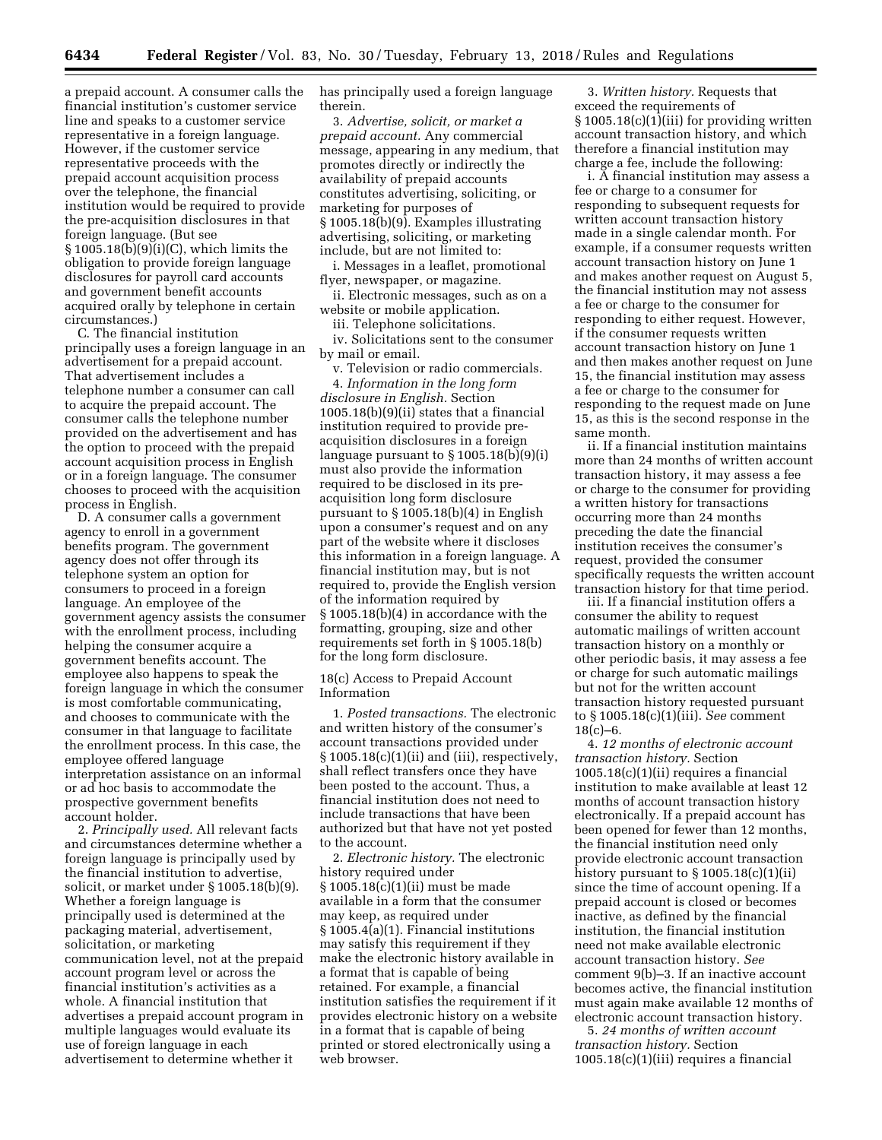a prepaid account. A consumer calls the financial institution's customer service line and speaks to a customer service representative in a foreign language. However, if the customer service representative proceeds with the prepaid account acquisition process over the telephone, the financial institution would be required to provide the pre-acquisition disclosures in that foreign language. (But see § 1005.18(b)(9)(i)(C), which limits the obligation to provide foreign language disclosures for payroll card accounts and government benefit accounts acquired orally by telephone in certain circumstances.)

C. The financial institution principally uses a foreign language in an advertisement for a prepaid account. That advertisement includes a telephone number a consumer can call to acquire the prepaid account. The consumer calls the telephone number provided on the advertisement and has the option to proceed with the prepaid account acquisition process in English or in a foreign language. The consumer chooses to proceed with the acquisition process in English.

D. A consumer calls a government agency to enroll in a government benefits program. The government agency does not offer through its telephone system an option for consumers to proceed in a foreign language. An employee of the government agency assists the consumer with the enrollment process, including helping the consumer acquire a government benefits account. The employee also happens to speak the foreign language in which the consumer is most comfortable communicating, and chooses to communicate with the consumer in that language to facilitate the enrollment process. In this case, the employee offered language interpretation assistance on an informal or ad hoc basis to accommodate the prospective government benefits account holder.

2. *Principally used.* All relevant facts and circumstances determine whether a foreign language is principally used by the financial institution to advertise, solicit, or market under § 1005.18(b)(9). Whether a foreign language is principally used is determined at the packaging material, advertisement, solicitation, or marketing communication level, not at the prepaid account program level or across the financial institution's activities as a whole. A financial institution that advertises a prepaid account program in multiple languages would evaluate its use of foreign language in each advertisement to determine whether it

has principally used a foreign language therein.

3. *Advertise, solicit, or market a prepaid account.* Any commercial message, appearing in any medium, that promotes directly or indirectly the availability of prepaid accounts constitutes advertising, soliciting, or marketing for purposes of § 1005.18(b)(9). Examples illustrating advertising, soliciting, or marketing include, but are not limited to:

i. Messages in a leaflet, promotional flyer, newspaper, or magazine.

ii. Electronic messages, such as on a website or mobile application.

iii. Telephone solicitations.

iv. Solicitations sent to the consumer by mail or email.

v. Television or radio commercials. 4. *Information in the long form disclosure in English.* Section 1005.18(b)(9)(ii) states that a financial institution required to provide preacquisition disclosures in a foreign language pursuant to  $\S 1005.18(b)(9)(i)$ must also provide the information required to be disclosed in its preacquisition long form disclosure pursuant to § 1005.18(b)(4) in English upon a consumer's request and on any part of the website where it discloses this information in a foreign language. A financial institution may, but is not required to, provide the English version of the information required by § 1005.18(b)(4) in accordance with the formatting, grouping, size and other requirements set forth in § 1005.18(b) for the long form disclosure.

18(c) Access to Prepaid Account Information

1. *Posted transactions.* The electronic and written history of the consumer's account transactions provided under  $§1005.18(c)(1)(ii)$  and (iii), respectively, shall reflect transfers once they have been posted to the account. Thus, a financial institution does not need to include transactions that have been authorized but that have not yet posted to the account.

2. *Electronic history.* The electronic history required under § 1005.18(c)(1)(ii) must be made available in a form that the consumer may keep, as required under § 1005.4(a)(1). Financial institutions may satisfy this requirement if they make the electronic history available in a format that is capable of being retained. For example, a financial institution satisfies the requirement if it provides electronic history on a website in a format that is capable of being printed or stored electronically using a web browser.

3. *Written history.* Requests that exceed the requirements of § 1005.18(c)(1)(iii) for providing written account transaction history, and which therefore a financial institution may charge a fee, include the following:

i. A financial institution may assess a fee or charge to a consumer for responding to subsequent requests for written account transaction history made in a single calendar month. For example, if a consumer requests written account transaction history on June 1 and makes another request on August 5, the financial institution may not assess a fee or charge to the consumer for responding to either request. However, if the consumer requests written account transaction history on June 1 and then makes another request on June 15, the financial institution may assess a fee or charge to the consumer for responding to the request made on June 15, as this is the second response in the same month.

ii. If a financial institution maintains more than 24 months of written account transaction history, it may assess a fee or charge to the consumer for providing a written history for transactions occurring more than 24 months preceding the date the financial institution receives the consumer's request, provided the consumer specifically requests the written account transaction history for that time period.

iii. If a financial institution offers a consumer the ability to request automatic mailings of written account transaction history on a monthly or other periodic basis, it may assess a fee or charge for such automatic mailings but not for the written account transaction history requested pursuant to § 1005.18(c)(1)(iii). *See* comment  $18(c)-6.$ 

4. *12 months of electronic account transaction history.* Section  $1005.18(c)(1)(ii)$  requires a financial institution to make available at least 12 months of account transaction history electronically. If a prepaid account has been opened for fewer than 12 months, the financial institution need only provide electronic account transaction history pursuant to  $\S 1005.18(c)(1)(ii)$ since the time of account opening. If a prepaid account is closed or becomes inactive, as defined by the financial institution, the financial institution need not make available electronic account transaction history. *See*  comment 9(b)–3. If an inactive account becomes active, the financial institution must again make available 12 months of electronic account transaction history.

5. *24 months of written account transaction history.* Section  $1005.18(c)(1)(iii)$  requires a financial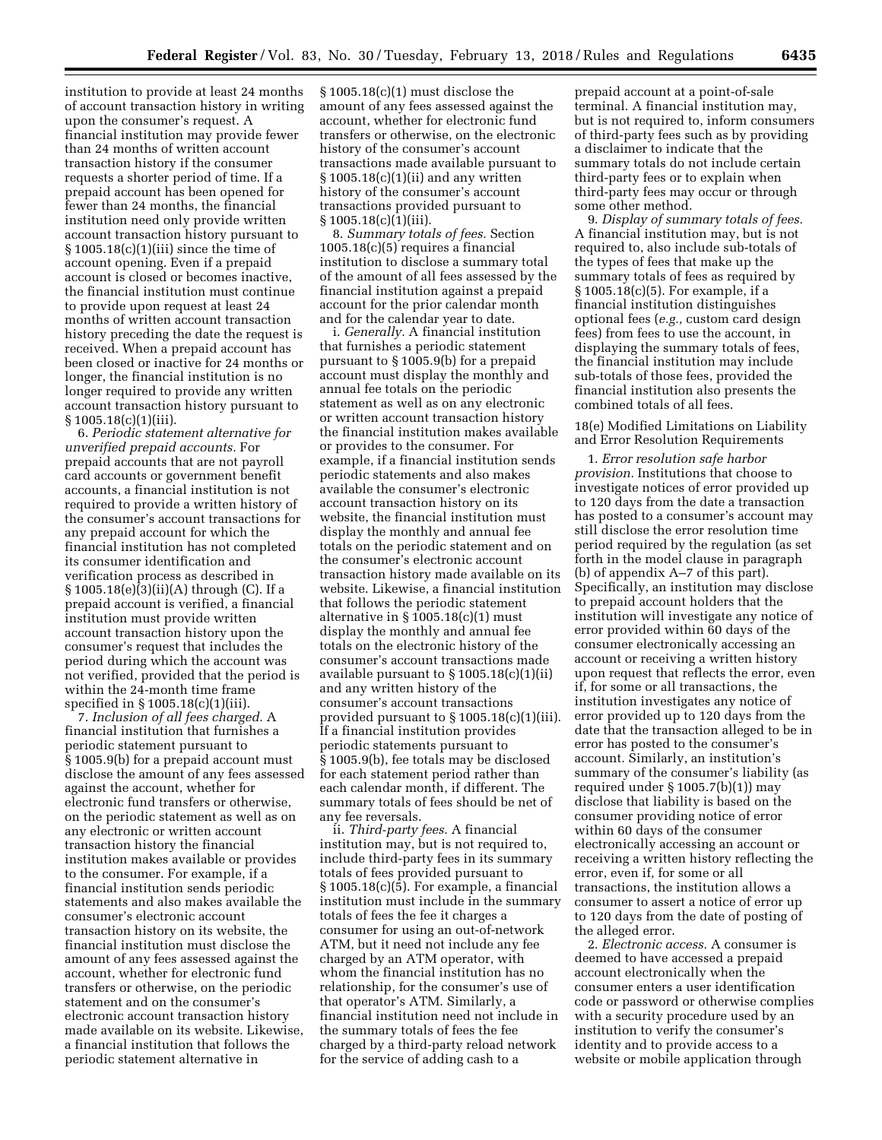institution to provide at least 24 months of account transaction history in writing upon the consumer's request. A financial institution may provide fewer than 24 months of written account transaction history if the consumer requests a shorter period of time. If a prepaid account has been opened for fewer than 24 months, the financial institution need only provide written account transaction history pursuant to § 1005.18(c)(1)(iii) since the time of account opening. Even if a prepaid account is closed or becomes inactive, the financial institution must continue to provide upon request at least 24 months of written account transaction history preceding the date the request is received. When a prepaid account has been closed or inactive for 24 months or longer, the financial institution is no longer required to provide any written account transaction history pursuant to  $§ 1005.18(c)(1)(iii).$ 

6. *Periodic statement alternative for unverified prepaid accounts.* For prepaid accounts that are not payroll card accounts or government benefit accounts, a financial institution is not required to provide a written history of the consumer's account transactions for any prepaid account for which the financial institution has not completed its consumer identification and verification process as described in § 1005.18(e)(3)(ii)(A) through (C). If a prepaid account is verified, a financial institution must provide written account transaction history upon the consumer's request that includes the period during which the account was not verified, provided that the period is within the 24-month time frame specified in § 1005.18(c)(1)(iii).

7. *Inclusion of all fees charged.* A financial institution that furnishes a periodic statement pursuant to § 1005.9(b) for a prepaid account must disclose the amount of any fees assessed against the account, whether for electronic fund transfers or otherwise, on the periodic statement as well as on any electronic or written account transaction history the financial institution makes available or provides to the consumer. For example, if a financial institution sends periodic statements and also makes available the consumer's electronic account transaction history on its website, the financial institution must disclose the amount of any fees assessed against the account, whether for electronic fund transfers or otherwise, on the periodic statement and on the consumer's electronic account transaction history made available on its website. Likewise, a financial institution that follows the periodic statement alternative in

§ 1005.18(c)(1) must disclose the amount of any fees assessed against the account, whether for electronic fund transfers or otherwise, on the electronic history of the consumer's account transactions made available pursuant to  $§1005.18(c)(1)(ii)$  and any written history of the consumer's account transactions provided pursuant to § 1005.18(c)(1)(iii).

8. *Summary totals of fees.* Section 1005.18(c)(5) requires a financial institution to disclose a summary total of the amount of all fees assessed by the financial institution against a prepaid account for the prior calendar month and for the calendar year to date.

i. *Generally.* A financial institution that furnishes a periodic statement pursuant to § 1005.9(b) for a prepaid account must display the monthly and annual fee totals on the periodic statement as well as on any electronic or written account transaction history the financial institution makes available or provides to the consumer. For example, if a financial institution sends periodic statements and also makes available the consumer's electronic account transaction history on its website, the financial institution must display the monthly and annual fee totals on the periodic statement and on the consumer's electronic account transaction history made available on its website. Likewise, a financial institution that follows the periodic statement alternative in  $\S 1005.18(c)(1)$  must display the monthly and annual fee totals on the electronic history of the consumer's account transactions made available pursuant to § 1005.18(c)(1)(ii) and any written history of the consumer's account transactions provided pursuant to § 1005.18(c)(1)(iii). If a financial institution provides periodic statements pursuant to § 1005.9(b), fee totals may be disclosed for each statement period rather than each calendar month, if different. The summary totals of fees should be net of any fee reversals.

ii. *Third-party fees.* A financial institution may, but is not required to, include third-party fees in its summary totals of fees provided pursuant to § 1005.18(c)(5). For example, a financial institution must include in the summary totals of fees the fee it charges a consumer for using an out-of-network ATM, but it need not include any fee charged by an ATM operator, with whom the financial institution has no relationship, for the consumer's use of that operator's ATM. Similarly, a financial institution need not include in the summary totals of fees the fee charged by a third-party reload network for the service of adding cash to a

prepaid account at a point-of-sale terminal. A financial institution may, but is not required to, inform consumers of third-party fees such as by providing a disclaimer to indicate that the summary totals do not include certain third-party fees or to explain when third-party fees may occur or through some other method.

9. *Display of summary totals of fees.*  A financial institution may, but is not required to, also include sub-totals of the types of fees that make up the summary totals of fees as required by § 1005.18(c)(5). For example, if a financial institution distinguishes optional fees (*e.g.,* custom card design fees) from fees to use the account, in displaying the summary totals of fees, the financial institution may include sub-totals of those fees, provided the financial institution also presents the combined totals of all fees.

18(e) Modified Limitations on Liability and Error Resolution Requirements

1. *Error resolution safe harbor provision.* Institutions that choose to investigate notices of error provided up to 120 days from the date a transaction has posted to a consumer's account may still disclose the error resolution time period required by the regulation (as set forth in the model clause in paragraph (b) of appendix A–7 of this part). Specifically, an institution may disclose to prepaid account holders that the institution will investigate any notice of error provided within 60 days of the consumer electronically accessing an account or receiving a written history upon request that reflects the error, even if, for some or all transactions, the institution investigates any notice of error provided up to 120 days from the date that the transaction alleged to be in error has posted to the consumer's account. Similarly, an institution's summary of the consumer's liability (as required under  $\S 1005.7(b)(1)$  may disclose that liability is based on the consumer providing notice of error within 60 days of the consumer electronically accessing an account or receiving a written history reflecting the error, even if, for some or all transactions, the institution allows a consumer to assert a notice of error up to 120 days from the date of posting of the alleged error.

2. *Electronic access.* A consumer is deemed to have accessed a prepaid account electronically when the consumer enters a user identification code or password or otherwise complies with a security procedure used by an institution to verify the consumer's identity and to provide access to a website or mobile application through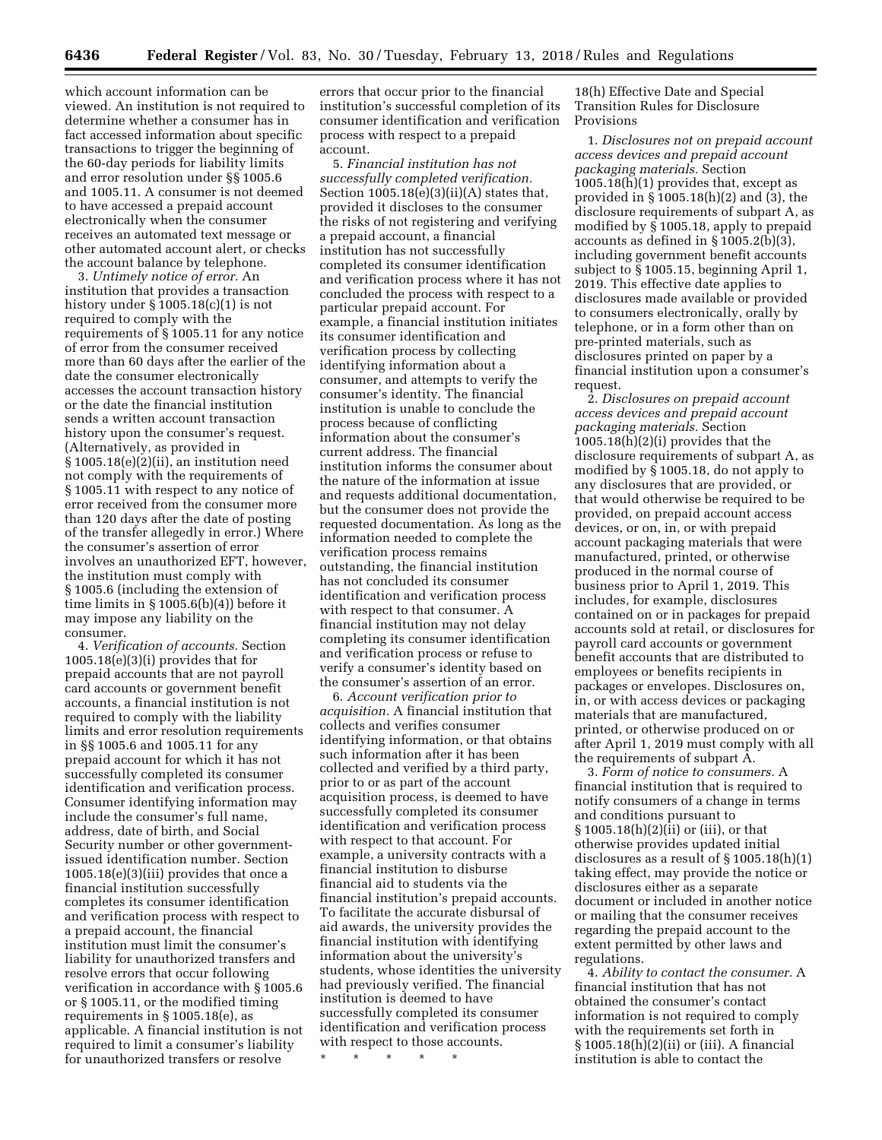which account information can be viewed. An institution is not required to determine whether a consumer has in fact accessed information about specific transactions to trigger the beginning of the 60-day periods for liability limits and error resolution under §§ 1005.6 and 1005.11. A consumer is not deemed to have accessed a prepaid account electronically when the consumer receives an automated text message or other automated account alert, or checks the account balance by telephone.

3. *Untimely notice of error.* An institution that provides a transaction history under  $\S 1005.18(c)(1)$  is not required to comply with the requirements of § 1005.11 for any notice of error from the consumer received more than 60 days after the earlier of the date the consumer electronically accesses the account transaction history or the date the financial institution sends a written account transaction history upon the consumer's request. (Alternatively, as provided in § 1005.18(e)(2)(ii), an institution need not comply with the requirements of § 1005.11 with respect to any notice of error received from the consumer more than 120 days after the date of posting of the transfer allegedly in error.) Where the consumer's assertion of error involves an unauthorized EFT, however, the institution must comply with § 1005.6 (including the extension of time limits in § 1005.6(b)(4)) before it may impose any liability on the consumer.

4. *Verification of accounts.* Section 1005.18(e)(3)(i) provides that for prepaid accounts that are not payroll card accounts or government benefit accounts, a financial institution is not required to comply with the liability limits and error resolution requirements in §§ 1005.6 and 1005.11 for any prepaid account for which it has not successfully completed its consumer identification and verification process. Consumer identifying information may include the consumer's full name, address, date of birth, and Social Security number or other governmentissued identification number. Section 1005.18(e)(3)(iii) provides that once a financial institution successfully completes its consumer identification and verification process with respect to a prepaid account, the financial institution must limit the consumer's liability for unauthorized transfers and resolve errors that occur following verification in accordance with § 1005.6 or § 1005.11, or the modified timing requirements in § 1005.18(e), as applicable. A financial institution is not required to limit a consumer's liability for unauthorized transfers or resolve

errors that occur prior to the financial institution's successful completion of its consumer identification and verification process with respect to a prepaid account.

5. *Financial institution has not successfully completed verification.*  Section  $1005.18(e)(3)(ii)(A)$  states that, provided it discloses to the consumer the risks of not registering and verifying a prepaid account, a financial institution has not successfully completed its consumer identification and verification process where it has not concluded the process with respect to a particular prepaid account. For example, a financial institution initiates its consumer identification and verification process by collecting identifying information about a consumer, and attempts to verify the consumer's identity. The financial institution is unable to conclude the process because of conflicting information about the consumer's current address. The financial institution informs the consumer about the nature of the information at issue and requests additional documentation, but the consumer does not provide the requested documentation. As long as the information needed to complete the verification process remains outstanding, the financial institution has not concluded its consumer identification and verification process with respect to that consumer. A financial institution may not delay completing its consumer identification and verification process or refuse to verify a consumer's identity based on the consumer's assertion of an error.

6. *Account verification prior to acquisition.* A financial institution that collects and verifies consumer identifying information, or that obtains such information after it has been collected and verified by a third party, prior to or as part of the account acquisition process, is deemed to have successfully completed its consumer identification and verification process with respect to that account. For example, a university contracts with a financial institution to disburse financial aid to students via the financial institution's prepaid accounts. To facilitate the accurate disbursal of aid awards, the university provides the financial institution with identifying information about the university's students, whose identities the university had previously verified. The financial institution is deemed to have successfully completed its consumer identification and verification process with respect to those accounts.

\* \* \* \* \*

18(h) Effective Date and Special Transition Rules for Disclosure Provisions

1. *Disclosures not on prepaid account access devices and prepaid account packaging materials.* Section 1005.18(h)(1) provides that, except as provided in § 1005.18(h)(2) and (3), the disclosure requirements of subpart A, as modified by § 1005.18, apply to prepaid accounts as defined in § 1005.2(b)(3), including government benefit accounts subject to § 1005.15, beginning April 1, 2019. This effective date applies to disclosures made available or provided to consumers electronically, orally by telephone, or in a form other than on pre-printed materials, such as disclosures printed on paper by a financial institution upon a consumer's request.

2. *Disclosures on prepaid account access devices and prepaid account packaging materials.* Section  $1005.18(h)(2)(i)$  provides that the disclosure requirements of subpart A, as modified by § 1005.18, do not apply to any disclosures that are provided, or that would otherwise be required to be provided, on prepaid account access devices, or on, in, or with prepaid account packaging materials that were manufactured, printed, or otherwise produced in the normal course of business prior to April 1, 2019. This includes, for example, disclosures contained on or in packages for prepaid accounts sold at retail, or disclosures for payroll card accounts or government benefit accounts that are distributed to employees or benefits recipients in packages or envelopes. Disclosures on, in, or with access devices or packaging materials that are manufactured, printed, or otherwise produced on or after April 1, 2019 must comply with all the requirements of subpart A.

3. *Form of notice to consumers.* A financial institution that is required to notify consumers of a change in terms and conditions pursuant to § 1005.18(h)(2)(ii) or (iii), or that otherwise provides updated initial disclosures as a result of § 1005.18(h)(1) taking effect, may provide the notice or disclosures either as a separate document or included in another notice or mailing that the consumer receives regarding the prepaid account to the extent permitted by other laws and regulations.

4. *Ability to contact the consumer.* A financial institution that has not obtained the consumer's contact information is not required to comply with the requirements set forth in  $\S 1005.18(h)(2)(ii)$  or (iii). A financial institution is able to contact the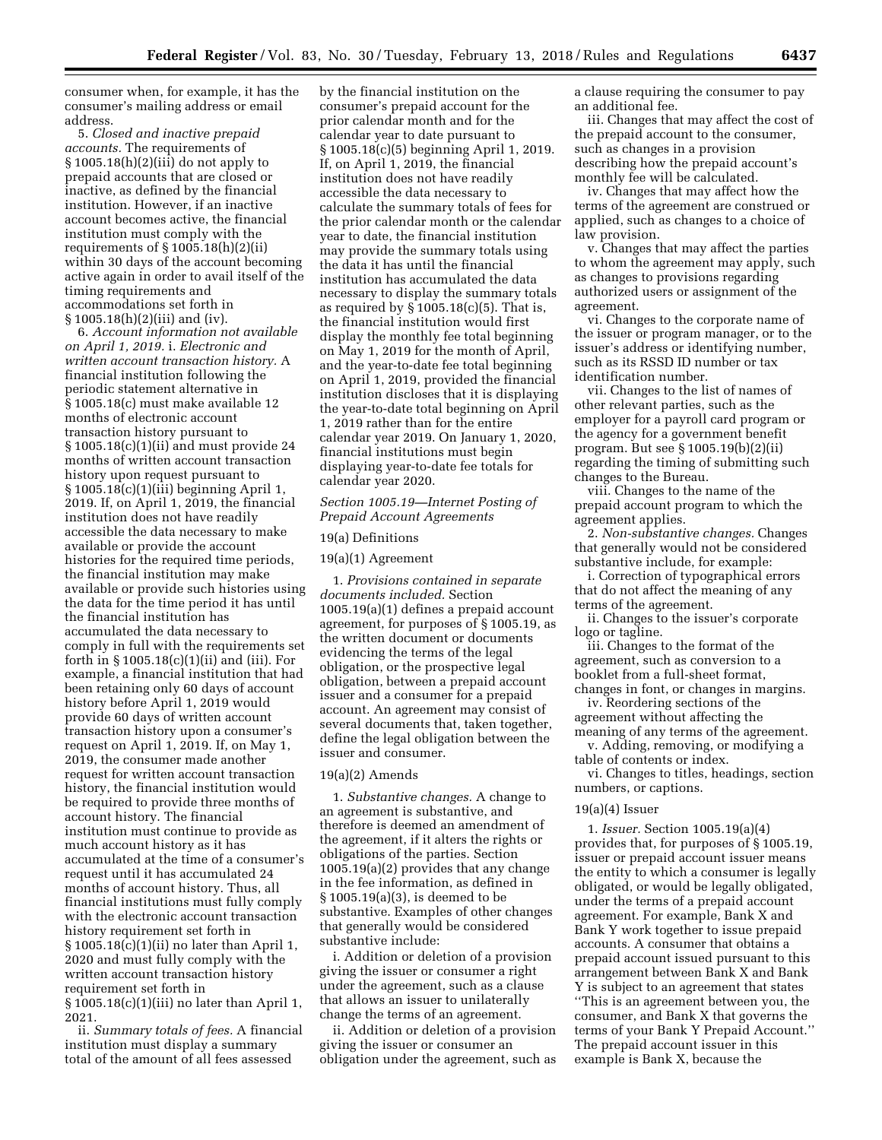consumer when, for example, it has the consumer's mailing address or email address.

5. *Closed and inactive prepaid accounts.* The requirements of § 1005.18(h)(2)(iii) do not apply to prepaid accounts that are closed or inactive, as defined by the financial institution. However, if an inactive account becomes active, the financial institution must comply with the requirements of  $\S 1005.18(h)(2)(ii)$ within 30 days of the account becoming active again in order to avail itself of the timing requirements and accommodations set forth in § 1005.18(h)(2)(iii) and (iv).

6. *Account information not available on April 1, 2019.* i. *Electronic and written account transaction history.* A financial institution following the periodic statement alternative in § 1005.18(c) must make available 12 months of electronic account transaction history pursuant to § 1005.18(c)(1)(ii) and must provide 24 months of written account transaction history upon request pursuant to § 1005.18(c)(1)(iii) beginning April 1, 2019. If, on April 1, 2019, the financial institution does not have readily accessible the data necessary to make available or provide the account histories for the required time periods, the financial institution may make available or provide such histories using the data for the time period it has until the financial institution has accumulated the data necessary to comply in full with the requirements set forth in § 1005.18(c)(1)(ii) and (iii). For example, a financial institution that had been retaining only 60 days of account history before April 1, 2019 would provide 60 days of written account transaction history upon a consumer's request on April 1, 2019. If, on May 1, 2019, the consumer made another request for written account transaction history, the financial institution would be required to provide three months of account history. The financial institution must continue to provide as much account history as it has accumulated at the time of a consumer's request until it has accumulated 24 months of account history. Thus, all financial institutions must fully comply with the electronic account transaction history requirement set forth in § 1005.18(c)(1)(ii) no later than April 1, 2020 and must fully comply with the written account transaction history requirement set forth in § 1005.18(c)(1)(iii) no later than April 1, 2021.

ii. *Summary totals of fees.* A financial institution must display a summary total of the amount of all fees assessed

by the financial institution on the consumer's prepaid account for the prior calendar month and for the calendar year to date pursuant to § 1005.18(c)(5) beginning April 1, 2019. If, on April 1, 2019, the financial institution does not have readily accessible the data necessary to calculate the summary totals of fees for the prior calendar month or the calendar year to date, the financial institution may provide the summary totals using the data it has until the financial institution has accumulated the data necessary to display the summary totals as required by  $\S 1005.18(c)(5)$ . That is, the financial institution would first display the monthly fee total beginning on May 1, 2019 for the month of April, and the year-to-date fee total beginning on April 1, 2019, provided the financial institution discloses that it is displaying the year-to-date total beginning on April 1, 2019 rather than for the entire calendar year 2019. On January 1, 2020, financial institutions must begin displaying year-to-date fee totals for calendar year 2020.

*Section 1005.19—Internet Posting of Prepaid Account Agreements* 

## 19(a) Definitions

19(a)(1) Agreement

1. *Provisions contained in separate documents included.* Section 1005.19(a)(1) defines a prepaid account agreement, for purposes of § 1005.19, as the written document or documents evidencing the terms of the legal obligation, or the prospective legal obligation, between a prepaid account issuer and a consumer for a prepaid account. An agreement may consist of several documents that, taken together, define the legal obligation between the issuer and consumer.

## $19(a)(2)$  Amends

1. *Substantive changes.* A change to an agreement is substantive, and therefore is deemed an amendment of the agreement, if it alters the rights or obligations of the parties. Section 1005.19(a)(2) provides that any change in the fee information, as defined in § 1005.19(a)(3), is deemed to be substantive. Examples of other changes that generally would be considered substantive include:

i. Addition or deletion of a provision giving the issuer or consumer a right under the agreement, such as a clause that allows an issuer to unilaterally change the terms of an agreement.

ii. Addition or deletion of a provision giving the issuer or consumer an obligation under the agreement, such as a clause requiring the consumer to pay an additional fee.

iii. Changes that may affect the cost of the prepaid account to the consumer, such as changes in a provision describing how the prepaid account's monthly fee will be calculated.

iv. Changes that may affect how the terms of the agreement are construed or applied, such as changes to a choice of law provision.

v. Changes that may affect the parties to whom the agreement may apply, such as changes to provisions regarding authorized users or assignment of the agreement.

vi. Changes to the corporate name of the issuer or program manager, or to the issuer's address or identifying number, such as its RSSD ID number or tax identification number.

vii. Changes to the list of names of other relevant parties, such as the employer for a payroll card program or the agency for a government benefit program. But see § 1005.19(b)(2)(ii) regarding the timing of submitting such changes to the Bureau.

viii. Changes to the name of the prepaid account program to which the agreement applies.

2. *Non-substantive changes.* Changes that generally would not be considered substantive include, for example:

i. Correction of typographical errors that do not affect the meaning of any terms of the agreement.

ii. Changes to the issuer's corporate logo or tagline.

iii. Changes to the format of the agreement, such as conversion to a booklet from a full-sheet format, changes in font, or changes in margins.

iv. Reordering sections of the agreement without affecting the

meaning of any terms of the agreement. v. Adding, removing, or modifying a

table of contents or index.

vi. Changes to titles, headings, section numbers, or captions.

## $19(a)(4)$  Issuer

1. *Issuer.* Section 1005.19(a)(4) provides that, for purposes of § 1005.19, issuer or prepaid account issuer means the entity to which a consumer is legally obligated, or would be legally obligated, under the terms of a prepaid account agreement. For example, Bank X and Bank Y work together to issue prepaid accounts. A consumer that obtains a prepaid account issued pursuant to this arrangement between Bank X and Bank Y is subject to an agreement that states ''This is an agreement between you, the consumer, and Bank X that governs the terms of your Bank Y Prepaid Account.'' The prepaid account issuer in this example is Bank X, because the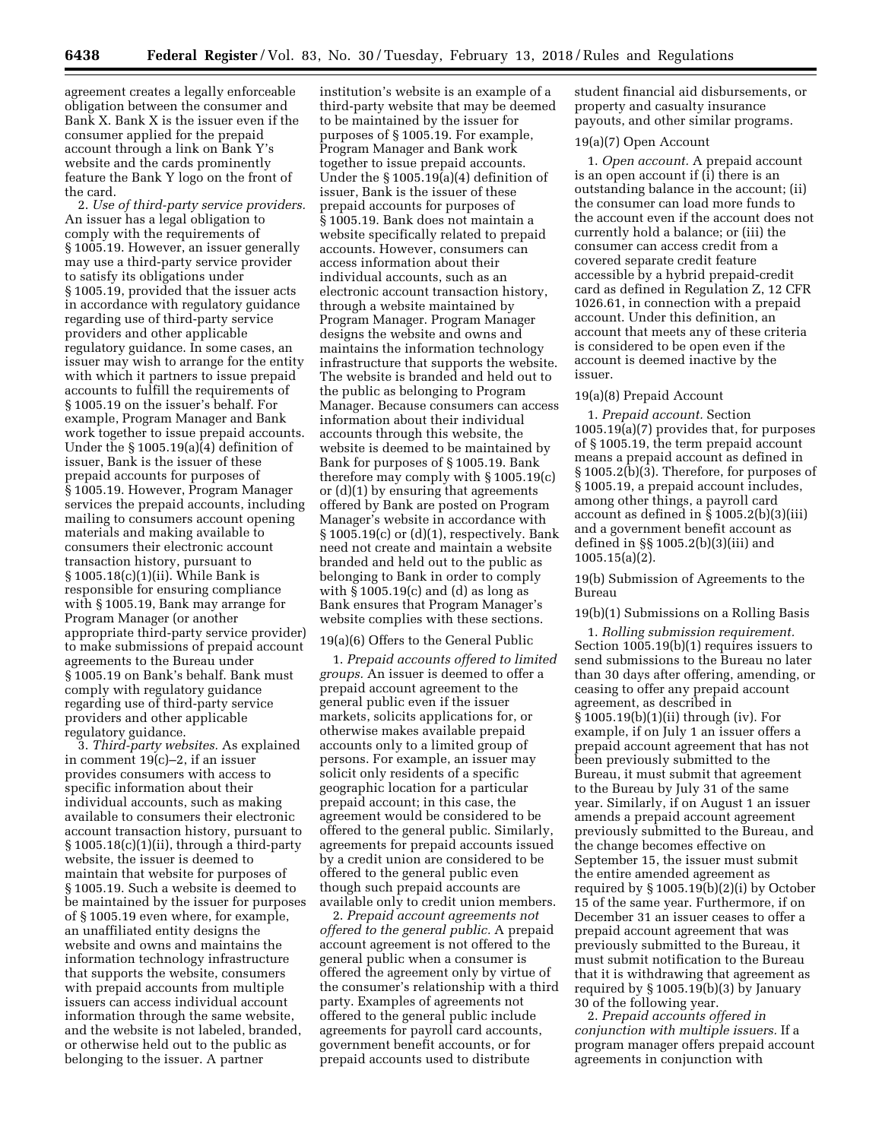agreement creates a legally enforceable obligation between the consumer and Bank X. Bank X is the issuer even if the consumer applied for the prepaid account through a link on Bank Y's website and the cards prominently feature the Bank Y logo on the front of the card.

2. *Use of third-party service providers.*  An issuer has a legal obligation to comply with the requirements of § 1005.19. However, an issuer generally may use a third-party service provider to satisfy its obligations under § 1005.19, provided that the issuer acts in accordance with regulatory guidance regarding use of third-party service providers and other applicable regulatory guidance. In some cases, an issuer may wish to arrange for the entity with which it partners to issue prepaid accounts to fulfill the requirements of § 1005.19 on the issuer's behalf. For example, Program Manager and Bank work together to issue prepaid accounts. Under the § 1005.19(a)(4) definition of issuer, Bank is the issuer of these prepaid accounts for purposes of § 1005.19. However, Program Manager services the prepaid accounts, including mailing to consumers account opening materials and making available to consumers their electronic account transaction history, pursuant to § 1005.18(c)(1)(ii). While Bank is responsible for ensuring compliance with § 1005.19, Bank may arrange for Program Manager (or another appropriate third-party service provider) to make submissions of prepaid account agreements to the Bureau under § 1005.19 on Bank's behalf. Bank must comply with regulatory guidance regarding use of third-party service providers and other applicable regulatory guidance.

3. *Third-party websites.* As explained in comment 19(c)–2, if an issuer provides consumers with access to specific information about their individual accounts, such as making available to consumers their electronic account transaction history, pursuant to  $\S 1005.18(c)(1)(ii)$ , through a third-party website, the issuer is deemed to maintain that website for purposes of § 1005.19. Such a website is deemed to be maintained by the issuer for purposes of § 1005.19 even where, for example, an unaffiliated entity designs the website and owns and maintains the information technology infrastructure that supports the website, consumers with prepaid accounts from multiple issuers can access individual account information through the same website, and the website is not labeled, branded, or otherwise held out to the public as belonging to the issuer. A partner

institution's website is an example of a third-party website that may be deemed to be maintained by the issuer for purposes of § 1005.19. For example, Program Manager and Bank work together to issue prepaid accounts. Under the § 1005.19(a)(4) definition of issuer, Bank is the issuer of these prepaid accounts for purposes of § 1005.19. Bank does not maintain a website specifically related to prepaid accounts. However, consumers can access information about their individual accounts, such as an electronic account transaction history, through a website maintained by Program Manager. Program Manager designs the website and owns and maintains the information technology infrastructure that supports the website. The website is branded and held out to the public as belonging to Program Manager. Because consumers can access information about their individual accounts through this website, the website is deemed to be maintained by Bank for purposes of § 1005.19. Bank therefore may comply with § 1005.19(c) or (d)(1) by ensuring that agreements offered by Bank are posted on Program Manager's website in accordance with § 1005.19(c) or (d)(1), respectively. Bank need not create and maintain a website branded and held out to the public as belonging to Bank in order to comply with  $\S 1005.19(c)$  and (d) as long as Bank ensures that Program Manager's website complies with these sections.

## 19(a)(6) Offers to the General Public

1. *Prepaid accounts offered to limited groups.* An issuer is deemed to offer a prepaid account agreement to the general public even if the issuer markets, solicits applications for, or otherwise makes available prepaid accounts only to a limited group of persons. For example, an issuer may solicit only residents of a specific geographic location for a particular prepaid account; in this case, the agreement would be considered to be offered to the general public. Similarly, agreements for prepaid accounts issued by a credit union are considered to be offered to the general public even though such prepaid accounts are available only to credit union members.

2. *Prepaid account agreements not offered to the general public.* A prepaid account agreement is not offered to the general public when a consumer is offered the agreement only by virtue of the consumer's relationship with a third party. Examples of agreements not offered to the general public include agreements for payroll card accounts, government benefit accounts, or for prepaid accounts used to distribute

student financial aid disbursements, or property and casualty insurance payouts, and other similar programs.

## 19(a)(7) Open Account

1. *Open account.* A prepaid account is an open account if (i) there is an outstanding balance in the account; (ii) the consumer can load more funds to the account even if the account does not currently hold a balance; or (iii) the consumer can access credit from a covered separate credit feature accessible by a hybrid prepaid-credit card as defined in Regulation Z, 12 CFR 1026.61, in connection with a prepaid account. Under this definition, an account that meets any of these criteria is considered to be open even if the account is deemed inactive by the issuer.

## 19(a)(8) Prepaid Account

1. *Prepaid account.* Section 1005.19(a)(7) provides that, for purposes of § 1005.19, the term prepaid account means a prepaid account as defined in § 1005.2(b)(3). Therefore, for purposes of § 1005.19, a prepaid account includes, among other things, a payroll card account as defined in § 1005.2(b)(3)(iii) and a government benefit account as defined in §§ 1005.2(b)(3)(iii) and 1005.15(a)(2).

19(b) Submission of Agreements to the Bureau

19(b)(1) Submissions on a Rolling Basis

1. *Rolling submission requirement.*  Section 1005.19(b)(1) requires issuers to send submissions to the Bureau no later than 30 days after offering, amending, or ceasing to offer any prepaid account agreement, as described in § 1005.19(b)(1)(ii) through (iv). For example, if on July 1 an issuer offers a prepaid account agreement that has not been previously submitted to the Bureau, it must submit that agreement to the Bureau by July 31 of the same year. Similarly, if on August 1 an issuer amends a prepaid account agreement previously submitted to the Bureau, and the change becomes effective on September 15, the issuer must submit the entire amended agreement as required by § 1005.19(b)(2)(i) by October 15 of the same year. Furthermore, if on December 31 an issuer ceases to offer a prepaid account agreement that was previously submitted to the Bureau, it must submit notification to the Bureau that it is withdrawing that agreement as required by § 1005.19(b)(3) by January 30 of the following year.

2. *Prepaid accounts offered in conjunction with multiple issuers.* If a program manager offers prepaid account agreements in conjunction with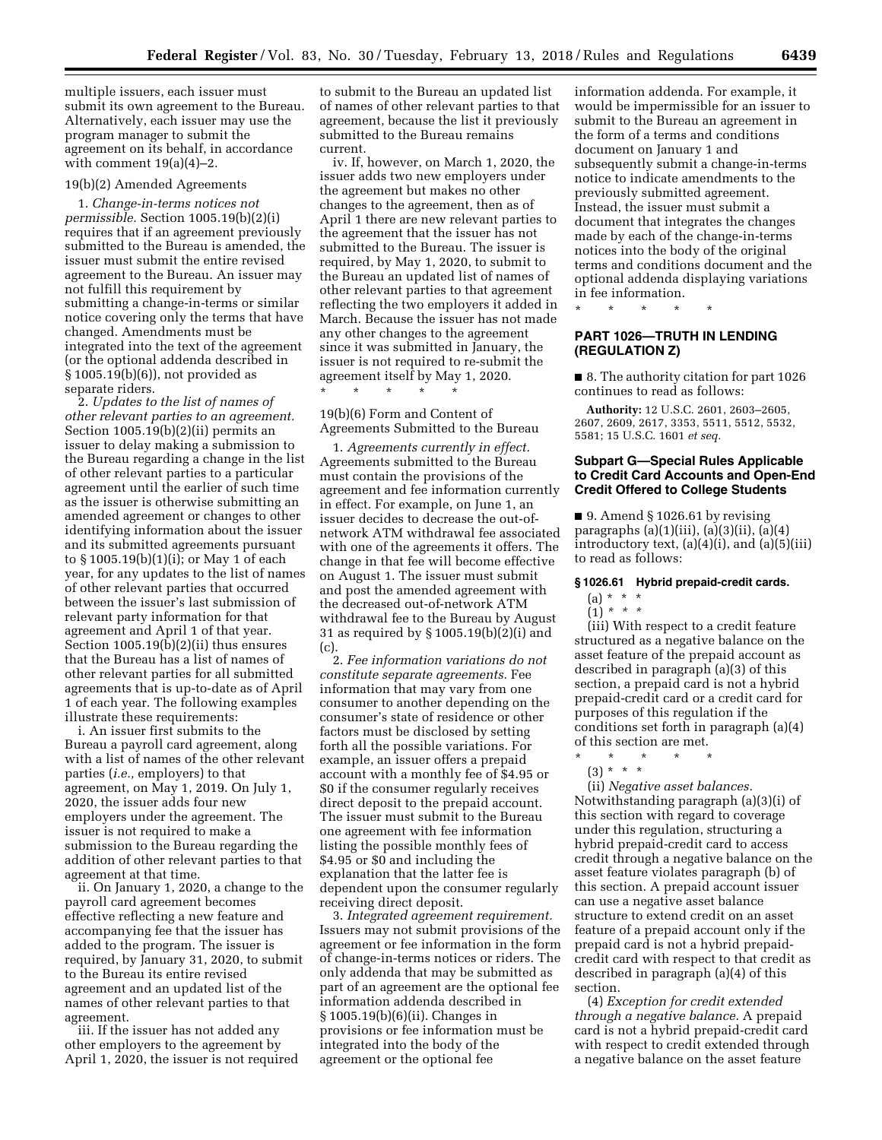multiple issuers, each issuer must submit its own agreement to the Bureau. Alternatively, each issuer may use the program manager to submit the agreement on its behalf, in accordance with comment  $19(a)(4)-2$ .

### 19(b)(2) Amended Agreements

1. *Change-in-terms notices not permissible.* Section 1005.19(b)(2)(i) requires that if an agreement previously submitted to the Bureau is amended, the issuer must submit the entire revised agreement to the Bureau. An issuer may not fulfill this requirement by submitting a change-in-terms or similar notice covering only the terms that have changed. Amendments must be integrated into the text of the agreement (or the optional addenda described in § 1005.19(b)(6)), not provided as separate riders.

2. *Updates to the list of names of other relevant parties to an agreement.*  Section 1005.19(b)(2)(ii) permits an issuer to delay making a submission to the Bureau regarding a change in the list of other relevant parties to a particular agreement until the earlier of such time as the issuer is otherwise submitting an amended agreement or changes to other identifying information about the issuer and its submitted agreements pursuant to § 1005.19(b)(1)(i); or May 1 of each year, for any updates to the list of names of other relevant parties that occurred between the issuer's last submission of relevant party information for that agreement and April 1 of that year. Section 1005.19(b)(2)(ii) thus ensures that the Bureau has a list of names of other relevant parties for all submitted agreements that is up-to-date as of April 1 of each year. The following examples illustrate these requirements:

i. An issuer first submits to the Bureau a payroll card agreement, along with a list of names of the other relevant parties (*i.e.,* employers) to that agreement, on May 1, 2019. On July 1, 2020, the issuer adds four new employers under the agreement. The issuer is not required to make a submission to the Bureau regarding the addition of other relevant parties to that agreement at that time.

ii. On January 1, 2020, a change to the payroll card agreement becomes effective reflecting a new feature and accompanying fee that the issuer has added to the program. The issuer is required, by January 31, 2020, to submit to the Bureau its entire revised agreement and an updated list of the names of other relevant parties to that agreement.

iii. If the issuer has not added any other employers to the agreement by April 1, 2020, the issuer is not required to submit to the Bureau an updated list of names of other relevant parties to that agreement, because the list it previously submitted to the Bureau remains current.

iv. If, however, on March 1, 2020, the issuer adds two new employers under the agreement but makes no other changes to the agreement, then as of April 1 there are new relevant parties to the agreement that the issuer has not submitted to the Bureau. The issuer is required, by May 1, 2020, to submit to the Bureau an updated list of names of other relevant parties to that agreement reflecting the two employers it added in March. Because the issuer has not made any other changes to the agreement since it was submitted in January, the issuer is not required to re-submit the agreement itself by May 1, 2020. \* \* \* \* \*

19(b)(6) Form and Content of Agreements Submitted to the Bureau

1. *Agreements currently in effect.*  Agreements submitted to the Bureau must contain the provisions of the agreement and fee information currently in effect. For example, on June 1, an issuer decides to decrease the out-ofnetwork ATM withdrawal fee associated with one of the agreements it offers. The change in that fee will become effective on August 1. The issuer must submit and post the amended agreement with the decreased out-of-network ATM withdrawal fee to the Bureau by August 31 as required by § 1005.19(b)(2)(i) and (c).

2. *Fee information variations do not constitute separate agreements.* Fee information that may vary from one consumer to another depending on the consumer's state of residence or other factors must be disclosed by setting forth all the possible variations. For example, an issuer offers a prepaid account with a monthly fee of \$4.95 or \$0 if the consumer regularly receives direct deposit to the prepaid account. The issuer must submit to the Bureau one agreement with fee information listing the possible monthly fees of \$4.95 or \$0 and including the explanation that the latter fee is dependent upon the consumer regularly receiving direct deposit.

3. *Integrated agreement requirement.*  Issuers may not submit provisions of the agreement or fee information in the form of change-in-terms notices or riders. The only addenda that may be submitted as part of an agreement are the optional fee information addenda described in § 1005.19(b)(6)(ii). Changes in provisions or fee information must be integrated into the body of the agreement or the optional fee

information addenda. For example, it would be impermissible for an issuer to submit to the Bureau an agreement in the form of a terms and conditions document on January 1 and subsequently submit a change-in-terms notice to indicate amendments to the previously submitted agreement. Instead, the issuer must submit a document that integrates the changes made by each of the change-in-terms notices into the body of the original terms and conditions document and the optional addenda displaying variations in fee information.

## **PART 1026—TRUTH IN LENDING (REGULATION Z)**

\* \* \* \* \*

■ 8. The authority citation for part 1026 continues to read as follows:

**Authority:** 12 U.S.C. 2601, 2603–2605, 2607, 2609, 2617, 3353, 5511, 5512, 5532, 5581; 15 U.S.C. 1601 *et seq.* 

## **Subpart G—Special Rules Applicable to Credit Card Accounts and Open-End Credit Offered to College Students**

■ 9. Amend § 1026.61 by revising paragraphs  $(a)(1)(iii)$ ,  $(a)(3)(ii)$ ,  $(a)(4)$ introductory text, (a)(4)(i), and (a)(5)(iii) to read as follows:

## **§ 1026.61 Hybrid prepaid-credit cards.**

- (a) \* \* \*
- (1) *\* \* \**

(iii) With respect to a credit feature structured as a negative balance on the asset feature of the prepaid account as described in paragraph (a)(3) of this section, a prepaid card is not a hybrid prepaid-credit card or a credit card for purposes of this regulation if the conditions set forth in paragraph (a)(4) of this section are met.

- \* \* \* \* \*
- (3) \* \* \* (ii) *Negative asset balances.*  Notwithstanding paragraph (a)(3)(i) of this section with regard to coverage under this regulation, structuring a hybrid prepaid-credit card to access credit through a negative balance on the asset feature violates paragraph (b) of this section. A prepaid account issuer can use a negative asset balance structure to extend credit on an asset feature of a prepaid account only if the prepaid card is not a hybrid prepaidcredit card with respect to that credit as

described in paragraph (a)(4) of this section. (4) *Exception for credit extended* 

*through a negative balance.* A prepaid card is not a hybrid prepaid-credit card with respect to credit extended through a negative balance on the asset feature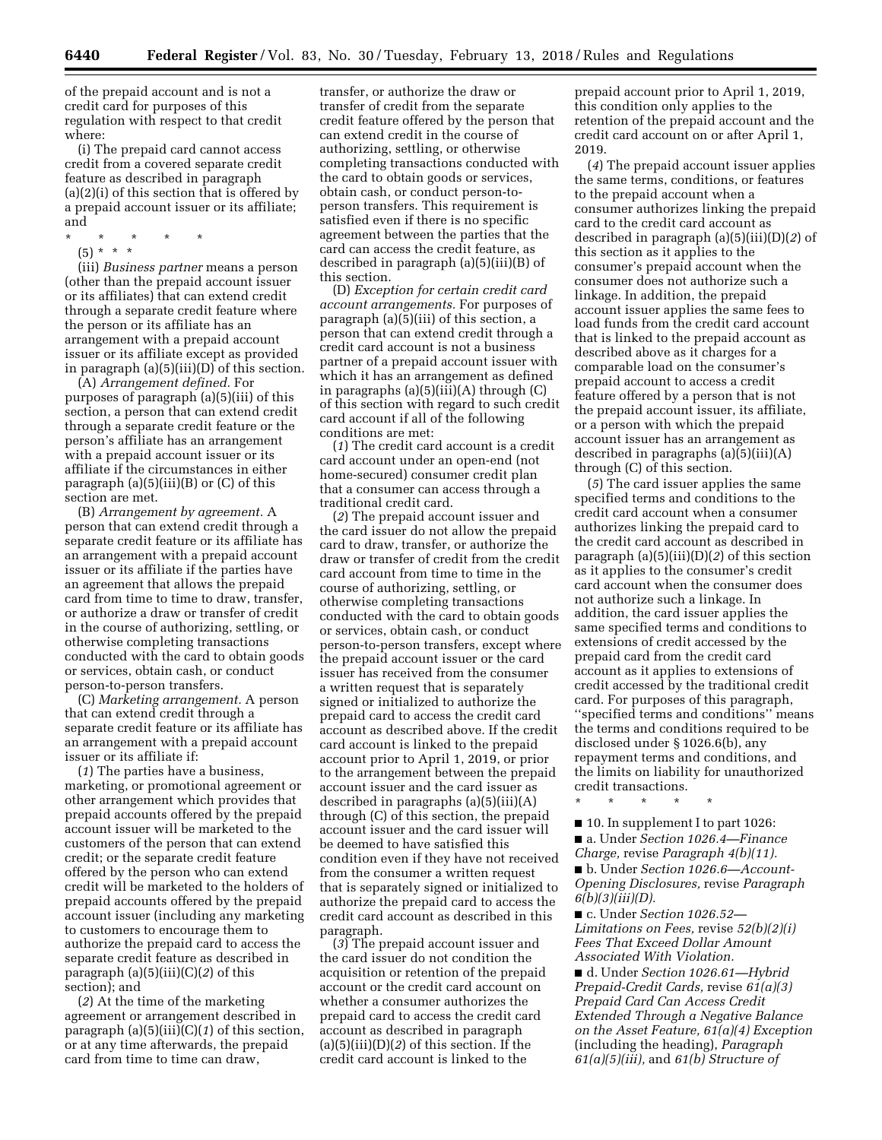of the prepaid account and is not a credit card for purposes of this regulation with respect to that credit where:

(i) The prepaid card cannot access credit from a covered separate credit feature as described in paragraph (a)(2)(i) of this section that is offered by a prepaid account issuer or its affiliate; and

- \* \* \* \* \*
	- (5) \* \* \*

(iii) *Business partner* means a person (other than the prepaid account issuer or its affiliates) that can extend credit through a separate credit feature where the person or its affiliate has an arrangement with a prepaid account issuer or its affiliate except as provided in paragraph (a)(5)(iii)(D) of this section.

(A) *Arrangement defined.* For purposes of paragraph (a)(5)(iii) of this section, a person that can extend credit through a separate credit feature or the person's affiliate has an arrangement with a prepaid account issuer or its affiliate if the circumstances in either paragraph  $(a)(5)(iii)(B)$  or  $(C)$  of this section are met.

(B) *Arrangement by agreement.* A person that can extend credit through a separate credit feature or its affiliate has an arrangement with a prepaid account issuer or its affiliate if the parties have an agreement that allows the prepaid card from time to time to draw, transfer, or authorize a draw or transfer of credit in the course of authorizing, settling, or otherwise completing transactions conducted with the card to obtain goods or services, obtain cash, or conduct person-to-person transfers.

(C) *Marketing arrangement.* A person that can extend credit through a separate credit feature or its affiliate has an arrangement with a prepaid account issuer or its affiliate if:

(*1*) The parties have a business, marketing, or promotional agreement or other arrangement which provides that prepaid accounts offered by the prepaid account issuer will be marketed to the customers of the person that can extend credit; or the separate credit feature offered by the person who can extend credit will be marketed to the holders of prepaid accounts offered by the prepaid account issuer (including any marketing to customers to encourage them to authorize the prepaid card to access the separate credit feature as described in paragraph (a)(5)(iii)(C)(*2*) of this section); and

(*2*) At the time of the marketing agreement or arrangement described in paragraph (a)(5)(iii)(C)(*1*) of this section, or at any time afterwards, the prepaid card from time to time can draw,

transfer, or authorize the draw or transfer of credit from the separate credit feature offered by the person that can extend credit in the course of authorizing, settling, or otherwise completing transactions conducted with the card to obtain goods or services, obtain cash, or conduct person-toperson transfers. This requirement is satisfied even if there is no specific agreement between the parties that the card can access the credit feature, as described in paragraph (a)(5)(iii)(B) of this section.

(D) *Exception for certain credit card account arrangements.* For purposes of paragraph (a)(5)(iii) of this section, a person that can extend credit through a credit card account is not a business partner of a prepaid account issuer with which it has an arrangement as defined in paragraphs (a)(5)(iii)(A) through (C) of this section with regard to such credit card account if all of the following conditions are met:

(*1*) The credit card account is a credit card account under an open-end (not home-secured) consumer credit plan that a consumer can access through a traditional credit card.

(*2*) The prepaid account issuer and the card issuer do not allow the prepaid card to draw, transfer, or authorize the draw or transfer of credit from the credit card account from time to time in the course of authorizing, settling, or otherwise completing transactions conducted with the card to obtain goods or services, obtain cash, or conduct person-to-person transfers, except where the prepaid account issuer or the card issuer has received from the consumer a written request that is separately signed or initialized to authorize the prepaid card to access the credit card account as described above. If the credit card account is linked to the prepaid account prior to April 1, 2019, or prior to the arrangement between the prepaid account issuer and the card issuer as described in paragraphs (a)(5)(iii)(A) through (C) of this section, the prepaid account issuer and the card issuer will be deemed to have satisfied this condition even if they have not received from the consumer a written request that is separately signed or initialized to authorize the prepaid card to access the credit card account as described in this paragraph.

(*3*) The prepaid account issuer and the card issuer do not condition the acquisition or retention of the prepaid account or the credit card account on whether a consumer authorizes the prepaid card to access the credit card account as described in paragraph (a)(5)(iii)(D)(*2*) of this section. If the credit card account is linked to the

prepaid account prior to April 1, 2019, this condition only applies to the retention of the prepaid account and the credit card account on or after April 1, 2019.

(*4*) The prepaid account issuer applies the same terms, conditions, or features to the prepaid account when a consumer authorizes linking the prepaid card to the credit card account as described in paragraph (a)(5)(iii)(D)(*2*) of this section as it applies to the consumer's prepaid account when the consumer does not authorize such a linkage. In addition, the prepaid account issuer applies the same fees to load funds from the credit card account that is linked to the prepaid account as described above as it charges for a comparable load on the consumer's prepaid account to access a credit feature offered by a person that is not the prepaid account issuer, its affiliate, or a person with which the prepaid account issuer has an arrangement as described in paragraphs (a)(5)(iii)(A) through (C) of this section.

(*5*) The card issuer applies the same specified terms and conditions to the credit card account when a consumer authorizes linking the prepaid card to the credit card account as described in paragraph (a)(5)(iii)(D)(*2*) of this section as it applies to the consumer's credit card account when the consumer does not authorize such a linkage. In addition, the card issuer applies the same specified terms and conditions to extensions of credit accessed by the prepaid card from the credit card account as it applies to extensions of credit accessed by the traditional credit card. For purposes of this paragraph, ''specified terms and conditions'' means the terms and conditions required to be disclosed under § 1026.6(b), any repayment terms and conditions, and the limits on liability for unauthorized credit transactions.

\* \* \* \* \*

■ 10. In supplement I to part 1026: ■ a. Under *Section 1026.4—Finance Charge,* revise *Paragraph 4(b)(11).*  ■ b. Under *Section 1026.6—Account-Opening Disclosures,* revise *Paragraph 6(b)(3)(iii)(D).* 

■ c. Under *Section 1026.52— Limitations on Fees,* revise *52(b)(2)(i) Fees That Exceed Dollar Amount Associated With Violation.* 

■ d. Under *Section 1026.61—Hybrid Prepaid-Credit Cards,* revise *61(a)(3) Prepaid Card Can Access Credit Extended Through a Negative Balance on the Asset Feature, 61(a)(4) Exception*  (including the heading), *Paragraph 61(a)(5)(iii),* and *61(b) Structure of*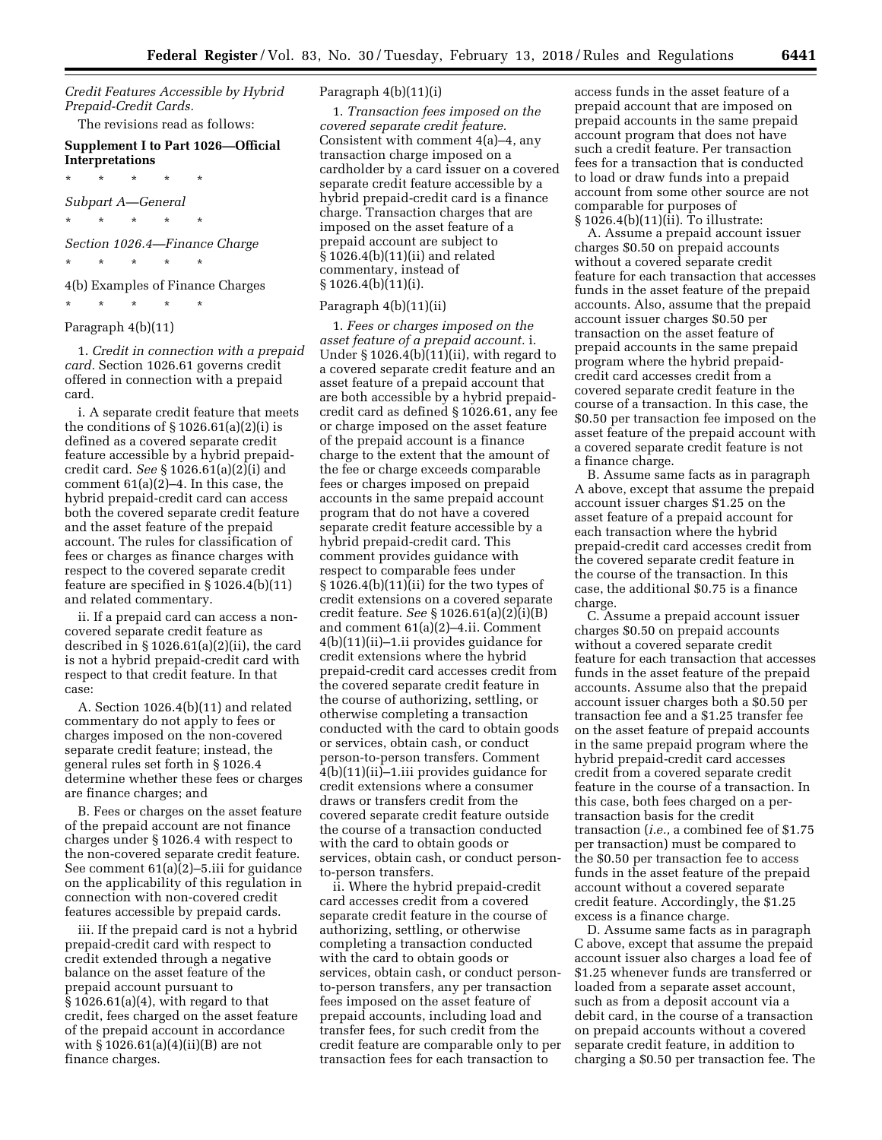*Credit Features Accessible by Hybrid Prepaid-Credit Cards.* 

The revisions read as follows:

## **Supplement I to Part 1026—Official Interpretations**

\* \* \* \* \*

\* \* \* \* \*

*Subpart A—General* 

*Section 1026.4—Finance Charge* 

\* \* \* \* \*

4(b) Examples of Finance Charges

# \* \* \* \* \*

# Paragraph 4(b)(11)

1. *Credit in connection with a prepaid card.* Section 1026.61 governs credit offered in connection with a prepaid card.

i. A separate credit feature that meets the conditions of  $\S 1026.61(a)(2)(i)$  is defined as a covered separate credit feature accessible by a hybrid prepaidcredit card. *See* § 1026.61(a)(2)(i) and comment 61(a)(2)–4. In this case, the hybrid prepaid-credit card can access both the covered separate credit feature and the asset feature of the prepaid account. The rules for classification of fees or charges as finance charges with respect to the covered separate credit feature are specified in § 1026.4(b)(11) and related commentary.

ii. If a prepaid card can access a noncovered separate credit feature as described in  $\S 1026.61(a)(2)(ii)$ , the card is not a hybrid prepaid-credit card with respect to that credit feature. In that case:

A. Section 1026.4(b)(11) and related commentary do not apply to fees or charges imposed on the non-covered separate credit feature; instead, the general rules set forth in § 1026.4 determine whether these fees or charges are finance charges; and

B. Fees or charges on the asset feature of the prepaid account are not finance charges under § 1026.4 with respect to the non-covered separate credit feature. See comment 61(a)(2)–5.iii for guidance on the applicability of this regulation in connection with non-covered credit features accessible by prepaid cards.

iii. If the prepaid card is not a hybrid prepaid-credit card with respect to credit extended through a negative balance on the asset feature of the prepaid account pursuant to § 1026.61(a)(4), with regard to that credit, fees charged on the asset feature of the prepaid account in accordance with § 1026.61(a)(4)(ii)(B) are not finance charges.

## Paragraph 4(b)(11)(i)

1. *Transaction fees imposed on the covered separate credit feature.*  Consistent with comment 4(a)–4, any transaction charge imposed on a cardholder by a card issuer on a covered separate credit feature accessible by a hybrid prepaid-credit card is a finance charge. Transaction charges that are imposed on the asset feature of a prepaid account are subject to § 1026.4(b)(11)(ii) and related commentary, instead of § 1026.4(b)(11)(i).

## Paragraph 4(b)(11)(ii)

1. *Fees or charges imposed on the asset feature of a prepaid account.* i. Under § 1026.4(b)(11)(ii), with regard to a covered separate credit feature and an asset feature of a prepaid account that are both accessible by a hybrid prepaidcredit card as defined § 1026.61, any fee or charge imposed on the asset feature of the prepaid account is a finance charge to the extent that the amount of the fee or charge exceeds comparable fees or charges imposed on prepaid accounts in the same prepaid account program that do not have a covered separate credit feature accessible by a hybrid prepaid-credit card. This comment provides guidance with respect to comparable fees under § 1026.4(b)(11)(ii) for the two types of credit extensions on a covered separate credit feature. *See* § 1026.61(a)(2)(i)(B) and comment 61(a)(2)–4.ii. Comment 4(b)(11)(ii)–1.ii provides guidance for credit extensions where the hybrid prepaid-credit card accesses credit from the covered separate credit feature in the course of authorizing, settling, or otherwise completing a transaction conducted with the card to obtain goods or services, obtain cash, or conduct person-to-person transfers. Comment 4(b)(11)(ii)–1.iii provides guidance for credit extensions where a consumer draws or transfers credit from the covered separate credit feature outside the course of a transaction conducted with the card to obtain goods or services, obtain cash, or conduct personto-person transfers.

ii. Where the hybrid prepaid-credit card accesses credit from a covered separate credit feature in the course of authorizing, settling, or otherwise completing a transaction conducted with the card to obtain goods or services, obtain cash, or conduct personto-person transfers, any per transaction fees imposed on the asset feature of prepaid accounts, including load and transfer fees, for such credit from the credit feature are comparable only to per transaction fees for each transaction to

access funds in the asset feature of a prepaid account that are imposed on prepaid accounts in the same prepaid account program that does not have such a credit feature. Per transaction fees for a transaction that is conducted to load or draw funds into a prepaid account from some other source are not comparable for purposes of  $§ 1026.4(b)(11)(ii)$ . To illustrate:

A. Assume a prepaid account issuer charges \$0.50 on prepaid accounts without a covered separate credit feature for each transaction that accesses funds in the asset feature of the prepaid accounts. Also, assume that the prepaid account issuer charges \$0.50 per transaction on the asset feature of prepaid accounts in the same prepaid program where the hybrid prepaidcredit card accesses credit from a covered separate credit feature in the course of a transaction. In this case, the \$0.50 per transaction fee imposed on the asset feature of the prepaid account with a covered separate credit feature is not a finance charge.

B. Assume same facts as in paragraph A above, except that assume the prepaid account issuer charges \$1.25 on the asset feature of a prepaid account for each transaction where the hybrid prepaid-credit card accesses credit from the covered separate credit feature in the course of the transaction. In this case, the additional \$0.75 is a finance charge.

C. Assume a prepaid account issuer charges \$0.50 on prepaid accounts without a covered separate credit feature for each transaction that accesses funds in the asset feature of the prepaid accounts. Assume also that the prepaid account issuer charges both a \$0.50 per transaction fee and a \$1.25 transfer fee on the asset feature of prepaid accounts in the same prepaid program where the hybrid prepaid-credit card accesses credit from a covered separate credit feature in the course of a transaction. In this case, both fees charged on a pertransaction basis for the credit transaction (*i.e.,* a combined fee of \$1.75 per transaction) must be compared to the \$0.50 per transaction fee to access funds in the asset feature of the prepaid account without a covered separate credit feature. Accordingly, the \$1.25 excess is a finance charge.

D. Assume same facts as in paragraph C above, except that assume the prepaid account issuer also charges a load fee of \$1.25 whenever funds are transferred or loaded from a separate asset account, such as from a deposit account via a debit card, in the course of a transaction on prepaid accounts without a covered separate credit feature, in addition to charging a \$0.50 per transaction fee. The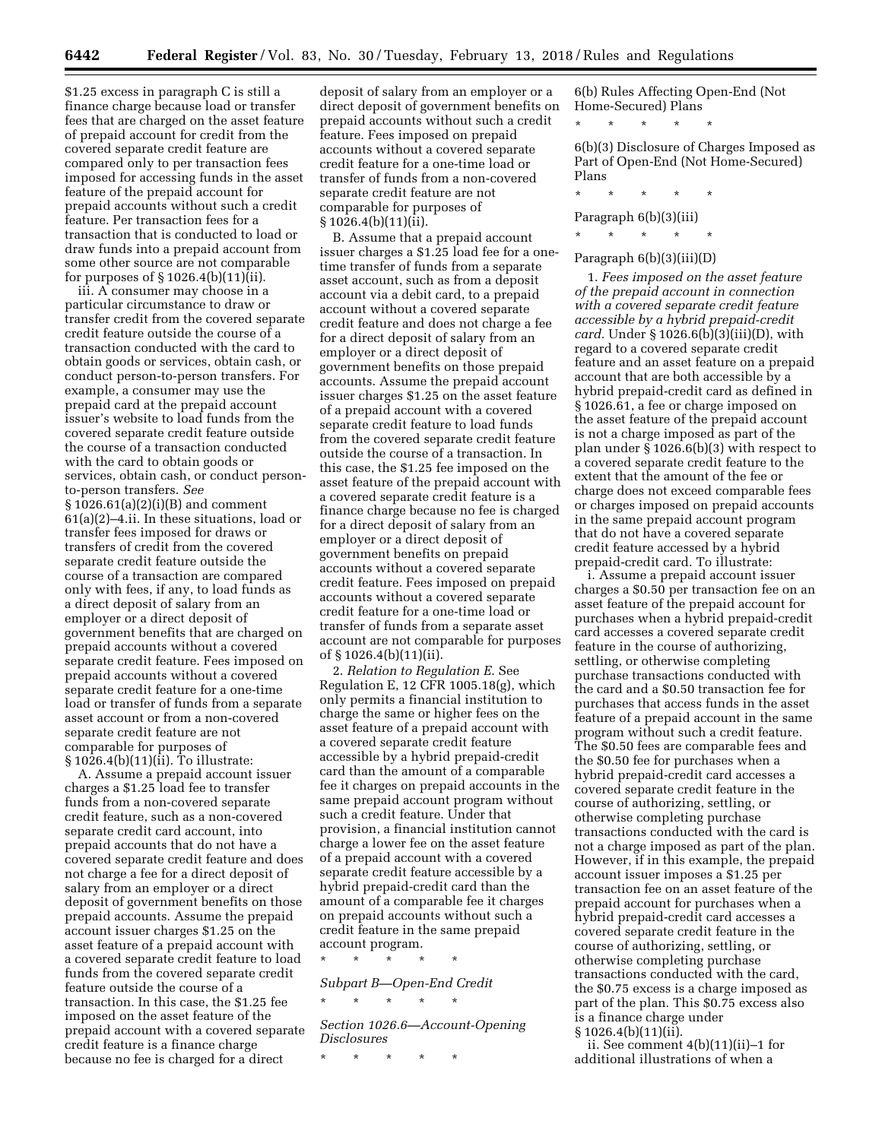\$1.25 excess in paragraph C is still a finance charge because load or transfer fees that are charged on the asset feature of prepaid account for credit from the covered separate credit feature are compared only to per transaction fees imposed for accessing funds in the asset feature of the prepaid account for prepaid accounts without such a credit feature. Per transaction fees for a transaction that is conducted to load or draw funds into a prepaid account from some other source are not comparable for purposes of § 1026.4(b)(11)(ii).

iii. A consumer may choose in a particular circumstance to draw or transfer credit from the covered separate credit feature outside the course of a transaction conducted with the card to obtain goods or services, obtain cash, or conduct person-to-person transfers. For example, a consumer may use the prepaid card at the prepaid account issuer's website to load funds from the covered separate credit feature outside the course of a transaction conducted with the card to obtain goods or services, obtain cash, or conduct personto-person transfers. *See*  § 1026.61(a)(2)(i)(B) and comment 61(a)(2)–4.ii. In these situations, load or transfer fees imposed for draws or transfers of credit from the covered separate credit feature outside the course of a transaction are compared only with fees, if any, to load funds as a direct deposit of salary from an employer or a direct deposit of government benefits that are charged on prepaid accounts without a covered separate credit feature. Fees imposed on prepaid accounts without a covered separate credit feature for a one-time load or transfer of funds from a separate asset account or from a non-covered separate credit feature are not comparable for purposes of  $§ 1026.4(b)(11)(i)$ . To illustrate:

A. Assume a prepaid account issuer charges a \$1.25 load fee to transfer funds from a non-covered separate credit feature, such as a non-covered separate credit card account, into prepaid accounts that do not have a covered separate credit feature and does not charge a fee for a direct deposit of salary from an employer or a direct deposit of government benefits on those prepaid accounts. Assume the prepaid account issuer charges \$1.25 on the asset feature of a prepaid account with a covered separate credit feature to load funds from the covered separate credit feature outside the course of a transaction. In this case, the \$1.25 fee imposed on the asset feature of the prepaid account with a covered separate credit feature is a finance charge because no fee is charged for a direct

deposit of salary from an employer or a direct deposit of government benefits on prepaid accounts without such a credit feature. Fees imposed on prepaid accounts without a covered separate credit feature for a one-time load or transfer of funds from a non-covered separate credit feature are not comparable for purposes of § 1026.4(b)(11)(ii).

B. Assume that a prepaid account issuer charges a \$1.25 load fee for a onetime transfer of funds from a separate asset account, such as from a deposit account via a debit card, to a prepaid account without a covered separate credit feature and does not charge a fee for a direct deposit of salary from an employer or a direct deposit of government benefits on those prepaid accounts. Assume the prepaid account issuer charges \$1.25 on the asset feature of a prepaid account with a covered separate credit feature to load funds from the covered separate credit feature outside the course of a transaction. In this case, the \$1.25 fee imposed on the asset feature of the prepaid account with a covered separate credit feature is a finance charge because no fee is charged for a direct deposit of salary from an employer or a direct deposit of government benefits on prepaid accounts without a covered separate credit feature. Fees imposed on prepaid accounts without a covered separate credit feature for a one-time load or transfer of funds from a separate asset account are not comparable for purposes of § 1026.4(b)(11)(ii).

2. *Relation to Regulation E.* See Regulation E, 12 CFR 1005.18(g), which only permits a financial institution to charge the same or higher fees on the asset feature of a prepaid account with a covered separate credit feature accessible by a hybrid prepaid-credit card than the amount of a comparable fee it charges on prepaid accounts in the same prepaid account program without such a credit feature. Under that provision, a financial institution cannot charge a lower fee on the asset feature of a prepaid account with a covered separate credit feature accessible by a hybrid prepaid-credit card than the amount of a comparable fee it charges on prepaid accounts without such a credit feature in the same prepaid account program.

\* \* \* \* \*

*Subpart B—Open-End Credit*  \* \* \* \* \*

*Section 1026.6—Account-Opening Disclosures* 

\* \* \* \* \*

6(b) Rules Affecting Open-End (Not Home-Secured) Plans

\* \* \* \* \*

6(b)(3) Disclosure of Charges Imposed as Part of Open-End (Not Home-Secured) Plans

\* \* \* \* \*

Paragraph 6(b)(3)(iii)

\* \* \* \* \*

## Paragraph 6(b)(3)(iii)(D)

1. *Fees imposed on the asset feature of the prepaid account in connection with a covered separate credit feature accessible by a hybrid prepaid-credit card.* Under § 1026.6(b)(3)(iii)(D), with regard to a covered separate credit feature and an asset feature on a prepaid account that are both accessible by a hybrid prepaid-credit card as defined in § 1026.61, a fee or charge imposed on the asset feature of the prepaid account is not a charge imposed as part of the plan under § 1026.6(b)(3) with respect to a covered separate credit feature to the extent that the amount of the fee or charge does not exceed comparable fees or charges imposed on prepaid accounts in the same prepaid account program that do not have a covered separate credit feature accessed by a hybrid prepaid-credit card. To illustrate:

i. Assume a prepaid account issuer charges a \$0.50 per transaction fee on an asset feature of the prepaid account for purchases when a hybrid prepaid-credit card accesses a covered separate credit feature in the course of authorizing, settling, or otherwise completing purchase transactions conducted with the card and a \$0.50 transaction fee for purchases that access funds in the asset feature of a prepaid account in the same program without such a credit feature. The \$0.50 fees are comparable fees and the \$0.50 fee for purchases when a hybrid prepaid-credit card accesses a covered separate credit feature in the course of authorizing, settling, or otherwise completing purchase transactions conducted with the card is not a charge imposed as part of the plan. However, if in this example, the prepaid account issuer imposes a \$1.25 per transaction fee on an asset feature of the prepaid account for purchases when a hybrid prepaid-credit card accesses a covered separate credit feature in the course of authorizing, settling, or otherwise completing purchase transactions conducted with the card, the \$0.75 excess is a charge imposed as part of the plan. This \$0.75 excess also is a finance charge under § 1026.4(b)(11)(ii).

ii. See comment 4(b)(11)(ii)–1 for additional illustrations of when a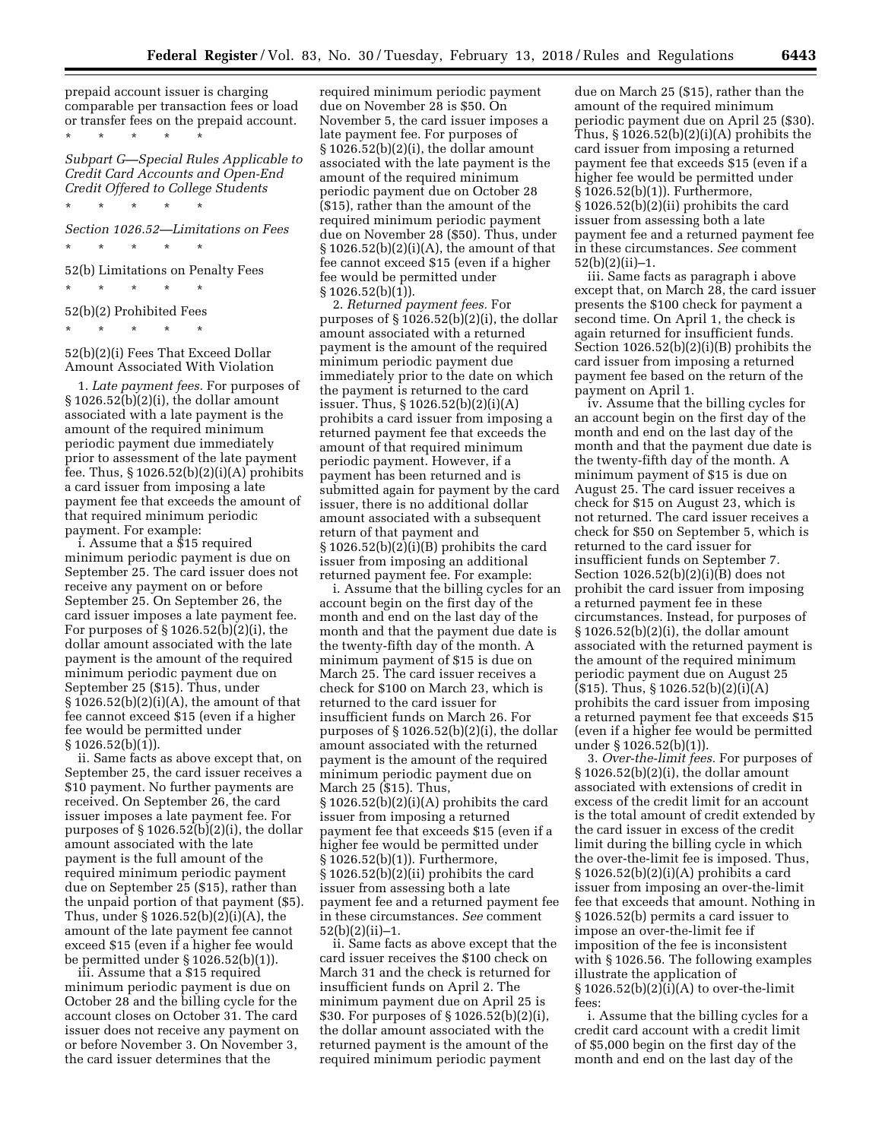prepaid account issuer is charging comparable per transaction fees or load or transfer fees on the prepaid account. \* \* \* \* \*

*Subpart G—Special Rules Applicable to Credit Card Accounts and Open-End Credit Offered to College Students* 

*Section 1026.52—Limitations on Fees* 

\* \* \* \* \*

52(b) Limitations on Penalty Fees

\* \* \* \* \*

\* \* \* \* \*

52(b)(2) Prohibited Fees \* \* \* \* \*

52(b)(2)(i) Fees That Exceed Dollar Amount Associated With Violation

1. *Late payment fees.* For purposes of § 1026.52(b)(2)(i), the dollar amount associated with a late payment is the amount of the required minimum periodic payment due immediately prior to assessment of the late payment fee. Thus,  $\S 1026.52(b)(2)(i)(A)$  prohibits a card issuer from imposing a late payment fee that exceeds the amount of that required minimum periodic payment. For example:

i. Assume that a \$15 required minimum periodic payment is due on September 25. The card issuer does not receive any payment on or before September 25. On September 26, the card issuer imposes a late payment fee. For purposes of  $\S 1026.52(b)(2)(i)$ , the dollar amount associated with the late payment is the amount of the required minimum periodic payment due on September 25 (\$15). Thus, under  $§ 1026.52(b)(2)(i)(A)$ , the amount of that fee cannot exceed \$15 (even if a higher fee would be permitted under  $§ 1026.52(b)(1)$ .

ii. Same facts as above except that, on September 25, the card issuer receives a \$10 payment. No further payments are received. On September 26, the card issuer imposes a late payment fee. For purposes of  $\S 1026.52(b)(2)(i)$ , the dollar amount associated with the late payment is the full amount of the required minimum periodic payment due on September 25 (\$15), rather than the unpaid portion of that payment (\$5). Thus, under § 1026.52(b)(2)(i)(A), the amount of the late payment fee cannot exceed \$15 (even if a higher fee would be permitted under § 1026.52(b)(1)).

iii. Assume that a \$15 required minimum periodic payment is due on October 28 and the billing cycle for the account closes on October 31. The card issuer does not receive any payment on or before November 3. On November 3, the card issuer determines that the

required minimum periodic payment due on November 28 is \$50. On November 5, the card issuer imposes a late payment fee. For purposes of  $§ 1026.52(b)(2)(i)$ , the dollar amount associated with the late payment is the amount of the required minimum periodic payment due on October 28 (\$15), rather than the amount of the required minimum periodic payment due on November 28 (\$50). Thus, under  $\S 1026.52(b)(2)(i)(A)$ , the amount of that fee cannot exceed \$15 (even if a higher fee would be permitted under § 1026.52(b)(1)).

2. *Returned payment fees.* For purposes of § 1026.52(b)(2)(i), the dollar amount associated with a returned payment is the amount of the required minimum periodic payment due immediately prior to the date on which the payment is returned to the card issuer. Thus, § 1026.52(b)(2)(i)(A) prohibits a card issuer from imposing a returned payment fee that exceeds the amount of that required minimum periodic payment. However, if a payment has been returned and is submitted again for payment by the card issuer, there is no additional dollar amount associated with a subsequent return of that payment and  $\S 1026.52(b)(2)(i)(B)$  prohibits the card issuer from imposing an additional returned payment fee. For example:

i. Assume that the billing cycles for an account begin on the first day of the month and end on the last day of the month and that the payment due date is the twenty-fifth day of the month. A minimum payment of \$15 is due on March 25. The card issuer receives a check for \$100 on March 23, which is returned to the card issuer for insufficient funds on March 26. For purposes of  $\S 1026.52(b)(2)(i)$ , the dollar amount associated with the returned payment is the amount of the required minimum periodic payment due on March 25 (\$15). Thus,  $§ 1026.52(b)(2)(i)(A)$  prohibits the card issuer from imposing a returned payment fee that exceeds \$15 (even if a higher fee would be permitted under § 1026.52(b)(1)). Furthermore, § 1026.52(b)(2)(ii) prohibits the card issuer from assessing both a late payment fee and a returned payment fee in these circumstances. *See* comment 52(b)(2)(ii)–1.

ii. Same facts as above except that the card issuer receives the \$100 check on March 31 and the check is returned for insufficient funds on April 2. The minimum payment due on April 25 is \$30. For purposes of § 1026.52(b)(2)(i), the dollar amount associated with the returned payment is the amount of the required minimum periodic payment

due on March 25 (\$15), rather than the amount of the required minimum periodic payment due on April 25 (\$30). Thus,  $\S 1026.52(b)(2)(i)(A)$  prohibits the card issuer from imposing a returned payment fee that exceeds \$15 (even if a higher fee would be permitted under § 1026.52(b)(1)). Furthermore, § 1026.52(b)(2)(ii) prohibits the card issuer from assessing both a late payment fee and a returned payment fee in these circumstances. *See* comment 52(b)(2)(ii)–1.

iii. Same facts as paragraph i above except that, on March 28, the card issuer presents the \$100 check for payment a second time. On April 1, the check is again returned for insufficient funds. Section 1026.52(b)(2)(i)(B) prohibits the card issuer from imposing a returned payment fee based on the return of the payment on April 1.

iv. Assume that the billing cycles for an account begin on the first day of the month and end on the last day of the month and that the payment due date is the twenty-fifth day of the month. A minimum payment of \$15 is due on August 25. The card issuer receives a check for \$15 on August 23, which is not returned. The card issuer receives a check for \$50 on September 5, which is returned to the card issuer for insufficient funds on September 7. Section 1026.52(b)(2)(i)(B) does not prohibit the card issuer from imposing a returned payment fee in these circumstances. Instead, for purposes of § 1026.52(b)(2)(i), the dollar amount associated with the returned payment is the amount of the required minimum periodic payment due on August 25  $($15)$ . Thus,  $$1026.52(b)(2)(i)(A)$ prohibits the card issuer from imposing a returned payment fee that exceeds \$15 (even if a higher fee would be permitted under § 1026.52(b)(1)).

3. *Over-the-limit fees.* For purposes of § 1026.52(b)(2)(i), the dollar amount associated with extensions of credit in excess of the credit limit for an account is the total amount of credit extended by the card issuer in excess of the credit limit during the billing cycle in which the over-the-limit fee is imposed. Thus,  $\S 1026.52(b)(2)(i)(A)$  prohibits a card issuer from imposing an over-the-limit fee that exceeds that amount. Nothing in § 1026.52(b) permits a card issuer to impose an over-the-limit fee if imposition of the fee is inconsistent with § 1026.56. The following examples illustrate the application of § 1026.52(b)(2)(i)(A) to over-the-limit fees:

i. Assume that the billing cycles for a credit card account with a credit limit of \$5,000 begin on the first day of the month and end on the last day of the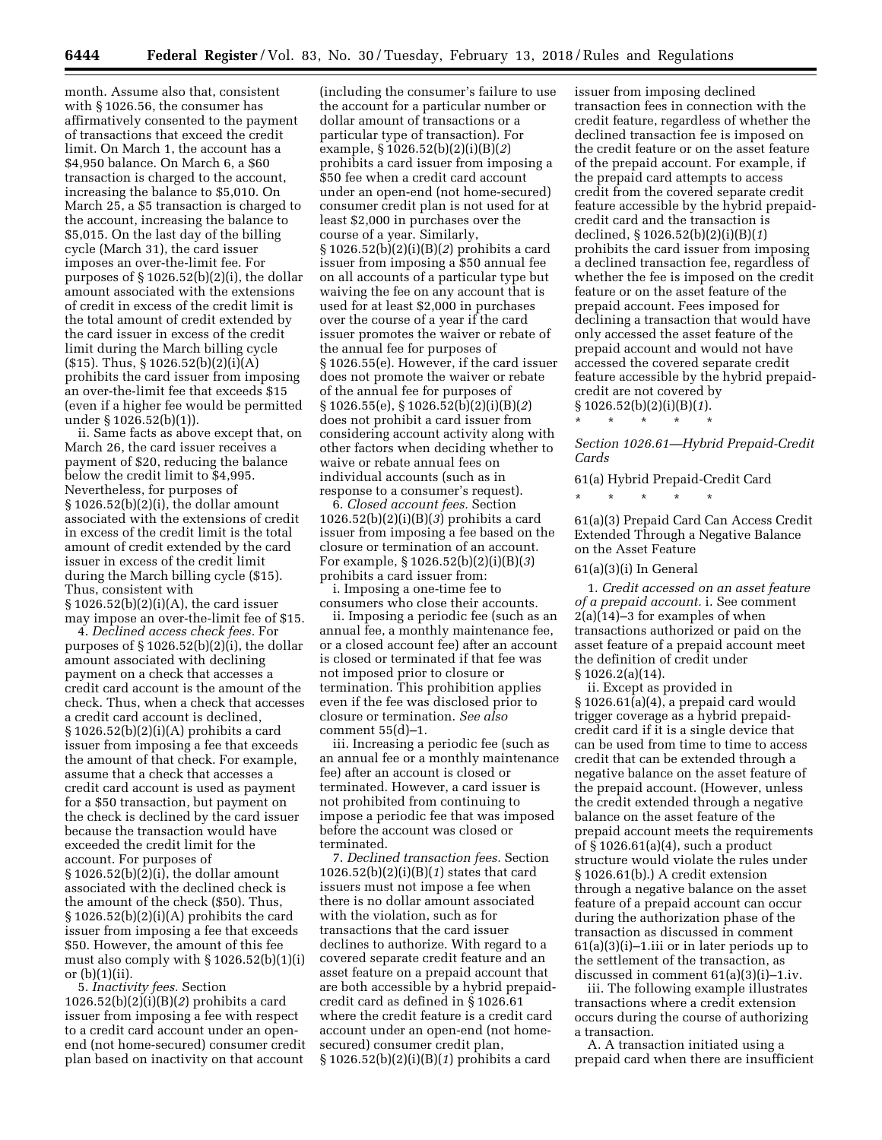month. Assume also that, consistent with § 1026.56, the consumer has affirmatively consented to the payment of transactions that exceed the credit limit. On March 1, the account has a \$4,950 balance. On March 6, a \$60 transaction is charged to the account, increasing the balance to \$5,010. On March 25, a \$5 transaction is charged to the account, increasing the balance to \$5,015. On the last day of the billing cycle (March 31), the card issuer imposes an over-the-limit fee. For purposes of § 1026.52(b)(2)(i), the dollar amount associated with the extensions of credit in excess of the credit limit is the total amount of credit extended by the card issuer in excess of the credit limit during the March billing cycle (\$15). Thus, § 1026.52(b)(2)(i)(A) prohibits the card issuer from imposing an over-the-limit fee that exceeds \$15 (even if a higher fee would be permitted under § 1026.52(b)(1)).

ii. Same facts as above except that, on March 26, the card issuer receives a payment of \$20, reducing the balance below the credit limit to \$4,995. Nevertheless, for purposes of § 1026.52(b)(2)(i), the dollar amount associated with the extensions of credit in excess of the credit limit is the total amount of credit extended by the card issuer in excess of the credit limit during the March billing cycle (\$15). Thus, consistent with § 1026.52(b)(2)(i)(A), the card issuer may impose an over-the-limit fee of \$15.

4. *Declined access check fees.* For purposes of  $\S 1026.52(b)(2)(i)$ , the dollar amount associated with declining payment on a check that accesses a credit card account is the amount of the check. Thus, when a check that accesses a credit card account is declined, § 1026.52(b)(2)(i)(A) prohibits a card issuer from imposing a fee that exceeds the amount of that check. For example, assume that a check that accesses a credit card account is used as payment for a \$50 transaction, but payment on the check is declined by the card issuer because the transaction would have exceeded the credit limit for the account. For purposes of  $§ 1026.52(b)(2)(i)$ , the dollar amount associated with the declined check is the amount of the check (\$50). Thus, § 1026.52(b)(2)(i)(A) prohibits the card issuer from imposing a fee that exceeds \$50. However, the amount of this fee must also comply with § 1026.52(b)(1)(i) or (b)(1)(ii).

5. *Inactivity fees.* Section 1026.52(b)(2)(i)(B)(*2*) prohibits a card issuer from imposing a fee with respect to a credit card account under an openend (not home-secured) consumer credit plan based on inactivity on that account

(including the consumer's failure to use the account for a particular number or dollar amount of transactions or a particular type of transaction). For example, § 1026.52(b)(2)(i)(B)(*2*) prohibits a card issuer from imposing a \$50 fee when a credit card account under an open-end (not home-secured) consumer credit plan is not used for at least \$2,000 in purchases over the course of a year. Similarly, § 1026.52(b)(2)(i)(B)(*2*) prohibits a card issuer from imposing a \$50 annual fee on all accounts of a particular type but waiving the fee on any account that is used for at least \$2,000 in purchases over the course of a year if the card issuer promotes the waiver or rebate of the annual fee for purposes of § 1026.55(e). However, if the card issuer does not promote the waiver or rebate of the annual fee for purposes of § 1026.55(e), § 1026.52(b)(2)(i)(B)(*2*) does not prohibit a card issuer from considering account activity along with other factors when deciding whether to waive or rebate annual fees on individual accounts (such as in response to a consumer's request).

6. *Closed account fees.* Section 1026.52(b)(2)(i)(B)(*3*) prohibits a card issuer from imposing a fee based on the closure or termination of an account. For example, § 1026.52(b)(2)(i)(B)(*3*) prohibits a card issuer from:

i. Imposing a one-time fee to consumers who close their accounts.

ii. Imposing a periodic fee (such as an annual fee, a monthly maintenance fee, or a closed account fee) after an account is closed or terminated if that fee was not imposed prior to closure or termination. This prohibition applies even if the fee was disclosed prior to closure or termination. *See also*  comment  $55(d)-1$ .

iii. Increasing a periodic fee (such as an annual fee or a monthly maintenance fee) after an account is closed or terminated. However, a card issuer is not prohibited from continuing to impose a periodic fee that was imposed before the account was closed or terminated.

7. *Declined transaction fees.* Section 1026.52(b)(2)(i)(B)(*1*) states that card issuers must not impose a fee when there is no dollar amount associated with the violation, such as for transactions that the card issuer declines to authorize. With regard to a covered separate credit feature and an asset feature on a prepaid account that are both accessible by a hybrid prepaidcredit card as defined in § 1026.61 where the credit feature is a credit card account under an open-end (not homesecured) consumer credit plan, § 1026.52(b)(2)(i)(B)(*1*) prohibits a card

issuer from imposing declined transaction fees in connection with the credit feature, regardless of whether the declined transaction fee is imposed on the credit feature or on the asset feature of the prepaid account. For example, if the prepaid card attempts to access credit from the covered separate credit feature accessible by the hybrid prepaidcredit card and the transaction is declined, § 1026.52(b)(2)(i)(B)(*1*) prohibits the card issuer from imposing a declined transaction fee, regardless of whether the fee is imposed on the credit feature or on the asset feature of the prepaid account. Fees imposed for declining a transaction that would have only accessed the asset feature of the prepaid account and would not have accessed the covered separate credit feature accessible by the hybrid prepaidcredit are not covered by § 1026.52(b)(2)(i)(B)(*1*).

\* \* \* \* \*

*Section 1026.61—Hybrid Prepaid-Credit Cards* 

61(a) Hybrid Prepaid-Credit Card

\* \* \* \* \*

61(a)(3) Prepaid Card Can Access Credit Extended Through a Negative Balance on the Asset Feature

## 61(a)(3)(i) In General

1. *Credit accessed on an asset feature of a prepaid account.* i. See comment  $2(a)(14)-3$  for examples of when transactions authorized or paid on the asset feature of a prepaid account meet the definition of credit under § 1026.2(a)(14).

ii. Except as provided in § 1026.61(a)(4), a prepaid card would trigger coverage as a hybrid prepaidcredit card if it is a single device that can be used from time to time to access credit that can be extended through a negative balance on the asset feature of the prepaid account. (However, unless the credit extended through a negative balance on the asset feature of the prepaid account meets the requirements of § 1026.61(a)(4), such a product structure would violate the rules under § 1026.61(b).) A credit extension through a negative balance on the asset feature of a prepaid account can occur during the authorization phase of the transaction as discussed in comment 61(a)(3)(i)–1.iii or in later periods up to the settlement of the transaction, as discussed in comment 61(a)(3)(i)–1.iv.

iii. The following example illustrates transactions where a credit extension occurs during the course of authorizing a transaction.

A. A transaction initiated using a prepaid card when there are insufficient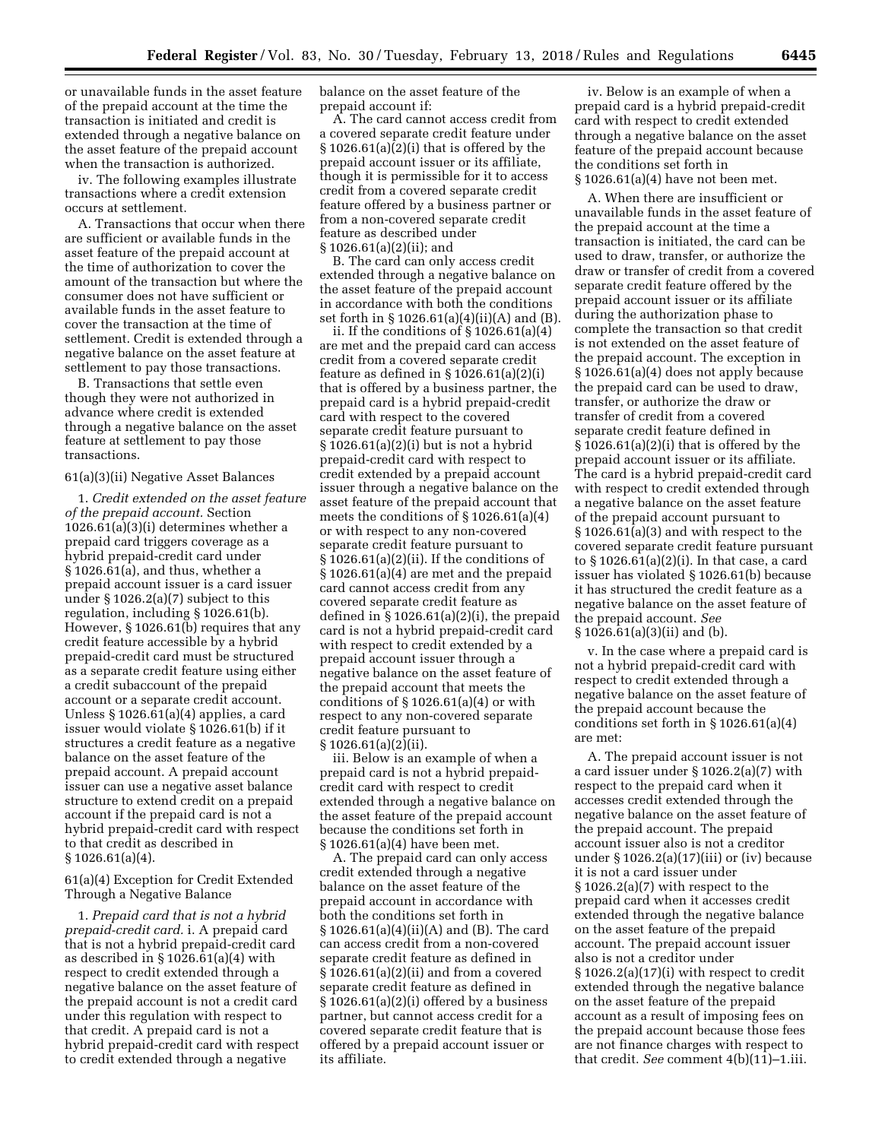or unavailable funds in the asset feature of the prepaid account at the time the transaction is initiated and credit is extended through a negative balance on the asset feature of the prepaid account when the transaction is authorized.

iv. The following examples illustrate transactions where a credit extension occurs at settlement.

A. Transactions that occur when there are sufficient or available funds in the asset feature of the prepaid account at the time of authorization to cover the amount of the transaction but where the consumer does not have sufficient or available funds in the asset feature to cover the transaction at the time of settlement. Credit is extended through a negative balance on the asset feature at settlement to pay those transactions.

B. Transactions that settle even though they were not authorized in advance where credit is extended through a negative balance on the asset feature at settlement to pay those transactions.

## 61(a)(3)(ii) Negative Asset Balances

1. *Credit extended on the asset feature of the prepaid account.* Section 1026.61(a)(3)(i) determines whether a prepaid card triggers coverage as a hybrid prepaid-credit card under § 1026.61(a), and thus, whether a prepaid account issuer is a card issuer under § 1026.2(a)(7) subject to this regulation, including § 1026.61(b). However, § 1026.61(b) requires that any credit feature accessible by a hybrid prepaid-credit card must be structured as a separate credit feature using either a credit subaccount of the prepaid account or a separate credit account. Unless § 1026.61(a)(4) applies, a card issuer would violate § 1026.61(b) if it structures a credit feature as a negative balance on the asset feature of the prepaid account. A prepaid account issuer can use a negative asset balance structure to extend credit on a prepaid account if the prepaid card is not a hybrid prepaid-credit card with respect to that credit as described in § 1026.61(a)(4).

61(a)(4) Exception for Credit Extended Through a Negative Balance

1. *Prepaid card that is not a hybrid prepaid-credit card.* i. A prepaid card that is not a hybrid prepaid-credit card as described in  $\S 1026.61(a)(4)$  with respect to credit extended through a negative balance on the asset feature of the prepaid account is not a credit card under this regulation with respect to that credit. A prepaid card is not a hybrid prepaid-credit card with respect to credit extended through a negative

balance on the asset feature of the prepaid account if:

A. The card cannot access credit from a covered separate credit feature under  $§ 1026.61(a)(2)(i)$  that is offered by the prepaid account issuer or its affiliate, though it is permissible for it to access credit from a covered separate credit feature offered by a business partner or from a non-covered separate credit feature as described under § 1026.61(a)(2)(ii); and

B. The card can only access credit extended through a negative balance on the asset feature of the prepaid account in accordance with both the conditions set forth in § 1026.61(a)(4)(ii)(A) and (B).

ii. If the conditions of  $\S 1026.61(a)(4)$ are met and the prepaid card can access credit from a covered separate credit feature as defined in  $\S 1026.61(a)(2)(i)$ that is offered by a business partner, the prepaid card is a hybrid prepaid-credit card with respect to the covered separate credit feature pursuant to § 1026.61(a)(2)(i) but is not a hybrid prepaid-credit card with respect to credit extended by a prepaid account issuer through a negative balance on the asset feature of the prepaid account that meets the conditions of § 1026.61(a)(4) or with respect to any non-covered separate credit feature pursuant to § 1026.61(a)(2)(ii). If the conditions of § 1026.61(a)(4) are met and the prepaid card cannot access credit from any covered separate credit feature as defined in  $\S 1026.61(a)(2)(i)$ , the prepaid card is not a hybrid prepaid-credit card with respect to credit extended by a prepaid account issuer through a negative balance on the asset feature of the prepaid account that meets the conditions of  $\S 1026.61(a)(4)$  or with respect to any non-covered separate credit feature pursuant to § 1026.61(a)(2)(ii).

iii. Below is an example of when a prepaid card is not a hybrid prepaidcredit card with respect to credit extended through a negative balance on the asset feature of the prepaid account because the conditions set forth in § 1026.61(a)(4) have been met.

A. The prepaid card can only access credit extended through a negative balance on the asset feature of the prepaid account in accordance with both the conditions set forth in § 1026.61(a)(4)(ii)(A) and (B). The card can access credit from a non-covered separate credit feature as defined in § 1026.61(a)(2)(ii) and from a covered separate credit feature as defined in § 1026.61(a)(2)(i) offered by a business partner, but cannot access credit for a covered separate credit feature that is offered by a prepaid account issuer or its affiliate.

iv. Below is an example of when a prepaid card is a hybrid prepaid-credit card with respect to credit extended through a negative balance on the asset feature of the prepaid account because the conditions set forth in § 1026.61(a)(4) have not been met.

A. When there are insufficient or unavailable funds in the asset feature of the prepaid account at the time a transaction is initiated, the card can be used to draw, transfer, or authorize the draw or transfer of credit from a covered separate credit feature offered by the prepaid account issuer or its affiliate during the authorization phase to complete the transaction so that credit is not extended on the asset feature of the prepaid account. The exception in § 1026.61(a)(4) does not apply because the prepaid card can be used to draw, transfer, or authorize the draw or transfer of credit from a covered separate credit feature defined in  $§ 1026.61(a)(2)(i)$  that is offered by the prepaid account issuer or its affiliate. The card is a hybrid prepaid-credit card with respect to credit extended through a negative balance on the asset feature of the prepaid account pursuant to § 1026.61(a)(3) and with respect to the covered separate credit feature pursuant to § 1026.61(a)(2)(i). In that case, a card issuer has violated § 1026.61(b) because it has structured the credit feature as a negative balance on the asset feature of the prepaid account. *See*  § 1026.61(a)(3)(ii) and (b).

v. In the case where a prepaid card is not a hybrid prepaid-credit card with respect to credit extended through a negative balance on the asset feature of the prepaid account because the conditions set forth in § 1026.61(a)(4) are met:

A. The prepaid account issuer is not a card issuer under § 1026.2(a)(7) with respect to the prepaid card when it accesses credit extended through the negative balance on the asset feature of the prepaid account. The prepaid account issuer also is not a creditor under § 1026.2(a)(17)(iii) or (iv) because it is not a card issuer under § 1026.2(a)(7) with respect to the prepaid card when it accesses credit extended through the negative balance on the asset feature of the prepaid account. The prepaid account issuer also is not a creditor under § 1026.2(a)(17)(i) with respect to credit extended through the negative balance on the asset feature of the prepaid account as a result of imposing fees on the prepaid account because those fees are not finance charges with respect to that credit. *See* comment 4(b)(11)–1.iii.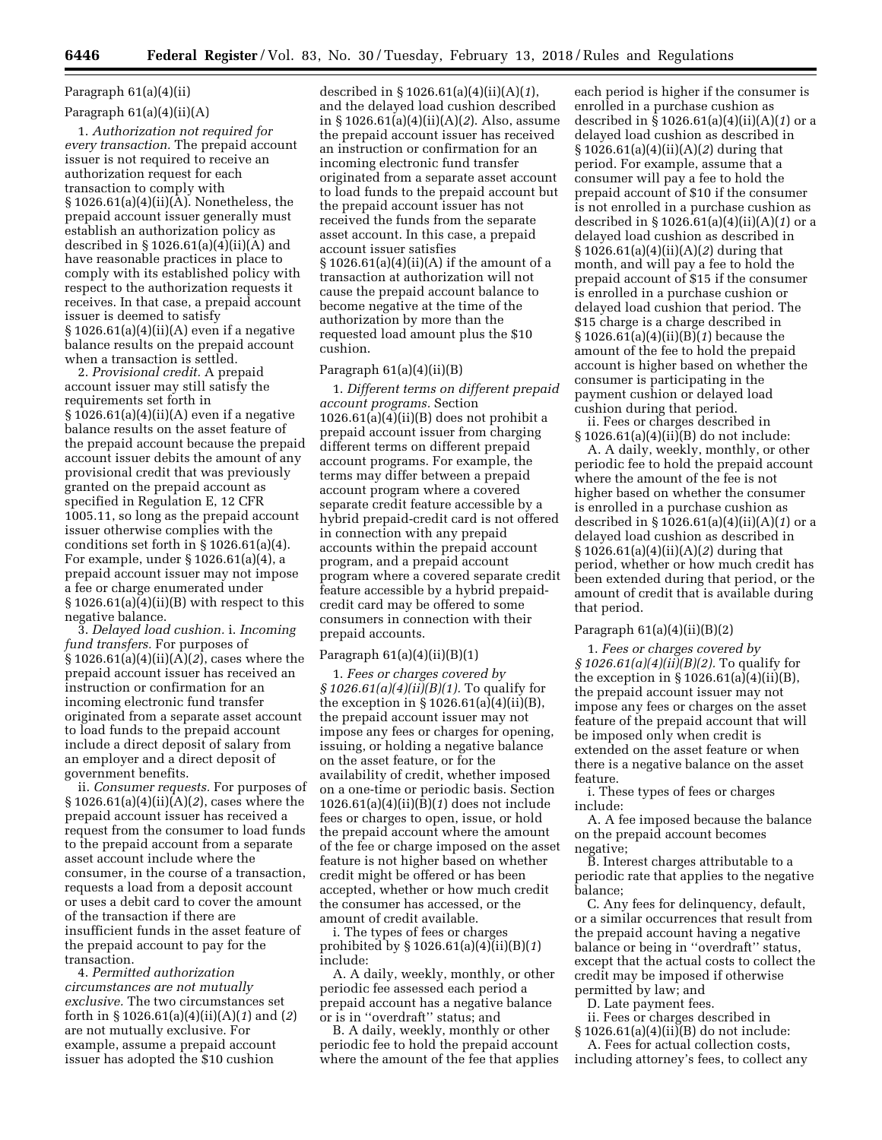# Paragraph 61(a)(4)(ii)

## Paragraph 61(a)(4)(ii)(A)

1. *Authorization not required for every transaction.* The prepaid account issuer is not required to receive an authorization request for each transaction to comply with § 1026.61(a)(4)(ii)(A). Nonetheless, the prepaid account issuer generally must establish an authorization policy as described in § 1026.61(a)(4)(ii)(A) and have reasonable practices in place to comply with its established policy with respect to the authorization requests it receives. In that case, a prepaid account issuer is deemed to satisfy  $§ 1026.61(a)(4)(ii)(A)$  even if a negative balance results on the prepaid account when a transaction is settled.

2. *Provisional credit.* A prepaid account issuer may still satisfy the requirements set forth in § 1026.61(a)(4)(ii)(A) even if a negative balance results on the asset feature of the prepaid account because the prepaid account issuer debits the amount of any provisional credit that was previously granted on the prepaid account as specified in Regulation E, 12 CFR 1005.11, so long as the prepaid account issuer otherwise complies with the conditions set forth in § 1026.61(a)(4). For example, under § 1026.61(a)(4), a prepaid account issuer may not impose a fee or charge enumerated under  $§ 1026.61(a)(4)(ii)(B)$  with respect to this negative balance.

3. *Delayed load cushion.* i. *Incoming fund transfers.* For purposes of § 1026.61(a)(4)(ii)(A)(*2*), cases where the prepaid account issuer has received an instruction or confirmation for an incoming electronic fund transfer originated from a separate asset account to load funds to the prepaid account include a direct deposit of salary from an employer and a direct deposit of government benefits.

ii. *Consumer requests.* For purposes of § 1026.61(a)(4)(ii)(A)(*2*), cases where the prepaid account issuer has received a request from the consumer to load funds to the prepaid account from a separate asset account include where the consumer, in the course of a transaction, requests a load from a deposit account or uses a debit card to cover the amount of the transaction if there are insufficient funds in the asset feature of the prepaid account to pay for the transaction.

4. *Permitted authorization circumstances are not mutually exclusive.* The two circumstances set forth in § 1026.61(a)(4)(ii)(A)(*1*) and (*2*) are not mutually exclusive. For example, assume a prepaid account issuer has adopted the \$10 cushion

described in § 1026.61(a)(4)(ii)(A)(*1*), and the delayed load cushion described in § 1026.61(a)(4)(ii)(A)(*2*). Also, assume the prepaid account issuer has received an instruction or confirmation for an incoming electronic fund transfer originated from a separate asset account to load funds to the prepaid account but the prepaid account issuer has not received the funds from the separate asset account. In this case, a prepaid account issuer satisfies § 1026.61(a)(4)(ii)(A) if the amount of a transaction at authorization will not cause the prepaid account balance to become negative at the time of the authorization by more than the requested load amount plus the \$10 cushion.

## Paragraph 61(a)(4)(ii)(B)

1. *Different terms on different prepaid account programs.* Section  $1026.61(a)(4)(ii)(B)$  does not prohibit a prepaid account issuer from charging different terms on different prepaid account programs. For example, the terms may differ between a prepaid account program where a covered separate credit feature accessible by a hybrid prepaid-credit card is not offered in connection with any prepaid accounts within the prepaid account program, and a prepaid account program where a covered separate credit feature accessible by a hybrid prepaidcredit card may be offered to some consumers in connection with their prepaid accounts.

## Paragraph  $61(a)(4)(ii)(B)(1)$

1. *Fees or charges covered by § 1026.61(a)(4)(ii)(B)(1).* To qualify for the exception in  $\S 1026.61(a)(4)(ii)(B)$ , the prepaid account issuer may not impose any fees or charges for opening, issuing, or holding a negative balance on the asset feature, or for the availability of credit, whether imposed on a one-time or periodic basis. Section 1026.61(a)(4)(ii)(B)(*1*) does not include fees or charges to open, issue, or hold the prepaid account where the amount of the fee or charge imposed on the asset feature is not higher based on whether credit might be offered or has been accepted, whether or how much credit the consumer has accessed, or the amount of credit available.

i. The types of fees or charges prohibited by § 1026.61(a)(4)(ii)(B)(*1*) include:

A. A daily, weekly, monthly, or other periodic fee assessed each period a prepaid account has a negative balance or is in ''overdraft'' status; and

B. A daily, weekly, monthly or other periodic fee to hold the prepaid account where the amount of the fee that applies

each period is higher if the consumer is enrolled in a purchase cushion as described in § 1026.61(a)(4)(ii)(A)(*1*) or a delayed load cushion as described in § 1026.61(a)(4)(ii)(A)(*2*) during that period. For example, assume that a consumer will pay a fee to hold the prepaid account of \$10 if the consumer is not enrolled in a purchase cushion as described in § 1026.61(a)(4)(ii)(A)(*1*) or a delayed load cushion as described in § 1026.61(a)(4)(ii)(A)(*2*) during that month, and will pay a fee to hold the prepaid account of \$15 if the consumer is enrolled in a purchase cushion or delayed load cushion that period. The \$15 charge is a charge described in § 1026.61(a)(4)(ii)(B)(*1*) because the amount of the fee to hold the prepaid account is higher based on whether the consumer is participating in the payment cushion or delayed load cushion during that period.

ii. Fees or charges described in § 1026.61(a)(4)(ii)(B) do not include:

A. A daily, weekly, monthly, or other periodic fee to hold the prepaid account where the amount of the fee is not higher based on whether the consumer is enrolled in a purchase cushion as described in § 1026.61(a)(4)(ii)(A)(*1*) or a delayed load cushion as described in § 1026.61(a)(4)(ii)(A)(*2*) during that period, whether or how much credit has been extended during that period, or the amount of credit that is available during that period.

## Paragraph  $61(a)(4)(ii)(B)(2)$

1. *Fees or charges covered by § 1026.61(a)(4)(ii)(B)(2).* To qualify for the exception in  $\S 1026.61(a)(4)(ii)(B)$ , the prepaid account issuer may not impose any fees or charges on the asset feature of the prepaid account that will be imposed only when credit is extended on the asset feature or when there is a negative balance on the asset feature.

i. These types of fees or charges include:

A. A fee imposed because the balance on the prepaid account becomes negative;

B. Interest charges attributable to a periodic rate that applies to the negative balance;

C. Any fees for delinquency, default, or a similar occurrences that result from the prepaid account having a negative balance or being in ''overdraft'' status, except that the actual costs to collect the credit may be imposed if otherwise permitted by law; and

D. Late payment fees.

ii. Fees or charges described in

§ 1026.61(a)(4)(ii)(B) do not include: A. Fees for actual collection costs,

including attorney's fees, to collect any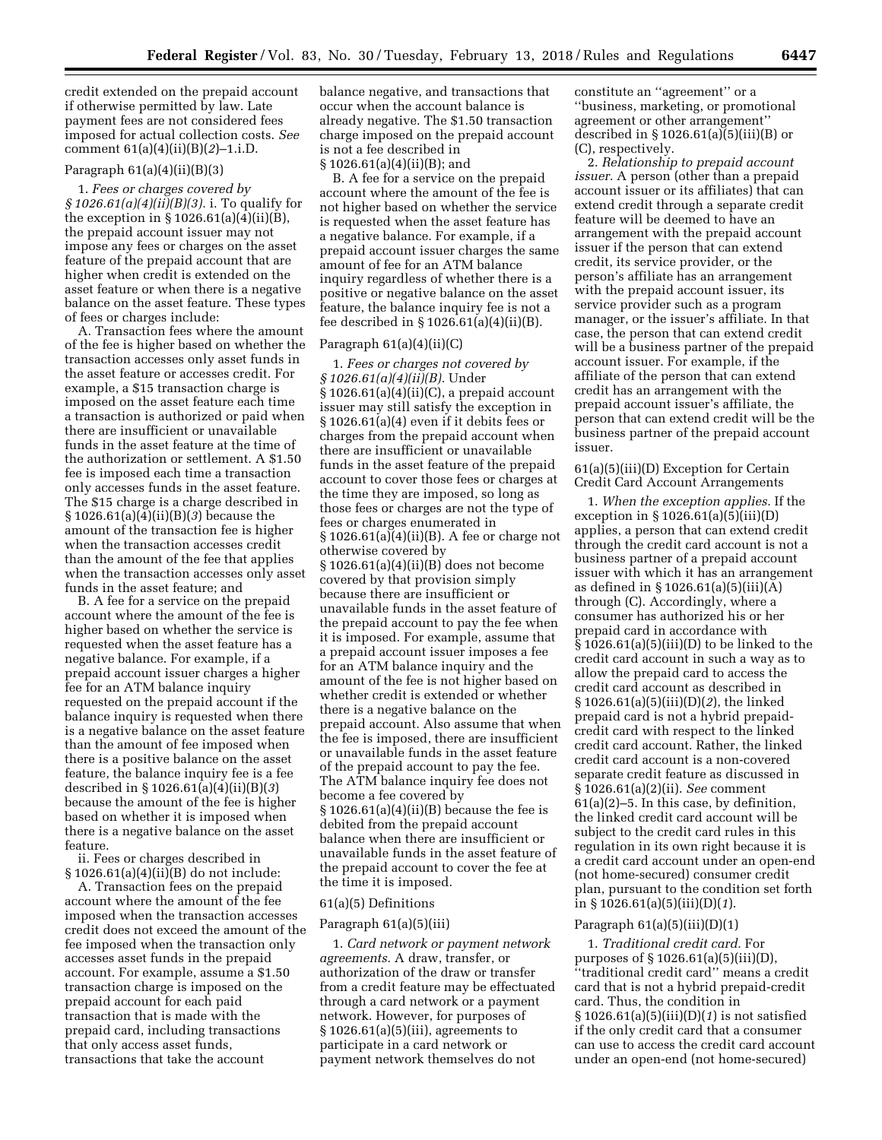credit extended on the prepaid account if otherwise permitted by law. Late payment fees are not considered fees imposed for actual collection costs. *See*  comment 61(a)(4)(ii)(B)(*2*)–1.i.D.

## Paragraph  $61(a)(4)(ii)(B)(3)$

1. *Fees or charges covered by § 1026.61(a)(4)(ii)(B)(3).* i. To qualify for the exception in  $\S 1026.61(a)(4)(ii)(B)$ , the prepaid account issuer may not impose any fees or charges on the asset feature of the prepaid account that are higher when credit is extended on the asset feature or when there is a negative balance on the asset feature. These types of fees or charges include:

A. Transaction fees where the amount of the fee is higher based on whether the transaction accesses only asset funds in the asset feature or accesses credit. For example, a \$15 transaction charge is imposed on the asset feature each time a transaction is authorized or paid when there are insufficient or unavailable funds in the asset feature at the time of the authorization or settlement. A \$1.50 fee is imposed each time a transaction only accesses funds in the asset feature. The \$15 charge is a charge described in § 1026.61(a)(4)(ii)(B)(*3*) because the amount of the transaction fee is higher when the transaction accesses credit than the amount of the fee that applies when the transaction accesses only asset funds in the asset feature; and

B. A fee for a service on the prepaid account where the amount of the fee is higher based on whether the service is requested when the asset feature has a negative balance. For example, if a prepaid account issuer charges a higher fee for an ATM balance inquiry requested on the prepaid account if the balance inquiry is requested when there is a negative balance on the asset feature than the amount of fee imposed when there is a positive balance on the asset feature, the balance inquiry fee is a fee described in § 1026.61(a)(4)(ii)(B)(*3*) because the amount of the fee is higher based on whether it is imposed when there is a negative balance on the asset feature.

ii. Fees or charges described in § 1026.61(a)(4)(ii)(B) do not include:

A. Transaction fees on the prepaid account where the amount of the fee imposed when the transaction accesses credit does not exceed the amount of the fee imposed when the transaction only accesses asset funds in the prepaid account. For example, assume a \$1.50 transaction charge is imposed on the prepaid account for each paid transaction that is made with the prepaid card, including transactions that only access asset funds, transactions that take the account

balance negative, and transactions that occur when the account balance is already negative. The \$1.50 transaction charge imposed on the prepaid account is not a fee described in § 1026.61(a)(4)(ii)(B); and

B. A fee for a service on the prepaid account where the amount of the fee is not higher based on whether the service is requested when the asset feature has a negative balance. For example, if a prepaid account issuer charges the same amount of fee for an ATM balance inquiry regardless of whether there is a positive or negative balance on the asset feature, the balance inquiry fee is not a fee described in § 1026.61(a)(4)(ii)(B).

## Paragraph 61(a)(4)(ii)(C)

1. *Fees or charges not covered by § 1026.61(a)(4)(ii)(B).* Under  $\S 1026.61(a)(4)(ii)(C)$ , a prepaid account issuer may still satisfy the exception in § 1026.61(a)(4) even if it debits fees or charges from the prepaid account when there are insufficient or unavailable funds in the asset feature of the prepaid account to cover those fees or charges at the time they are imposed, so long as those fees or charges are not the type of fees or charges enumerated in § 1026.61(a)(4)(ii)(B). A fee or charge not otherwise covered by § 1026.61(a)(4)(ii)(B) does not become covered by that provision simply because there are insufficient or unavailable funds in the asset feature of the prepaid account to pay the fee when it is imposed. For example, assume that a prepaid account issuer imposes a fee for an ATM balance inquiry and the amount of the fee is not higher based on whether credit is extended or whether there is a negative balance on the prepaid account. Also assume that when the fee is imposed, there are insufficient or unavailable funds in the asset feature of the prepaid account to pay the fee. The ATM balance inquiry fee does not become a fee covered by § 1026.61(a)(4)(ii)(B) because the fee is debited from the prepaid account balance when there are insufficient or unavailable funds in the asset feature of the prepaid account to cover the fee at the time it is imposed.

## 61(a)(5) Definitions

## Paragraph 61(a)(5)(iii)

1. *Card network or payment network agreements.* A draw, transfer, or authorization of the draw or transfer from a credit feature may be effectuated through a card network or a payment network. However, for purposes of § 1026.61(a)(5)(iii), agreements to participate in a card network or payment network themselves do not

constitute an ''agreement'' or a ''business, marketing, or promotional agreement or other arrangement'' described in  $\S 1026.61(a)(5)(iii)(B)$  or (C), respectively.

2. *Relationship to prepaid account issuer.* A person (other than a prepaid account issuer or its affiliates) that can extend credit through a separate credit feature will be deemed to have an arrangement with the prepaid account issuer if the person that can extend credit, its service provider, or the person's affiliate has an arrangement with the prepaid account issuer, its service provider such as a program manager, or the issuer's affiliate. In that case, the person that can extend credit will be a business partner of the prepaid account issuer. For example, if the affiliate of the person that can extend credit has an arrangement with the prepaid account issuer's affiliate, the person that can extend credit will be the business partner of the prepaid account issuer.

## 61(a)(5)(iii)(D) Exception for Certain Credit Card Account Arrangements

1. *When the exception applies.* If the exception in  $\S 1026.61(a)(5)(iii)(D)$ applies, a person that can extend credit through the credit card account is not a business partner of a prepaid account issuer with which it has an arrangement as defined in § 1026.61(a)(5)(iii)(A) through (C). Accordingly, where a consumer has authorized his or her prepaid card in accordance with § 1026.61(a)(5)(iii)(D) to be linked to the credit card account in such a way as to allow the prepaid card to access the credit card account as described in § 1026.61(a)(5)(iii)(D)(*2*), the linked prepaid card is not a hybrid prepaidcredit card with respect to the linked credit card account. Rather, the linked credit card account is a non-covered separate credit feature as discussed in § 1026.61(a)(2)(ii). *See* comment  $61(a)(2)-5$ . In this case, by definition, the linked credit card account will be subject to the credit card rules in this regulation in its own right because it is a credit card account under an open-end (not home-secured) consumer credit plan, pursuant to the condition set forth in § 1026.61(a)(5)(iii)(D)(*1*).

## Paragraph  $61(a)(5)(iii)(D)(1)$

1. *Traditional credit card.* For purposes of § 1026.61(a)(5)(iii)(D), ''traditional credit card'' means a credit card that is not a hybrid prepaid-credit card. Thus, the condition in § 1026.61(a)(5)(iii)(D)(*1*) is not satisfied if the only credit card that a consumer can use to access the credit card account under an open-end (not home-secured)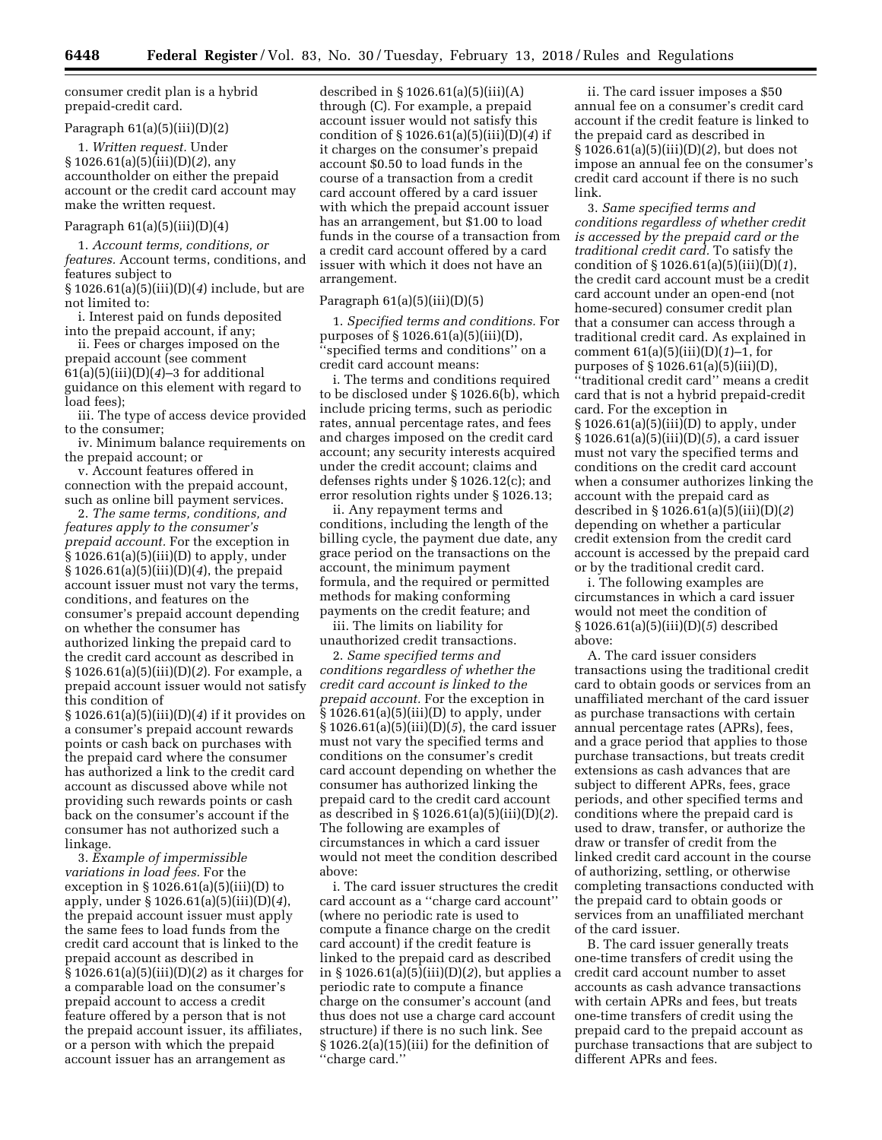consumer credit plan is a hybrid prepaid-credit card.

## Paragraph  $61(a)(5)(iii)(D)(2)$

1. *Written request.* Under § 1026.61(a)(5)(iii)(D)(*2*), any accountholder on either the prepaid account or the credit card account may make the written request.

## Paragraph  $61(a)(5)(iii)(D)(4)$

1. *Account terms, conditions, or features.* Account terms, conditions, and features subject to § 1026.61(a)(5)(iii)(D)(*4*) include, but are

not limited to: i. Interest paid on funds deposited

into the prepaid account, if any;

ii. Fees or charges imposed on the prepaid account (see comment 61(a)(5)(iii)(D)(*4*)–3 for additional guidance on this element with regard to load fees);

iii. The type of access device provided to the consumer;

iv. Minimum balance requirements on the prepaid account; or

v. Account features offered in connection with the prepaid account, such as online bill payment services.

2. *The same terms, conditions, and features apply to the consumer's prepaid account.* For the exception in § 1026.61(a)(5)(iii)(D) to apply, under § 1026.61(a)(5)(iii)(D)(*4*), the prepaid account issuer must not vary the terms, conditions, and features on the consumer's prepaid account depending on whether the consumer has authorized linking the prepaid card to the credit card account as described in § 1026.61(a)(5)(iii)(D)(*2*). For example, a prepaid account issuer would not satisfy this condition of

§ 1026.61(a)(5)(iii)(D)(*4*) if it provides on a consumer's prepaid account rewards points or cash back on purchases with the prepaid card where the consumer has authorized a link to the credit card account as discussed above while not providing such rewards points or cash back on the consumer's account if the consumer has not authorized such a linkage.

3. *Example of impermissible variations in load fees.* For the exception in § 1026.61(a)(5)(iii)(D) to apply, under § 1026.61(a)(5)(iii)(D)(*4*), the prepaid account issuer must apply the same fees to load funds from the credit card account that is linked to the prepaid account as described in § 1026.61(a)(5)(iii)(D)(*2*) as it charges for a comparable load on the consumer's prepaid account to access a credit feature offered by a person that is not the prepaid account issuer, its affiliates, or a person with which the prepaid account issuer has an arrangement as

described in  $\S 1026.61(a)(5)(iii)(A)$ through (C). For example, a prepaid account issuer would not satisfy this condition of § 1026.61(a)(5)(iii)(D)(*4*) if it charges on the consumer's prepaid account \$0.50 to load funds in the course of a transaction from a credit card account offered by a card issuer with which the prepaid account issuer has an arrangement, but \$1.00 to load funds in the course of a transaction from a credit card account offered by a card issuer with which it does not have an arrangement.

# Paragraph 61(a)(5)(iii)(D)(5)

1. *Specified terms and conditions.* For purposes of § 1026.61(a)(5)(iii)(D), 'specified terms and conditions'' on a credit card account means:

i. The terms and conditions required to be disclosed under § 1026.6(b), which include pricing terms, such as periodic rates, annual percentage rates, and fees and charges imposed on the credit card account; any security interests acquired under the credit account; claims and defenses rights under § 1026.12(c); and error resolution rights under § 1026.13;

ii. Any repayment terms and conditions, including the length of the billing cycle, the payment due date, any grace period on the transactions on the account, the minimum payment formula, and the required or permitted methods for making conforming payments on the credit feature; and

iii. The limits on liability for unauthorized credit transactions.

2. *Same specified terms and conditions regardless of whether the credit card account is linked to the prepaid account.* For the exception in § 1026.61(a)(5)(iii)(D) to apply, under § 1026.61(a)(5)(iii)(D)(*5*), the card issuer must not vary the specified terms and conditions on the consumer's credit card account depending on whether the consumer has authorized linking the prepaid card to the credit card account as described in § 1026.61(a)(5)(iii)(D)(*2*). The following are examples of circumstances in which a card issuer would not meet the condition described above:

i. The card issuer structures the credit card account as a ''charge card account'' (where no periodic rate is used to compute a finance charge on the credit card account) if the credit feature is linked to the prepaid card as described in § 1026.61(a)(5)(iii)(D)(*2*), but applies a periodic rate to compute a finance charge on the consumer's account (and thus does not use a charge card account structure) if there is no such link. See § 1026.2(a)(15)(iii) for the definition of ''charge card.''

ii. The card issuer imposes a \$50 annual fee on a consumer's credit card account if the credit feature is linked to the prepaid card as described in § 1026.61(a)(5)(iii)(D)(*2*), but does not impose an annual fee on the consumer's credit card account if there is no such link.

3. *Same specified terms and conditions regardless of whether credit is accessed by the prepaid card or the traditional credit card.* To satisfy the condition of § 1026.61(a)(5)(iii)(D)(*1*), the credit card account must be a credit card account under an open-end (not home-secured) consumer credit plan that a consumer can access through a traditional credit card. As explained in comment 61(a)(5)(iii)(D)(*1*)–1, for purposes of § 1026.61(a)(5)(iii)(D), ''traditional credit card'' means a credit card that is not a hybrid prepaid-credit card. For the exception in § 1026.61(a)(5)(iii)(D) to apply, under § 1026.61(a)(5)(iii)(D)(*5*), a card issuer must not vary the specified terms and conditions on the credit card account when a consumer authorizes linking the account with the prepaid card as described in § 1026.61(a)(5)(iii)(D)(*2*) depending on whether a particular credit extension from the credit card account is accessed by the prepaid card or by the traditional credit card.

i. The following examples are circumstances in which a card issuer would not meet the condition of § 1026.61(a)(5)(iii)(D)(*5*) described above:

A. The card issuer considers transactions using the traditional credit card to obtain goods or services from an unaffiliated merchant of the card issuer as purchase transactions with certain annual percentage rates (APRs), fees, and a grace period that applies to those purchase transactions, but treats credit extensions as cash advances that are subject to different APRs, fees, grace periods, and other specified terms and conditions where the prepaid card is used to draw, transfer, or authorize the draw or transfer of credit from the linked credit card account in the course of authorizing, settling, or otherwise completing transactions conducted with the prepaid card to obtain goods or services from an unaffiliated merchant of the card issuer.

B. The card issuer generally treats one-time transfers of credit using the credit card account number to asset accounts as cash advance transactions with certain APRs and fees, but treats one-time transfers of credit using the prepaid card to the prepaid account as purchase transactions that are subject to different APRs and fees.